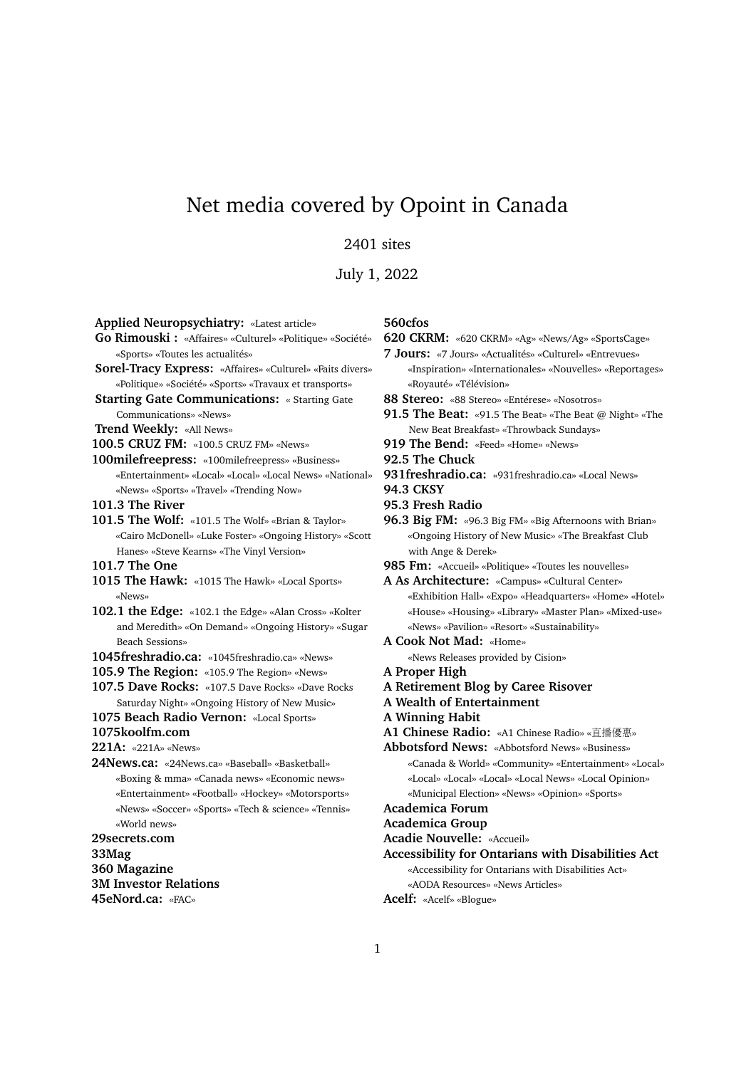# Net media covered by Opoint in Canada

# 2401 sites

July 1, 2022

| <b>Applied Neuropsychiatry:</b> «Latest article»          |
|-----------------------------------------------------------|
| Go Rimouski : «Affaires» «Culturel» «Politique» «Société» |
| «Sports» «Toutes les actualités»                          |
| Sorel-Tracy Express: «Affaires» «Culturel» «Faits divers» |
| «Politique» «Société» «Sports» «Travaux et transports»    |

**Starting Gate Communications:** « Starting Gate Communications» «News»

#### **Trend Weekly:** «All News»

**100.5 CRUZ FM:** «100.5 CRUZ FM» «News»

**100milefreepress:** «100milefreepress» «Business» «Entertainment» «Local» «Local» «Local News» «National» «News» «Sports» «Travel» «Trending Now»

**101.3 The River**

**101.5 The Wolf:** «101.5 The Wolf» «Brian & Taylor» «Cairo McDonell» «Luke Foster» «Ongoing History» «Scott Hanes» «Steve Kearns» «The Vinyl Version»

- **101.7 The One**
- **1015 The Hawk:** «1015 The Hawk» «Local Sports» «News»
- **102.1 the Edge:** «102.1 the Edge» «Alan Cross» «Kolter and Meredith» «On Demand» «Ongoing History» «Sugar Beach Sessions»
- **1045freshradio.ca:** «1045freshradio.ca» «News»
- **105.9 The Region:** «105.9 The Region» «News»

**107.5 Dave Rocks:** «107.5 Dave Rocks» «Dave Rocks Saturday Night» «Ongoing History of New Music»

- **1075 Beach Radio Vernon:** «Local Sports»
- **1075koolfm.com**

**221A:** «221A» «News»

**24News.ca:** «24News.ca» «Baseball» «Basketball» «Boxing & mma» «Canada news» «Economic news» «Entertainment» «Football» «Hockey» «Motorsports» «News» «Soccer» «Sports» «Tech & science» «Tennis» «World news»

**29secrets.com**

**33Mag**

**360 Magazine**

**3M Investor Relations**

**45eNord.ca:** «FAC»

#### **560cfos**

**620 CKRM:** «620 CKRM» «Ag» «News/Ag» «SportsCage»

- **7 Jours:** «7 Jours» «Actualités» «Culturel» «Entrevues» «Inspiration» «Internationales» «Nouvelles» «Reportages» «Royauté» «Télévision»
- **88 Stereo:** «88 Stereo» «Entérese» «Nosotros»
- **91.5 The Beat:** «91.5 The Beat» «The Beat @ Night» «The New Beat Breakfast» «Throwback Sundays»
- **919 The Bend:** «Feed» «Home» «News»

**92.5 The Chuck**

- **931freshradio.ca:** «931freshradio.ca» «Local News»
- **94.3 CKSY**
- **95.3 Fresh Radio**
- 96.3 Big FM: «96.3 Big FM» «Big Afternoons with Brian» «Ongoing History of New Music» «The Breakfast Club with Ange & Derek»
- 985 Fm: «Accueil» «Politique» «Toutes les nouvelles»

**A As Architecture:** «Campus» «Cultural Center» «Exhibition Hall» «Expo» «Headquarters» «Home» «Hotel» «House» «Housing» «Library» «Master Plan» «Mixed-use» «News» «Pavilion» «Resort» «Sustainability»

**A Cook Not Mad:** «Home»

«News Releases provided by Cision»

- **A Proper High**
- **A Retirement Blog by Caree Risover**
- **A Wealth of Entertainment**
- **A Winning Habit**
- **A1 Chinese Radio:** «A1 Chinese Radio» «直播優惠»

**Abbotsford News:** «Abbotsford News» «Business» «Canada & World» «Community» «Entertainment» «Local» «Local» «Local» «Local» «Local News» «Local Opinion» «Municipal Election» «News» «Opinion» «Sports»

#### **Academica Forum**

#### **Academica Group**

**Acadie Nouvelle:** «Accueil»

**Accessibility for Ontarians with Disabilities Act** «Accessibility for Ontarians with Disabilities Act»

«AODA Resources» «News Articles»

**Acelf:** «Acelf» «Blogue»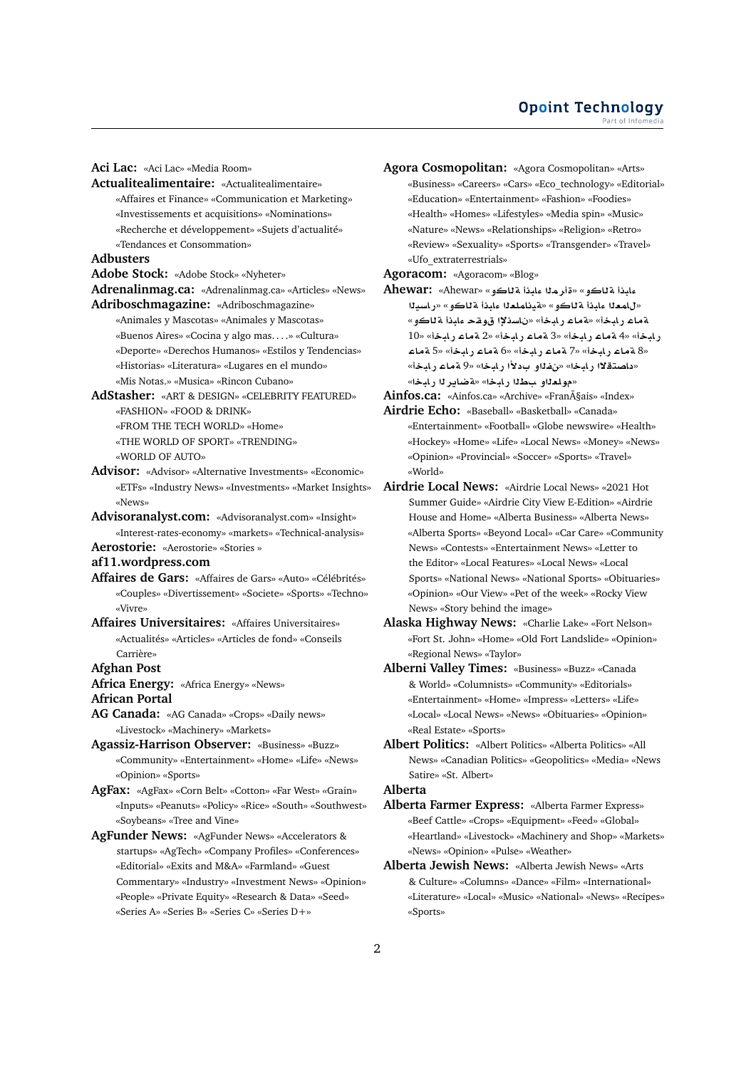**Aci Lac:** «Aci Lac» «Media Room»

**Actualitealimentaire:** «Actualitealimentaire» «Affaires et Finance» «Communication et Marketing» «Investissements et acquisitions» «Nominations» «Recherche et développement» «Sujets d'actualité» «Tendances et Consommation»

#### **Adbusters**

**Adobe Stock:** «Adobe Stock» «Nyheter»

**Adrenalinmag.ca:** «Adrenalinmag.ca» «Articles» «News» **Adriboschmagazine:** «Adriboschmagazine»

- «Animales y Mascotas» «Animales y Mascotas» «Buenos Aires» «Cocina y algo mas. . . .» «Cultura» «Deporte» «Derechos Humanos» «Estilos y Tendencias» «Historias» «Literatura» «Lugares en el mundo» «Mis Notas.» «Musica» «Rincon Cubano»
- **AdStasher:** «ART & DESIGN» «CELEBRITY FEATURED» «FASHION» «FOOD & DRINK» «FROM THE TECH WORLD» «Home» «THE WORLD OF SPORT» «TRENDING»
	- «WORLD OF AUTO»
- **Advisor:** «Advisor» «Alternative Investments» «Economic» «ETFs» «Industry News» «Investments» «Market Insights» «News»
- **Advisoranalyst.com:** «Advisoranalyst.com» «Insight» «Interest-rates-economy» «markets» «Technical-analysis»
- **Aerostorie:** «Aerostorie» «Stories »
- **af11.wordpress.com**
- **Affaires de Gars:** «Affaires de Gars» «Auto» «Célébrités» «Couples» «Divertissement» «Societe» «Sports» «Techno» «Vivre»
- **Affaires Universitaires:** «Affaires Universitaires» «Actualités» «Articles» «Articles de fond» «Conseils Carrière»

#### **Afghan Post**

**Africa Energy:** «Africa Energy» «News»

**African Portal**

**AG Canada:** «AG Canada» «Crops» «Daily news» «Livestock» «Machinery» «Markets»

- **Agassiz-Harrison Observer:** «Business» «Buzz» «Community» «Entertainment» «Home» «Life» «News» «Opinion» «Sports»
- **AgFax:** «AgFax» «Corn Belt» «Cotton» «Far West» «Grain» «Inputs» «Peanuts» «Policy» «Rice» «South» «Southwest» «Soybeans» «Tree and Vine»
- **AgFunder News:** «AgFunder News» «Accelerators & startups» «AgTech» «Company Profiles» «Conferences» «Editorial» «Exits and M&A» «Farmland» «Guest Commentary» «Industry» «Investment News» «Opinion» «People» «Private Equity» «Research & Data» «Seed» «Series A» «Series B» «Series C» «Series D+»
- **Agora Cosmopolitan:** «Agora Cosmopolitan» «Arts» «Business» «Careers» «Cars» «Eco\_technology» «Editorial» «Education» «Entertainment» «Fashion» «Foodies» «Health» «Homes» «Lifestyles» «Media spin» «Music» «Nature» «News» «Relationships» «Religion» «Retro» «Review» «Sexuality» «Sports» «Transgender» «Travel» «Ufo\_extraterrestrials»
- **Agoracom:** «Agoracom» «Blog»
- **Ahewar:** «Ahewar» «**¤AT bAº mr**» «**¤AT bAº** «للمعلا عليذأ ةللكو» «ةينلملعلا عليذأ ةللكو» «را*سي*لا «**¤AT bAº qw ³sA** » «**bAC AT**» «**bAC AT** رابخأ» «4 ةماع رابخأ» «3 ةماع رابخأ» «2 ةماع رابخأ» «10 **AT** 5» «**bAC AT** 6» «**bAC AT** 7» «**bAC AT** 8» «داصتقلاا رابخا» «نفذاو ب1لأا رابخا» «9 ةماع رابخأ» «مولعلاو سطلا رايخا» «**قضاير ل**ا رايخا»
- Ainfos.ca: «Ainfos.ca» «Archive» «Français» «Index»
- **Airdrie Echo:** «Baseball» «Basketball» «Canada» «Entertainment» «Football» «Globe newswire» «Health» «Hockey» «Home» «Life» «Local News» «Money» «News» «Opinion» «Provincial» «Soccer» «Sports» «Travel» «World»
- **Airdrie Local News:** «Airdrie Local News» «2021 Hot Summer Guide» «Airdrie City View E-Edition» «Airdrie House and Home» «Alberta Business» «Alberta News» «Alberta Sports» «Beyond Local» «Car Care» «Community News» «Contests» «Entertainment News» «Letter to the Editor» «Local Features» «Local News» «Local Sports» «National News» «National Sports» «Obituaries» «Opinion» «Our View» «Pet of the week» «Rocky View News» «Story behind the image»
- **Alaska Highway News:** «Charlie Lake» «Fort Nelson» «Fort St. John» «Home» «Old Fort Landslide» «Opinion» «Regional News» «Taylor»
- **Alberni Valley Times:** «Business» «Buzz» «Canada & World» «Columnists» «Community» «Editorials» «Entertainment» «Home» «Impress» «Letters» «Life» «Local» «Local News» «News» «Obituaries» «Opinion» «Real Estate» «Sports»
- **Albert Politics:** «Albert Politics» «Alberta Politics» «All News» «Canadian Politics» «Geopolitics» «Media» «News Satire» «St. Albert»

# **Alberta**

- **Alberta Farmer Express:** «Alberta Farmer Express» «Beef Cattle» «Crops» «Equipment» «Feed» «Global» «Heartland» «Livestock» «Machinery and Shop» «Markets» «News» «Opinion» «Pulse» «Weather»
- **Alberta Jewish News:** «Alberta Jewish News» «Arts & Culture» «Columns» «Dance» «Film» «International» «Literature» «Local» «Music» «National» «News» «Recipes» «Sports»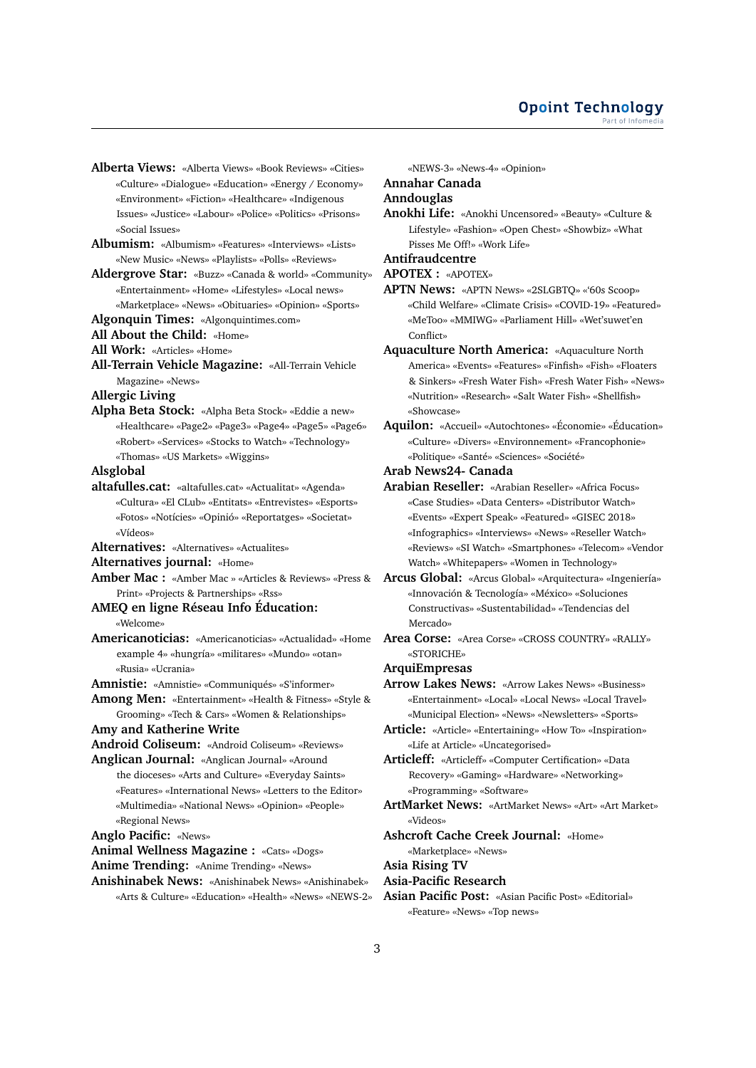- **Alberta Views:** «Alberta Views» «Book Reviews» «Cities» «Culture» «Dialogue» «Education» «Energy / Economy» «Environment» «Fiction» «Healthcare» «Indigenous Issues» «Justice» «Labour» «Police» «Politics» «Prisons» «Social Issues»
- **Albumism:** «Albumism» «Features» «Interviews» «Lists» «New Music» «News» «Playlists» «Polls» «Reviews»
- **Aldergrove Star:** «Buzz» «Canada & world» «Community» «Entertainment» «Home» «Lifestyles» «Local news» «Marketplace» «News» «Obituaries» «Opinion» «Sports»
- **Algonquin Times:** «Algonquintimes.com»
- **All About the Child:** «Home»
- **All Work:** «Articles» «Home»
- **All-Terrain Vehicle Magazine:** «All-Terrain Vehicle Magazine» «News»

**Allergic Living**

**Alpha Beta Stock:** «Alpha Beta Stock» «Eddie a new» «Healthcare» «Page2» «Page3» «Page4» «Page5» «Page6» «Robert» «Services» «Stocks to Watch» «Technology» «Thomas» «US Markets» «Wiggins»

#### **Alsglobal**

- **altafulles.cat:** «altafulles.cat» «Actualitat» «Agenda» «Cultura» «El CLub» «Entitats» «Entrevistes» «Esports» «Fotos» «Notícies» «Opinió» «Reportatges» «Societat» «Vídeos»
- **Alternatives:** «Alternatives» «Actualites»
- **Alternatives journal:** «Home»
- **Amber Mac :** «Amber Mac » «Articles & Reviews» «Press & **Arcus Global:** «Arcus Global» «Arquitectura» «Ingeniería» Print» «Projects & Partnerships» «Rss»

#### **AMEQ en ligne Réseau Info Éducation:** «Welcome»

- 
- **Americanoticias:** «Americanoticias» «Actualidad» «Home example 4» «hungría» «militares» «Mundo» «otan» «Rusia» «Ucrania»
- **Amnistie:** «Amnistie» «Communiqués» «S'informer»
- **Among Men:** «Entertainment» «Health & Fitness» «Style & Grooming» «Tech & Cars» «Women & Relationships»

**Amy and Katherine Write**

**Android Coliseum:** «Android Coliseum» «Reviews»

**Anglican Journal:** «Anglican Journal» «Around the dioceses» «Arts and Culture» «Everyday Saints» «Features» «International News» «Letters to the Editor» «Multimedia» «National News» «Opinion» «People» «Regional News»

**Anglo Pacific:** «News»

**Animal Wellness Magazine :** «Cats» «Dogs»

- **Anime Trending:** «Anime Trending» «News»
- **Anishinabek News:** «Anishinabek News» «Anishinabek» «Arts & Culture» «Education» «Health» «News» «NEWS-2»

«NEWS-3» «News-4» «Opinion»

# **Annahar Canada**

# **Anndouglas**

**Anokhi Life:** «Anokhi Uncensored» «Beauty» «Culture & Lifestyle» «Fashion» «Open Chest» «Showbiz» «What Pisses Me Off!» «Work Life»

**Antifraudcentre**

**APOTEX :** «APOTEX»

- **APTN News:** «APTN News» «2SLGBTQ» «'60s Scoop» «Child Welfare» «Climate Crisis» «COVID-19» «Featured» «MeToo» «MMIWG» «Parliament Hill» «Wet'suwet'en Conflict»
- **Aquaculture North America:** «Aquaculture North America» «Events» «Features» «Finfish» «Fish» «Floaters & Sinkers» «Fresh Water Fish» «Fresh Water Fish» «News» «Nutrition» «Research» «Salt Water Fish» «Shellfish» «Showcase»
- **Aquilon:** «Accueil» «Autochtones» «Économie» «Éducation» «Culture» «Divers» «Environnement» «Francophonie» «Politique» «Santé» «Sciences» «Société»
- **Arab News24- Canada**
- **Arabian Reseller:** «Arabian Reseller» «Africa Focus» «Case Studies» «Data Centers» «Distributor Watch» «Events» «Expert Speak» «Featured» «GISEC 2018» «Infographics» «Interviews» «News» «Reseller Watch» «Reviews» «SI Watch» «Smartphones» «Telecom» «Vendor Watch» «Whitepapers» «Women in Technology»
- «Innovación & Tecnología» «México» «Soluciones Constructivas» «Sustentabilidad» «Tendencias del Mercado»
- **Area Corse:** «Area Corse» «CROSS COUNTRY» «RALLY» «STORICHE»
- **ArquiEmpresas**
- **Arrow Lakes News:** «Arrow Lakes News» «Business» «Entertainment» «Local» «Local News» «Local Travel» «Municipal Election» «News» «Newsletters» «Sports»
- **Article:** «Article» «Entertaining» «How To» «Inspiration» «Life at Article» «Uncategorised»

**Articleff:** «Articleff» «Computer Certification» «Data Recovery» «Gaming» «Hardware» «Networking» «Programming» «Software»

**ArtMarket News:** «ArtMarket News» «Art» «Art Market» «Videos»

**Ashcroft Cache Creek Journal:** «Home»

«Marketplace» «News»

**Asia Rising TV**

- **Asia-Pacific Research**
- **Asian Pacific Post:** «Asian Pacific Post» «Editorial» «Feature» «News» «Top news»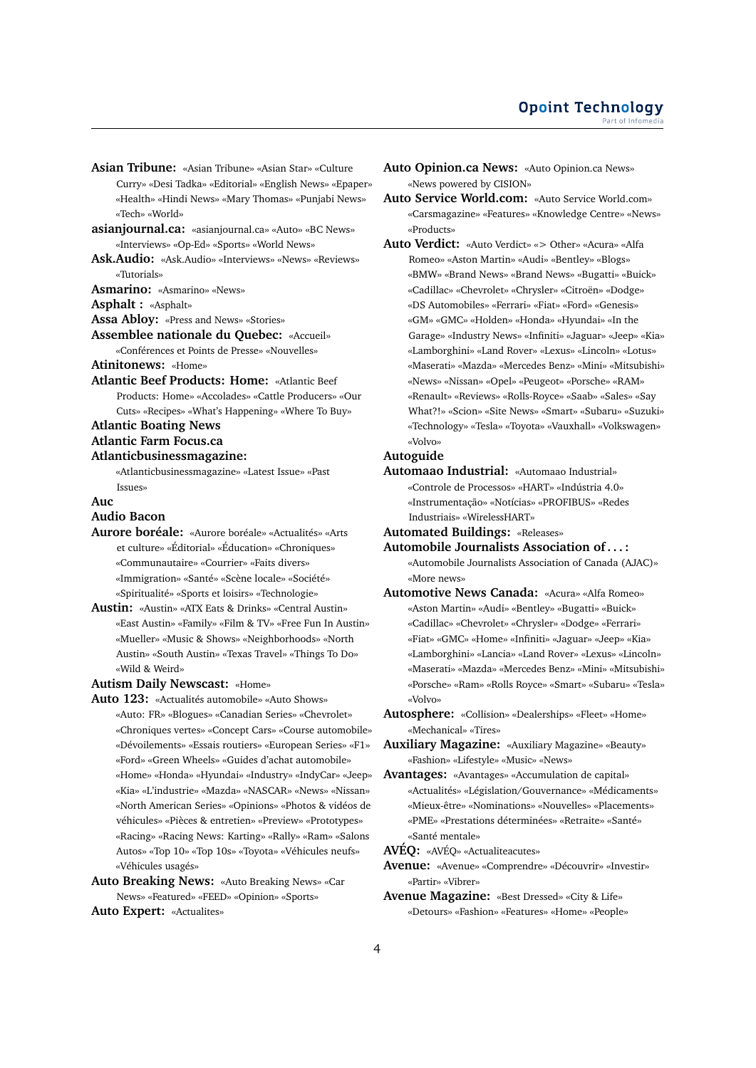- **Asian Tribune:** «Asian Tribune» «Asian Star» «Culture Curry» «Desi Tadka» «Editorial» «English News» «Epaper» «Health» «Hindi News» «Mary Thomas» «Punjabi News» «Tech» «World»
- **asianjournal.ca:** «asianjournal.ca» «Auto» «BC News» «Interviews» «Op-Ed» «Sports» «World News»
- **Ask.Audio:** «Ask.Audio» «Interviews» «News» «Reviews» «Tutorials»

**Asmarino:** «Asmarino» «News»

**Asphalt :** «Asphalt»

**Assa Abloy:** «Press and News» «Stories»

**Assemblee nationale du Quebec:** «Accueil» «Conférences et Points de Presse» «Nouvelles»

**Atinitonews:** «Home»

**Atlantic Beef Products: Home:** «Atlantic Beef Products: Home» «Accolades» «Cattle Producers» «Our Cuts» «Recipes» «What's Happening» «Where To Buy»

**Atlantic Boating News**

# **Atlantic Farm Focus.ca**

#### **Atlanticbusinessmagazine:**

«Atlanticbusinessmagazine» «Latest Issue» «Past Issues»

#### **Auc**

#### **Audio Bacon**

- **Aurore boréale:** «Aurore boréale» «Actualités» «Arts et culture» «Éditorial» «Éducation» «Chroniques» «Communautaire» «Courrier» «Faits divers» «Immigration» «Santé» «Scène locale» «Société» «Spiritualité» «Sports et loisirs» «Technologie»
- **Austin:** «Austin» «ATX Eats & Drinks» «Central Austin» «East Austin» «Family» «Film & TV» «Free Fun In Austin» «Mueller» «Music & Shows» «Neighborhoods» «North Austin» «South Austin» «Texas Travel» «Things To Do» «Wild & Weird»

#### **Autism Daily Newscast:** «Home»

**Auto 123:** «Actualités automobile» «Auto Shows» «Auto: FR» «Blogues» «Canadian Series» «Chevrolet» «Chroniques vertes» «Concept Cars» «Course automobile» «Dévoilements» «Essais routiers» «European Series» «F1» «Ford» «Green Wheels» «Guides d'achat automobile» «Home» «Honda» «Hyundai» «Industry» «IndyCar» «Jeep» «Kia» «L'industrie» «Mazda» «NASCAR» «News» «Nissan» «North American Series» «Opinions» «Photos & vidéos de véhicules» «Pièces & entretien» «Preview» «Prototypes» «Racing» «Racing News: Karting» «Rally» «Ram» «Salons Autos» «Top 10» «Top 10s» «Toyota» «Véhicules neufs» «Véhicules usagés»

**Auto Breaking News:** «Auto Breaking News» «Car News» «Featured» «FEED» «Opinion» «Sports»

```
Auto Expert: «Actualites»
```
- **Auto Opinion.ca News:** «Auto Opinion.ca News» «News powered by CISION»
- **Auto Service World.com:** «Auto Service World.com» «Carsmagazine» «Features» «Knowledge Centre» «News» «Products»
- **Auto Verdict:** «Auto Verdict» «> Other» «Acura» «Alfa Romeo» «Aston Martin» «Audi» «Bentley» «Blogs» «BMW» «Brand News» «Brand News» «Bugatti» «Buick» «Cadillac» «Chevrolet» «Chrysler» «Citroën» «Dodge» «DS Automobiles» «Ferrari» «Fiat» «Ford» «Genesis» «GM» «GMC» «Holden» «Honda» «Hyundai» «In the Garage» «Industry News» «Infiniti» «Jaguar» «Jeep» «Kia» «Lamborghini» «Land Rover» «Lexus» «Lincoln» «Lotus» «Maserati» «Mazda» «Mercedes Benz» «Mini» «Mitsubishi» «News» «Nissan» «Opel» «Peugeot» «Porsche» «RAM» «Renault» «Reviews» «Rolls-Royce» «Saab» «Sales» «Say What?!» «Scion» «Site News» «Smart» «Subaru» «Suzuki» «Technology» «Tesla» «Toyota» «Vauxhall» «Volkswagen» «Volvo»

#### **Autoguide**

- **Automaao Industrial:** «Automaao Industrial» «Controle de Processos» «HART» «Indústria 4.0» «Instrumentação» «Notícias» «PROFIBUS» «Redes Industriais» «WirelessHART»
- **Automated Buildings:** «Releases»
- **Automobile Journalists Association of . . . :** «Automobile Journalists Association of Canada (AJAC)» «More news»
- **Automotive News Canada:** «Acura» «Alfa Romeo» «Aston Martin» «Audi» «Bentley» «Bugatti» «Buick» «Cadillac» «Chevrolet» «Chrysler» «Dodge» «Ferrari» «Fiat» «GMC» «Home» «Infiniti» «Jaguar» «Jeep» «Kia» «Lamborghini» «Lancia» «Land Rover» «Lexus» «Lincoln» «Maserati» «Mazda» «Mercedes Benz» «Mini» «Mitsubishi» «Porsche» «Ram» «Rolls Royce» «Smart» «Subaru» «Tesla» «Volvo»
- **Autosphere:** «Collision» «Dealerships» «Fleet» «Home» «Mechanical» «Tires»
- **Auxiliary Magazine:** «Auxiliary Magazine» «Beauty» «Fashion» «Lifestyle» «Music» «News»
- **Avantages:** «Avantages» «Accumulation de capital» «Actualités» «Législation/Gouvernance» «Médicaments» «Mieux-être» «Nominations» «Nouvelles» «Placements» «PME» «Prestations déterminées» «Retraite» «Santé» «Santé mentale»

**AVÉQ:** «AVÉQ» «Actualiteacutes»

- **Avenue:** «Avenue» «Comprendre» «Découvrir» «Investir» «Partir» «Vibrer»
- **Avenue Magazine:** «Best Dressed» «City & Life» «Detours» «Fashion» «Features» «Home» «People»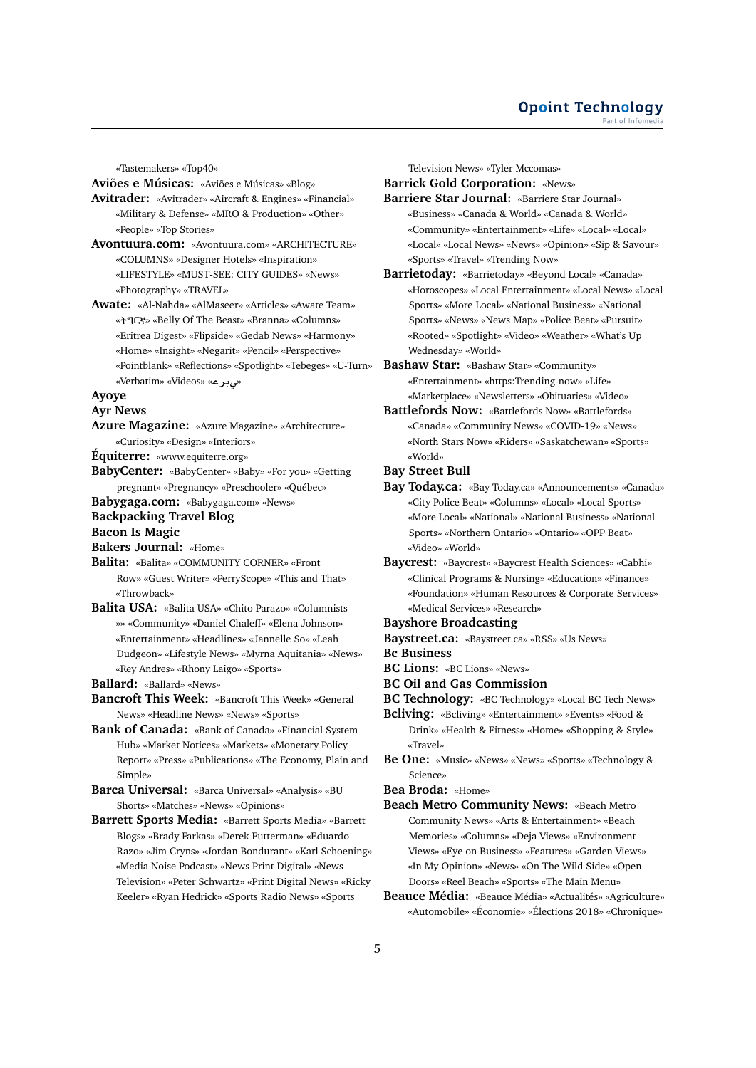«Tastemakers» «Top40»

**Aviões e Músicas:** «Aviões e Músicas» «Blog»

- **Avitrader:** «Avitrader» «Aircraft & Engines» «Financial» «Military & Defense» «MRO & Production» «Other» «People» «Top Stories»
- **Avontuura.com:** «Avontuura.com» «ARCHITECTURE» «COLUMNS» «Designer Hotels» «Inspiration» «LIFESTYLE» «MUST-SEE: CITY GUIDES» «News» «Photography» «TRAVEL»
- **Awate:** «Al-Nahda» «AlMaseer» «Articles» «Awate Team» « » «Belly Of The Beast» «Branna» «Columns» «Eritrea Digest» «Flipside» «Gedab News» «Harmony» «Home» «Insight» «Negarit» «Pencil» «Perspective» «Pointblank» «Reflections» «Spotlight» «Tebeges» «U-Turn» «Verbatim» «Videos» «**r¨**»

# **Ayoye**

**Ayr News**

- **Azure Magazine:** «Azure Magazine» «Architecture» «Curiosity» «Design» «Interiors»
- **Équiterre:** «www.equiterre.org»
- **BabyCenter:** «BabyCenter» «Baby» «For you» «Getting pregnant» «Pregnancy» «Preschooler» «Québec»
- **Babygaga.com:** «Babygaga.com» «News»

#### **Backpacking Travel Blog**

**Bacon Is Magic**

- **Bakers Journal:** «Home»
- **Balita:** «Balita» «COMMUNITY CORNER» «Front Row» «Guest Writer» «PerryScope» «This and That» «Throwback»
- **Balita USA:** «Balita USA» «Chito Parazo» «Columnists »» «Community» «Daniel Chaleff» «Elena Johnson» «Entertainment» «Headlines» «Jannelle So» «Leah Dudgeon» «Lifestyle News» «Myrna Aquitania» «News» «Rey Andres» «Rhony Laigo» «Sports»
- **Ballard:** «Ballard» «News»
- **Bancroft This Week:** «Bancroft This Week» «General News» «Headline News» «News» «Sports»
- **Bank of Canada:** «Bank of Canada» «Financial System Hub» «Market Notices» «Markets» «Monetary Policy Report» «Press» «Publications» «The Economy, Plain and Simple»
- **Barca Universal:** «Barca Universal» «Analysis» «BU Shorts» «Matches» «News» «Opinions»
- **Barrett Sports Media:** «Barrett Sports Media» «Barrett Blogs» «Brady Farkas» «Derek Futterman» «Eduardo Razo» «Jim Cryns» «Jordan Bondurant» «Karl Schoening» «Media Noise Podcast» «News Print Digital» «News Television» «Peter Schwartz» «Print Digital News» «Ricky Keeler» «Ryan Hedrick» «Sports Radio News» «Sports

Television News» «Tyler Mccomas»

**Barrick Gold Corporation:** «News»

- **Barriere Star Journal:** «Barriere Star Journal» «Business» «Canada & World» «Canada & World» «Community» «Entertainment» «Life» «Local» «Local» «Local» «Local News» «News» «Opinion» «Sip & Savour» «Sports» «Travel» «Trending Now»
- **Barrietoday:** «Barrietoday» «Beyond Local» «Canada» «Horoscopes» «Local Entertainment» «Local News» «Local Sports» «More Local» «National Business» «National Sports» «News» «News Map» «Police Beat» «Pursuit» «Rooted» «Spotlight» «Video» «Weather» «What's Up Wednesday» «World»
- **Bashaw Star:** «Bashaw Star» «Community» «Entertainment» «https:Trending-now» «Life» «Marketplace» «Newsletters» «Obituaries» «Video»
- **Battlefords Now:** «Battlefords Now» «Battlefords» «Canada» «Community News» «COVID-19» «News» «North Stars Now» «Riders» «Saskatchewan» «Sports» «World»
- **Bay Street Bull**
- **Bay Today.ca:** «Bay Today.ca» «Announcements» «Canada» «City Police Beat» «Columns» «Local» «Local Sports» «More Local» «National» «National Business» «National Sports» «Northern Ontario» «Ontario» «OPP Beat» «Video» «World»
- **Baycrest:** «Baycrest» «Baycrest Health Sciences» «Cabhi» «Clinical Programs & Nursing» «Education» «Finance» «Foundation» «Human Resources & Corporate Services» «Medical Services» «Research»
- **Bayshore Broadcasting**
- **Baystreet.ca:** «Baystreet.ca» «RSS» «Us News»
- **Bc Business**
- **BC Lions:** «BC Lions» «News»
- **BC Oil and Gas Commission**
- **BC Technology:** «BC Technology» «Local BC Tech News»
- **Bcliving:** «Bcliving» «Entertainment» «Events» «Food & Drink» «Health & Fitness» «Home» «Shopping & Style» «Travel»
- **Be One:** «Music» «News» «News» «Sports» «Technology & Science»

**Bea Broda:** «Home»

- **Beach Metro Community News:** «Beach Metro Community News» «Arts & Entertainment» «Beach Memories» «Columns» «Deja Views» «Environment Views» «Eye on Business» «Features» «Garden Views» «In My Opinion» «News» «On The Wild Side» «Open Doors» «Reel Beach» «Sports» «The Main Menu»
- **Beauce Média:** «Beauce Média» «Actualités» «Agriculture» «Automobile» «Économie» «Élections 2018» «Chronique»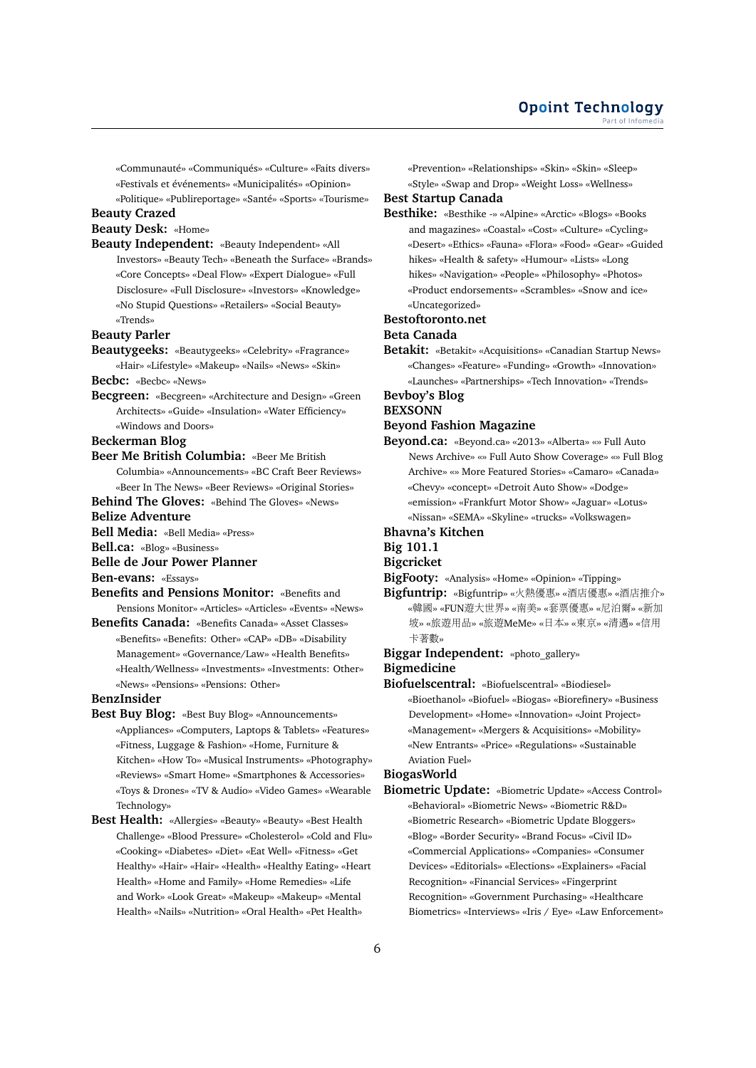«Communauté» «Communiqués» «Culture» «Faits divers» «Festivals et événements» «Municipalités» «Opinion» «Politique» «Publireportage» «Santé» «Sports» «Tourisme»

#### **Beauty Crazed**

**Beauty Desk:** «Home»

**Beauty Independent:** «Beauty Independent» «All Investors» «Beauty Tech» «Beneath the Surface» «Brands» «Core Concepts» «Deal Flow» «Expert Dialogue» «Full Disclosure» «Full Disclosure» «Investors» «Knowledge» «No Stupid Questions» «Retailers» «Social Beauty» «Trends»

### **Beauty Parler**

**Beautygeeks:** «Beautygeeks» «Celebrity» «Fragrance» «Hair» «Lifestyle» «Makeup» «Nails» «News» «Skin»

# **Becbc:** «Becbc» «News»

**Becgreen:** «Becgreen» «Architecture and Design» «Green Architects» «Guide» «Insulation» «Water Efficiency» «Windows and Doors»

### **Beckerman Blog**

**Beer Me British Columbia:** «Beer Me British Columbia» «Announcements» «BC Craft Beer Reviews» «Beer In The News» «Beer Reviews» «Original Stories»

**Behind The Gloves:** «Behind The Gloves» «News»

### **Belize Adventure**

**Bell Media:** «Bell Media» «Press»

**Bell.ca:** «Blog» «Business»

# **Belle de Jour Power Planner**

**Ben-evans:** «Essays»

- **Benefits and Pensions Monitor:** «Benefits and Pensions Monitor» «Articles» «Articles» «Events» «News»
- **Benefits Canada:** «Benefits Canada» «Asset Classes» «Benefits» «Benefits: Other» «CAP» «DB» «Disability Management» «Governance/Law» «Health Benefits» «Health/Wellness» «Investments» «Investments: Other» «News» «Pensions» «Pensions: Other»

### **BenzInsider**

- **Best Buy Blog:** «Best Buy Blog» «Announcements» «Appliances» «Computers, Laptops & Tablets» «Features» «Fitness, Luggage & Fashion» «Home, Furniture & Kitchen» «How To» «Musical Instruments» «Photography» «Reviews» «Smart Home» «Smartphones & Accessories» «Toys & Drones» «TV & Audio» «Video Games» «Wearable Technology»
- **Best Health:** «Allergies» «Beauty» «Beauty» «Best Health Challenge» «Blood Pressure» «Cholesterol» «Cold and Flu» «Cooking» «Diabetes» «Diet» «Eat Well» «Fitness» «Get Healthy» «Hair» «Hair» «Health» «Healthy Eating» «Heart Health» «Home and Family» «Home Remedies» «Life and Work» «Look Great» «Makeup» «Makeup» «Mental Health» «Nails» «Nutrition» «Oral Health» «Pet Health»

«Prevention» «Relationships» «Skin» «Skin» «Sleep» «Style» «Swap and Drop» «Weight Loss» «Wellness»

#### **Best Startup Canada**

**Besthike:** «Besthike -» «Alpine» «Arctic» «Blogs» «Books and magazines» «Coastal» «Cost» «Culture» «Cycling» «Desert» «Ethics» «Fauna» «Flora» «Food» «Gear» «Guided hikes» «Health & safety» «Humour» «Lists» «Long hikes» «Navigation» «People» «Philosophy» «Photos» «Product endorsements» «Scrambles» «Snow and ice» «Uncategorized»

#### **Bestoftoronto.net**

#### **Beta Canada**

**Betakit:** «Betakit» «Acquisitions» «Canadian Startup News» «Changes» «Feature» «Funding» «Growth» «Innovation» «Launches» «Partnerships» «Tech Innovation» «Trends»

# **Bevboy's Blog**

#### **BEXSONN**

#### **Beyond Fashion Magazine**

**Beyond.ca:** «Beyond.ca» «2013» «Alberta» «» Full Auto News Archive» «» Full Auto Show Coverage» «» Full Blog Archive» «» More Featured Stories» «Camaro» «Canada» «Chevy» «concept» «Detroit Auto Show» «Dodge» «emission» «Frankfurt Motor Show» «Jaguar» «Lotus» «Nissan» «SEMA» «Skyline» «trucks» «Volkswagen»

# **Bhavna's Kitchen**

# **Big 101.1**

# **Bigcricket**

- **BigFooty:** «Analysis» «Home» «Opinion» «Tipping»
- **Bigfuntrip:** «Bigfuntrip» «火熱優惠» «酒店優惠» «酒店推介» «韓國» «FUN遊大世界» «南美» «套票優惠» «尼泊爾» «新<sup>加</sup> <sup>坡</sup>» «旅遊用品» «旅遊MeMe» «日本» «東京» «清邁» «信用 卡著數»

# **Biggar Independent:** «photo\_gallery» **Bigmedicine**

**Biofuelscentral:** «Biofuelscentral» «Biodiesel»

«Bioethanol» «Biofuel» «Biogas» «Biorefinery» «Business Development» «Home» «Innovation» «Joint Project» «Management» «Mergers & Acquisitions» «Mobility» «New Entrants» «Price» «Regulations» «Sustainable Aviation Fuel»

# **BiogasWorld**

**Biometric Update:** «Biometric Update» «Access Control» «Behavioral» «Biometric News» «Biometric R&D» «Biometric Research» «Biometric Update Bloggers» «Blog» «Border Security» «Brand Focus» «Civil ID» «Commercial Applications» «Companies» «Consumer Devices» «Editorials» «Elections» «Explainers» «Facial Recognition» «Financial Services» «Fingerprint Recognition» «Government Purchasing» «Healthcare Biometrics» «Interviews» «Iris / Eye» «Law Enforcement»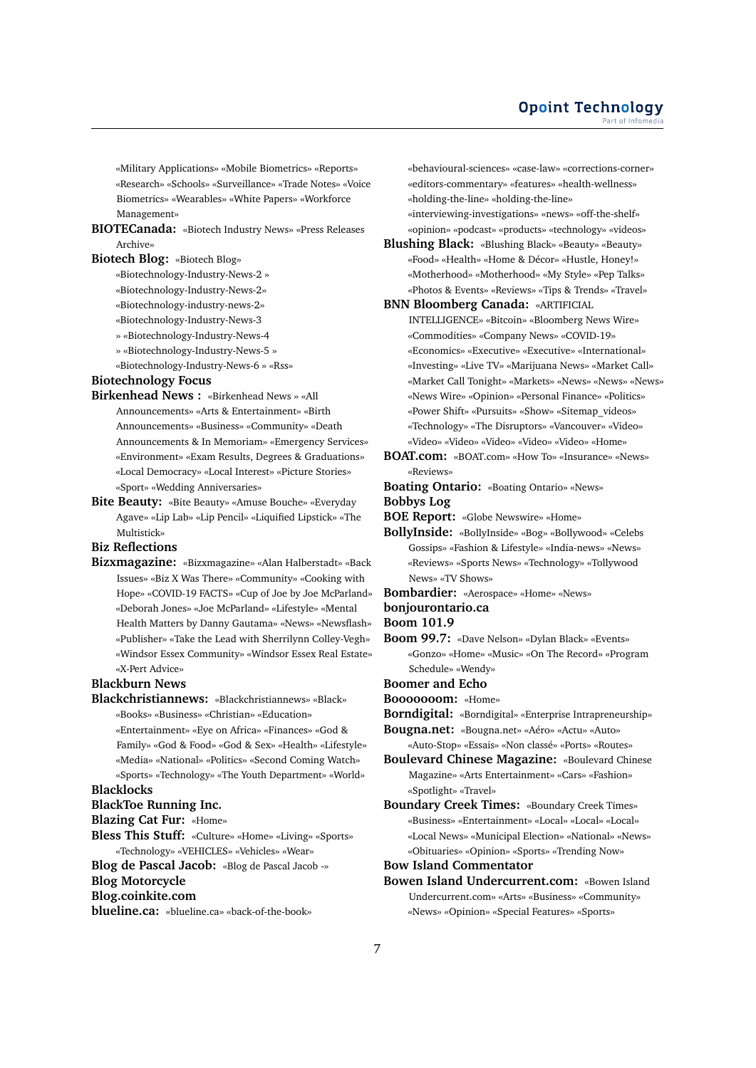### **Opoint Technology** Part of Infomed

«Military Applications» «Mobile Biometrics» «Reports» «Research» «Schools» «Surveillance» «Trade Notes» «Voice Biometrics» «Wearables» «White Papers» «Workforce Management»

**BIOTECanada:** «Biotech Industry News» «Press Releases Archive»

# **Biotech Blog:** «Biotech Blog»

«Biotechnology-Industry-News-2 »

- «Biotechnology-Industry-News-2»
- «Biotechnology-industry-news-2»
- «Biotechnology-Industry-News-3
- » «Biotechnology-Industry-News-4
- » «Biotechnology-Industry-News-5 »
- «Biotechnology-Industry-News-6 » «Rss»

# **Biotechnology Focus**

- **Birkenhead News :** «Birkenhead News » «All Announcements» «Arts & Entertainment» «Birth Announcements» «Business» «Community» «Death Announcements & In Memoriam» «Emergency Services» «Environment» «Exam Results, Degrees & Graduations» «Local Democracy» «Local Interest» «Picture Stories» «Sport» «Wedding Anniversaries»
- **Bite Beauty:** «Bite Beauty» «Amuse Bouche» «Everyday Agave» «Lip Lab» «Lip Pencil» «Liquified Lipstick» «The Multistick»

# **Biz Reflections**

**Bizxmagazine:** «Bizxmagazine» «Alan Halberstadt» «Back Issues» «Biz X Was There» «Community» «Cooking with Hope» «COVID-19 FACTS» «Cup of Joe by Joe McParland» «Deborah Jones» «Joe McParland» «Lifestyle» «Mental Health Matters by Danny Gautama» «News» «Newsflash» «Publisher» «Take the Lead with Sherrilynn Colley-Vegh» «Windsor Essex Community» «Windsor Essex Real Estate» «X-Pert Advice»

# **Blackburn News**

**Blackchristiannews:** «Blackchristiannews» «Black» «Books» «Business» «Christian» «Education» «Entertainment» «Eye on Africa» «Finances» «God & Family» «God & Food» «God & Sex» «Health» «Lifestyle» «Media» «National» «Politics» «Second Coming Watch» «Sports» «Technology» «The Youth Department» «World»

# **Blacklocks**

**BlackToe Running Inc.**

### **Blazing Cat Fur:** «Home»

- **Bless This Stuff:** «Culture» «Home» «Living» «Sports» «Technology» «VEHICLES» «Vehicles» «Wear»
- **Blog de Pascal Jacob:** «Blog de Pascal Jacob -» **Blog Motorcycle**

# **Blog.coinkite.com**

**blueline.ca:** «blueline.ca» «back-of-the-book»

«behavioural-sciences» «case-law» «corrections-corner» «editors-commentary» «features» «health-wellness» «holding-the-line» «holding-the-line»

- «interviewing-investigations» «news» «off-the-shelf» «opinion» «podcast» «products» «technology» «videos»
- **Blushing Black:** «Blushing Black» «Beauty» «Beauty» «Food» «Health» «Home & Décor» «Hustle, Honey!» «Motherhood» «Motherhood» «My Style» «Pep Talks» «Photos & Events» «Reviews» «Tips & Trends» «Travel»

#### **BNN Bloomberg Canada:** «ARTIFICIAL

- INTELLIGENCE» «Bitcoin» «Bloomberg News Wire» «Commodities» «Company News» «COVID-19» «Economics» «Executive» «Executive» «International» «Investing» «Live TV» «Marijuana News» «Market Call» «Market Call Tonight» «Markets» «News» «News» «News» «News Wire» «Opinion» «Personal Finance» «Politics» «Power Shift» «Pursuits» «Show» «Sitemap\_videos» «Technology» «The Disruptors» «Vancouver» «Video» «Video» «Video» «Video» «Video» «Video» «Home»
- **BOAT.com:** «BOAT.com» «How To» «Insurance» «News»  $\alpha$ Reviews»

**Boating Ontario:** «Boating Ontario» «News» **Bobbys Log**

**BOE Report:** «Globe Newswire» «Home»

**BollyInside:** «BollyInside» «Bog» «Bollywood» «Celebs Gossips» «Fashion & Lifestyle» «India-news» «News» «Reviews» «Sports News» «Technology» «Tollywood News» «TV Shows»

**Bombardier:** «Aerospace» «Home» «News»

### **bonjourontario.ca**

- **Boom 101.9**
- **Boom 99.7:** «Dave Nelson» «Dylan Black» «Events» «Gonzo» «Home» «Music» «On The Record» «Program Schedule» «Wendy»
- **Boomer and Echo**
- **Booooooom:** «Home»
- **Borndigital:** «Borndigital» «Enterprise Intrapreneurship»
- **Bougna.net:** «Bougna.net» «Aéro» «Actu» «Auto»
	- «Auto-Stop» «Essais» «Non classé» «Ports» «Routes»
- **Boulevard Chinese Magazine:** «Boulevard Chinese Magazine» «Arts Entertainment» «Cars» «Fashion» «Spotlight» «Travel»
- **Boundary Creek Times:** «Boundary Creek Times» «Business» «Entertainment» «Local» «Local» «Local» «Local News» «Municipal Election» «National» «News» «Obituaries» «Opinion» «Sports» «Trending Now»

**Bow Island Commentator**

**Bowen Island Undercurrent.com:** «Bowen Island Undercurrent.com» «Arts» «Business» «Community» «News» «Opinion» «Special Features» «Sports»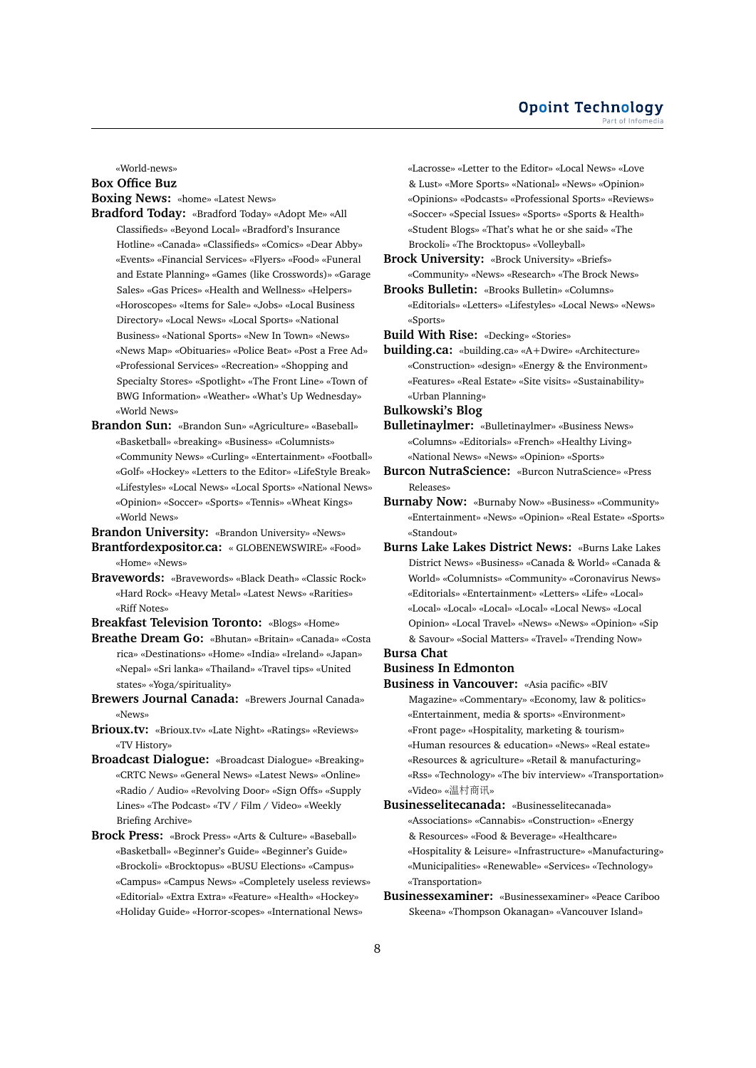### **Opoint Technology** Part of Infomed

«World-news»

# **Box Office Buz**

**Boxing News:** «home» «Latest News»

- **Bradford Today:** «Bradford Today» «Adopt Me» «All Classifieds» «Beyond Local» «Bradford's Insurance Hotline» «Canada» «Classifieds» «Comics» «Dear Abby» «Events» «Financial Services» «Flyers» «Food» «Funeral and Estate Planning» «Games (like Crosswords)» «Garage Sales» «Gas Prices» «Health and Wellness» «Helpers» «Horoscopes» «Items for Sale» «Jobs» «Local Business Directory» «Local News» «Local Sports» «National Business» «National Sports» «New In Town» «News» «News Map» «Obituaries» «Police Beat» «Post a Free Ad» «Professional Services» «Recreation» «Shopping and Specialty Stores» «Spotlight» «The Front Line» «Town of BWG Information» «Weather» «What's Up Wednesday» «World News»
- **Brandon Sun:** «Brandon Sun» «Agriculture» «Baseball» «Basketball» «breaking» «Business» «Columnists» «Community News» «Curling» «Entertainment» «Football» «Golf» «Hockey» «Letters to the Editor» «LifeStyle Break» «Lifestyles» «Local News» «Local Sports» «National News» «Opinion» «Soccer» «Sports» «Tennis» «Wheat Kings» «World News»

**Brandon University:** «Brandon University» «News»

- **Brantfordexpositor.ca:** « GLOBENEWSWIRE» «Food» «Home» «News»
- **Bravewords:** «Bravewords» «Black Death» «Classic Rock» «Hard Rock» «Heavy Metal» «Latest News» «Rarities» «Riff Notes»
- **Breakfast Television Toronto:** «Blogs» «Home»
- **Breathe Dream Go:** «Bhutan» «Britain» «Canada» «Costa rica» «Destinations» «Home» «India» «Ireland» «Japan» «Nepal» «Sri lanka» «Thailand» «Travel tips» «United states» «Yoga/spirituality»
- **Brewers Journal Canada:** «Brewers Journal Canada» «News»
- **Brioux.tv:** «Brioux.tv» «Late Night» «Ratings» «Reviews» «TV History»
- **Broadcast Dialogue:** «Broadcast Dialogue» «Breaking» «CRTC News» «General News» «Latest News» «Online» «Radio / Audio» «Revolving Door» «Sign Offs» «Supply Lines» «The Podcast» «TV / Film / Video» «Weekly Briefing Archive»
- **Brock Press:** «Brock Press» «Arts & Culture» «Baseball» «Basketball» «Beginner's Guide» «Beginner's Guide» «Brockoli» «Brocktopus» «BUSU Elections» «Campus» «Campus» «Campus News» «Completely useless reviews» «Editorial» «Extra Extra» «Feature» «Health» «Hockey» «Holiday Guide» «Horror-scopes» «International News»

«Lacrosse» «Letter to the Editor» «Local News» «Love & Lust» «More Sports» «National» «News» «Opinion» «Opinions» «Podcasts» «Professional Sports» «Reviews» «Soccer» «Special Issues» «Sports» «Sports & Health» «Student Blogs» «That's what he or she said» «The Brockoli» «The Brocktopus» «Volleyball»

**Brock University:** «Brock University» «Briefs» «Community» «News» «Research» «The Brock News»

- **Brooks Bulletin:** «Brooks Bulletin» «Columns» «Editorials» «Letters» «Lifestyles» «Local News» «News» «Sports»
- **Build With Rise:** «Decking» «Stories»

**building.ca:** «building.ca» «A+Dwire» «Architecture» «Construction» «design» «Energy & the Environment» «Features» «Real Estate» «Site visits» «Sustainability» «Urban Planning»

**Bulkowski's Blog**

**Bulletinaylmer:** «Bulletinaylmer» «Business News» «Columns» «Editorials» «French» «Healthy Living» «National News» «News» «Opinion» «Sports»

**Burcon NutraScience:** «Burcon NutraScience» «Press Releases»

**Burnaby Now:** «Burnaby Now» «Business» «Community» «Entertainment» «News» «Opinion» «Real Estate» «Sports» «Standout»

**Burns Lake Lakes District News:** «Burns Lake Lakes District News» «Business» «Canada & World» «Canada & World» «Columnists» «Community» «Coronavirus News» «Editorials» «Entertainment» «Letters» «Life» «Local» «Local» «Local» «Local» «Local» «Local News» «Local Opinion» «Local Travel» «News» «News» «Opinion» «Sip & Savour» «Social Matters» «Travel» «Trending Now»

# **Bursa Chat**

- **Business In Edmonton**
- **Business in Vancouver:** «Asia pacific» «BIV Magazine» «Commentary» «Economy, law & politics» «Entertainment, media & sports» «Environment» «Front page» «Hospitality, marketing & tourism» «Human resources & education» «News» «Real estate» «Resources & agriculture» «Retail & manufacturing» «Rss» «Technology» «The biv interview» «Transportation» «Video» «温村商讯»
- **Businesselitecanada:** «Businesselitecanada» «Associations» «Cannabis» «Construction» «Energy & Resources» «Food & Beverage» «Healthcare» «Hospitality & Leisure» «Infrastructure» «Manufacturing» «Municipalities» «Renewable» «Services» «Technology» «Transportation»
- **Businessexaminer:** «Businessexaminer» «Peace Cariboo Skeena» «Thompson Okanagan» «Vancouver Island»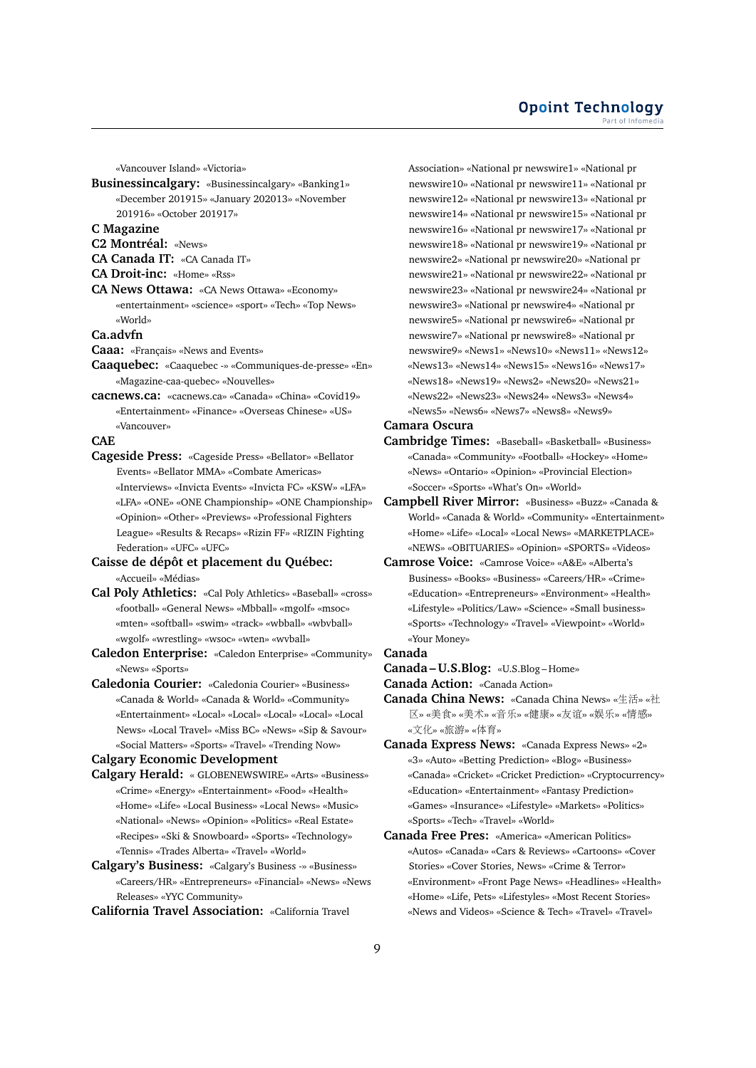#### **Opoint Technology** Part of Infomed

«Vancouver Island» «Victoria»

**Businessincalgary:** «Businessincalgary» «Banking1» «December 201915» «January 202013» «November 201916» «October 201917»

**C Magazine**

- **C2 Montréal:** «News»
- **CA Canada IT:** «CA Canada IT»
- **CA Droit-inc:** «Home» «Rss»
- **CA News Ottawa:** «CA News Ottawa» «Economy» «entertainment» «science» «sport» «Tech» «Top News» «World»

#### **Ca.advfn**

- **Caaa:** «Français» «News and Events»
- **Caaquebec:** «Caaquebec -» «Communiques-de-presse» «En» «Magazine-caa-quebec» «Nouvelles»
- **cacnews.ca:** «cacnews.ca» «Canada» «China» «Covid19» «Entertainment» «Finance» «Overseas Chinese» «US» «Vancouver»

#### **CAE**

**Cageside Press:** «Cageside Press» «Bellator» «Bellator Events» «Bellator MMA» «Combate Americas» «Interviews» «Invicta Events» «Invicta FC» «KSW» «LFA» «LFA» «ONE» «ONE Championship» «ONE Championship» «Opinion» «Other» «Previews» «Professional Fighters League» «Results & Recaps» «Rizin FF» «RIZIN Fighting Federation» «UFC» «UFC»

**Caisse de dépôt et placement du Québec:** «Accueil» «Médias»

- **Cal Poly Athletics:** «Cal Poly Athletics» «Baseball» «cross» «football» «General News» «Mbball» «mgolf» «msoc» «mten» «softball» «swim» «track» «wbball» «wbvball» «wgolf» «wrestling» «wsoc» «wten» «wvball»
- **Caledon Enterprise:** «Caledon Enterprise» «Community» «News» «Sports»
- **Caledonia Courier:** «Caledonia Courier» «Business» «Canada & World» «Canada & World» «Community» «Entertainment» «Local» «Local» «Local» «Local» «Local News» «Local Travel» «Miss BC» «News» «Sip & Savour» «Social Matters» «Sports» «Travel» «Trending Now»

**Calgary Economic Development**

- **Calgary Herald:** « GLOBENEWSWIRE» «Arts» «Business» «Crime» «Energy» «Entertainment» «Food» «Health» «Home» «Life» «Local Business» «Local News» «Music» «National» «News» «Opinion» «Politics» «Real Estate» «Recipes» «Ski & Snowboard» «Sports» «Technology» «Tennis» «Trades Alberta» «Travel» «World»
- **Calgary's Business:** «Calgary's Business -» «Business» «Careers/HR» «Entrepreneurs» «Financial» «News» «News Releases» «YYC Community»

**California Travel Association:** «California Travel

Association» «National pr newswire1» «National pr newswire10» «National pr newswire11» «National pr newswire12» «National pr newswire13» «National pr newswire14» «National pr newswire15» «National pr newswire16» «National pr newswire17» «National pr newswire18» «National pr newswire19» «National pr newswire2» «National pr newswire20» «National pr newswire21» «National pr newswire22» «National pr newswire23» «National pr newswire24» «National pr newswire3» «National pr newswire4» «National pr newswire5» «National pr newswire6» «National pr newswire7» «National pr newswire8» «National pr newswire9» «News1» «News10» «News11» «News12» «News13» «News14» «News15» «News16» «News17» «News18» «News19» «News2» «News20» «News21» «News22» «News23» «News24» «News3» «News4» «News5» «News6» «News7» «News8» «News9»

# **Camara Oscura**

- **Cambridge Times:** «Baseball» «Basketball» «Business» «Canada» «Community» «Football» «Hockey» «Home» «News» «Ontario» «Opinion» «Provincial Election» «Soccer» «Sports» «What's On» «World»
- **Campbell River Mirror:** «Business» «Buzz» «Canada & World» «Canada & World» «Community» «Entertainment» «Home» «Life» «Local» «Local News» «MARKETPLACE» «NEWS» «OBITUARIES» «Opinion» «SPORTS» «Videos»
- **Camrose Voice:** «Camrose Voice» «A&E» «Alberta's Business» «Books» «Business» «Careers/HR» «Crime» «Education» «Entrepreneurs» «Environment» «Health» «Lifestyle» «Politics/Law» «Science» «Small business» «Sports» «Technology» «Travel» «Viewpoint» «World» «Your Money»

# **Canada**

- **Canada U.S.Blog:** «U.S.Blog Home»
- **Canada Action:** «Canada Action»
- **Canada China News:** «Canada China News» «生活» «<sup>社</sup> <sup>区</sup>» «美食» «美术» «音乐» «健康» «友谊» «娱乐» «情感» «文化» «旅游» «体育»
- **Canada Express News:** «Canada Express News» «2» «3» «Auto» «Betting Prediction» «Blog» «Business» «Canada» «Cricket» «Cricket Prediction» «Cryptocurrency» «Education» «Entertainment» «Fantasy Prediction» «Games» «Insurance» «Lifestyle» «Markets» «Politics» «Sports» «Tech» «Travel» «World»
- **Canada Free Pres:** «America» «American Politics» «Autos» «Canada» «Cars & Reviews» «Cartoons» «Cover Stories» «Cover Stories, News» «Crime & Terror» «Environment» «Front Page News» «Headlines» «Health» «Home» «Life, Pets» «Lifestyles» «Most Recent Stories» «News and Videos» «Science & Tech» «Travel» «Travel»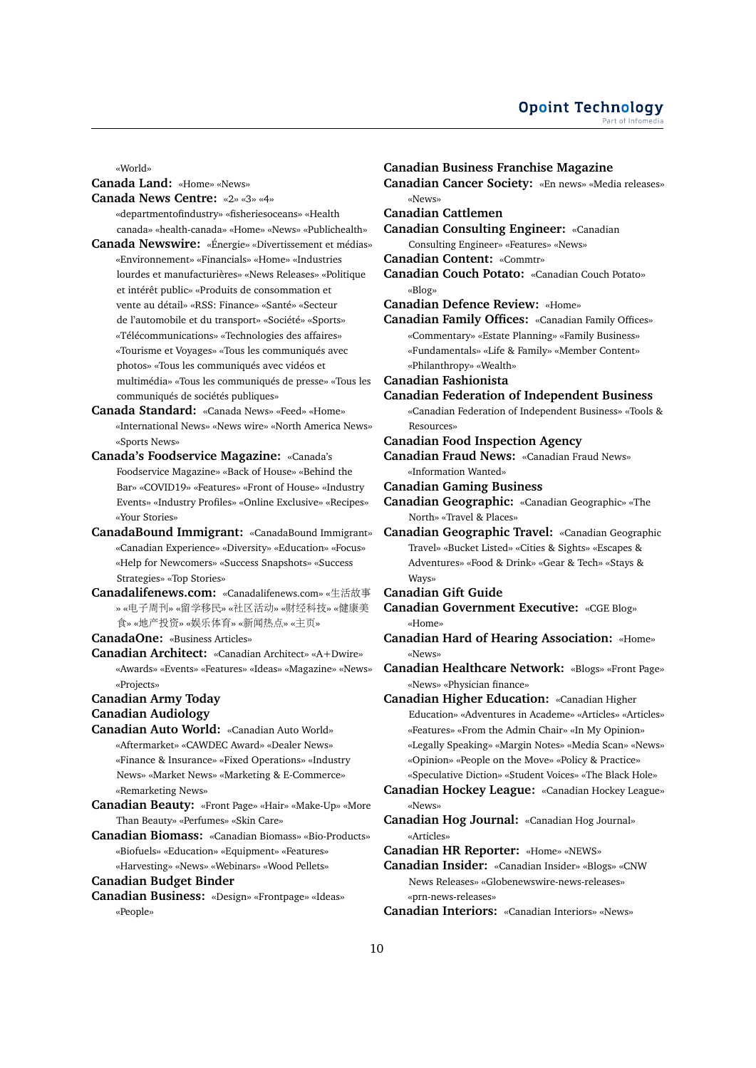«World»

**Canada Land:** «Home» «News»

**Canada News Centre:** «2» «3» «4»

- «departmentofindustry» «fisheriesoceans» «Health canada» «health-canada» «Home» «News» «Publichealth»
- **Canada Newswire:** «Énergie» «Divertissement et médias» «Environnement» «Financials» «Home» «Industries lourdes et manufacturières» «News Releases» «Politique et intérêt public» «Produits de consommation et vente au détail» «RSS: Finance» «Santé» «Secteur de l'automobile et du transport» «Société» «Sports» «Télécommunications» «Technologies des affaires» «Tourisme et Voyages» «Tous les communiqués avec photos» «Tous les communiqués avec vidéos et multimédia» «Tous les communiqués de presse» «Tous les communiqués de sociétés publiques»
- **Canada Standard:** «Canada News» «Feed» «Home» «International News» «News wire» «North America News» «Sports News»
- **Canada's Foodservice Magazine:** «Canada's Foodservice Magazine» «Back of House» «Behind the Bar» «COVID19» «Features» «Front of House» «Industry Events» «Industry Profiles» «Online Exclusive» «Recipes» «Your Stories»
- **CanadaBound Immigrant:** «CanadaBound Immigrant» «Canadian Experience» «Diversity» «Education» «Focus» «Help for Newcomers» «Success Snapshots» «Success Strategies» «Top Stories»
- **Canadalifenews.com:** «Canadalifenews.com» «生活故<sup>事</sup> » «电子周刊» «留学移民» «社区活动» «财经科技» «健康<sup>美</sup> <sup>食</sup>» «地产投资» «娱乐体育» «新闻热点» «主页»

**CanadaOne:** «Business Articles»

**Canadian Architect:** «Canadian Architect» «A+Dwire» «Awards» «Events» «Features» «Ideas» «Magazine» «News» «Projects»

### **Canadian Army Today**

- **Canadian Audiology**
- **Canadian Auto World:** «Canadian Auto World» «Aftermarket» «CAWDEC Award» «Dealer News» «Finance & Insurance» «Fixed Operations» «Industry News» «Market News» «Marketing & E-Commerce» «Remarketing News»
- **Canadian Beauty:** «Front Page» «Hair» «Make-Up» «More Than Beauty» «Perfumes» «Skin Care»
- **Canadian Biomass:** «Canadian Biomass» «Bio-Products» «Biofuels» «Education» «Equipment» «Features» «Harvesting» «News» «Webinars» «Wood Pellets»

**Canadian Budget Binder**

**Canadian Business:** «Design» «Frontpage» «Ideas» «People»

**Canadian Business Franchise Magazine Canadian Cancer Society:** «En news» «Media releases» «News» **Canadian Cattlemen Canadian Consulting Engineer:** «Canadian Consulting Engineer» «Features» «News» **Canadian Content:** «Commtr» **Canadian Couch Potato:** «Canadian Couch Potato» «Blog» **Canadian Defence Review:** «Home» **Canadian Family Offices:** «Canadian Family Offices» «Commentary» «Estate Planning» «Family Business» «Fundamentals» «Life & Family» «Member Content» «Philanthropy» «Wealth» **Canadian Fashionista Canadian Federation of Independent Business** «Canadian Federation of Independent Business» «Tools & Resources» **Canadian Food Inspection Agency Canadian Fraud News:** «Canadian Fraud News» «Information Wanted» **Canadian Gaming Business Canadian Geographic:** «Canadian Geographic» «The North» «Travel & Places» **Canadian Geographic Travel:** «Canadian Geographic Travel» «Bucket Listed» «Cities & Sights» «Escapes & Adventures» «Food & Drink» «Gear & Tech» «Stays & Ways» **Canadian Gift Guide Canadian Government Executive:** «CGE Blog» «Home» **Canadian Hard of Hearing Association:** «Home» «News» **Canadian Healthcare Network:** «Blogs» «Front Page» «News» «Physician finance» **Canadian Higher Education:** «Canadian Higher Education» «Adventures in Academe» «Articles» «Articles» «Features» «From the Admin Chair» «In My Opinion» «Legally Speaking» «Margin Notes» «Media Scan» «News» «Opinion» «People on the Move» «Policy & Practice» «Speculative Diction» «Student Voices» «The Black Hole» **Canadian Hockey League:** «Canadian Hockey League» «News» **Canadian Hog Journal:** «Canadian Hog Journal» «Articles» **Canadian HR Reporter:** «Home» «NEWS» **Canadian Insider:** «Canadian Insider» «Blogs» «CNW News Releases» «Globenewswire-news-releases» «prn-news-releases»

**Canadian Interiors:** «Canadian Interiors» «News»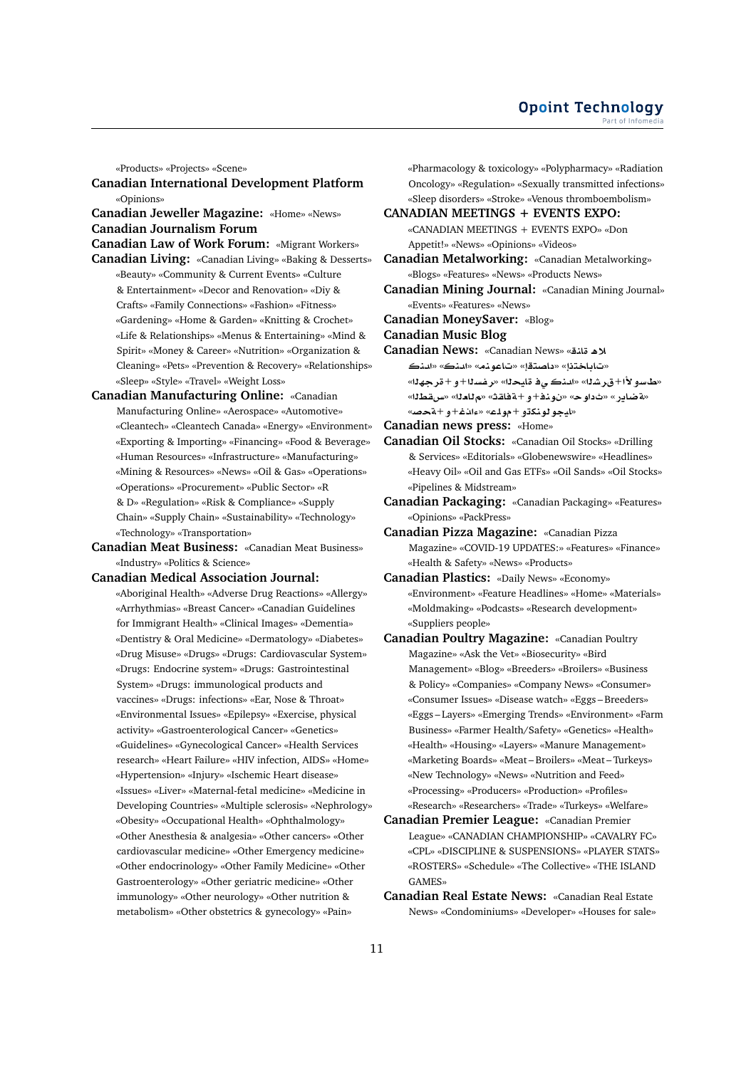«Products» «Projects» «Scene»

**Canadian International Development Platform** «Opinions»

**Canadian Jeweller Magazine:** «Home» «News» **Canadian Journalism Forum**

**Canadian Law of Work Forum:** «Migrant Workers» **Canadian Living:** «Canadian Living» «Baking & Desserts»

- «Beauty» «Community & Current Events» «Culture & Entertainment» «Decor and Renovation» «Diy & Crafts» «Family Connections» «Fashion» «Fitness» «Gardening» «Home & Garden» «Knitting & Crochet» «Life & Relationships» «Menus & Entertaining» «Mind & Spirit» «Money & Career» «Nutrition» «Organization & Cleaning» «Pets» «Prevention & Recovery» «Relationships» «Sleep» «Style» «Travel» «Weight Loss»
- **Canadian Manufacturing Online:** «Canadian Manufacturing Online» «Aerospace» «Automotive» «Cleantech» «Cleantech Canada» «Energy» «Environment» «Exporting & Importing» «Financing» «Food & Beverage» «Human Resources» «Infrastructure» «Manufacturing» «Mining & Resources» «News» «Oil & Gas» «Operations» «Operations» «Procurement» «Public Sector» «R & D» «Regulation» «Risk & Compliance» «Supply Chain» «Supply Chain» «Sustainability» «Technology» «Technology» «Transportation»

**Canadian Meat Business:** «Canadian Meat Business» «Industry» «Politics & Science»

# **Canadian Medical Association Journal:**

«Aboriginal Health» «Adverse Drug Reactions» «Allergy» «Arrhythmias» «Breast Cancer» «Canadian Guidelines for Immigrant Health» «Clinical Images» «Dementia» «Dentistry & Oral Medicine» «Dermatology» «Diabetes» «Drug Misuse» «Drugs» «Drugs: Cardiovascular System» «Drugs: Endocrine system» «Drugs: Gastrointestinal System» «Drugs: immunological products and vaccines» «Drugs: infections» «Ear, Nose & Throat» «Environmental Issues» «Epilepsy» «Exercise, physical activity» «Gastroenterological Cancer» «Genetics» «Guidelines» «Gynecological Cancer» «Health Services research» «Heart Failure» «HIV infection, AIDS» «Home» «Hypertension» «Injury» «Ischemic Heart disease» «Issues» «Liver» «Maternal-fetal medicine» «Medicine in Developing Countries» «Multiple sclerosis» «Nephrology» «Obesity» «Occupational Health» «Ophthalmology» «Other Anesthesia & analgesia» «Other cancers» «Other cardiovascular medicine» «Other Emergency medicine» «Other endocrinology» «Other Family Medicine» «Other Gastroenterology» «Other geriatric medicine» «Other immunology» «Other neurology» «Other nutrition & metabolism» «Other obstetrics & gynecology» «Pain»

«Pharmacology & toxicology» «Polypharmacy» «Radiation Oncology» «Regulation» «Sexually transmitted infections» «Sleep disorders» «Stroke» «Venous thromboembolism»

**CANADIAN MEETINGS + EVENTS EXPO:** «CANADIAN MEETINGS + EVENTS EXPO» «Don Appetit!» «News» «Opinions» «Videos»

**Canadian Metalworking:** «Canadian Metalworking» «Blogs» «Features» «News» «Products News»

**Canadian Mining Journal:** «Canadian Mining Journal» «Events» «Features» «News»

**Canadian MoneySaver:** «Blog»

**Canadian Music Blog**

**Canadian News:** «Canadian News» « ×

«تاباختذإ» «داصتقإ» «تاعونه» «المنك» «المنك «**طاسو لأا+ق رشذا» «المنكبي في قامحذا» «ريضيذا+و +قريجهذا»** «**WqH**» «**`A**» «**qAT**+**¤**+**nw** » «**w** » «**C§ART**» «ايجو لونكتو +مولم» «ءانغ+و +ةحصه

**Canadian news press:** «Home»

- **Canadian Oil Stocks:** «Canadian Oil Stocks» «Drilling & Services» «Editorials» «Globenewswire» «Headlines» «Heavy Oil» «Oil and Gas ETFs» «Oil Sands» «Oil Stocks» «Pipelines & Midstream»
- **Canadian Packaging:** «Canadian Packaging» «Features» «Opinions» «PackPress»
- **Canadian Pizza Magazine:** «Canadian Pizza Magazine» «COVID-19 UPDATES:» «Features» «Finance» «Health & Safety» «News» «Products»
- **Canadian Plastics:** «Daily News» «Economy» «Environment» «Feature Headlines» «Home» «Materials» «Moldmaking» «Podcasts» «Research development» «Suppliers people»
- **Canadian Poultry Magazine:** «Canadian Poultry Magazine» «Ask the Vet» «Biosecurity» «Bird Management» «Blog» «Breeders» «Broilers» «Business & Policy» «Companies» «Company News» «Consumer» «Consumer Issues» «Disease watch» «Eggs – Breeders» «Eggs – Layers» «Emerging Trends» «Environment» «Farm Business» «Farmer Health/Safety» «Genetics» «Health» «Health» «Housing» «Layers» «Manure Management» «Marketing Boards» «Meat – Broilers» «Meat – Turkeys» «New Technology» «News» «Nutrition and Feed» «Processing» «Producers» «Production» «Profiles» «Research» «Researchers» «Trade» «Turkeys» «Welfare»
- **Canadian Premier League:** «Canadian Premier League» «CANADIAN CHAMPIONSHIP» «CAVALRY FC» «CPL» «DISCIPLINE & SUSPENSIONS» «PLAYER STATS» «ROSTERS» «Schedule» «The Collective» «THE ISLAND GAMES»
- **Canadian Real Estate News:** «Canadian Real Estate News» «Condominiums» «Developer» «Houses for sale»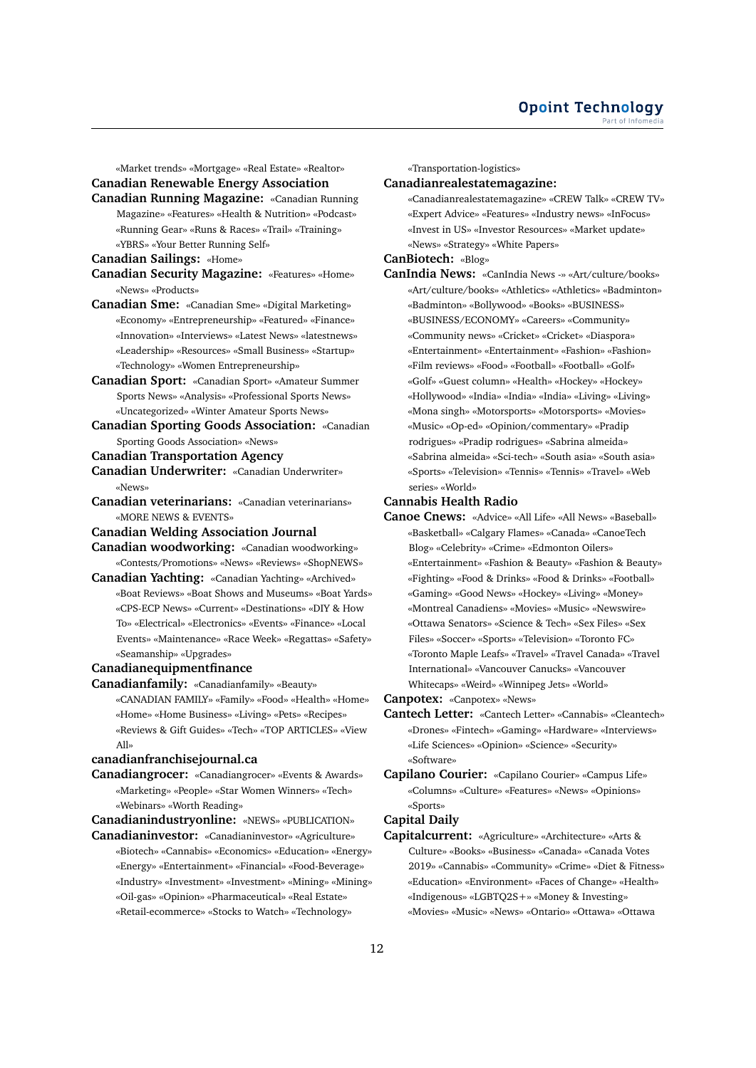«Market trends» «Mortgage» «Real Estate» «Realtor»

# **Canadian Renewable Energy Association**

**Canadian Running Magazine:** «Canadian Running Magazine» «Features» «Health & Nutrition» «Podcast» «Running Gear» «Runs & Races» «Trail» «Training» «YBRS» «Your Better Running Self»

### **Canadian Sailings:** «Home»

- **Canadian Security Magazine:** «Features» «Home» «News» «Products»
- **Canadian Sme:** «Canadian Sme» «Digital Marketing» «Economy» «Entrepreneurship» «Featured» «Finance» «Innovation» «Interviews» «Latest News» «latestnews» «Leadership» «Resources» «Small Business» «Startup» «Technology» «Women Entrepreneurship»
- **Canadian Sport:** «Canadian Sport» «Amateur Summer Sports News» «Analysis» «Professional Sports News» «Uncategorized» «Winter Amateur Sports News»
- **Canadian Sporting Goods Association:** «Canadian Sporting Goods Association» «News»

### **Canadian Transportation Agency**

- **Canadian Underwriter:** «Canadian Underwriter» «News»
- **Canadian veterinarians:** «Canadian veterinarians» «MORE NEWS & EVENTS»

### **Canadian Welding Association Journal**

- **Canadian woodworking:** «Canadian woodworking» «Contests/Promotions» «News» «Reviews» «ShopNEWS»
- **Canadian Yachting:** «Canadian Yachting» «Archived» «Boat Reviews» «Boat Shows and Museums» «Boat Yards» «CPS-ECP News» «Current» «Destinations» «DIY & How To» «Electrical» «Electronics» «Events» «Finance» «Local Events» «Maintenance» «Race Week» «Regattas» «Safety» «Seamanship» «Upgrades»

#### **Canadianequipmentfinance**

- **Canadianfamily:** «Canadianfamily» «Beauty»
	- «CANADIAN FAMILY» «Family» «Food» «Health» «Home» «Home» «Home Business» «Living» «Pets» «Recipes» «Reviews & Gift Guides» «Tech» «TOP ARTICLES» «View All»

# **canadianfranchisejournal.ca**

**Canadiangrocer:** «Canadiangrocer» «Events & Awards» «Marketing» «People» «Star Women Winners» «Tech» «Webinars» «Worth Reading»

**Canadianindustryonline:** «NEWS» «PUBLICATION»

**Canadianinvestor:** «Canadianinvestor» «Agriculture» «Biotech» «Cannabis» «Economics» «Education» «Energy» «Energy» «Entertainment» «Financial» «Food-Beverage» «Industry» «Investment» «Investment» «Mining» «Mining» «Oil-gas» «Opinion» «Pharmaceutical» «Real Estate» «Retail-ecommerce» «Stocks to Watch» «Technology»

«Transportation-logistics»

### **Canadianrealestatemagazine:**

«Canadianrealestatemagazine» «CREW Talk» «CREW TV» «Expert Advice» «Features» «Industry news» «InFocus» «Invest in US» «Investor Resources» «Market update» «News» «Strategy» «White Papers»

# **CanBiotech:** «Blog»

**CanIndia News:** «CanIndia News -» «Art/culture/books» «Art/culture/books» «Athletics» «Athletics» «Badminton» «Badminton» «Bollywood» «Books» «BUSINESS» «BUSINESS/ECONOMY» «Careers» «Community» «Community news» «Cricket» «Cricket» «Diaspora» «Entertainment» «Entertainment» «Fashion» «Fashion» «Film reviews» «Food» «Football» «Football» «Golf» «Golf» «Guest column» «Health» «Hockey» «Hockey» «Hollywood» «India» «India» «India» «Living» «Living» «Mona singh» «Motorsports» «Motorsports» «Movies» «Music» «Op-ed» «Opinion/commentary» «Pradip rodrigues» «Pradip rodrigues» «Sabrina almeida» «Sabrina almeida» «Sci-tech» «South asia» «South asia» «Sports» «Television» «Tennis» «Tennis» «Travel» «Web series» «World»

#### **Cannabis Health Radio**

**Canoe Cnews:** «Advice» «All Life» «All News» «Baseball» «Basketball» «Calgary Flames» «Canada» «CanoeTech Blog» «Celebrity» «Crime» «Edmonton Oilers» «Entertainment» «Fashion & Beauty» «Fashion & Beauty» «Fighting» «Food & Drinks» «Food & Drinks» «Football» «Gaming» «Good News» «Hockey» «Living» «Money» «Montreal Canadiens» «Movies» «Music» «Newswire» «Ottawa Senators» «Science & Tech» «Sex Files» «Sex Files» «Soccer» «Sports» «Television» «Toronto FC» «Toronto Maple Leafs» «Travel» «Travel Canada» «Travel International» «Vancouver Canucks» «Vancouver Whitecaps» «Weird» «Winnipeg Jets» «World»

**Canpotex:** «Canpotex» «News»

- **Cantech Letter:** «Cantech Letter» «Cannabis» «Cleantech» «Drones» «Fintech» «Gaming» «Hardware» «Interviews» «Life Sciences» «Opinion» «Science» «Security» «Software»
- **Capilano Courier:** «Capilano Courier» «Campus Life» «Columns» «Culture» «Features» «News» «Opinions» «Sports»

#### **Capital Daily**

**Capitalcurrent:** «Agriculture» «Architecture» «Arts & Culture» «Books» «Business» «Canada» «Canada Votes 2019» «Cannabis» «Community» «Crime» «Diet & Fitness» «Education» «Environment» «Faces of Change» «Health» «Indigenous» «LGBTQ2S+» «Money & Investing» «Movies» «Music» «News» «Ontario» «Ottawa» «Ottawa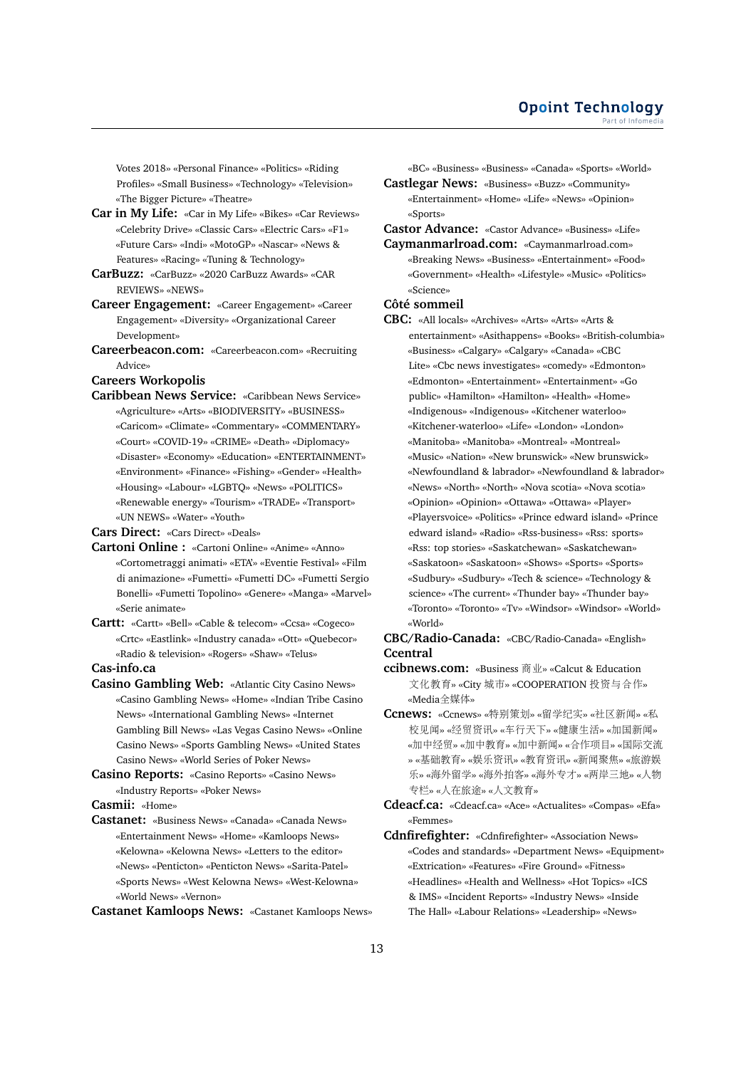Votes 2018» «Personal Finance» «Politics» «Riding Profiles» «Small Business» «Technology» «Television» «The Bigger Picture» «Theatre»

- **Car in My Life:** «Car in My Life» «Bikes» «Car Reviews» «Celebrity Drive» «Classic Cars» «Electric Cars» «F1» «Future Cars» «Indi» «MotoGP» «Nascar» «News & Features» «Racing» «Tuning & Technology»
- **CarBuzz:** «CarBuzz» «2020 CarBuzz Awards» «CAR REVIEWS» «NEWS»
- **Career Engagement:** «Career Engagement» «Career Engagement» «Diversity» «Organizational Career Development»
- **Careerbeacon.com:** «Careerbeacon.com» «Recruiting Advice»

**Careers Workopolis**

**Caribbean News Service:** «Caribbean News Service» «Agriculture» «Arts» «BIODIVERSITY» «BUSINESS» «Caricom» «Climate» «Commentary» «COMMENTARY» «Court» «COVID-19» «CRIME» «Death» «Diplomacy» «Disaster» «Economy» «Education» «ENTERTAINMENT» «Environment» «Finance» «Fishing» «Gender» «Health» «Housing» «Labour» «LGBTQ» «News» «POLITICS» «Renewable energy» «Tourism» «TRADE» «Transport» «UN NEWS» «Water» «Youth»

**Cars Direct:** «Cars Direct» «Deals»

- **Cartoni Online :** «Cartoni Online» «Anime» «Anno» «Cortometraggi animati» «ETA'» «Eventie Festival» «Film di animazione» «Fumetti» «Fumetti DC» «Fumetti Sergio Bonelli» «Fumetti Topolino» «Genere» «Manga» «Marvel» «Serie animate»
- **Cartt:** «Cartt» «Bell» «Cable & telecom» «Ccsa» «Cogeco» «Crtc» «Eastlink» «Industry canada» «Ott» «Quebecor» «Radio & television» «Rogers» «Shaw» «Telus» **Cas-info.ca**
- 
- **Casino Gambling Web:** «Atlantic City Casino News» «Casino Gambling News» «Home» «Indian Tribe Casino News» «International Gambling News» «Internet Gambling Bill News» «Las Vegas Casino News» «Online Casino News» «Sports Gambling News» «United States Casino News» «World Series of Poker News»
- **Casino Reports:** «Casino Reports» «Casino News» «Industry Reports» «Poker News»

**Casmii:** «Home»

**Castanet:** «Business News» «Canada» «Canada News» «Entertainment News» «Home» «Kamloops News» «Kelowna» «Kelowna News» «Letters to the editor» «News» «Penticton» «Penticton News» «Sarita-Patel» «Sports News» «West Kelowna News» «West-Kelowna» «World News» «Vernon»

**Castanet Kamloops News:** «Castanet Kamloops News»

«BC» «Business» «Business» «Canada» «Sports» «World»

**Castlegar News:** «Business» «Buzz» «Community» «Entertainment» «Home» «Life» «News» «Opinion» «Sports»

**Castor Advance:** «Castor Advance» «Business» «Life»

**Caymanmarlroad.com:** «Caymanmarlroad.com» «Breaking News» «Business» «Entertainment» «Food» «Government» «Health» «Lifestyle» «Music» «Politics» «Science»

### **Côté sommeil**

**CBC:** «All locals» «Archives» «Arts» «Arts» «Arts & entertainment» «Asithappens» «Books» «British-columbia» «Business» «Calgary» «Calgary» «Canada» «CBC Lite» «Cbc news investigates» «comedy» «Edmonton» «Edmonton» «Entertainment» «Entertainment» «Go public» «Hamilton» «Hamilton» «Health» «Home» «Indigenous» «Indigenous» «Kitchener waterloo» «Kitchener-waterloo» «Life» «London» «London» «Manitoba» «Manitoba» «Montreal» «Montreal» «Music» «Nation» «New brunswick» «New brunswick» «Newfoundland & labrador» «Newfoundland & labrador» «News» «North» «North» «Nova scotia» «Nova scotia» «Opinion» «Opinion» «Ottawa» «Ottawa» «Player» «Playersvoice» «Politics» «Prince edward island» «Prince edward island» «Radio» «Rss-business» «Rss: sports» «Rss: top stories» «Saskatchewan» «Saskatchewan» «Saskatoon» «Saskatoon» «Shows» «Sports» «Sports» «Sudbury» «Sudbury» «Tech & science» «Technology & science» «The current» «Thunder bay» «Thunder bay» «Toronto» «Toronto» «Tv» «Windsor» «Windsor» «World» «World»

**CBC/Radio-Canada:** «CBC/Radio-Canada» «English» **Ccentral**

**ccibnews.com:** «Business 商业» «Calcut & Education <sup>文</sup>化教育» «City <sup>城</sup>市» «COOPERATION 投资与合作» «Media全媒体»

**Ccnews:** «Ccnews» «特别策划» «留学纪实» «社区新闻» «<sup>私</sup> <sup>校</sup>见闻» «经贸资讯» «车行天下» «健康生活» «加国新闻» «加中经贸» «加中教育» «加中新闻» «合作项目» «国际交<sup>流</sup> » «基础教育» «娱乐资讯» «教育资讯» «新闻聚焦» «旅游娱 <sup>乐</sup>» «海外留学» «海外拍客» «海外专才» «两岸三地» «人物 <sup>专</sup>栏» «人在旅途» «人文教育»

**Cdeacf.ca:** «Cdeacf.ca» «Ace» «Actualites» «Compas» «Efa» «Femmes»

**Cdnfirefighter:** «Cdnfirefighter» «Association News» «Codes and standards» «Department News» «Equipment» «Extrication» «Features» «Fire Ground» «Fitness» «Headlines» «Health and Wellness» «Hot Topics» «ICS & IMS» «Incident Reports» «Industry News» «Inside The Hall» «Labour Relations» «Leadership» «News»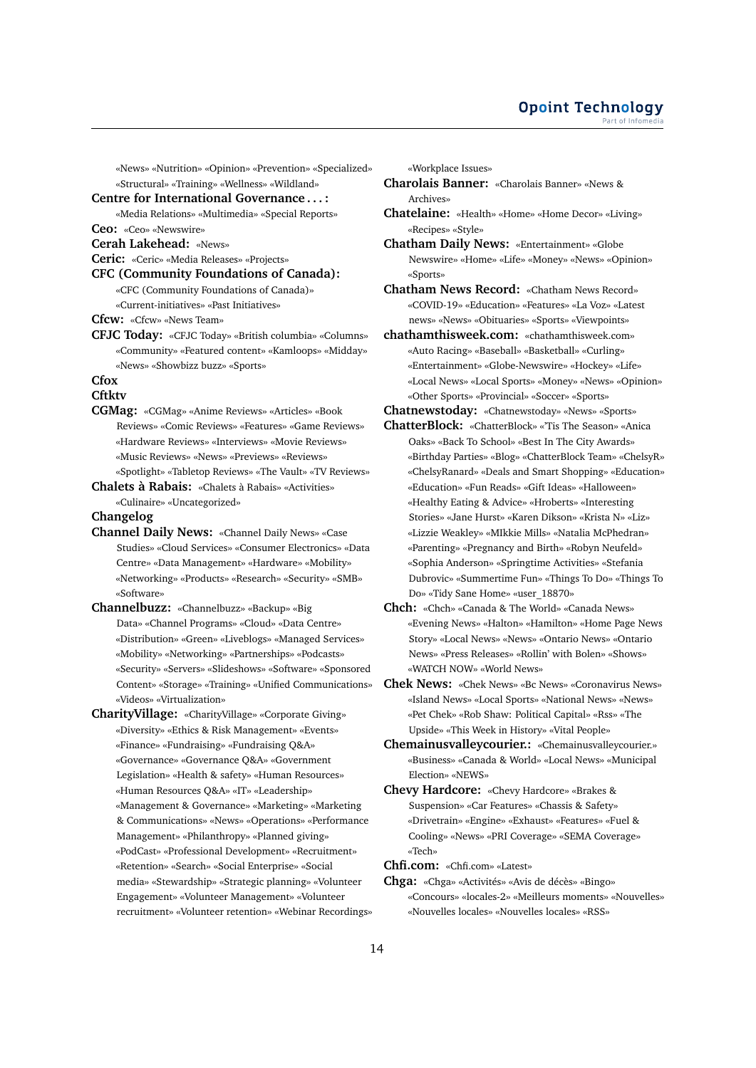«News» «Nutrition» «Opinion» «Prevention» «Specialized» «Structural» «Training» «Wellness» «Wildland»

#### **Centre for International Governance . . . :**

«Media Relations» «Multimedia» «Special Reports»

**Ceo:** «Ceo» «Newswire»

**Cerah Lakehead:** «News»

**Ceric:** «Ceric» «Media Releases» «Projects»

**CFC (Community Foundations of Canada):**

«CFC (Community Foundations of Canada)» «Current-initiatives» «Past Initiatives»

**Cfcw:** «Cfcw» «News Team»

**CFJC Today:** «CFJC Today» «British columbia» «Columns» «Community» «Featured content» «Kamloops» «Midday» «News» «Showbizz buzz» «Sports»

# **Cfox**

# **Cftktv**

**CGMag:** «CGMag» «Anime Reviews» «Articles» «Book Reviews» «Comic Reviews» «Features» «Game Reviews» «Hardware Reviews» «Interviews» «Movie Reviews» «Music Reviews» «News» «Previews» «Reviews» «Spotlight» «Tabletop Reviews» «The Vault» «TV Reviews»

**Chalets à Rabais:** «Chalets à Rabais» «Activities» «Culinaire» «Uncategorized»

### **Changelog**

- **Channel Daily News:** «Channel Daily News» «Case Studies» «Cloud Services» «Consumer Electronics» «Data Centre» «Data Management» «Hardware» «Mobility» «Networking» «Products» «Research» «Security» «SMB» «Software»
- **Channelbuzz:** «Channelbuzz» «Backup» «Big Data» «Channel Programs» «Cloud» «Data Centre» «Distribution» «Green» «Liveblogs» «Managed Services» «Mobility» «Networking» «Partnerships» «Podcasts» «Security» «Servers» «Slideshows» «Software» «Sponsored Content» «Storage» «Training» «Unified Communications» «Videos» «Virtualization»

**CharityVillage:** «CharityVillage» «Corporate Giving» «Diversity» «Ethics & Risk Management» «Events» «Finance» «Fundraising» «Fundraising Q&A» «Governance» «Governance Q&A» «Government Legislation» «Health & safety» «Human Resources» «Human Resources Q&A» «IT» «Leadership» «Management & Governance» «Marketing» «Marketing & Communications» «News» «Operations» «Performance Management» «Philanthropy» «Planned giving» «PodCast» «Professional Development» «Recruitment» «Retention» «Search» «Social Enterprise» «Social media» «Stewardship» «Strategic planning» «Volunteer Engagement» «Volunteer Management» «Volunteer recruitment» «Volunteer retention» «Webinar Recordings» «Workplace Issues»

- **Charolais Banner:** «Charolais Banner» «News & Archives»
- **Chatelaine:** «Health» «Home» «Home Decor» «Living» «Recipes» «Style»

**Chatham Daily News:** «Entertainment» «Globe Newswire» «Home» «Life» «Money» «News» «Opinion» «Sports»

**Chatham News Record:** «Chatham News Record» «COVID-19» «Education» «Features» «La Voz» «Latest news» «News» «Obituaries» «Sports» «Viewpoints»

**chathamthisweek.com:** «chathamthisweek.com» «Auto Racing» «Baseball» «Basketball» «Curling» «Entertainment» «Globe-Newswire» «Hockey» «Life» «Local News» «Local Sports» «Money» «News» «Opinion» «Other Sports» «Provincial» «Soccer» «Sports»

**Chatnewstoday:** «Chatnewstoday» «News» «Sports»

- **ChatterBlock:** «ChatterBlock» «'Tis The Season» «Anica Oaks» «Back To School» «Best In The City Awards» «Birthday Parties» «Blog» «ChatterBlock Team» «ChelsyR» «ChelsyRanard» «Deals and Smart Shopping» «Education» «Education» «Fun Reads» «Gift Ideas» «Halloween» «Healthy Eating & Advice» «Hroberts» «Interesting Stories» «Jane Hurst» «Karen Dikson» «Krista N» «Liz» «Lizzie Weakley» «MIkkie Mills» «Natalia McPhedran» «Parenting» «Pregnancy and Birth» «Robyn Neufeld» «Sophia Anderson» «Springtime Activities» «Stefania Dubrovic» «Summertime Fun» «Things To Do» «Things To Do» «Tidy Sane Home» «user\_18870»
- **Chch:** «Chch» «Canada & The World» «Canada News» «Evening News» «Halton» «Hamilton» «Home Page News Story» «Local News» «News» «Ontario News» «Ontario News» «Press Releases» «Rollin' with Bolen» «Shows» «WATCH NOW» «World News»
- **Chek News:** «Chek News» «Bc News» «Coronavirus News» «Island News» «Local Sports» «National News» «News» «Pet Chek» «Rob Shaw: Political Capital» «Rss» «The Upside» «This Week in History» «Vital People»
- **Chemainusvalleycourier.:** «Chemainusvalleycourier.» «Business» «Canada & World» «Local News» «Municipal Election» «NEWS»
- **Chevy Hardcore:** «Chevy Hardcore» «Brakes & Suspension» «Car Features» «Chassis & Safety» «Drivetrain» «Engine» «Exhaust» «Features» «Fuel & Cooling» «News» «PRI Coverage» «SEMA Coverage» «Tech»

**Chfi.com:** «Chfi.com» «Latest»

**Chga:** «Chga» «Activités» «Avis de décès» «Bingo» «Concours» «locales-2» «Meilleurs moments» «Nouvelles» «Nouvelles locales» «Nouvelles locales» «RSS»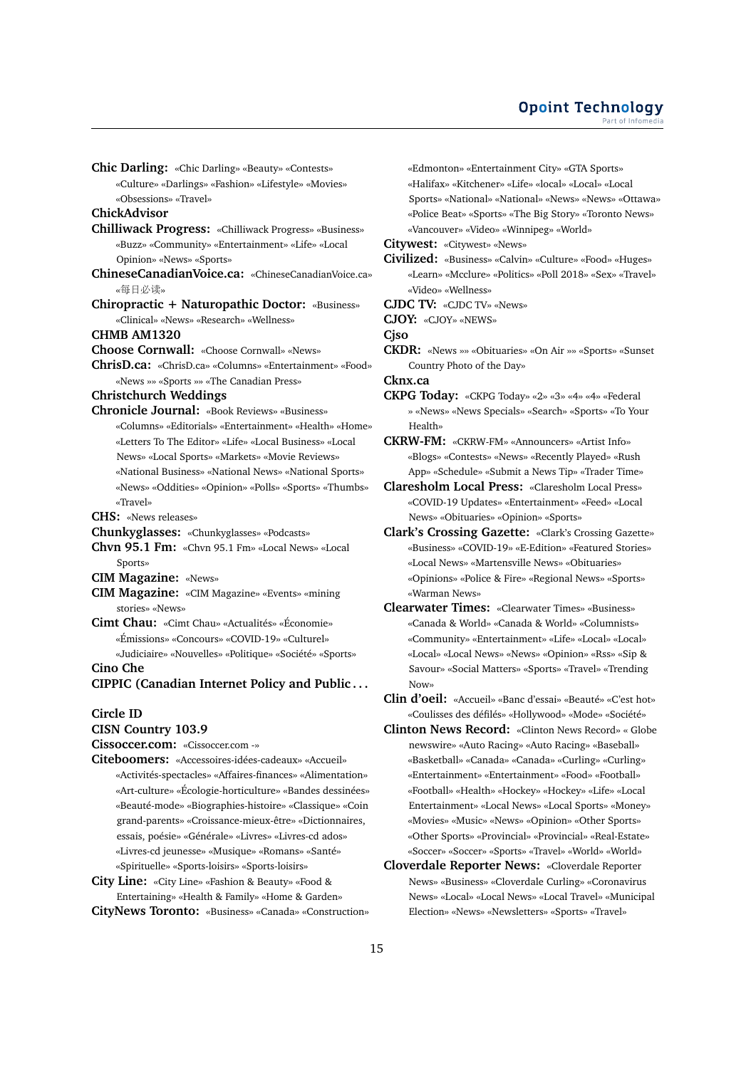**Chic Darling:** «Chic Darling» «Beauty» «Contests»

«Culture» «Darlings» «Fashion» «Lifestyle» «Movies» «Obsessions» «Travel»

**ChickAdvisor**

- **Chilliwack Progress:** «Chilliwack Progress» «Business» «Buzz» «Community» «Entertainment» «Life» «Local Opinion» «News» «Sports»
- **ChineseCanadianVoice.ca:** «ChineseCanadianVoice.ca» «每日必读»
- **Chiropractic + Naturopathic Doctor:** «Business» «Clinical» «News» «Research» «Wellness»

**CHMB AM1320**

- **Choose Cornwall:** «Choose Cornwall» «News»
- **ChrisD.ca:** «ChrisD.ca» «Columns» «Entertainment» «Food» «News »» «Sports »» «The Canadian Press»

**Christchurch Weddings**

**Chronicle Journal:** «Book Reviews» «Business» «Columns» «Editorials» «Entertainment» «Health» «Home» «Letters To The Editor» «Life» «Local Business» «Local News» «Local Sports» «Markets» «Movie Reviews» «National Business» «National News» «National Sports» «News» «Oddities» «Opinion» «Polls» «Sports» «Thumbs» «Travel»

**CHS:** «News releases»

- **Chunkyglasses:** «Chunkyglasses» «Podcasts»
- **Chvn 95.1 Fm:** «Chvn 95.1 Fm» «Local News» «Local Sports»
- **CIM Magazine:** «News»
- **CIM Magazine:** «CIM Magazine» «Events» «mining stories» «News»
- **Cimt Chau:** «Cimt Chau» «Actualités» «Économie» «Émissions» «Concours» «COVID-19» «Culturel» «Judiciaire» «Nouvelles» «Politique» «Société» «Sports»

**Cino Che**

**CIPPIC (Canadian Internet Policy and Public . . .**

#### **Circle ID**

# **CISN Country 103.9**

**Cissoccer.com:** «Cissoccer.com -»

- **Citeboomers:** «Accessoires-idées-cadeaux» «Accueil» «Activités-spectacles» «Affaires-finances» «Alimentation» «Art-culture» «Écologie-horticulture» «Bandes dessinées» «Beauté-mode» «Biographies-histoire» «Classique» «Coin grand-parents» «Croissance-mieux-être» «Dictionnaires, essais, poésie» «Générale» «Livres» «Livres-cd ados» «Livres-cd jeunesse» «Musique» «Romans» «Santé» «Spirituelle» «Sports-loisirs» «Sports-loisirs»
- **City Line:** «City Line» «Fashion & Beauty» «Food & Entertaining» «Health & Family» «Home & Garden»
- **CityNews Toronto:** «Business» «Canada» «Construction»

«Edmonton» «Entertainment City» «GTA Sports» «Halifax» «Kitchener» «Life» «local» «Local» «Local Sports» «National» «National» «News» «News» «Ottawa» «Police Beat» «Sports» «The Big Story» «Toronto News» «Vancouver» «Video» «Winnipeg» «World»

**Citywest:** «Citywest» «News»

**Civilized:** «Business» «Calvin» «Culture» «Food» «Huges» «Learn» «Mcclure» «Politics» «Poll 2018» «Sex» «Travel» «Video» «Wellness»

**CJDC TV:** «CJDC TV» «News»

**CJOY:** «CJOY» «NEWS»

**Cjso**

**CKDR:** «News »» «Obituaries» «On Air »» «Sports» «Sunset Country Photo of the Day»

**Cknx.ca**

**CKPG Today:** «CKPG Today» «2» «3» «4» «4» «Federal » «News» «News Specials» «Search» «Sports» «To Your Health»

**CKRW-FM:** «CKRW-FM» «Announcers» «Artist Info» «Blogs» «Contests» «News» «Recently Played» «Rush App» «Schedule» «Submit a News Tip» «Trader Time»

**Claresholm Local Press:** «Claresholm Local Press» «COVID-19 Updates» «Entertainment» «Feed» «Local News» «Obituaries» «Opinion» «Sports»

- **Clark's Crossing Gazette:** «Clark's Crossing Gazette» «Business» «COVID-19» «E-Edition» «Featured Stories» «Local News» «Martensville News» «Obituaries» «Opinions» «Police & Fire» «Regional News» «Sports» «Warman News»
- **Clearwater Times:** «Clearwater Times» «Business» «Canada & World» «Canada & World» «Columnists» «Community» «Entertainment» «Life» «Local» «Local» «Local» «Local News» «News» «Opinion» «Rss» «Sip & Savour» «Social Matters» «Sports» «Travel» «Trending Now»
- **Clin d'oeil:** «Accueil» «Banc d'essai» «Beauté» «C'est hot» «Coulisses des défilés» «Hollywood» «Mode» «Société»
- **Clinton News Record:** «Clinton News Record» « Globe newswire» «Auto Racing» «Auto Racing» «Baseball» «Basketball» «Canada» «Canada» «Curling» «Curling» «Entertainment» «Entertainment» «Food» «Football» «Football» «Health» «Hockey» «Hockey» «Life» «Local Entertainment» «Local News» «Local Sports» «Money» «Movies» «Music» «News» «Opinion» «Other Sports» «Other Sports» «Provincial» «Provincial» «Real-Estate» «Soccer» «Soccer» «Sports» «Travel» «World» «World»
- **Cloverdale Reporter News:** «Cloverdale Reporter News» «Business» «Cloverdale Curling» «Coronavirus News» «Local» «Local News» «Local Travel» «Municipal Election» «News» «Newsletters» «Sports» «Travel»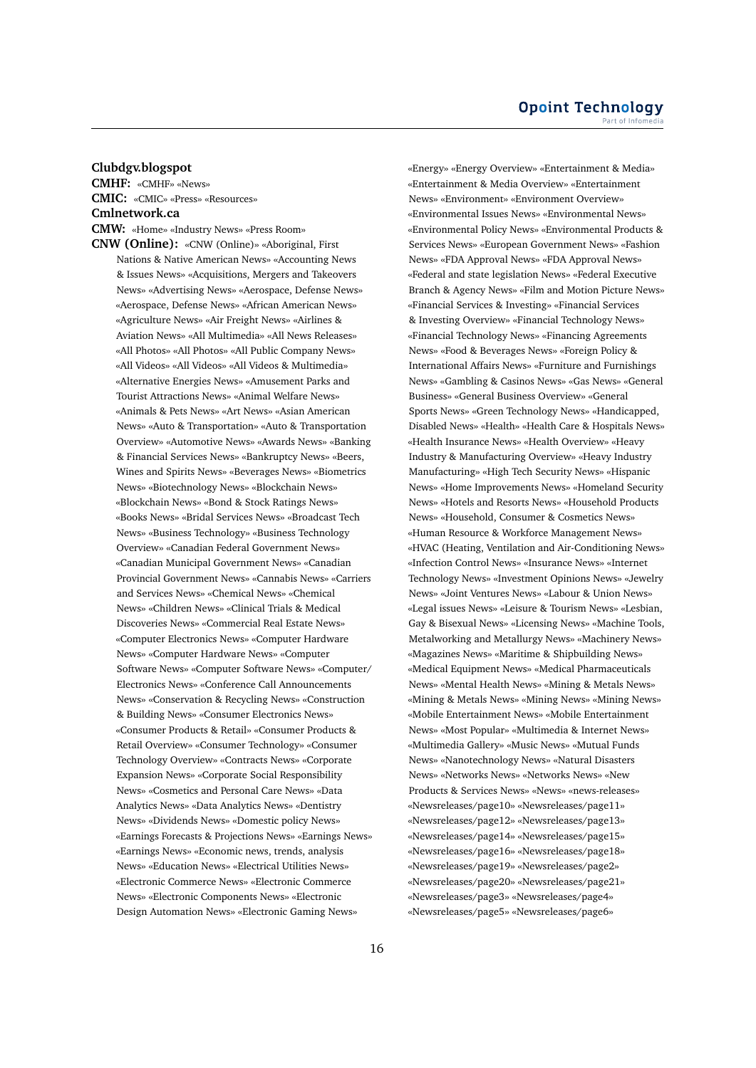# **Clubdgv.blogspot**

**CMHF:** «CMHF» «News» **CMIC:** «CMIC» «Press» «Resources» **Cmlnetwork.ca CMW:** «Home» «Industry News» «Press Room»

**CNW (Online):** «CNW (Online)» «Aboriginal, First Nations & Native American News» «Accounting News & Issues News» «Acquisitions, Mergers and Takeovers News» «Advertising News» «Aerospace, Defense News» «Aerospace, Defense News» «African American News» «Agriculture News» «Air Freight News» «Airlines & Aviation News» «All Multimedia» «All News Releases» «All Photos» «All Photos» «All Public Company News» «All Videos» «All Videos» «All Videos & Multimedia» «Alternative Energies News» «Amusement Parks and Tourist Attractions News» «Animal Welfare News» «Animals & Pets News» «Art News» «Asian American News» «Auto & Transportation» «Auto & Transportation Overview» «Automotive News» «Awards News» «Banking & Financial Services News» «Bankruptcy News» «Beers, Wines and Spirits News» «Beverages News» «Biometrics News» «Biotechnology News» «Blockchain News» «Blockchain News» «Bond & Stock Ratings News» «Books News» «Bridal Services News» «Broadcast Tech News» «Business Technology» «Business Technology Overview» «Canadian Federal Government News» «Canadian Municipal Government News» «Canadian Provincial Government News» «Cannabis News» «Carriers and Services News» «Chemical News» «Chemical News» «Children News» «Clinical Trials & Medical Discoveries News» «Commercial Real Estate News» «Computer Electronics News» «Computer Hardware News» «Computer Hardware News» «Computer Software News» «Computer Software News» «Computer/ Electronics News» «Conference Call Announcements News» «Conservation & Recycling News» «Construction & Building News» «Consumer Electronics News» «Consumer Products & Retail» «Consumer Products & Retail Overview» «Consumer Technology» «Consumer Technology Overview» «Contracts News» «Corporate Expansion News» «Corporate Social Responsibility News» «Cosmetics and Personal Care News» «Data Analytics News» «Data Analytics News» «Dentistry News» «Dividends News» «Domestic policy News» «Earnings Forecasts & Projections News» «Earnings News» «Earnings News» «Economic news, trends, analysis News» «Education News» «Electrical Utilities News» «Electronic Commerce News» «Electronic Commerce News» «Electronic Components News» «Electronic Design Automation News» «Electronic Gaming News»

«Energy» «Energy Overview» «Entertainment & Media» «Entertainment & Media Overview» «Entertainment News» «Environment» «Environment Overview» «Environmental Issues News» «Environmental News» «Environmental Policy News» «Environmental Products & Services News» «European Government News» «Fashion News» «FDA Approval News» «FDA Approval News» «Federal and state legislation News» «Federal Executive Branch & Agency News» «Film and Motion Picture News» «Financial Services & Investing» «Financial Services & Investing Overview» «Financial Technology News» «Financial Technology News» «Financing Agreements News» «Food & Beverages News» «Foreign Policy & International Affairs News» «Furniture and Furnishings News» «Gambling & Casinos News» «Gas News» «General Business» «General Business Overview» «General Sports News» «Green Technology News» «Handicapped, Disabled News» «Health» «Health Care & Hospitals News» «Health Insurance News» «Health Overview» «Heavy Industry & Manufacturing Overview» «Heavy Industry Manufacturing» «High Tech Security News» «Hispanic News» «Home Improvements News» «Homeland Security News» «Hotels and Resorts News» «Household Products News» «Household, Consumer & Cosmetics News» «Human Resource & Workforce Management News» «HVAC (Heating, Ventilation and Air-Conditioning News» «Infection Control News» «Insurance News» «Internet Technology News» «Investment Opinions News» «Jewelry News» «Joint Ventures News» «Labour & Union News» «Legal issues News» «Leisure & Tourism News» «Lesbian, Gay & Bisexual News» «Licensing News» «Machine Tools, Metalworking and Metallurgy News» «Machinery News» «Magazines News» «Maritime & Shipbuilding News» «Medical Equipment News» «Medical Pharmaceuticals News» «Mental Health News» «Mining & Metals News» «Mining & Metals News» «Mining News» «Mining News» «Mobile Entertainment News» «Mobile Entertainment News» «Most Popular» «Multimedia & Internet News» «Multimedia Gallery» «Music News» «Mutual Funds News» «Nanotechnology News» «Natural Disasters News» «Networks News» «Networks News» «New Products & Services News» «News» «news-releases» «Newsreleases/page10» «Newsreleases/page11» «Newsreleases/page12» «Newsreleases/page13» «Newsreleases/page14» «Newsreleases/page15» «Newsreleases/page16» «Newsreleases/page18» «Newsreleases/page19» «Newsreleases/page2» «Newsreleases/page20» «Newsreleases/page21» «Newsreleases/page3» «Newsreleases/page4» «Newsreleases/page5» «Newsreleases/page6»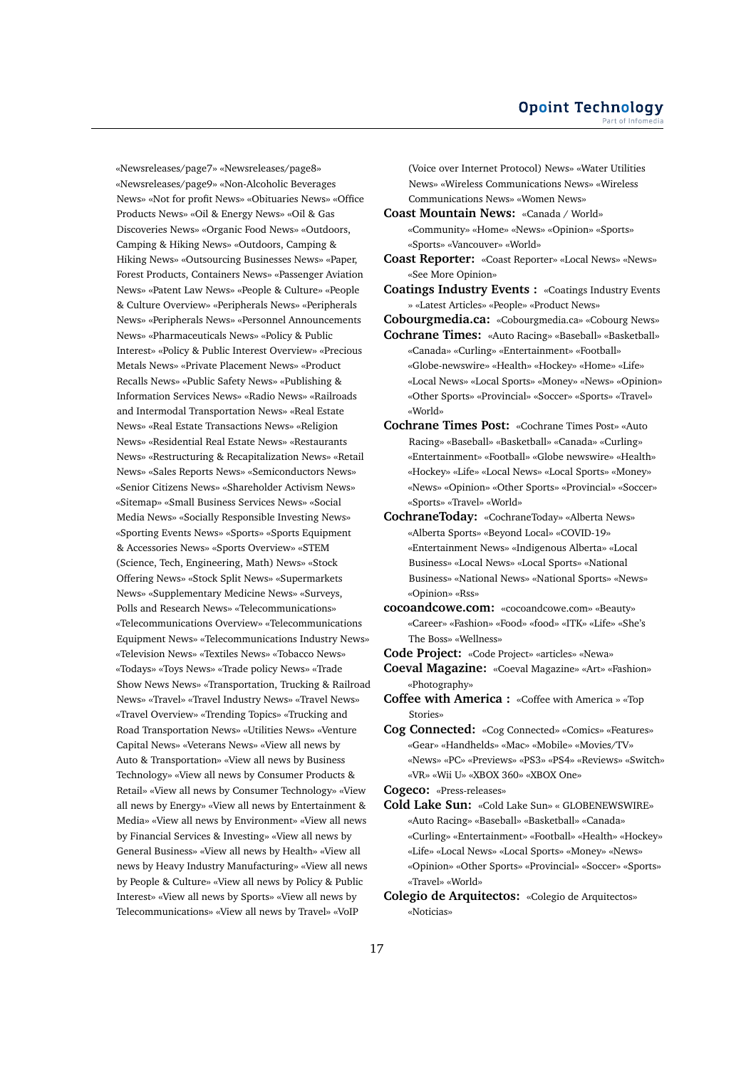«Newsreleases/page7» «Newsreleases/page8» «Newsreleases/page9» «Non-Alcoholic Beverages News» «Not for profit News» «Obituaries News» «Office Products News» «Oil & Energy News» «Oil & Gas Discoveries News» «Organic Food News» «Outdoors, Camping & Hiking News» «Outdoors, Camping & Hiking News» «Outsourcing Businesses News» «Paper, Forest Products, Containers News» «Passenger Aviation News» «Patent Law News» «People & Culture» «People & Culture Overview» «Peripherals News» «Peripherals News» «Peripherals News» «Personnel Announcements News» «Pharmaceuticals News» «Policy & Public Interest» «Policy & Public Interest Overview» «Precious Metals News» «Private Placement News» «Product Recalls News» «Public Safety News» «Publishing & Information Services News» «Radio News» «Railroads and Intermodal Transportation News» «Real Estate News» «Real Estate Transactions News» «Religion News» «Residential Real Estate News» «Restaurants News» «Restructuring & Recapitalization News» «Retail News» «Sales Reports News» «Semiconductors News» «Senior Citizens News» «Shareholder Activism News» «Sitemap» «Small Business Services News» «Social Media News» «Socially Responsible Investing News» «Sporting Events News» «Sports» «Sports Equipment & Accessories News» «Sports Overview» «STEM (Science, Tech, Engineering, Math) News» «Stock Offering News» «Stock Split News» «Supermarkets News» «Supplementary Medicine News» «Surveys, Polls and Research News» «Telecommunications» «Telecommunications Overview» «Telecommunications Equipment News» «Telecommunications Industry News» «Television News» «Textiles News» «Tobacco News» «Todays» «Toys News» «Trade policy News» «Trade Show News News» «Transportation, Trucking & Railroad News» «Travel» «Travel Industry News» «Travel News» «Travel Overview» «Trending Topics» «Trucking and Road Transportation News» «Utilities News» «Venture Capital News» «Veterans News» «View all news by Auto & Transportation» «View all news by Business Technology» «View all news by Consumer Products & Retail» «View all news by Consumer Technology» «View all news by Energy» «View all news by Entertainment & Media» «View all news by Environment» «View all news by Financial Services & Investing» «View all news by General Business» «View all news by Health» «View all news by Heavy Industry Manufacturing» «View all news by People & Culture» «View all news by Policy & Public Interest» «View all news by Sports» «View all news by Telecommunications» «View all news by Travel» «VoIP

(Voice over Internet Protocol) News» «Water Utilities News» «Wireless Communications News» «Wireless Communications News» «Women News»

- **Coast Mountain News:** «Canada / World» «Community» «Home» «News» «Opinion» «Sports» «Sports» «Vancouver» «World»
- **Coast Reporter:** «Coast Reporter» «Local News» «News» «See More Opinion»

**Coatings Industry Events :** «Coatings Industry Events » «Latest Articles» «People» «Product News»

**Cobourgmedia.ca:** «Cobourgmedia.ca» «Cobourg News»

- **Cochrane Times:** «Auto Racing» «Baseball» «Basketball» «Canada» «Curling» «Entertainment» «Football» «Globe-newswire» «Health» «Hockey» «Home» «Life» «Local News» «Local Sports» «Money» «News» «Opinion» «Other Sports» «Provincial» «Soccer» «Sports» «Travel» «World»
- **Cochrane Times Post:** «Cochrane Times Post» «Auto Racing» «Baseball» «Basketball» «Canada» «Curling» «Entertainment» «Football» «Globe newswire» «Health» «Hockey» «Life» «Local News» «Local Sports» «Money» «News» «Opinion» «Other Sports» «Provincial» «Soccer» «Sports» «Travel» «World»
- **CochraneToday:** «CochraneToday» «Alberta News» «Alberta Sports» «Beyond Local» «COVID-19» «Entertainment News» «Indigenous Alberta» «Local Business» «Local News» «Local Sports» «National Business» «National News» «National Sports» «News» «Opinion» «Rss»
- **cocoandcowe.com:** «cocoandcowe.com» «Beauty» «Career» «Fashion» «Food» «food» «ITK» «Life» «She's The Boss» «Wellness»

**Code Project:** «Code Project» «articles» «Newa»

**Coeval Magazine:** «Coeval Magazine» «Art» «Fashion» «Photography»

- **Coffee with America :** «Coffee with America » «Top Stories»
- **Cog Connected:** «Cog Connected» «Comics» «Features» «Gear» «Handhelds» «Mac» «Mobile» «Movies/TV» «News» «PC» «Previews» «PS3» «PS4» «Reviews» «Switch» «VR» «Wii U» «XBOX 360» «XBOX One»

**Cogeco:** «Press-releases»

**Cold Lake Sun:** «Cold Lake Sun» « GLOBENEWSWIRE» «Auto Racing» «Baseball» «Basketball» «Canada» «Curling» «Entertainment» «Football» «Health» «Hockey» «Life» «Local News» «Local Sports» «Money» «News» «Opinion» «Other Sports» «Provincial» «Soccer» «Sports» «Travel» «World»

**Colegio de Arquitectos:** «Colegio de Arquitectos» «Noticias»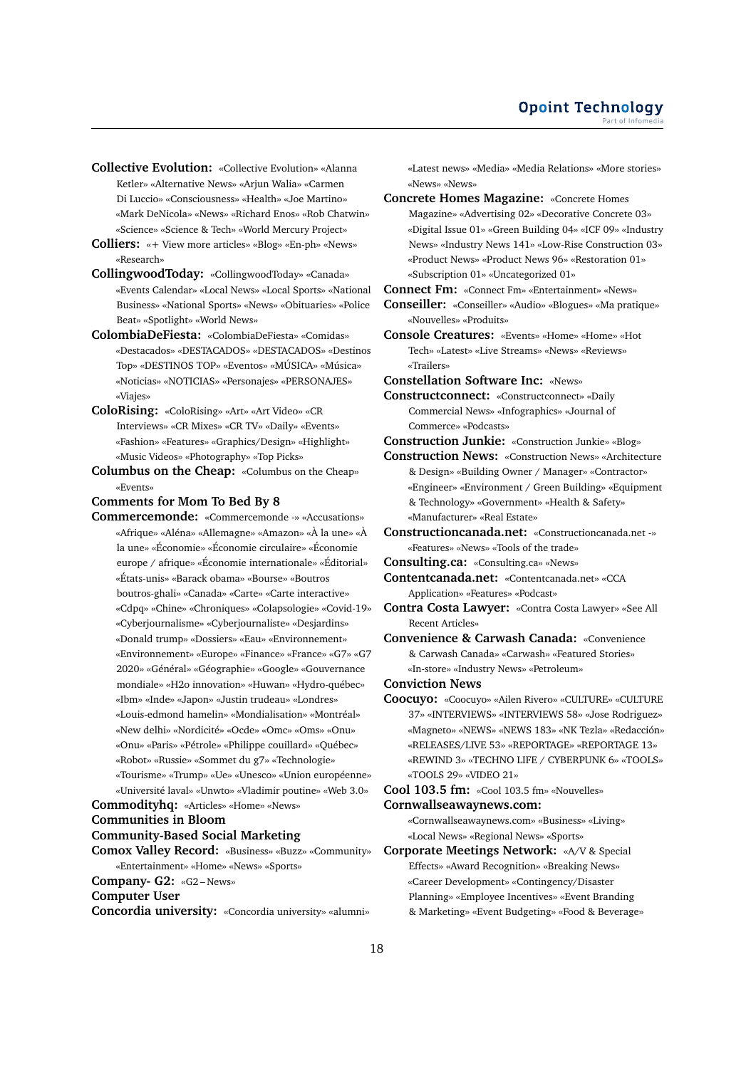- **Collective Evolution:** «Collective Evolution» «Alanna Ketler» «Alternative News» «Arjun Walia» «Carmen Di Luccio» «Consciousness» «Health» «Joe Martino» «Mark DeNicola» «News» «Richard Enos» «Rob Chatwin» «Science» «Science & Tech» «World Mercury Project»
- **Colliers:** «+ View more articles» «Blog» «En-ph» «News» «Research»
- **CollingwoodToday:** «CollingwoodToday» «Canada» «Events Calendar» «Local News» «Local Sports» «National Business» «National Sports» «News» «Obituaries» «Police Beat» «Spotlight» «World News»
- **ColombiaDeFiesta:** «ColombiaDeFiesta» «Comidas» «Destacados» «DESTACADOS» «DESTACADOS» «Destinos Top» «DESTINOS TOP» «Eventos» «MÚSICA» «Música» «Noticias» «NOTICIAS» «Personajes» «PERSONAJES» «Viajes»
- **ColoRising:** «ColoRising» «Art» «Art Video» «CR Interviews» «CR Mixes» «CR TV» «Daily» «Events» «Fashion» «Features» «Graphics/Design» «Highlight» «Music Videos» «Photography» «Top Picks»
- **Columbus on the Cheap:** «Columbus on the Cheap» «Events»

**Comments for Mom To Bed By 8**

**Commercemonde:** «Commercemonde -» «Accusations» «Afrique» «Aléna» «Allemagne» «Amazon» «À la une» «À la une» «Économie» «Économie circulaire» «Économie europe / afrique» «Économie internationale» «Éditorial» «États-unis» «Barack obama» «Bourse» «Boutros boutros-ghali» «Canada» «Carte» «Carte interactive» «Cdpq» «Chine» «Chroniques» «Colapsologie» «Covid-19» «Cyberjournalisme» «Cyberjournaliste» «Desjardins» «Donald trump» «Dossiers» «Eau» «Environnement» «Environnement» «Europe» «Finance» «France» «G7» «G7 2020» «Général» «Géographie» «Google» «Gouvernance mondiale» «H2o innovation» «Huwan» «Hydro-québec» «Ibm» «Inde» «Japon» «Justin trudeau» «Londres» «Louis-edmond hamelin» «Mondialisation» «Montréal» «New delhi» «Nordicité» «Ocde» «Omc» «Oms» «Onu» «Onu» «Paris» «Pétrole» «Philippe couillard» «Québec» «Robot» «Russie» «Sommet du g7» «Technologie» «Tourisme» «Trump» «Ue» «Unesco» «Union européenne» «Université laval» «Unwto» «Vladimir poutine» «Web 3.0» **Commodityhq:** «Articles» «Home» «News»

**Communities in Bloom**

#### **Community-Based Social Marketing**

**Comox Valley Record:** «Business» «Buzz» «Community» «Entertainment» «Home» «News» «Sports» **Company- G2:** «G2 – News»

**Computer User**

**Concordia university:** «Concordia university» «alumni»

«Latest news» «Media» «Media Relations» «More stories» «News» «News»

**Concrete Homes Magazine:** «Concrete Homes Magazine» «Advertising 02» «Decorative Concrete 03» «Digital Issue 01» «Green Building 04» «ICF 09» «Industry News» «Industry News 141» «Low-Rise Construction 03» «Product News» «Product News 96» «Restoration 01» «Subscription 01» «Uncategorized 01»

**Connect Fm:** «Connect Fm» «Entertainment» «News»

- **Conseiller:** «Conseiller» «Audio» «Blogues» «Ma pratique» «Nouvelles» «Produits»
- **Console Creatures:** «Events» «Home» «Home» «Hot Tech» «Latest» «Live Streams» «News» «Reviews» «Trailers»

**Constellation Software Inc:** «News»

**Constructconnect:** «Constructconnect» «Daily Commercial News» «Infographics» «Journal of Commerce» «Podcasts»

**Construction Junkie:** «Construction Junkie» «Blog»

- **Construction News:** «Construction News» «Architecture & Design» «Building Owner / Manager» «Contractor» «Engineer» «Environment / Green Building» «Equipment & Technology» «Government» «Health & Safety» «Manufacturer» «Real Estate»
- **Constructioncanada.net:** «Constructioncanada.net -» «Features» «News» «Tools of the trade»
- **Consulting.ca:** «Consulting.ca» «News»
- **Contentcanada.net:** «Contentcanada.net» «CCA Application» «Features» «Podcast»
- **Contra Costa Lawyer:** «Contra Costa Lawyer» «See All Recent Articles»

**Convenience & Carwash Canada:** «Convenience & Carwash Canada» «Carwash» «Featured Stories» «In-store» «Industry News» «Petroleum»

- **Conviction News**
- **Coocuyo:** «Coocuyo» «Ailen Rivero» «CULTURE» «CULTURE 37» «INTERVIEWS» «INTERVIEWS 58» «Jose Rodriguez» «Magneto» «NEWS» «NEWS 183» «NK Tezla» «Redacción» «RELEASES/LIVE 53» «REPORTAGE» «REPORTAGE 13» «REWIND 3» «TECHNO LIFE / CYBERPUNK 6» «TOOLS» «TOOLS 29» «VIDEO 21»

**Cool 103.5 fm:** «Cool 103.5 fm» «Nouvelles» **Cornwallseawaynews.com:**

«Cornwallseawaynews.com» «Business» «Living» «Local News» «Regional News» «Sports»

**Corporate Meetings Network:** «A/V & Special Effects» «Award Recognition» «Breaking News» «Career Development» «Contingency/Disaster Planning» «Employee Incentives» «Event Branding & Marketing» «Event Budgeting» «Food & Beverage»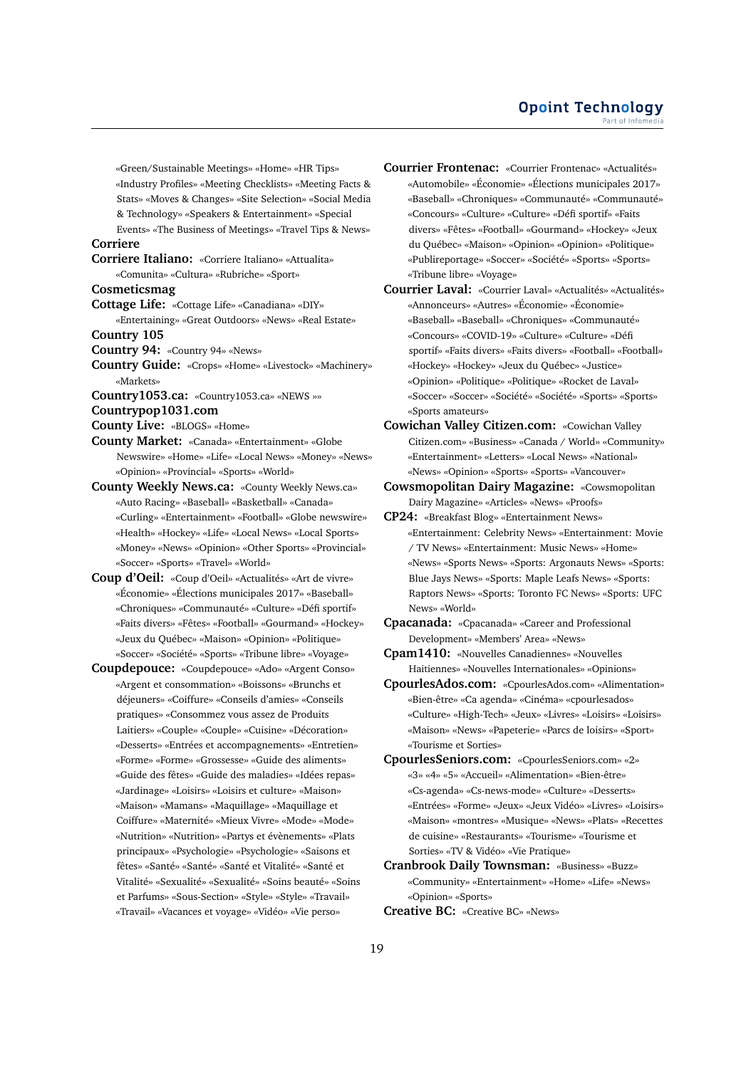«Green/Sustainable Meetings» «Home» «HR Tips» «Industry Profiles» «Meeting Checklists» «Meeting Facts & Stats» «Moves & Changes» «Site Selection» «Social Media & Technology» «Speakers & Entertainment» «Special

Events» «The Business of Meetings» «Travel Tips & News» **Corriere**

**Corriere Italiano:** «Corriere Italiano» «Attualita» «Comunita» «Cultura» «Rubriche» «Sport»

**Cosmeticsmag**

**Cottage Life:** «Cottage Life» «Canadiana» «DIY» «Entertaining» «Great Outdoors» «News» «Real Estate»

**Country 105**

**Country 94:** «Country 94» «News»

**Country Guide:** «Crops» «Home» «Livestock» «Machinery» «Markets»

**Country1053.ca:** «Country1053.ca» «NEWS »»

**Countrypop1031.com**

**County Live:** «BLOGS» «Home»

**County Market:** «Canada» «Entertainment» «Globe Newswire» «Home» «Life» «Local News» «Money» «News» «Opinion» «Provincial» «Sports» «World»

**County Weekly News.ca:** «County Weekly News.ca» «Auto Racing» «Baseball» «Basketball» «Canada» «Curling» «Entertainment» «Football» «Globe newswire» «Health» «Hockey» «Life» «Local News» «Local Sports» «Money» «News» «Opinion» «Other Sports» «Provincial» «Soccer» «Sports» «Travel» «World»

**Coup d'Oeil:** «Coup d'Oeil» «Actualités» «Art de vivre» «Économie» «Élections municipales 2017» «Baseball» «Chroniques» «Communauté» «Culture» «Défi sportif» «Faits divers» «Fêtes» «Football» «Gourmand» «Hockey» «Jeux du Québec» «Maison» «Opinion» «Politique» «Soccer» «Société» «Sports» «Tribune libre» «Voyage»

**Coupdepouce:** «Coupdepouce» «Ado» «Argent Conso» «Argent et consommation» «Boissons» «Brunchs et déjeuners» «Coiffure» «Conseils d'amies» «Conseils pratiques» «Consommez vous assez de Produits Laitiers» «Couple» «Couple» «Cuisine» «Décoration» «Desserts» «Entrées et accompagnements» «Entretien» «Forme» «Forme» «Grossesse» «Guide des aliments» «Guide des fêtes» «Guide des maladies» «Idées repas» «Jardinage» «Loisirs» «Loisirs et culture» «Maison» «Maison» «Mamans» «Maquillage» «Maquillage et Coiffure» «Maternité» «Mieux Vivre» «Mode» «Mode» «Nutrition» «Nutrition» «Partys et évènements» «Plats principaux» «Psychologie» «Psychologie» «Saisons et fêtes» «Santé» «Santé» «Santé et Vitalité» «Santé et Vitalité» «Sexualité» «Sexualité» «Soins beauté» «Soins et Parfums» «Sous-Section» «Style» «Style» «Travail» «Travail» «Vacances et voyage» «Vidéo» «Vie perso»

**Courrier Frontenac:** «Courrier Frontenac» «Actualités» «Automobile» «Économie» «Élections municipales 2017» «Baseball» «Chroniques» «Communauté» «Communauté» «Concours» «Culture» «Culture» «Défi sportif» «Faits divers» «Fêtes» «Football» «Gourmand» «Hockey» «Jeux du Québec» «Maison» «Opinion» «Opinion» «Politique» «Publireportage» «Soccer» «Société» «Sports» «Sports» «Tribune libre» «Voyage»

**Courrier Laval:** «Courrier Laval» «Actualités» «Actualités» «Annonceurs» «Autres» «Économie» «Économie» «Baseball» «Baseball» «Chroniques» «Communauté» «Concours» «COVID-19» «Culture» «Culture» «Défi sportif» «Faits divers» «Faits divers» «Football» «Football» «Hockey» «Hockey» «Jeux du Québec» «Justice» «Opinion» «Politique» «Politique» «Rocket de Laval» «Soccer» «Soccer» «Société» «Société» «Sports» «Sports» «Sports amateurs»

**Cowichan Valley Citizen.com:** «Cowichan Valley Citizen.com» «Business» «Canada / World» «Community» «Entertainment» «Letters» «Local News» «National» «News» «Opinion» «Sports» «Sports» «Vancouver»

**Cowsmopolitan Dairy Magazine:** «Cowsmopolitan Dairy Magazine» «Articles» «News» «Proofs»

**CP24:** «Breakfast Blog» «Entertainment News» «Entertainment: Celebrity News» «Entertainment: Movie / TV News» «Entertainment: Music News» «Home» «News» «Sports News» «Sports: Argonauts News» «Sports: Blue Jays News» «Sports: Maple Leafs News» «Sports: Raptors News» «Sports: Toronto FC News» «Sports: UFC News» «World»

**Cpacanada:** «Cpacanada» «Career and Professional Development» «Members' Area» «News»

**Cpam1410:** «Nouvelles Canadiennes» «Nouvelles Haitiennes» «Nouvelles Internationales» «Opinions»

**CpourlesAdos.com:** «CpourlesAdos.com» «Alimentation» «Bien-être» «Ca agenda» «Cinéma» «cpourlesados» «Culture» «High-Tech» «Jeux» «Livres» «Loisirs» «Loisirs» «Maison» «News» «Papeterie» «Parcs de loisirs» «Sport» «Tourisme et Sorties»

**CpourlesSeniors.com:** «CpourlesSeniors.com» «2» «3» «4» «5» «Accueil» «Alimentation» «Bien-être» «Cs-agenda» «Cs-news-mode» «Culture» «Desserts» «Entrées» «Forme» «Jeux» «Jeux Vidéo» «Livres» «Loisirs» «Maison» «montres» «Musique» «News» «Plats» «Recettes de cuisine» «Restaurants» «Tourisme» «Tourisme et Sorties» «TV & Vidéo» «Vie Pratique»

**Cranbrook Daily Townsman:** «Business» «Buzz» «Community» «Entertainment» «Home» «Life» «News» «Opinion» «Sports»

**Creative BC:** «Creative BC» «News»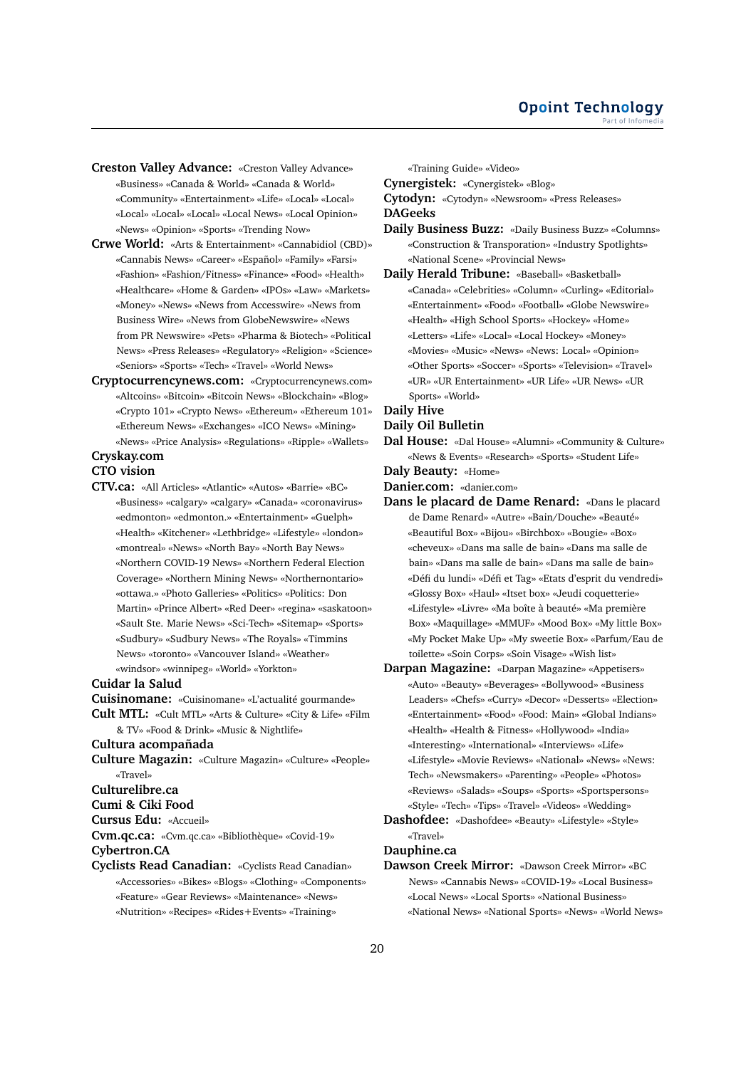- **Creston Valley Advance:** «Creston Valley Advance» «Business» «Canada & World» «Canada & World» «Community» «Entertainment» «Life» «Local» «Local» «Local» «Local» «Local» «Local News» «Local Opinion» «News» «Opinion» «Sports» «Trending Now»
- **Crwe World:** «Arts & Entertainment» «Cannabidiol (CBD)» «Cannabis News» «Career» «Español» «Family» «Farsi» «Fashion» «Fashion/Fitness» «Finance» «Food» «Health» «Healthcare» «Home & Garden» «IPOs» «Law» «Markets» «Money» «News» «News from Accesswire» «News from Business Wire» «News from GlobeNewswire» «News from PR Newswire» «Pets» «Pharma & Biotech» «Political News» «Press Releases» «Regulatory» «Religion» «Science» «Seniors» «Sports» «Tech» «Travel» «World News»
- **Cryptocurrencynews.com:** «Cryptocurrencynews.com» «Altcoins» «Bitcoin» «Bitcoin News» «Blockchain» «Blog» «Crypto 101» «Crypto News» «Ethereum» «Ethereum 101» «Ethereum News» «Exchanges» «ICO News» «Mining» «News» «Price Analysis» «Regulations» «Ripple» «Wallets»

**Cryskay.com**

# **CTO vision**

**CTV.ca:** «All Articles» «Atlantic» «Autos» «Barrie» «BC» «Business» «calgary» «calgary» «Canada» «coronavirus» «edmonton» «edmonton.» «Entertainment» «Guelph» «Health» «Kitchener» «Lethbridge» «Lifestyle» «london» «montreal» «News» «North Bay» «North Bay News» «Northern COVID-19 News» «Northern Federal Election Coverage» «Northern Mining News» «Northernontario» «ottawa.» «Photo Galleries» «Politics» «Politics: Don Martin» «Prince Albert» «Red Deer» «regina» «saskatoon» «Sault Ste. Marie News» «Sci-Tech» «Sitemap» «Sports» «Sudbury» «Sudbury News» «The Royals» «Timmins News» «toronto» «Vancouver Island» «Weather» «windsor» «winnipeg» «World» «Yorkton»

#### **Cuidar la Salud**

- **Cuisinomane:** «Cuisinomane» «L'actualité gourmande»
- **Cult MTL:** «Cult MTL» «Arts & Culture» «City & Life» «Film & TV» «Food & Drink» «Music & Nightlife»

# **Cultura acompañada**

**Culture Magazin:** «Culture Magazin» «Culture» «People» «Travel»

**Culturelibre.ca**

**Cumi & Ciki Food**

**Cursus Edu:** «Accueil»

**Cvm.qc.ca:** «Cvm.qc.ca» «Bibliothèque» «Covid-19»

**Cybertron.CA**

**Cyclists Read Canadian:** «Cyclists Read Canadian» «Accessories» «Bikes» «Blogs» «Clothing» «Components» «Feature» «Gear Reviews» «Maintenance» «News» «Nutrition» «Recipes» «Rides+Events» «Training»

«Training Guide» «Video»

**Cynergistek:** «Cynergistek» «Blog» **Cytodyn:** «Cytodyn» «Newsroom» «Press Releases» **DAGeeks**

- **Daily Business Buzz:** «Daily Business Buzz» «Columns» «Construction & Transporation» «Industry Spotlights» «National Scene» «Provincial News»
- **Daily Herald Tribune:** «Baseball» «Basketball» «Canada» «Celebrities» «Column» «Curling» «Editorial» «Entertainment» «Food» «Football» «Globe Newswire» «Health» «High School Sports» «Hockey» «Home» «Letters» «Life» «Local» «Local Hockey» «Money» «Movies» «Music» «News» «News: Local» «Opinion» «Other Sports» «Soccer» «Sports» «Television» «Travel» «UR» «UR Entertainment» «UR Life» «UR News» «UR Sports» «World»

# **Daily Hive**

- **Daily Oil Bulletin**
- **Dal House:** «Dal House» «Alumni» «Community & Culture» «News & Events» «Research» «Sports» «Student Life»
- **Daly Beauty:** «Home»
- **Danier.com:** «danier.com»
- **Dans le placard de Dame Renard:** «Dans le placard de Dame Renard» «Autre» «Bain/Douche» «Beauté» «Beautiful Box» «Bijou» «Birchbox» «Bougie» «Box» «cheveux» «Dans ma salle de bain» «Dans ma salle de bain» «Dans ma salle de bain» «Dans ma salle de bain» «Défi du lundi» «Défi et Tag» «Etats d'esprit du vendredi» «Glossy Box» «Haul» «Itset box» «Jeudi coquetterie» «Lifestyle» «Livre» «Ma boîte à beauté» «Ma première Box» «Maquillage» «MMUF» «Mood Box» «My little Box» «My Pocket Make Up» «My sweetie Box» «Parfum/Eau de toilette» «Soin Corps» «Soin Visage» «Wish list»
- **Darpan Magazine:** «Darpan Magazine» «Appetisers» «Auto» «Beauty» «Beverages» «Bollywood» «Business Leaders» «Chefs» «Curry» «Decor» «Desserts» «Election» «Entertainment» «Food» «Food: Main» «Global Indians» «Health» «Health & Fitness» «Hollywood» «India» «Interesting» «International» «Interviews» «Life» «Lifestyle» «Movie Reviews» «National» «News» «News: Tech» «Newsmakers» «Parenting» «People» «Photos» «Reviews» «Salads» «Soups» «Sports» «Sportspersons» «Style» «Tech» «Tips» «Travel» «Videos» «Wedding»

**Dashofdee:** «Dashofdee» «Beauty» «Lifestyle» «Style» «Travel»

### **Dauphine.ca**

**Dawson Creek Mirror:** «Dawson Creek Mirror» «BC News» «Cannabis News» «COVID-19» «Local Business» «Local News» «Local Sports» «National Business» «National News» «National Sports» «News» «World News»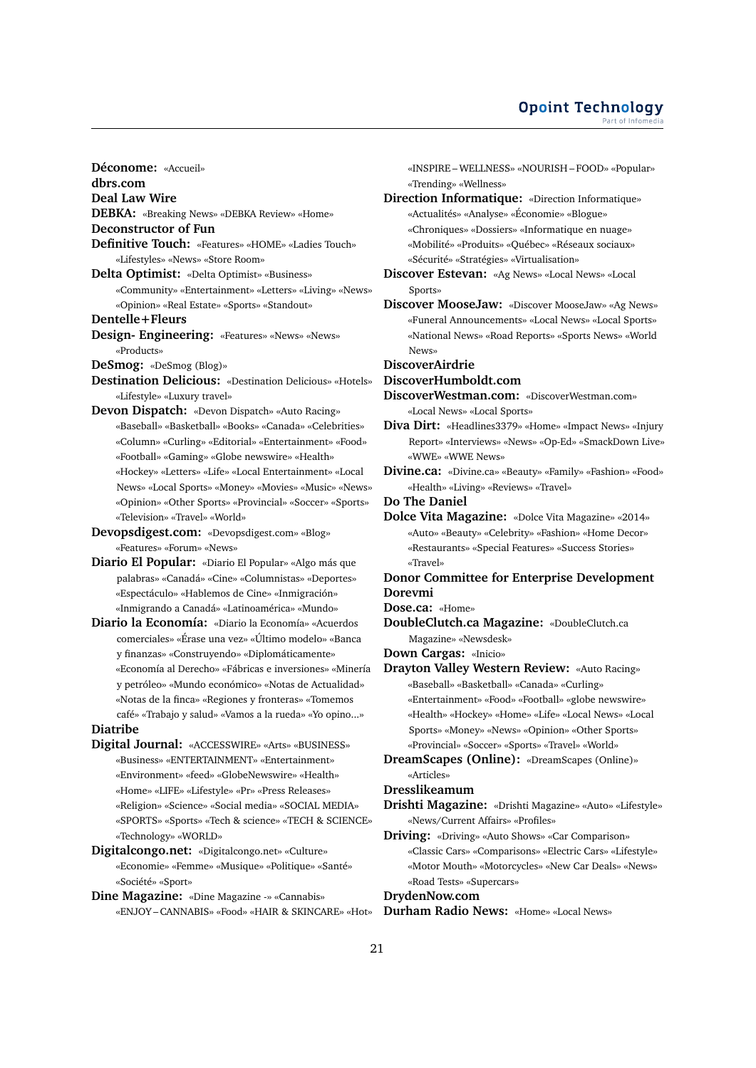**Déconome:** «Accueil» **dbrs.com Deal Law Wire DEBKA:** «Breaking News» «DEBKA Review» «Home» **Deconstructor of Fun Definitive Touch:** «Features» «HOME» «Ladies Touch» «Lifestyles» «News» «Store Room» **Delta Optimist:** «Delta Optimist» «Business» «Community» «Entertainment» «Letters» «Living» «News» «Opinion» «Real Estate» «Sports» «Standout» **Dentelle+Fleurs Design- Engineering:** «Features» «News» «News» «Products» **DeSmog:** «DeSmog (Blog)» **Destination Delicious:** «Destination Delicious» «Hotels» «Lifestyle» «Luxury travel» **Devon Dispatch:** «Devon Dispatch» «Auto Racing» «Baseball» «Basketball» «Books» «Canada» «Celebrities» «Column» «Curling» «Editorial» «Entertainment» «Food» «Football» «Gaming» «Globe newswire» «Health» «Hockey» «Letters» «Life» «Local Entertainment» «Local News» «Local Sports» «Money» «Movies» «Music» «News» «Opinion» «Other Sports» «Provincial» «Soccer» «Sports» «Television» «Travel» «World» **Devopsdigest.com:** «Devopsdigest.com» «Blog» «Features» «Forum» «News» **Diario El Popular:** «Diario El Popular» «Algo más que palabras» «Canadá» «Cine» «Columnistas» «Deportes» «Espectáculo» «Hablemos de Cine» «Inmigración» «Inmigrando a Canadá» «Latinoamérica» «Mundo» **Diario la Economía:** «Diario la Economía» «Acuerdos comerciales» «Érase una vez» «Último modelo» «Banca y finanzas» «Construyendo» «Diplomáticamente» «Economía al Derecho» «Fábricas e inversiones» «Minería y petróleo» «Mundo económico» «Notas de Actualidad» «Notas de la finca» «Regiones y fronteras» «Tomemos café» «Trabajo y salud» «Vamos a la rueda» «Yo opino...» **Diatribe Digital Journal:** «ACCESSWIRE» «Arts» «BUSINESS» «Business» «ENTERTAINMENT» «Entertainment» «Environment» «feed» «GlobeNewswire» «Health» «Home» «LIFE» «Lifestyle» «Pr» «Press Releases» «Religion» «Science» «Social media» «SOCIAL MEDIA» «SPORTS» «Sports» «Tech & science» «TECH & SCIENCE» «Technology» «WORLD» **Digitalcongo.net:** «Digitalcongo.net» «Culture» «Economie» «Femme» «Musique» «Politique» «Santé» «Société» «Sport»

**Dine Magazine:** «Dine Magazine -» «Cannabis» «ENJOY – CANNABIS» «Food» «HAIR & SKINCARE» «Hot»

«INSPIRE – WELLNESS» «NOURISH – FOOD» «Popular» «Trending» «Wellness» **Direction Informatique:** «Direction Informatique»

- «Actualités» «Analyse» «Économie» «Blogue» «Chroniques» «Dossiers» «Informatique en nuage» «Mobilité» «Produits» «Québec» «Réseaux sociaux»
	- «Sécurité» «Stratégies» «Virtualisation»
- **Discover Estevan:** «Ag News» «Local News» «Local Sports»
- **Discover MooseJaw:** «Discover MooseJaw» «Ag News» «Funeral Announcements» «Local News» «Local Sports» «National News» «Road Reports» «Sports News» «World News»

**DiscoverAirdrie**

- **DiscoverHumboldt.com**
- **DiscoverWestman.com:** «DiscoverWestman.com» «Local News» «Local Sports»
- **Diva Dirt:** «Headlines3379» «Home» «Impact News» «Injury Report» «Interviews» «News» «Op-Ed» «SmackDown Live» «WWE» «WWE News»
- **Divine.ca:** «Divine.ca» «Beauty» «Family» «Fashion» «Food» «Health» «Living» «Reviews» «Travel»
- **Do The Daniel**
- **Dolce Vita Magazine:** «Dolce Vita Magazine» «2014» «Auto» «Beauty» «Celebrity» «Fashion» «Home Decor» «Restaurants» «Special Features» «Success Stories» «Travel»
- **Donor Committee for Enterprise Development Dorevmi**
- **Dose.ca:** «Home»
- **DoubleClutch.ca Magazine:** «DoubleClutch.ca Magazine» «Newsdesk»
- **Down Cargas:** «Inicio»

**Drayton Valley Western Review:** «Auto Racing» «Baseball» «Basketball» «Canada» «Curling» «Entertainment» «Food» «Football» «globe newswire» «Health» «Hockey» «Home» «Life» «Local News» «Local Sports» «Money» «News» «Opinion» «Other Sports» «Provincial» «Soccer» «Sports» «Travel» «World»

**DreamScapes (Online):** «DreamScapes (Online)» «Articles»

# **Dresslikeamum**

**Drishti Magazine:** «Drishti Magazine» «Auto» «Lifestyle» «News/Current Affairs» «Profiles»

**Driving:** «Driving» «Auto Shows» «Car Comparison» «Classic Cars» «Comparisons» «Electric Cars» «Lifestyle» «Motor Mouth» «Motorcycles» «New Car Deals» «News» «Road Tests» «Supercars»

**DrydenNow.com**

**Durham Radio News:** «Home» «Local News»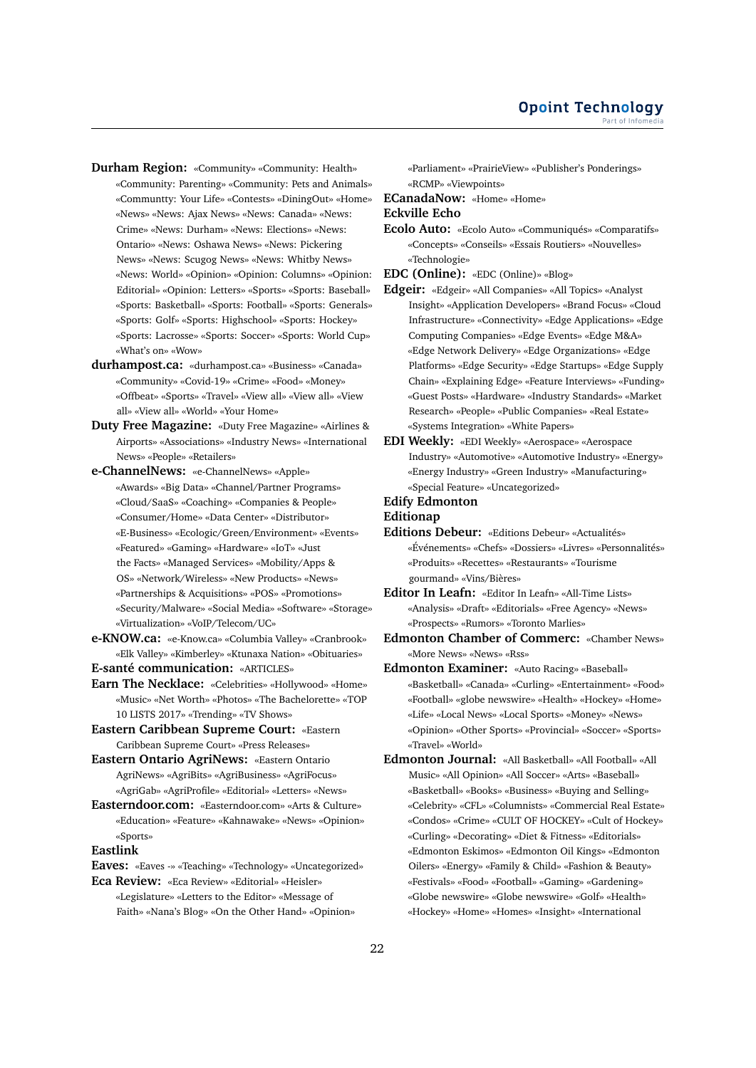**Durham Region:** «Community» «Community: Health» «Community: Parenting» «Community: Pets and Animals» «Communtty: Your Life» «Contests» «DiningOut» «Home» «News» «News: Ajax News» «News: Canada» «News: Crime» «News: Durham» «News: Elections» «News: Ontario» «News: Oshawa News» «News: Pickering News» «News: Scugog News» «News: Whitby News» «News: World» «Opinion» «Opinion: Columns» «Opinion: Editorial» «Opinion: Letters» «Sports» «Sports: Baseball» «Sports: Basketball» «Sports: Football» «Sports: Generals» «Sports: Golf» «Sports: Highschool» «Sports: Hockey» «Sports: Lacrosse» «Sports: Soccer» «Sports: World Cup» «What's on» «Wow»

- **durhampost.ca:** «durhampost.ca» «Business» «Canada» «Community» «Covid-19» «Crime» «Food» «Money» «Offbeat» «Sports» «Travel» «View all» «View all» «View all» «View all» «World» «Your Home»
- **Duty Free Magazine:** «Duty Free Magazine» «Airlines & Airports» «Associations» «Industry News» «International News» «People» «Retailers»

**e-ChannelNews:** «e-ChannelNews» «Apple» «Awards» «Big Data» «Channel/Partner Programs» «Cloud/SaaS» «Coaching» «Companies & People» «Consumer/Home» «Data Center» «Distributor» «E-Business» «Ecologic/Green/Environment» «Events» «Featured» «Gaming» «Hardware» «IoT» «Just the Facts» «Managed Services» «Mobility/Apps & OS» «Network/Wireless» «New Products» «News» «Partnerships & Acquisitions» «POS» «Promotions» «Security/Malware» «Social Media» «Software» «Storage» «Virtualization» «VoIP/Telecom/UC»

- **e-KNOW.ca:** «e-Know.ca» «Columbia Valley» «Cranbrook» «Elk Valley» «Kimberley» «Ktunaxa Nation» «Obituaries»
- **E-santé communication:** «ARTICLES»
- **Earn The Necklace:** «Celebrities» «Hollywood» «Home» «Music» «Net Worth» «Photos» «The Bachelorette» «TOP 10 LISTS 2017» «Trending» «TV Shows»
- **Eastern Caribbean Supreme Court:** «Eastern Caribbean Supreme Court» «Press Releases»
- **Eastern Ontario AgriNews:** «Eastern Ontario AgriNews» «AgriBits» «AgriBusiness» «AgriFocus» «AgriGab» «AgriProfile» «Editorial» «Letters» «News»
- **Easterndoor.com:** «Easterndoor.com» «Arts & Culture» «Education» «Feature» «Kahnawake» «News» «Opinion» «Sports»

# **Eastlink**

**Eaves:** «Eaves -» «Teaching» «Technology» «Uncategorized»

**Eca Review:** «Eca Review» «Editorial» «Heisler» «Legislature» «Letters to the Editor» «Message of Faith» «Nana's Blog» «On the Other Hand» «Opinion» «Parliament» «PrairieView» «Publisher's Ponderings» «RCMP» «Viewpoints»

**ECanadaNow:** «Home» «Home»

# **Eckville Echo**

**Ecolo Auto:** «Ecolo Auto» «Communiqués» «Comparatifs» «Concepts» «Conseils» «Essais Routiers» «Nouvelles» «Technologie»

**EDC (Online):** «EDC (Online)» «Blog»

- **Edgeir:** «Edgeir» «All Companies» «All Topics» «Analyst Insight» «Application Developers» «Brand Focus» «Cloud Infrastructure» «Connectivity» «Edge Applications» «Edge Computing Companies» «Edge Events» «Edge M&A» «Edge Network Delivery» «Edge Organizations» «Edge Platforms» «Edge Security» «Edge Startups» «Edge Supply Chain» «Explaining Edge» «Feature Interviews» «Funding» «Guest Posts» «Hardware» «Industry Standards» «Market Research» «People» «Public Companies» «Real Estate» «Systems Integration» «White Papers»
- **EDI Weekly:** «EDI Weekly» «Aerospace» «Aerospace Industry» «Automotive» «Automotive Industry» «Energy» «Energy Industry» «Green Industry» «Manufacturing» «Special Feature» «Uncategorized»

#### **Edify Edmonton**

#### **Editionap**

- **Editions Debeur:** «Editions Debeur» «Actualités» «Événements» «Chefs» «Dossiers» «Livres» «Personnalités» «Produits» «Recettes» «Restaurants» «Tourisme gourmand» «Vins/Bières»
- **Editor In Leafn:** «Editor In Leafn» «All-Time Lists» «Analysis» «Draft» «Editorials» «Free Agency» «News» «Prospects» «Rumors» «Toronto Marlies»
- **Edmonton Chamber of Commerc:** «Chamber News» «More News» «News» «Rss»
- **Edmonton Examiner:** «Auto Racing» «Baseball» «Basketball» «Canada» «Curling» «Entertainment» «Food» «Football» «globe newswire» «Health» «Hockey» «Home» «Life» «Local News» «Local Sports» «Money» «News» «Opinion» «Other Sports» «Provincial» «Soccer» «Sports» «Travel» «World»
- **Edmonton Journal:** «All Basketball» «All Football» «All Music» «All Opinion» «All Soccer» «Arts» «Baseball» «Basketball» «Books» «Business» «Buying and Selling» «Celebrity» «CFL» «Columnists» «Commercial Real Estate» «Condos» «Crime» «CULT OF HOCKEY» «Cult of Hockey» «Curling» «Decorating» «Diet & Fitness» «Editorials» «Edmonton Eskimos» «Edmonton Oil Kings» «Edmonton Oilers» «Energy» «Family & Child» «Fashion & Beauty» «Festivals» «Food» «Football» «Gaming» «Gardening» «Globe newswire» «Globe newswire» «Golf» «Health» «Hockey» «Home» «Homes» «Insight» «International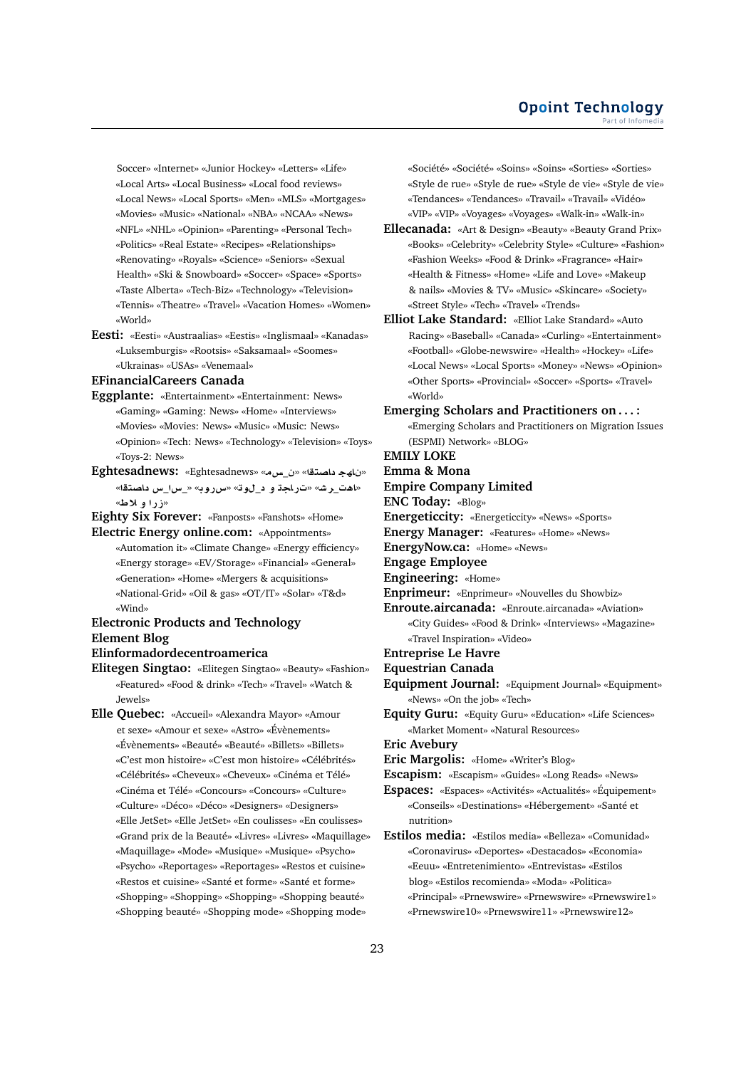Soccer» «Internet» «Junior Hockey» «Letters» «Life» «Local Arts» «Local Business» «Local food reviews» «Local News» «Local Sports» «Men» «MLS» «Mortgages» «Movies» «Music» «National» «NBA» «NCAA» «News» «NFL» «NHL» «Opinion» «Parenting» «Personal Tech» «Politics» «Real Estate» «Recipes» «Relationships» «Renovating» «Royals» «Science» «Seniors» «Sexual Health» «Ski & Snowboard» «Soccer» «Space» «Sports» «Taste Alberta» «Tech-Biz» «Technology» «Television» «Tennis» «Theatre» «Travel» «Vacation Homes» «Women» «World»

**Eesti:** «Eesti» «Austraalias» «Eestis» «Inglismaal» «Kanadas» «Luksemburgis» «Rootsis» «Saksamaal» «Soomes» «Ukrainas» «USAs» «Venemaal»

#### **EFinancialCareers Canada**

- **Eggplante:** «Entertainment» «Entertainment: News» «Gaming» «Gaming: News» «Home» «Interviews» «Movies» «Movies: News» «Music» «Music: News» «Opinion» «Tech: News» «Technology» «Television» «Toys» «Toys-2: News»
- **Eghtesadnews:** «Eghtesadnews» «**H**\_» «**tOA hA** » «اهت\_رش» «تراجة و د\_لوق» «سرروب» «\_س \_س داصتقا» «**زراو لاط**»

**Eighty Six Forever:** «Fanposts» «Fanshots» «Home» **Electric Energy online.com:** «Appointments»

«Automation it» «Climate Change» «Energy efficiency» «Energy storage» «EV/Storage» «Financial» «General» «Generation» «Home» «Mergers & acquisitions» «National-Grid» «Oil & gas» «OT/IT» «Solar» «T&d» «Wind»

# **Electronic Products and Technology Element Blog**

### **Elinformadordecentroamerica**

- **Elitegen Singtao:** «Elitegen Singtao» «Beauty» «Fashion» «Featured» «Food & drink» «Tech» «Travel» «Watch & Jewels»
- **Elle Quebec:** «Accueil» «Alexandra Mayor» «Amour et sexe» «Amour et sexe» «Astro» «Évènements» «Évènements» «Beauté» «Beauté» «Billets» «Billets» «C'est mon histoire» «C'est mon histoire» «Célébrités» «Célébrités» «Cheveux» «Cheveux» «Cinéma et Télé» «Cinéma et Télé» «Concours» «Concours» «Culture» «Culture» «Déco» «Déco» «Designers» «Designers» «Elle JetSet» «Elle JetSet» «En coulisses» «En coulisses» «Grand prix de la Beauté» «Livres» «Livres» «Maquillage» «Maquillage» «Mode» «Musique» «Musique» «Psycho» «Psycho» «Reportages» «Reportages» «Restos et cuisine» «Restos et cuisine» «Santé et forme» «Santé et forme» «Shopping» «Shopping» «Shopping» «Shopping beauté» «Shopping beauté» «Shopping mode» «Shopping mode»

«Société» «Société» «Soins» «Soins» «Sorties» «Sorties» «Style de rue» «Style de rue» «Style de vie» «Style de vie» «Tendances» «Tendances» «Travail» «Travail» «Vidéo» «VIP» «VIP» «Voyages» «Voyages» «Walk-in» «Walk-in»

- **Ellecanada:** «Art & Design» «Beauty» «Beauty Grand Prix» «Books» «Celebrity» «Celebrity Style» «Culture» «Fashion» «Fashion Weeks» «Food & Drink» «Fragrance» «Hair» «Health & Fitness» «Home» «Life and Love» «Makeup & nails» «Movies & TV» «Music» «Skincare» «Society» «Street Style» «Tech» «Travel» «Trends»
- **Elliot Lake Standard:** «Elliot Lake Standard» «Auto Racing» «Baseball» «Canada» «Curling» «Entertainment» «Football» «Globe-newswire» «Health» «Hockey» «Life» «Local News» «Local Sports» «Money» «News» «Opinion» «Other Sports» «Provincial» «Soccer» «Sports» «Travel» «World»
- **Emerging Scholars and Practitioners on . . . :** «Emerging Scholars and Practitioners on Migration Issues (ESPMI) Network» «BLOG»

**EMILY LOKE**

# **Emma & Mona**

**Empire Company Limited**

**ENC Today:** «Blog»

- **Energeticcity:** «Energeticcity» «News» «Sports»
- **Energy Manager:** «Features» «Home» «News»

**EnergyNow.ca:** «Home» «News»

**Engage Employee**

**Engineering:** «Home»

**Enprimeur:** «Enprimeur» «Nouvelles du Showbiz»

**Enroute.aircanada:** «Enroute.aircanada» «Aviation» «City Guides» «Food & Drink» «Interviews» «Magazine» «Travel Inspiration» «Video»

# **Entreprise Le Havre**

- **Equestrian Canada**
- **Equipment Journal:** «Equipment Journal» «Equipment» «News» «On the job» «Tech»
- **Equity Guru:** «Equity Guru» «Education» «Life Sciences» «Market Moment» «Natural Resources»

**Eric Avebury**

- **Eric Margolis:** «Home» «Writer's Blog»
- **Escapism:** «Escapism» «Guides» «Long Reads» «News»
- **Espaces:** «Espaces» «Activités» «Actualités» «Équipement» «Conseils» «Destinations» «Hébergement» «Santé et nutrition»
- **Estilos media:** «Estilos media» «Belleza» «Comunidad» «Coronavirus» «Deportes» «Destacados» «Economia» «Eeuu» «Entretenimiento» «Entrevistas» «Estilos blog» «Estilos recomienda» «Moda» «Politica» «Principal» «Prnewswire» «Prnewswire» «Prnewswire1» «Prnewswire10» «Prnewswire11» «Prnewswire12»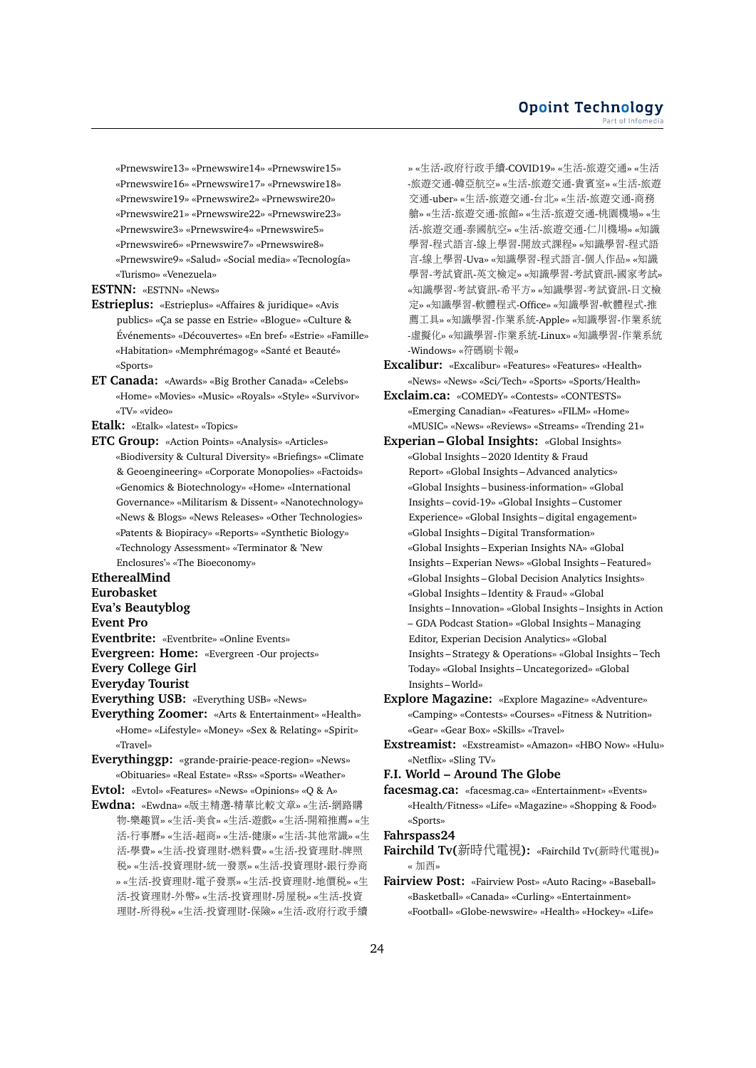«Prnewswire13» «Prnewswire14» «Prnewswire15» «Prnewswire16» «Prnewswire17» «Prnewswire18» «Prnewswire19» «Prnewswire2» «Prnewswire20» «Prnewswire21» «Prnewswire22» «Prnewswire23» «Prnewswire3» «Prnewswire4» «Prnewswire5» «Prnewswire6» «Prnewswire7» «Prnewswire8» «Prnewswire9» «Salud» «Social media» «Tecnología» «Turismo» «Venezuela»

**ESTNN:** «ESTNN» «News»

- **Estrieplus:** «Estrieplus» «Affaires & juridique» «Avis publics» «Ça se passe en Estrie» «Blogue» «Culture & Événements» «Découvertes» «En bref» «Estrie» «Famille» «Habitation» «Memphrémagog» «Santé et Beauté» «Sports»
- **ET Canada:** «Awards» «Big Brother Canada» «Celebs» «Home» «Movies» «Music» «Royals» «Style» «Survivor» «TV» «video»

**Etalk:** «Etalk» «latest» «Topics»

**ETC Group:** «Action Points» «Analysis» «Articles» «Biodiversity & Cultural Diversity» «Briefings» «Climate & Geoengineering» «Corporate Monopolies» «Factoids» «Genomics & Biotechnology» «Home» «International Governance» «Militarism & Dissent» «Nanotechnology» «News & Blogs» «News Releases» «Other Technologies» «Patents & Biopiracy» «Reports» «Synthetic Biology» «Technology Assessment» «Terminator & 'New Enclosures'» «The Bioeconomy»

**EtherealMind**

**Eurobasket**

**Eva's Beautyblog**

**Event Pro**

**Eventbrite:** «Eventbrite» «Online Events»

**Evergreen: Home:** «Evergreen -Our projects»

**Every College Girl**

**Everyday Tourist**

- **Everything USB:** «Everything USB» «News»
- **Everything Zoomer:** «Arts & Entertainment» «Health» «Home» «Lifestyle» «Money» «Sex & Relating» «Spirit» «Travel»
- **Everythinggp:** «grande-prairie-peace-region» «News» «Obituaries» «Real Estate» «Rss» «Sports» «Weather»

**Evtol:** «Evtol» «Features» «News» «Opinions» «Q & A»

**Ewdna:** «Ewdna» «版主精選-精華比較文章» «生活-網路<sup>購</sup> 物-樂趣買» «生活-美食» «生活-遊戲» «生活-開箱推薦» «生 <sup>活</sup>-行事曆» «生活-超商» «生活-健康» «生活-其他常識» «生 <sup>活</sup>-學費» «生活-投資理財-燃料費» «生活-投資理財-牌<sup>照</sup> <sup>稅</sup>» «生活-投資理財-統一發票» «生活-投資理財-銀行券<sup>商</sup> » «生活-投資理財-電子發票» «生活-投資理財-地價稅» «生 <sup>活</sup>-投資理財-外幣» «生活-投資理財-房屋稅» «生活-投<sup>資</sup> <sup>理</sup>財-所得稅» «生活-投資理財-保險» «生活-政府行政手<sup>續</sup>

» «生活-政府行政手續-COVID19» «生活-旅遊交通» «生<sup>活</sup> -旅遊交通-韓亞航空» «生活-旅遊交通-貴賓室» «生活-旅<sup>遊</sup> <sup>交</sup>通-uber» «生活-旅遊交通-台北» «生活-旅遊交通-商<sup>務</sup> <sup>艙</sup>» «生活-旅遊交通-旅館» «生活-旅遊交通-桃園機場» «生 <sup>活</sup>-旅遊交通-泰國航空» «生活-旅遊交通-仁川機場» «知<sup>識</sup> <sup>學</sup>習-程式語言-線上學習-開放式課程» «知識學習-程式<sup>語</sup> <sup>言</sup>-線上學習-Uva» «知識學習-程式語言-個人作品» «知<sup>識</sup> <sup>學</sup>習-考試資訊-英文檢定» «知識學習-考試資訊-國家考試» «知識學習-考試資訊-希平方» «知識學習-考試資訊-日文<sup>檢</sup> <sup>定</sup>» «知識學習-軟體程式-Office» «知識學習-軟體程式-<sup>推</sup> <sup>薦</sup>工具» «知識學習-作業系統-Apple» «知識學習-作業系<sup>統</sup> -虛擬化» «知識學習-作業系統-Linux» «知識學習-作業系<sup>統</sup> -Windows» «符碼刷卡報»

**Excalibur:** «Excalibur» «Features» «Features» «Health» «News» «News» «Sci/Tech» «Sports» «Sports/Health»

- **Exclaim.ca:** «COMEDY» «Contests» «CONTESTS» «Emerging Canadian» «Features» «FILM» «Home» «MUSIC» «News» «Reviews» «Streams» «Trending 21»
- **Experian Global Insights:** «Global Insights» «Global Insights – 2020 Identity & Fraud Report» «Global Insights – Advanced analytics» «Global Insights – business-information» «Global Insights – covid-19» «Global Insights – Customer Experience» «Global Insights – digital engagement» «Global Insights – Digital Transformation» «Global Insights – Experian Insights NA» «Global Insights – Experian News» «Global Insights – Featured» «Global Insights – Global Decision Analytics Insights» «Global Insights – Identity & Fraud» «Global Insights – Innovation» «Global Insights – Insights in Action – GDA Podcast Station» «Global Insights – Managing Editor, Experian Decision Analytics» «Global Insights – Strategy & Operations» «Global Insights – Tech Today» «Global Insights – Uncategorized» «Global Insights – World»
- **Explore Magazine:** «Explore Magazine» «Adventure» «Camping» «Contests» «Courses» «Fitness & Nutrition» «Gear» «Gear Box» «Skills» «Travel»

**Exstreamist:** «Exstreamist» «Amazon» «HBO Now» «Hulu» «Netflix» «Sling TV»

**F.I. World – Around The Globe**

**facesmag.ca:** «facesmag.ca» «Entertainment» «Events» «Health/Fitness» «Life» «Magazine» «Shopping & Food» «Sports»

**Fahrspass24**

- **Fairchild Tv(**新時代電視**):** «Fairchild Tv(新時代電視)» « <sup>加</sup>西»
- **Fairview Post:** «Fairview Post» «Auto Racing» «Baseball» «Basketball» «Canada» «Curling» «Entertainment» «Football» «Globe-newswire» «Health» «Hockey» «Life»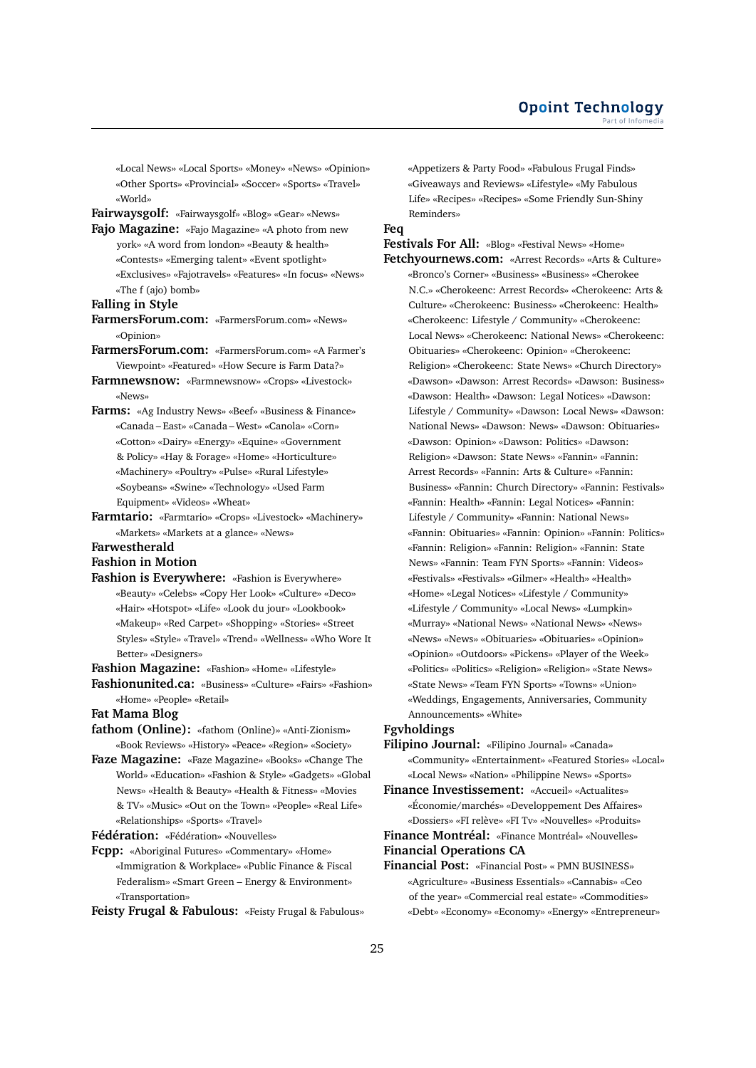«Local News» «Local Sports» «Money» «News» «Opinion» «Other Sports» «Provincial» «Soccer» «Sports» «Travel» «World»

**Fairwaysgolf:** «Fairwaysgolf» «Blog» «Gear» «News»

**Fajo Magazine:** «Fajo Magazine» «A photo from new york» «A word from london» «Beauty & health» «Contests» «Emerging talent» «Event spotlight» «Exclusives» «Fajotravels» «Features» «In focus» «News» «The f (ajo) bomb»

### **Falling in Style**

- **FarmersForum.com:** «FarmersForum.com» «News» «Opinion»
- **FarmersForum.com:** «FarmersForum.com» «A Farmer's Viewpoint» «Featured» «How Secure is Farm Data?»
- **Farmnewsnow:** «Farmnewsnow» «Crops» «Livestock» «News»
- **Farms:** «Ag Industry News» «Beef» «Business & Finance» «Canada – East» «Canada – West» «Canola» «Corn» «Cotton» «Dairy» «Energy» «Equine» «Government & Policy» «Hay & Forage» «Home» «Horticulture» «Machinery» «Poultry» «Pulse» «Rural Lifestyle» «Soybeans» «Swine» «Technology» «Used Farm Equipment» «Videos» «Wheat»
- **Farmtario:** «Farmtario» «Crops» «Livestock» «Machinery» «Markets» «Markets at a glance» «News»

# **Farwestherald**

**Fashion in Motion**

**Fashion is Everywhere:** «Fashion is Everywhere» «Beauty» «Celebs» «Copy Her Look» «Culture» «Deco» «Hair» «Hotspot» «Life» «Look du jour» «Lookbook» «Makeup» «Red Carpet» «Shopping» «Stories» «Street Styles» «Style» «Travel» «Trend» «Wellness» «Who Wore It Better» «Designers»

**Fashion Magazine:** «Fashion» «Home» «Lifestyle»

**Fashionunited.ca:** «Business» «Culture» «Fairs» «Fashion» «Home» «People» «Retail»

# **Fat Mama Blog**

- **fathom (Online):** «fathom (Online)» «Anti-Zionism» «Book Reviews» «History» «Peace» «Region» «Society»
- **Faze Magazine:** «Faze Magazine» «Books» «Change The World» «Education» «Fashion & Style» «Gadgets» «Global News» «Health & Beauty» «Health & Fitness» «Movies & TV» «Music» «Out on the Town» «People» «Real Life» «Relationships» «Sports» «Travel»

**Fédération:** «Fédération» «Nouvelles»

**Fcpp:** «Aboriginal Futures» «Commentary» «Home» «Immigration & Workplace» «Public Finance & Fiscal Federalism» «Smart Green – Energy & Environment» «Transportation»

**Feisty Frugal & Fabulous:** «Feisty Frugal & Fabulous»

«Appetizers & Party Food» «Fabulous Frugal Finds» «Giveaways and Reviews» «Lifestyle» «My Fabulous Life» «Recipes» «Recipes» «Some Friendly Sun-Shiny Reminders»

# **Feq**

**Festivals For All:** «Blog» «Festival News» «Home» **Fetchyournews.com:** «Arrest Records» «Arts & Culture» «Bronco's Corner» «Business» «Business» «Cherokee N.C.» «Cherokeenc: Arrest Records» «Cherokeenc: Arts & Culture» «Cherokeenc: Business» «Cherokeenc: Health» «Cherokeenc: Lifestyle / Community» «Cherokeenc: Local News» «Cherokeenc: National News» «Cherokeenc: Obituaries» «Cherokeenc: Opinion» «Cherokeenc: Religion» «Cherokeenc: State News» «Church Directory» «Dawson» «Dawson: Arrest Records» «Dawson: Business» «Dawson: Health» «Dawson: Legal Notices» «Dawson: Lifestyle / Community» «Dawson: Local News» «Dawson: National News» «Dawson: News» «Dawson: Obituaries» «Dawson: Opinion» «Dawson: Politics» «Dawson: Religion» «Dawson: State News» «Fannin» «Fannin: Arrest Records» «Fannin: Arts & Culture» «Fannin: Business» «Fannin: Church Directory» «Fannin: Festivals» «Fannin: Health» «Fannin: Legal Notices» «Fannin: Lifestyle / Community» «Fannin: National News» «Fannin: Obituaries» «Fannin: Opinion» «Fannin: Politics» «Fannin: Religion» «Fannin: Religion» «Fannin: State News» «Fannin: Team FYN Sports» «Fannin: Videos» «Festivals» «Festivals» «Gilmer» «Health» «Health» «Home» «Legal Notices» «Lifestyle / Community» «Lifestyle / Community» «Local News» «Lumpkin» «Murray» «National News» «National News» «News» «News» «News» «Obituaries» «Obituaries» «Opinion» «Opinion» «Outdoors» «Pickens» «Player of the Week» «Politics» «Politics» «Religion» «Religion» «State News» «State News» «Team FYN Sports» «Towns» «Union» «Weddings, Engagements, Anniversaries, Community Announcements» «White»

# **Fgvholdings**

**Filipino Journal:** «Filipino Journal» «Canada» «Community» «Entertainment» «Featured Stories» «Local» «Local News» «Nation» «Philippine News» «Sports»

**Finance Investissement:** «Accueil» «Actualites» «Économie/marchés» «Developpement Des Affaires» «Dossiers» «FI relève» «FI Tv» «Nouvelles» «Produits»

- **Finance Montréal:** «Finance Montréal» «Nouvelles» **Financial Operations CA**
- **Financial Post:** «Financial Post» « PMN BUSINESS» «Agriculture» «Business Essentials» «Cannabis» «Ceo of the year» «Commercial real estate» «Commodities» «Debt» «Economy» «Economy» «Energy» «Entrepreneur»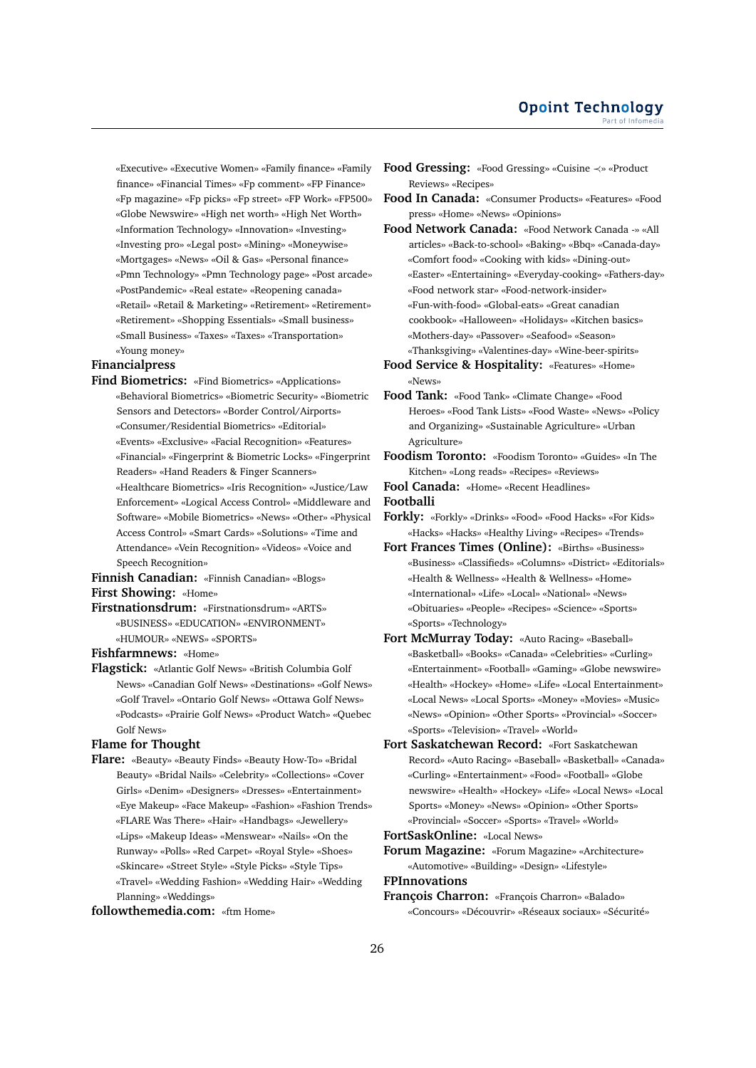«Executive» «Executive Women» «Family finance» «Family finance» «Financial Times» «Fp comment» «FP Finance» «Fp magazine» «Fp picks» «Fp street» «FP Work» «FP500» «Globe Newswire» «High net worth» «High Net Worth» «Information Technology» «Innovation» «Investing» «Investing pro» «Legal post» «Mining» «Moneywise» «Mortgages» «News» «Oil & Gas» «Personal finance» «Pmn Technology» «Pmn Technology page» «Post arcade» «PostPandemic» «Real estate» «Reopening canada» «Retail» «Retail & Marketing» «Retirement» «Retirement» «Retirement» «Shopping Essentials» «Small business» «Small Business» «Taxes» «Taxes» «Transportation» «Young money»

#### **Financialpress**

- **Find Biometrics:** «Find Biometrics» «Applications» «Behavioral Biometrics» «Biometric Security» «Biometric Sensors and Detectors» «Border Control/Airports» «Consumer/Residential Biometrics» «Editorial» «Events» «Exclusive» «Facial Recognition» «Features» «Financial» «Fingerprint & Biometric Locks» «Fingerprint Readers» «Hand Readers & Finger Scanners» «Healthcare Biometrics» «Iris Recognition» «Justice/Law Enforcement» «Logical Access Control» «Middleware and Software» «Mobile Biometrics» «News» «Other» «Physical Access Control» «Smart Cards» «Solutions» «Time and Attendance» «Vein Recognition» «Videos» «Voice and Speech Recognition»
- **Finnish Canadian:** «Finnish Canadian» «Blogs» **First Showing:** «Home»
- **Firstnationsdrum:** «Firstnationsdrum» «ARTS» «BUSINESS» «EDUCATION» «ENVIRONMENT» «HUMOUR» «NEWS» «SPORTS»

**Fishfarmnews:** «Home»

**Flagstick:** «Atlantic Golf News» «British Columbia Golf News» «Canadian Golf News» «Destinations» «Golf News» «Golf Travel» «Ontario Golf News» «Ottawa Golf News» «Podcasts» «Prairie Golf News» «Product Watch» «Quebec Golf News»

#### **Flame for Thought**

**Flare:** «Beauty» «Beauty Finds» «Beauty How-To» «Bridal Beauty» «Bridal Nails» «Celebrity» «Collections» «Cover Girls» «Denim» «Designers» «Dresses» «Entertainment» «Eye Makeup» «Face Makeup» «Fashion» «Fashion Trends» «FLARE Was There» «Hair» «Handbags» «Jewellery» «Lips» «Makeup Ideas» «Menswear» «Nails» «On the Runway» «Polls» «Red Carpet» «Royal Style» «Shoes» «Skincare» «Street Style» «Style Picks» «Style Tips» «Travel» «Wedding Fashion» «Wedding Hair» «Wedding Planning» «Weddings»

# **followthemedia.com:** «ftm Home»

- **Food Gressing:** «Food Gressing» «Cuisine ≺» «Product Reviews» «Recipes»
- **Food In Canada:** «Consumer Products» «Features» «Food press» «Home» «News» «Opinions»
- **Food Network Canada:** «Food Network Canada -» «All articles» «Back-to-school» «Baking» «Bbq» «Canada-day» «Comfort food» «Cooking with kids» «Dining-out» «Easter» «Entertaining» «Everyday-cooking» «Fathers-day» «Food network star» «Food-network-insider» «Fun-with-food» «Global-eats» «Great canadian cookbook» «Halloween» «Holidays» «Kitchen basics» «Mothers-day» «Passover» «Seafood» «Season» «Thanksgiving» «Valentines-day» «Wine-beer-spirits»
- **Food Service & Hospitality:** «Features» «Home» «News»
- **Food Tank:** «Food Tank» «Climate Change» «Food Heroes» «Food Tank Lists» «Food Waste» «News» «Policy and Organizing» «Sustainable Agriculture» «Urban Agriculture»
- **Foodism Toronto:** «Foodism Toronto» «Guides» «In The Kitchen» «Long reads» «Recipes» «Reviews»
- **Fool Canada:** «Home» «Recent Headlines»

**Footballi**

- **Forkly:** «Forkly» «Drinks» «Food» «Food Hacks» «For Kids» «Hacks» «Hacks» «Healthy Living» «Recipes» «Trends»
- **Fort Frances Times (Online):** «Births» «Business» «Business» «Classifieds» «Columns» «District» «Editorials» «Health & Wellness» «Health & Wellness» «Home» «International» «Life» «Local» «National» «News» «Obituaries» «People» «Recipes» «Science» «Sports» «Sports» «Technology»
- **Fort McMurray Today:** «Auto Racing» «Baseball» «Basketball» «Books» «Canada» «Celebrities» «Curling» «Entertainment» «Football» «Gaming» «Globe newswire» «Health» «Hockey» «Home» «Life» «Local Entertainment» «Local News» «Local Sports» «Money» «Movies» «Music» «News» «Opinion» «Other Sports» «Provincial» «Soccer» «Sports» «Television» «Travel» «World»
- **Fort Saskatchewan Record:** «Fort Saskatchewan Record» «Auto Racing» «Baseball» «Basketball» «Canada» «Curling» «Entertainment» «Food» «Football» «Globe newswire» «Health» «Hockey» «Life» «Local News» «Local Sports» «Money» «News» «Opinion» «Other Sports» «Provincial» «Soccer» «Sports» «Travel» «World»

**FortSaskOnline:** «Local News»

**Forum Magazine:** «Forum Magazine» «Architecture» «Automotive» «Building» «Design» «Lifestyle»

**FPInnovations**

**François Charron:** «François Charron» «Balado» «Concours» «Découvrir» «Réseaux sociaux» «Sécurité»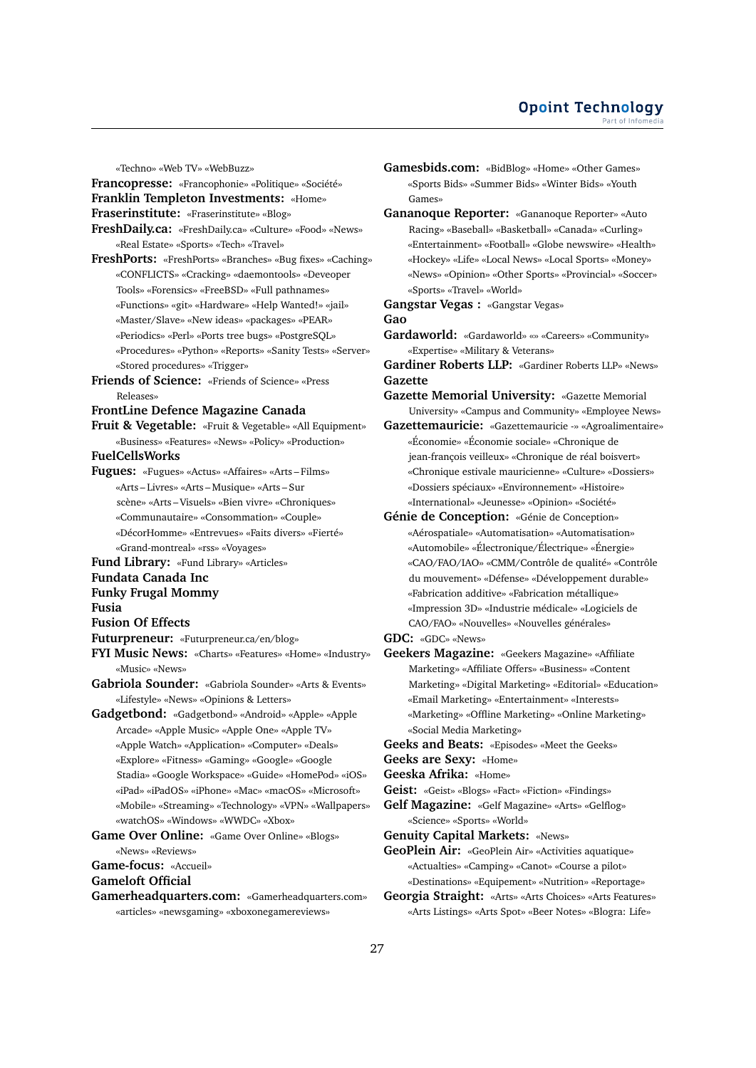«Techno» «Web TV» «WebBuzz»

**Francopresse:** «Francophonie» «Politique» «Société» **Franklin Templeton Investments:** «Home»

**Fraserinstitute:** «Fraserinstitute» «Blog»

**FreshDaily.ca:** «FreshDaily.ca» «Culture» «Food» «News» «Real Estate» «Sports» «Tech» «Travel»

- **FreshPorts:** «FreshPorts» «Branches» «Bug fixes» «Caching» «CONFLICTS» «Cracking» «daemontools» «Deveoper Tools» «Forensics» «FreeBSD» «Full pathnames» «Functions» «git» «Hardware» «Help Wanted!» «jail» «Master/Slave» «New ideas» «packages» «PEAR» «Periodics» «Perl» «Ports tree bugs» «PostgreSQL» «Procedures» «Python» «Reports» «Sanity Tests» «Server» «Stored procedures» «Trigger»
- **Friends of Science:** «Friends of Science» «Press Releases»

# **FrontLine Defence Magazine Canada**

**Fruit & Vegetable:** «Fruit & Vegetable» «All Equipment» «Business» «Features» «News» «Policy» «Production»

### **FuelCellsWorks**

**Fugues:** «Fugues» «Actus» «Affaires» «Arts – Films» «Arts – Livres» «Arts – Musique» «Arts – Sur scène» «Arts – Visuels» «Bien vivre» «Chroniques» «Communautaire» «Consommation» «Couple» «DécorHomme» «Entrevues» «Faits divers» «Fierté» «Grand-montreal» «rss» «Voyages»

**Fund Library:** «Fund Library» «Articles»

# **Fundata Canada Inc**

# **Funky Frugal Mommy**

**Fusia**

- **Fusion Of Effects**
- **Futurpreneur:** «Futurpreneur.ca/en/blog»
- **FYI Music News:** «Charts» «Features» «Home» «Industry» «Music» «News»
- **Gabriola Sounder:** «Gabriola Sounder» «Arts & Events» «Lifestyle» «News» «Opinions & Letters»
- **Gadgetbond:** «Gadgetbond» «Android» «Apple» «Apple Arcade» «Apple Music» «Apple One» «Apple TV» «Apple Watch» «Application» «Computer» «Deals» «Explore» «Fitness» «Gaming» «Google» «Google Stadia» «Google Workspace» «Guide» «HomePod» «iOS» «iPad» «iPadOS» «iPhone» «Mac» «macOS» «Microsoft» «Mobile» «Streaming» «Technology» «VPN» «Wallpapers» «watchOS» «Windows» «WWDC» «Xbox»

**Game Over Online:** «Game Over Online» «Blogs» «News» «Reviews»

# **Game-focus:** «Accueil»

### **Gameloft Official**

**Gamerheadquarters.com:** «Gamerheadquarters.com» «articles» «newsgaming» «xboxonegamereviews»

- **Gamesbids.com:** «BidBlog» «Home» «Other Games» «Sports Bids» «Summer Bids» «Winter Bids» «Youth Games»
- **Gananoque Reporter:** «Gananoque Reporter» «Auto Racing» «Baseball» «Basketball» «Canada» «Curling» «Entertainment» «Football» «Globe newswire» «Health» «Hockey» «Life» «Local News» «Local Sports» «Money» «News» «Opinion» «Other Sports» «Provincial» «Soccer» «Sports» «Travel» «World»

#### **Gangstar Vegas :** «Gangstar Vegas» **Gao**

- **Gardaworld:** «Gardaworld» «» «Careers» «Community» «Expertise» «Military & Veterans»
- **Gardiner Roberts LLP:** «Gardiner Roberts LLP» «News» **Gazette**
- **Gazette Memorial University:** «Gazette Memorial University» «Campus and Community» «Employee News»
- **Gazettemauricie:** «Gazettemauricie -» «Agroalimentaire» «Économie» «Économie sociale» «Chronique de jean-françois veilleux» «Chronique de réal boisvert» «Chronique estivale mauricienne» «Culture» «Dossiers» «Dossiers spéciaux» «Environnement» «Histoire» «International» «Jeunesse» «Opinion» «Société»
- **Génie de Conception:** «Génie de Conception» «Aérospatiale» «Automatisation» «Automatisation» «Automobile» «Électronique/Électrique» «Énergie» «CAO/FAO/IAO» «CMM/Contrôle de qualité» «Contrôle du mouvement» «Défense» «Développement durable» «Fabrication additive» «Fabrication métallique» «Impression 3D» «Industrie médicale» «Logiciels de CAO/FAO» «Nouvelles» «Nouvelles générales»
- **GDC:** «GDC» «News»
- **Geekers Magazine:** «Geekers Magazine» «Affiliate Marketing» «Affiliate Offers» «Business» «Content Marketing» «Digital Marketing» «Editorial» «Education» «Email Marketing» «Entertainment» «Interests» «Marketing» «Offline Marketing» «Online Marketing» «Social Media Marketing»
- **Geeks and Beats:** «Episodes» «Meet the Geeks»

**Geeks are Sexy:** «Home»

**Geeska Afrika:** «Home»

- **Geist:** «Geist» «Blogs» «Fact» «Fiction» «Findings»
- **Gelf Magazine:** «Gelf Magazine» «Arts» «Gelflog» «Science» «Sports» «World»

**Genuity Capital Markets:** «News»

- **GeoPlein Air:** «GeoPlein Air» «Activities aquatique» «Actualties» «Camping» «Canot» «Course a pilot» «Destinations» «Equipement» «Nutrition» «Reportage»
- **Georgia Straight:** «Arts» «Arts Choices» «Arts Features» «Arts Listings» «Arts Spot» «Beer Notes» «Blogra: Life»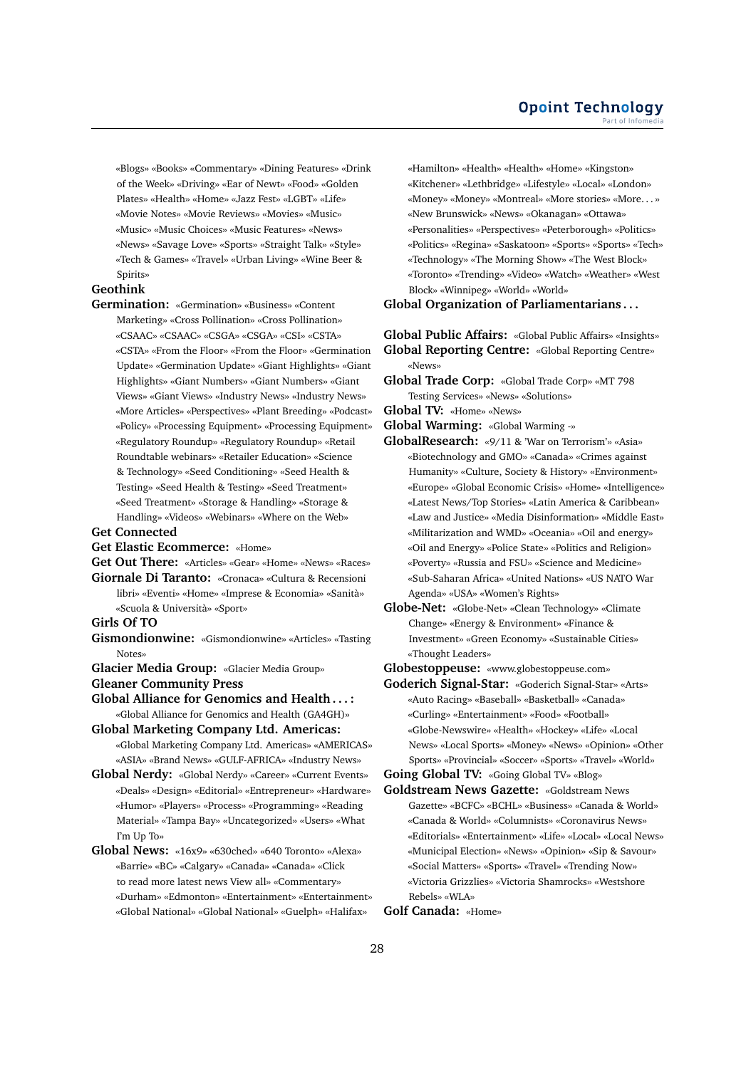«Blogs» «Books» «Commentary» «Dining Features» «Drink of the Week» «Driving» «Ear of Newt» «Food» «Golden Plates» «Health» «Home» «Jazz Fest» «LGBT» «Life» «Movie Notes» «Movie Reviews» «Movies» «Music» «Music» «Music Choices» «Music Features» «News» «News» «Savage Love» «Sports» «Straight Talk» «Style» «Tech & Games» «Travel» «Urban Living» «Wine Beer & Spirits»

# **Geothink**

- **Germination:** «Germination» «Business» «Content Marketing» «Cross Pollination» «Cross Pollination» «CSAAC» «CSAAC» «CSGA» «CSGA» «CSI» «CSTA» «CSTA» «From the Floor» «From the Floor» «Germination Update» «Germination Update» «Giant Highlights» «Giant Highlights» «Giant Numbers» «Giant Numbers» «Giant Views» «Giant Views» «Industry News» «Industry News» «More Articles» «Perspectives» «Plant Breeding» «Podcast» «Policy» «Processing Equipment» «Processing Equipment» «Regulatory Roundup» «Regulatory Roundup» «Retail Roundtable webinars» «Retailer Education» «Science & Technology» «Seed Conditioning» «Seed Health & Testing» «Seed Health & Testing» «Seed Treatment» «Seed Treatment» «Storage & Handling» «Storage & Handling» «Videos» «Webinars» «Where on the Web»
- **Get Connected**
- **Get Elastic Ecommerce:** «Home»

**Get Out There:** «Articles» «Gear» «Home» «News» «Races»

- **Giornale Di Taranto:** «Cronaca» «Cultura & Recensioni libri» «Eventi» «Home» «Imprese & Economia» «Sanità» «Scuola & Università» «Sport»
- **Girls Of TO**
- **Gismondionwine:** «Gismondionwine» «Articles» «Tasting Notes»

**Glacier Media Group:** «Glacier Media Group»

**Gleaner Community Press**

- **Global Alliance for Genomics and Health . . . :** «Global Alliance for Genomics and Health (GA4GH)»
- **Global Marketing Company Ltd. Americas:** «Global Marketing Company Ltd. Americas» «AMERICAS» «ASIA» «Brand News» «GULF-AFRICA» «Industry News»
- **Global Nerdy:** «Global Nerdy» «Career» «Current Events» «Deals» «Design» «Editorial» «Entrepreneur» «Hardware» «Humor» «Players» «Process» «Programming» «Reading Material» «Tampa Bay» «Uncategorized» «Users» «What I'm Up To»
- **Global News:** «16x9» «630ched» «640 Toronto» «Alexa» «Barrie» «BC» «Calgary» «Canada» «Canada» «Click to read more latest news View all» «Commentary» «Durham» «Edmonton» «Entertainment» «Entertainment» «Global National» «Global National» «Guelph» «Halifax»

«Hamilton» «Health» «Health» «Home» «Kingston» «Kitchener» «Lethbridge» «Lifestyle» «Local» «London» «Money» «Money» «Montreal» «More stories» «More. . . » «New Brunswick» «News» «Okanagan» «Ottawa» «Personalities» «Perspectives» «Peterborough» «Politics» «Politics» «Regina» «Saskatoon» «Sports» «Sports» «Tech» «Technology» «The Morning Show» «The West Block» «Toronto» «Trending» «Video» «Watch» «Weather» «West Block» «Winnipeg» «World» «World»

#### **Global Organization of Parliamentarians . . .**

- **Global Public Affairs:** «Global Public Affairs» «Insights» **Global Reporting Centre:** «Global Reporting Centre» «News»
- **Global Trade Corp:** «Global Trade Corp» «MT 798 Testing Services» «News» «Solutions»
- **Global TV:** «Home» «News»
- **Global Warming:** «Global Warming -»
- **GlobalResearch:** «9/11 & 'War on Terrorism'» «Asia» «Biotechnology and GMO» «Canada» «Crimes against Humanity» «Culture, Society & History» «Environment» «Europe» «Global Economic Crisis» «Home» «Intelligence» «Latest News/Top Stories» «Latin America & Caribbean» «Law and Justice» «Media Disinformation» «Middle East» «Militarization and WMD» «Oceania» «Oil and energy» «Oil and Energy» «Police State» «Politics and Religion» «Poverty» «Russia and FSU» «Science and Medicine» «Sub-Saharan Africa» «United Nations» «US NATO War Agenda» «USA» «Women's Rights»
- **Globe-Net:** «Globe-Net» «Clean Technology» «Climate Change» «Energy & Environment» «Finance & Investment» «Green Economy» «Sustainable Cities» «Thought Leaders»

**Globestoppeuse:** «www.globestoppeuse.com»

**Goderich Signal-Star:** «Goderich Signal-Star» «Arts» «Auto Racing» «Baseball» «Basketball» «Canada» «Curling» «Entertainment» «Food» «Football» «Globe-Newswire» «Health» «Hockey» «Life» «Local News» «Local Sports» «Money» «News» «Opinion» «Other Sports» «Provincial» «Soccer» «Sports» «Travel» «World»

**Going Global TV:** «Going Global TV» «Blog»

**Goldstream News Gazette:** «Goldstream News Gazette» «BCFC» «BCHL» «Business» «Canada & World» «Canada & World» «Columnists» «Coronavirus News» «Editorials» «Entertainment» «Life» «Local» «Local News» «Municipal Election» «News» «Opinion» «Sip & Savour» «Social Matters» «Sports» «Travel» «Trending Now» «Victoria Grizzlies» «Victoria Shamrocks» «Westshore Rebels» «WLA»

**Golf Canada:** «Home»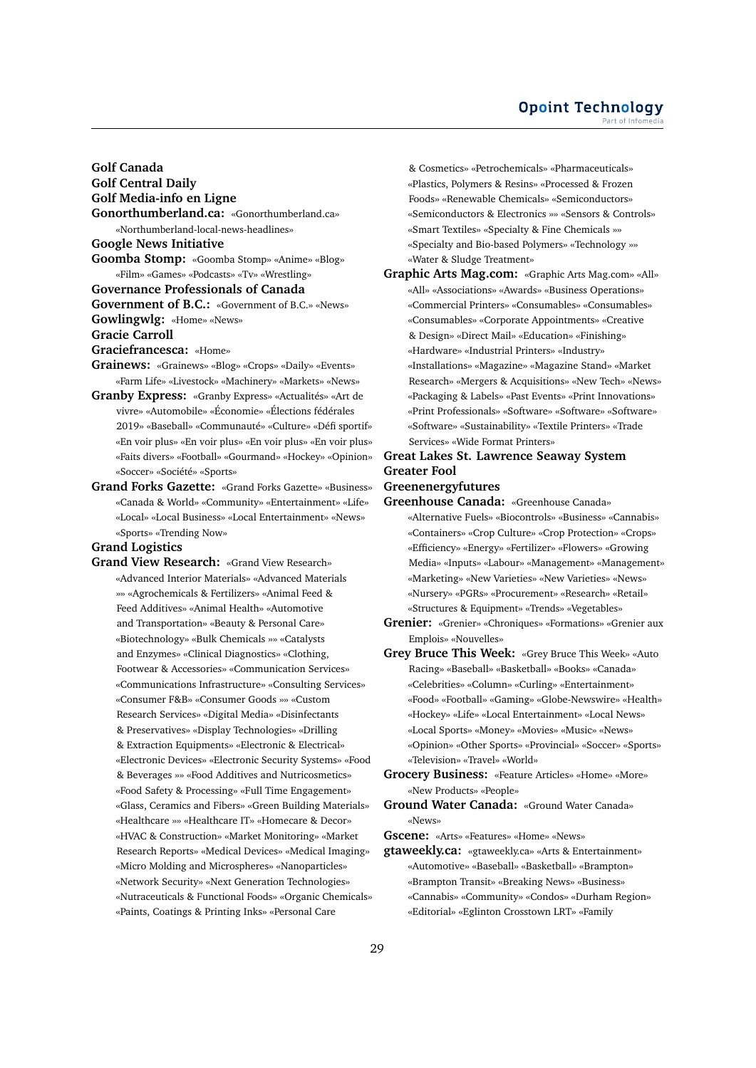#### **Opoint Technology** Part of Infomer

**Golf Canada Golf Central Daily Golf Media-info en Ligne Gonorthumberland.ca:** «Gonorthumberland.ca» «Northumberland-local-news-headlines» **Google News Initiative Goomba Stomp:** «Goomba Stomp» «Anime» «Blog» «Film» «Games» «Podcasts» «Tv» «Wrestling» **Governance Professionals of Canada Government of B.C.:** «Government of B.C.» «News» **Gowlingwlg:** «Home» «News» **Gracie Carroll Graciefrancesca:** «Home» **Grainews:** «Grainews» «Blog» «Crops» «Daily» «Events»

- «Farm Life» «Livestock» «Machinery» «Markets» «News»
- **Granby Express:** «Granby Express» «Actualités» «Art de vivre» «Automobile» «Économie» «Élections fédérales 2019» «Baseball» «Communauté» «Culture» «Défi sportif» «En voir plus» «En voir plus» «En voir plus» «En voir plus» «Faits divers» «Football» «Gourmand» «Hockey» «Opinion» «Soccer» «Société» «Sports»
- **Grand Forks Gazette:** «Grand Forks Gazette» «Business» «Canada & World» «Community» «Entertainment» «Life» «Local» «Local Business» «Local Entertainment» «News» «Sports» «Trending Now»

# **Grand Logistics**

**Grand View Research:** «Grand View Research» «Advanced Interior Materials» «Advanced Materials »» «Agrochemicals & Fertilizers» «Animal Feed & Feed Additives» «Animal Health» «Automotive and Transportation» «Beauty & Personal Care» «Biotechnology» «Bulk Chemicals »» «Catalysts and Enzymes» «Clinical Diagnostics» «Clothing, Footwear & Accessories» «Communication Services» «Communications Infrastructure» «Consulting Services» «Consumer F&B» «Consumer Goods »» «Custom Research Services» «Digital Media» «Disinfectants & Preservatives» «Display Technologies» «Drilling & Extraction Equipments» «Electronic & Electrical» «Electronic Devices» «Electronic Security Systems» «Food & Beverages »» «Food Additives and Nutricosmetics» «Food Safety & Processing» «Full Time Engagement» «Glass, Ceramics and Fibers» «Green Building Materials» «Healthcare »» «Healthcare IT» «Homecare & Decor» «HVAC & Construction» «Market Monitoring» «Market Research Reports» «Medical Devices» «Medical Imaging» «Micro Molding and Microspheres» «Nanoparticles» «Network Security» «Next Generation Technologies» «Nutraceuticals & Functional Foods» «Organic Chemicals» «Paints, Coatings & Printing Inks» «Personal Care

& Cosmetics» «Petrochemicals» «Pharmaceuticals» «Plastics, Polymers & Resins» «Processed & Frozen Foods» «Renewable Chemicals» «Semiconductors» «Semiconductors & Electronics »» «Sensors & Controls» «Smart Textiles» «Specialty & Fine Chemicals »» «Specialty and Bio-based Polymers» «Technology »» «Water & Sludge Treatment»

- **Graphic Arts Mag.com:** «Graphic Arts Mag.com» «All» «All» «Associations» «Awards» «Business Operations» «Commercial Printers» «Consumables» «Consumables» «Consumables» «Corporate Appointments» «Creative & Design» «Direct Mail» «Education» «Finishing» «Hardware» «Industrial Printers» «Industry» «Installations» «Magazine» «Magazine Stand» «Market Research» «Mergers & Acquisitions» «New Tech» «News» «Packaging & Labels» «Past Events» «Print Innovations» «Print Professionals» «Software» «Software» «Software» «Software» «Sustainability» «Textile Printers» «Trade Services» «Wide Format Printers»
- **Great Lakes St. Lawrence Seaway System Greater Fool**

#### **Greenenergyfutures**

- **Greenhouse Canada:** «Greenhouse Canada» «Alternative Fuels» «Biocontrols» «Business» «Cannabis» «Containers» «Crop Culture» «Crop Protection» «Crops» «Efficiency» «Energy» «Fertilizer» «Flowers» «Growing Media» «Inputs» «Labour» «Management» «Management» «Marketing» «New Varieties» «New Varieties» «News» «Nursery» «PGRs» «Procurement» «Research» «Retail» «Structures & Equipment» «Trends» «Vegetables»
- **Grenier:** «Grenier» «Chroniques» «Formations» «Grenier aux Emplois» «Nouvelles»
- **Grey Bruce This Week:** «Grey Bruce This Week» «Auto Racing» «Baseball» «Basketball» «Books» «Canada» «Celebrities» «Column» «Curling» «Entertainment» «Food» «Football» «Gaming» «Globe-Newswire» «Health» «Hockey» «Life» «Local Entertainment» «Local News» «Local Sports» «Money» «Movies» «Music» «News» «Opinion» «Other Sports» «Provincial» «Soccer» «Sports» «Television» «Travel» «World»
- **Grocery Business:** «Feature Articles» «Home» «More» «New Products» «People»
- **Ground Water Canada:** «Ground Water Canada» «News»

**Gscene:** «Arts» «Features» «Home» «News»

**gtaweekly.ca:** «gtaweekly.ca» «Arts & Entertainment» «Automotive» «Baseball» «Basketball» «Brampton» «Brampton Transit» «Breaking News» «Business» «Cannabis» «Community» «Condos» «Durham Region» «Editorial» «Eglinton Crosstown LRT» «Family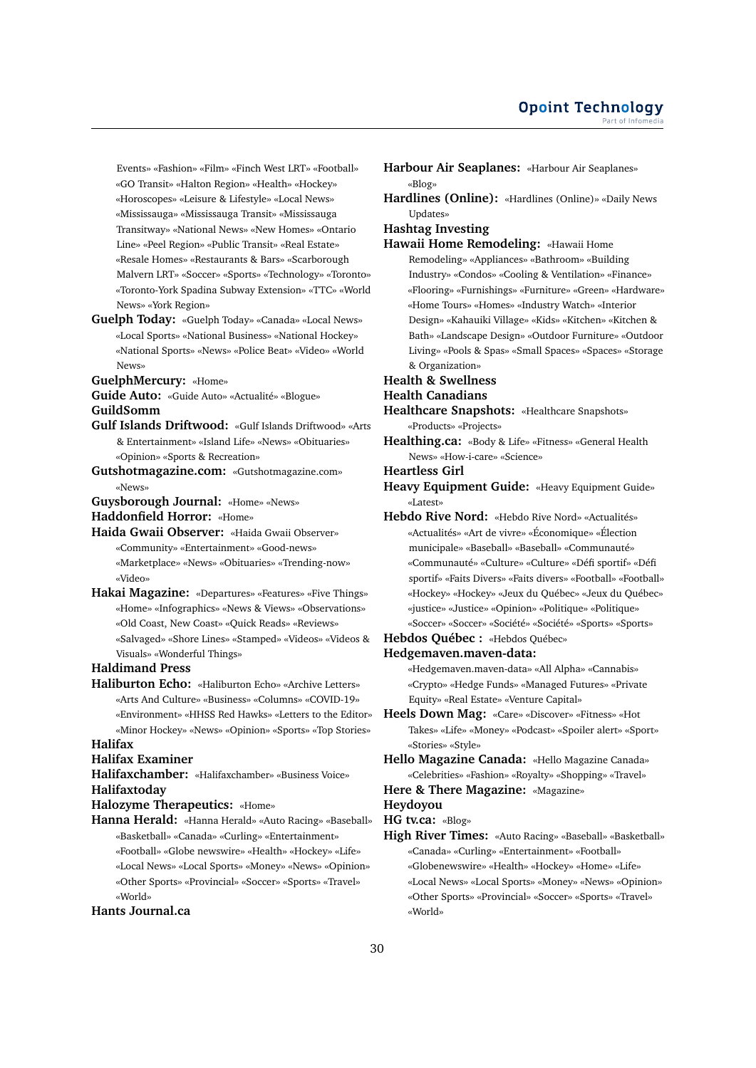Events» «Fashion» «Film» «Finch West LRT» «Football» «GO Transit» «Halton Region» «Health» «Hockey» «Horoscopes» «Leisure & Lifestyle» «Local News» «Mississauga» «Mississauga Transit» «Mississauga Transitway» «National News» «New Homes» «Ontario Line» «Peel Region» «Public Transit» «Real Estate» «Resale Homes» «Restaurants & Bars» «Scarborough Malvern LRT» «Soccer» «Sports» «Technology» «Toronto» «Toronto-York Spadina Subway Extension» «TTC» «World News» «York Region»

**Guelph Today:** «Guelph Today» «Canada» «Local News» «Local Sports» «National Business» «National Hockey» «National Sports» «News» «Police Beat» «Video» «World News»

**GuelphMercury:** «Home»

**Guide Auto:** «Guide Auto» «Actualité» «Blogue»

**GuildSomm**

- **Gulf Islands Driftwood:** «Gulf Islands Driftwood» «Arts & Entertainment» «Island Life» «News» «Obituaries» «Opinion» «Sports & Recreation»
- **Gutshotmagazine.com:** «Gutshotmagazine.com» «News»
- **Guysborough Journal:** «Home» «News»

**Haddonfield Horror:** «Home»

**Haida Gwaii Observer:** «Haida Gwaii Observer» «Community» «Entertainment» «Good-news» «Marketplace» «News» «Obituaries» «Trending-now»

«Video»

**Hakai Magazine:** «Departures» «Features» «Five Things» «Home» «Infographics» «News & Views» «Observations» «Old Coast, New Coast» «Quick Reads» «Reviews» «Salvaged» «Shore Lines» «Stamped» «Videos» «Videos & Visuals» «Wonderful Things»

**Haldimand Press**

**Haliburton Echo:** «Haliburton Echo» «Archive Letters» «Arts And Culture» «Business» «Columns» «COVID-19» «Environment» «HHSS Red Hawks» «Letters to the Editor» «Minor Hockey» «News» «Opinion» «Sports» «Top Stories»

# **Halifax**

**Halifax Examiner**

**Halifaxchamber:** «Halifaxchamber» «Business Voice» **Halifaxtoday**

**Halozyme Therapeutics:** «Home»

**Hanna Herald:** «Hanna Herald» «Auto Racing» «Baseball» «Basketball» «Canada» «Curling» «Entertainment» «Football» «Globe newswire» «Health» «Hockey» «Life» «Local News» «Local Sports» «Money» «News» «Opinion» «Other Sports» «Provincial» «Soccer» «Sports» «Travel» «World»

#### **Hants Journal.ca**

**Harbour Air Seaplanes:** «Harbour Air Seaplanes» «Blog»

**Hardlines (Online):** «Hardlines (Online)» «Daily News Updates»

**Hashtag Investing**

**Hawaii Home Remodeling:** «Hawaii Home

Remodeling» «Appliances» «Bathroom» «Building Industry» «Condos» «Cooling & Ventilation» «Finance» «Flooring» «Furnishings» «Furniture» «Green» «Hardware» «Home Tours» «Homes» «Industry Watch» «Interior Design» «Kahauiki Village» «Kids» «Kitchen» «Kitchen & Bath» «Landscape Design» «Outdoor Furniture» «Outdoor Living» «Pools & Spas» «Small Spaces» «Spaces» «Storage & Organization»

# **Health & Swellness**

**Health Canadians**

**Healthcare Snapshots:** «Healthcare Snapshots» «Products» «Projects»

**Healthing.ca:** «Body & Life» «Fitness» «General Health News» «How-i-care» «Science»

**Heartless Girl**

- **Heavy Equipment Guide:** «Heavy Equipment Guide» «Latest»
- **Hebdo Rive Nord:** «Hebdo Rive Nord» «Actualités» «Actualités» «Art de vivre» «Économique» «Élection municipale» «Baseball» «Baseball» «Communauté» «Communauté» «Culture» «Culture» «Défi sportif» «Défi sportif» «Faits Divers» «Faits divers» «Football» «Football» «Hockey» «Hockey» «Jeux du Québec» «Jeux du Québec» «justice» «Justice» «Opinion» «Politique» «Politique» «Soccer» «Soccer» «Société» «Société» «Sports» «Sports»
- **Hebdos Québec :** «Hebdos Québec»
- **Hedgemaven.maven-data:**

«Hedgemaven.maven-data» «All Alpha» «Cannabis» «Crypto» «Hedge Funds» «Managed Futures» «Private Equity» «Real Estate» «Venture Capital»

- **Heels Down Mag:** «Care» «Discover» «Fitness» «Hot Takes» «Life» «Money» «Podcast» «Spoiler alert» «Sport» «Stories» «Style»
- **Hello Magazine Canada:** «Hello Magazine Canada» «Celebrities» «Fashion» «Royalty» «Shopping» «Travel»
- **Here & There Magazine:** «Magazine»

**Heydoyou**

**HG tv.ca:** «Blog»

**High River Times:** «Auto Racing» «Baseball» «Basketball» «Canada» «Curling» «Entertainment» «Football» «Globenewswire» «Health» «Hockey» «Home» «Life» «Local News» «Local Sports» «Money» «News» «Opinion» «Other Sports» «Provincial» «Soccer» «Sports» «Travel» «World»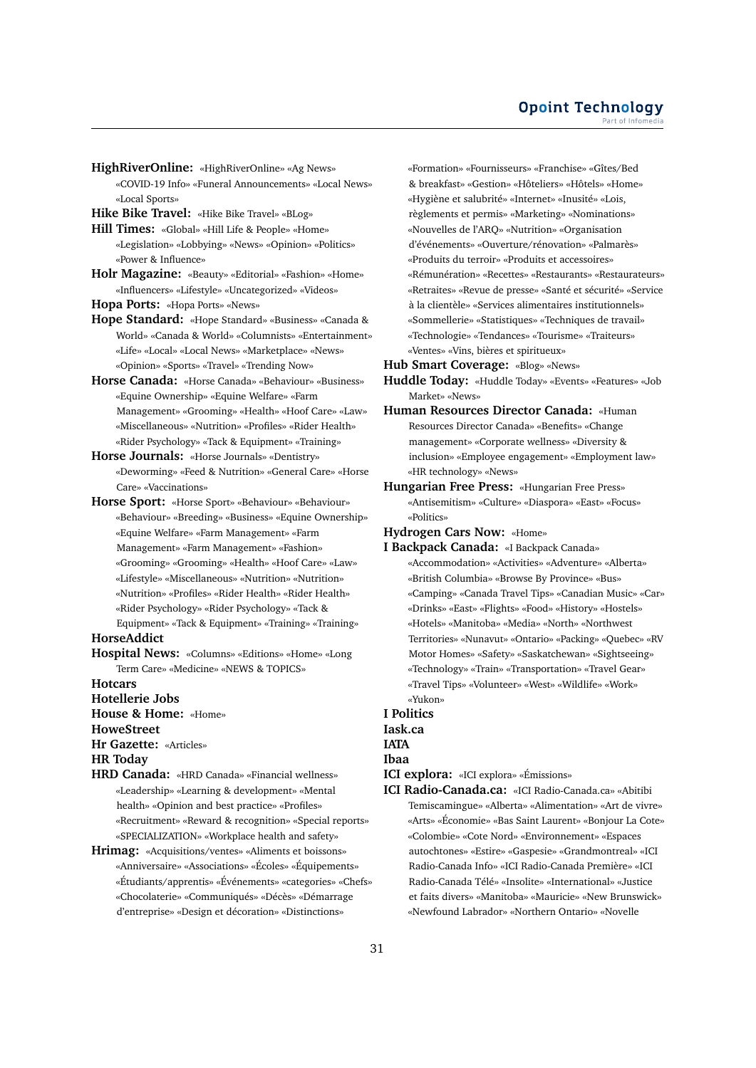**HighRiverOnline:** «HighRiverOnline» «Ag News» «COVID-19 Info» «Funeral Announcements» «Local News» «Local Sports»

**Hike Bike Travel:** «Hike Bike Travel» «BLog»

**Hill Times:** «Global» «Hill Life & People» «Home» «Legislation» «Lobbying» «News» «Opinion» «Politics» «Power & Influence»

**Holr Magazine:** «Beauty» «Editorial» «Fashion» «Home» «Influencers» «Lifestyle» «Uncategorized» «Videos»

**Hopa Ports:** «Hopa Ports» «News»

**Hope Standard:** «Hope Standard» «Business» «Canada & World» «Canada & World» «Columnists» «Entertainment» «Life» «Local» «Local News» «Marketplace» «News» «Opinion» «Sports» «Travel» «Trending Now»

**Horse Canada:** «Horse Canada» «Behaviour» «Business» «Equine Ownership» «Equine Welfare» «Farm Management» «Grooming» «Health» «Hoof Care» «Law» «Miscellaneous» «Nutrition» «Profiles» «Rider Health» «Rider Psychology» «Tack & Equipment» «Training»

**Horse Journals:** «Horse Journals» «Dentistry» «Deworming» «Feed & Nutrition» «General Care» «Horse Care» «Vaccinations»

**Horse Sport:** «Horse Sport» «Behaviour» «Behaviour» «Behaviour» «Breeding» «Business» «Equine Ownership» «Equine Welfare» «Farm Management» «Farm Management» «Farm Management» «Fashion» «Grooming» «Grooming» «Health» «Hoof Care» «Law» «Lifestyle» «Miscellaneous» «Nutrition» «Nutrition» «Nutrition» «Profiles» «Rider Health» «Rider Health» «Rider Psychology» «Rider Psychology» «Tack & Equipment» «Tack & Equipment» «Training» «Training»

#### **HorseAddict**

**Hospital News:** «Columns» «Editions» «Home» «Long Term Care» «Medicine» «NEWS & TOPICS»

**Hotcars**

**Hotellerie Jobs**

**House & Home:** «Home»

# **HoweStreet**

**Hr Gazette:** «Articles»

**HR Today**

- **HRD Canada:** «HRD Canada» «Financial wellness» «Leadership» «Learning & development» «Mental health» «Opinion and best practice» «Profiles» «Recruitment» «Reward & recognition» «Special reports» «SPECIALIZATION» «Workplace health and safety»
- **Hrimag:** «Acquisitions/ventes» «Aliments et boissons» «Anniversaire» «Associations» «Écoles» «Équipements» «Étudiants/apprentis» «Événements» «categories» «Chefs» «Chocolaterie» «Communiqués» «Décès» «Démarrage d'entreprise» «Design et décoration» «Distinctions»

«Formation» «Fournisseurs» «Franchise» «Gîtes/Bed & breakfast» «Gestion» «Hôteliers» «Hôtels» «Home» «Hygiène et salubrité» «Internet» «Inusité» «Lois, règlements et permis» «Marketing» «Nominations» «Nouvelles de l'ARQ» «Nutrition» «Organisation d'événements» «Ouverture/rénovation» «Palmarès» «Produits du terroir» «Produits et accessoires» «Rémunération» «Recettes» «Restaurants» «Restaurateurs» «Retraites» «Revue de presse» «Santé et sécurité» «Service à la clientèle» «Services alimentaires institutionnels» «Sommellerie» «Statistiques» «Techniques de travail» «Technologie» «Tendances» «Tourisme» «Traiteurs» «Ventes» «Vins, bières et spiritueux»

**Hub Smart Coverage:** «Blog» «News»

**Huddle Today:** «Huddle Today» «Events» «Features» «Job Market» «News»

- **Human Resources Director Canada:** «Human Resources Director Canada» «Benefits» «Change management» «Corporate wellness» «Diversity & inclusion» «Employee engagement» «Employment law» «HR technology» «News»
- **Hungarian Free Press:** «Hungarian Free Press» «Antisemitism» «Culture» «Diaspora» «East» «Focus» «Politics»

**Hydrogen Cars Now:** «Home»

**I Backpack Canada:** «I Backpack Canada» «Accommodation» «Activities» «Adventure» «Alberta» «British Columbia» «Browse By Province» «Bus» «Camping» «Canada Travel Tips» «Canadian Music» «Car» «Drinks» «East» «Flights» «Food» «History» «Hostels» «Hotels» «Manitoba» «Media» «North» «Northwest Territories» «Nunavut» «Ontario» «Packing» «Quebec» «RV Motor Homes» «Safety» «Saskatchewan» «Sightseeing» «Technology» «Train» «Transportation» «Travel Gear» «Travel Tips» «Volunteer» «West» «Wildlife» «Work» «Yukon»

**I Politics**

**Iask.ca**

**IATA**

# **Ibaa**

**ICI explora:** «ICI explora» «Émissions»

**ICI Radio-Canada.ca:** «ICI Radio-Canada.ca» «Abitibi Temiscamingue» «Alberta» «Alimentation» «Art de vivre» «Arts» «Économie» «Bas Saint Laurent» «Bonjour La Cote» «Colombie» «Cote Nord» «Environnement» «Espaces autochtones» «Estire» «Gaspesie» «Grandmontreal» «ICI Radio-Canada Info» «ICI Radio-Canada Première» «ICI Radio-Canada Télé» «Insolite» «International» «Justice et faits divers» «Manitoba» «Mauricie» «New Brunswick» «Newfound Labrador» «Northern Ontario» «Novelle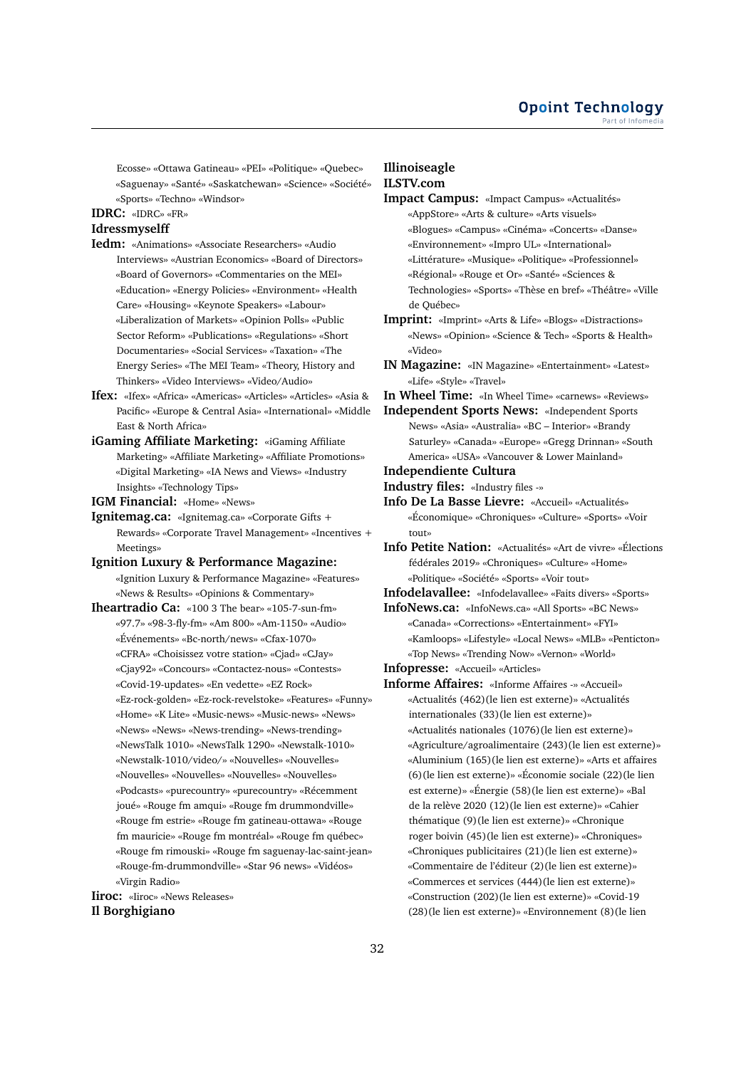Ecosse» «Ottawa Gatineau» «PEI» «Politique» «Quebec» «Saguenay» «Santé» «Saskatchewan» «Science» «Société» «Sports» «Techno» «Windsor»

# **IDRC:** «IDRC» «FR»

# **Idressmyselff**

- **Iedm:** «Animations» «Associate Researchers» «Audio Interviews» «Austrian Economics» «Board of Directors» «Board of Governors» «Commentaries on the MEI» «Education» «Energy Policies» «Environment» «Health Care» «Housing» «Keynote Speakers» «Labour» «Liberalization of Markets» «Opinion Polls» «Public Sector Reform» «Publications» «Regulations» «Short Documentaries» «Social Services» «Taxation» «The Energy Series» «The MEI Team» «Theory, History and Thinkers» «Video Interviews» «Video/Audio»
- **Ifex:** «Ifex» «Africa» «Americas» «Articles» «Articles» «Asia & Pacific» «Europe & Central Asia» «International» «Middle East & North Africa»
- **iGaming Affiliate Marketing:** «iGaming Affiliate Marketing» «Affiliate Marketing» «Affiliate Promotions» «Digital Marketing» «IA News and Views» «Industry Insights» «Technology Tips»
- **IGM Financial:** «Home» «News»
- **Ignitemag.ca:** «Ignitemag.ca» «Corporate Gifts + Rewards» «Corporate Travel Management» «Incentives + Meetings»
- **Ignition Luxury & Performance Magazine:** «Ignition Luxury & Performance Magazine» «Features» «News & Results» «Opinions & Commentary»
- **Iheartradio Ca:** «100 3 The bear» «105-7-sun-fm» «97.7» «98-3-fly-fm» «Am 800» «Am-1150» «Audio» «Événements» «Bc-north/news» «Cfax-1070» «CFRA» «Choisissez votre station» «Cjad» «CJay» «Cjay92» «Concours» «Contactez-nous» «Contests» «Covid-19-updates» «En vedette» «EZ Rock» «Ez-rock-golden» «Ez-rock-revelstoke» «Features» «Funny» «Home» «K Lite» «Music-news» «Music-news» «News» «News» «News» «News-trending» «News-trending» «NewsTalk 1010» «NewsTalk 1290» «Newstalk-1010» «Newstalk-1010/video/» «Nouvelles» «Nouvelles» «Nouvelles» «Nouvelles» «Nouvelles» «Nouvelles» «Podcasts» «purecountry» «purecountry» «Récemment joué» «Rouge fm amqui» «Rouge fm drummondville» «Rouge fm estrie» «Rouge fm gatineau-ottawa» «Rouge fm mauricie» «Rouge fm montréal» «Rouge fm québec» «Rouge fm rimouski» «Rouge fm saguenay-lac-saint-jean» «Rouge-fm-drummondville» «Star 96 news» «Vidéos» «Virgin Radio»

**Iiroc:** «Iiroc» «News Releases» **Il Borghigiano**

# **Illinoiseagle ILSTV.com**

- **Impact Campus:** «Impact Campus» «Actualités» «AppStore» «Arts & culture» «Arts visuels» «Blogues» «Campus» «Cinéma» «Concerts» «Danse» «Environnement» «Impro UL» «International» «Littérature» «Musique» «Politique» «Professionnel» «Régional» «Rouge et Or» «Santé» «Sciences & Technologies» «Sports» «Thèse en bref» «Théâtre» «Ville de Québec»
- **Imprint:** «Imprint» «Arts & Life» «Blogs» «Distractions» «News» «Opinion» «Science & Tech» «Sports & Health» «Video»
- **IN Magazine:** «IN Magazine» «Entertainment» «Latest» «Life» «Style» «Travel»
- **In Wheel Time:** «In Wheel Time» «carnews» «Reviews»
- **Independent Sports News:** «Independent Sports News» «Asia» «Australia» «BC – Interior» «Brandy Saturley» «Canada» «Europe» «Gregg Drinnan» «South America» «USA» «Vancouver & Lower Mainland»
- **Independiente Cultura**
- **Industry files:** «Industry files -»
- **Info De La Basse Lievre:** «Accueil» «Actualités» «Économique» «Chroniques» «Culture» «Sports» «Voir tout»
- **Info Petite Nation:** «Actualités» «Art de vivre» «Élections fédérales 2019» «Chroniques» «Culture» «Home» «Politique» «Société» «Sports» «Voir tout»
- **Infodelavallee:** «Infodelavallee» «Faits divers» «Sports»
- **InfoNews.ca:** «InfoNews.ca» «All Sports» «BC News» «Canada» «Corrections» «Entertainment» «FYI» «Kamloops» «Lifestyle» «Local News» «MLB» «Penticton» «Top News» «Trending Now» «Vernon» «World»
- **Infopresse:** «Accueil» «Articles»
- **Informe Affaires:** «Informe Affaires -» «Accueil» «Actualités (462)(le lien est externe)» «Actualités internationales (33)(le lien est externe)» «Actualités nationales (1076)(le lien est externe)» «Agriculture/agroalimentaire (243)(le lien est externe)» «Aluminium (165)(le lien est externe)» «Arts et affaires (6)(le lien est externe)» «Économie sociale (22)(le lien est externe)» «Énergie (58)(le lien est externe)» «Bal de la relève 2020 (12)(le lien est externe)» «Cahier thématique (9)(le lien est externe)» «Chronique roger boivin (45)(le lien est externe)» «Chroniques» «Chroniques publicitaires (21)(le lien est externe)» «Commentaire de l'éditeur (2)(le lien est externe)» «Commerces et services (444)(le lien est externe)» «Construction (202)(le lien est externe)» «Covid-19 (28)(le lien est externe)» «Environnement (8)(le lien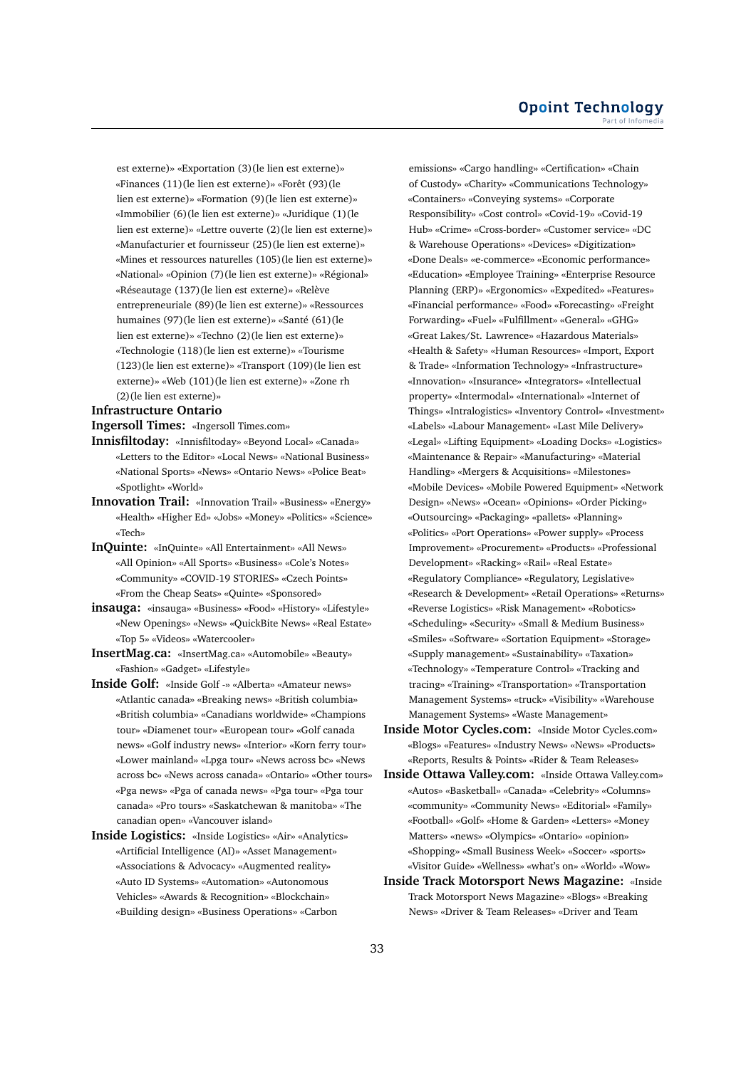est externe)» «Exportation (3)(le lien est externe)» «Finances (11)(le lien est externe)» «Forêt (93)(le lien est externe)» «Formation (9)(le lien est externe)» «Immobilier (6)(le lien est externe)» «Juridique (1)(le lien est externe)» «Lettre ouverte (2)(le lien est externe)» «Manufacturier et fournisseur (25)(le lien est externe)» «Mines et ressources naturelles (105)(le lien est externe)» «National» «Opinion (7)(le lien est externe)» «Régional» «Réseautage (137)(le lien est externe)» «Relève entrepreneuriale (89)(le lien est externe)» «Ressources humaines (97)(le lien est externe)» «Santé (61)(le lien est externe)» «Techno (2)(le lien est externe)» «Technologie (118)(le lien est externe)» «Tourisme (123)(le lien est externe)» «Transport (109)(le lien est externe)» «Web (101)(le lien est externe)» «Zone rh (2)(le lien est externe)»

# **Infrastructure Ontario**

**Ingersoll Times:** «Ingersoll Times.com»

- **Innisfiltoday:** «Innisfiltoday» «Beyond Local» «Canada» «Letters to the Editor» «Local News» «National Business» «National Sports» «News» «Ontario News» «Police Beat» «Spotlight» «World»
- **Innovation Trail:** «Innovation Trail» «Business» «Energy» «Health» «Higher Ed» «Jobs» «Money» «Politics» «Science» «Tech»
- **InQuinte:** «InQuinte» «All Entertainment» «All News» «All Opinion» «All Sports» «Business» «Cole's Notes» «Community» «COVID-19 STORIES» «Czech Points» «From the Cheap Seats» «Quinte» «Sponsored»
- **insauga:** «insauga» «Business» «Food» «History» «Lifestyle» «New Openings» «News» «QuickBite News» «Real Estate» «Top 5» «Videos» «Watercooler»
- **InsertMag.ca:** «InsertMag.ca» «Automobile» «Beauty» «Fashion» «Gadget» «Lifestyle»
- **Inside Golf:** «Inside Golf -» «Alberta» «Amateur news» «Atlantic canada» «Breaking news» «British columbia» «British columbia» «Canadians worldwide» «Champions tour» «Diamenet tour» «European tour» «Golf canada news» «Golf industry news» «Interior» «Korn ferry tour» «Lower mainland» «Lpga tour» «News across bc» «News across bc» «News across canada» «Ontario» «Other tours» «Pga news» «Pga of canada news» «Pga tour» «Pga tour canada» «Pro tours» «Saskatchewan & manitoba» «The canadian open» «Vancouver island»
- **Inside Logistics:** «Inside Logistics» «Air» «Analytics» «Artificial Intelligence (AI)» «Asset Management» «Associations & Advocacy» «Augmented reality» «Auto ID Systems» «Automation» «Autonomous Vehicles» «Awards & Recognition» «Blockchain» «Building design» «Business Operations» «Carbon

emissions» «Cargo handling» «Certification» «Chain of Custody» «Charity» «Communications Technology» «Containers» «Conveying systems» «Corporate Responsibility» «Cost control» «Covid-19» «Covid-19 Hub» «Crime» «Cross-border» «Customer service» «DC & Warehouse Operations» «Devices» «Digitization» «Done Deals» «e-commerce» «Economic performance» «Education» «Employee Training» «Enterprise Resource Planning (ERP)» «Ergonomics» «Expedited» «Features» «Financial performance» «Food» «Forecasting» «Freight Forwarding» «Fuel» «Fulfillment» «General» «GHG» «Great Lakes/St. Lawrence» «Hazardous Materials» «Health & Safety» «Human Resources» «Import, Export & Trade» «Information Technology» «Infrastructure» «Innovation» «Insurance» «Integrators» «Intellectual property» «Intermodal» «International» «Internet of Things» «Intralogistics» «Inventory Control» «Investment» «Labels» «Labour Management» «Last Mile Delivery» «Legal» «Lifting Equipment» «Loading Docks» «Logistics» «Maintenance & Repair» «Manufacturing» «Material Handling» «Mergers & Acquisitions» «Milestones» «Mobile Devices» «Mobile Powered Equipment» «Network Design» «News» «Ocean» «Opinions» «Order Picking» «Outsourcing» «Packaging» «pallets» «Planning» «Politics» «Port Operations» «Power supply» «Process Improvement» «Procurement» «Products» «Professional Development» «Racking» «Rail» «Real Estate» «Regulatory Compliance» «Regulatory, Legislative» «Research & Development» «Retail Operations» «Returns» «Reverse Logistics» «Risk Management» «Robotics» «Scheduling» «Security» «Small & Medium Business» «Smiles» «Software» «Sortation Equipment» «Storage» «Supply management» «Sustainability» «Taxation» «Technology» «Temperature Control» «Tracking and tracing» «Training» «Transportation» «Transportation Management Systems» «truck» «Visibility» «Warehouse Management Systems» «Waste Management»

- **Inside Motor Cycles.com:** «Inside Motor Cycles.com» «Blogs» «Features» «Industry News» «News» «Products» «Reports, Results & Points» «Rider & Team Releases»
- **Inside Ottawa Valley.com:** «Inside Ottawa Valley.com» «Autos» «Basketball» «Canada» «Celebrity» «Columns» «community» «Community News» «Editorial» «Family» «Football» «Golf» «Home & Garden» «Letters» «Money Matters» «news» «Olympics» «Ontario» «opinion» «Shopping» «Small Business Week» «Soccer» «sports» «Visitor Guide» «Wellness» «what's on» «World» «Wow»
- **Inside Track Motorsport News Magazine:** «Inside Track Motorsport News Magazine» «Blogs» «Breaking News» «Driver & Team Releases» «Driver and Team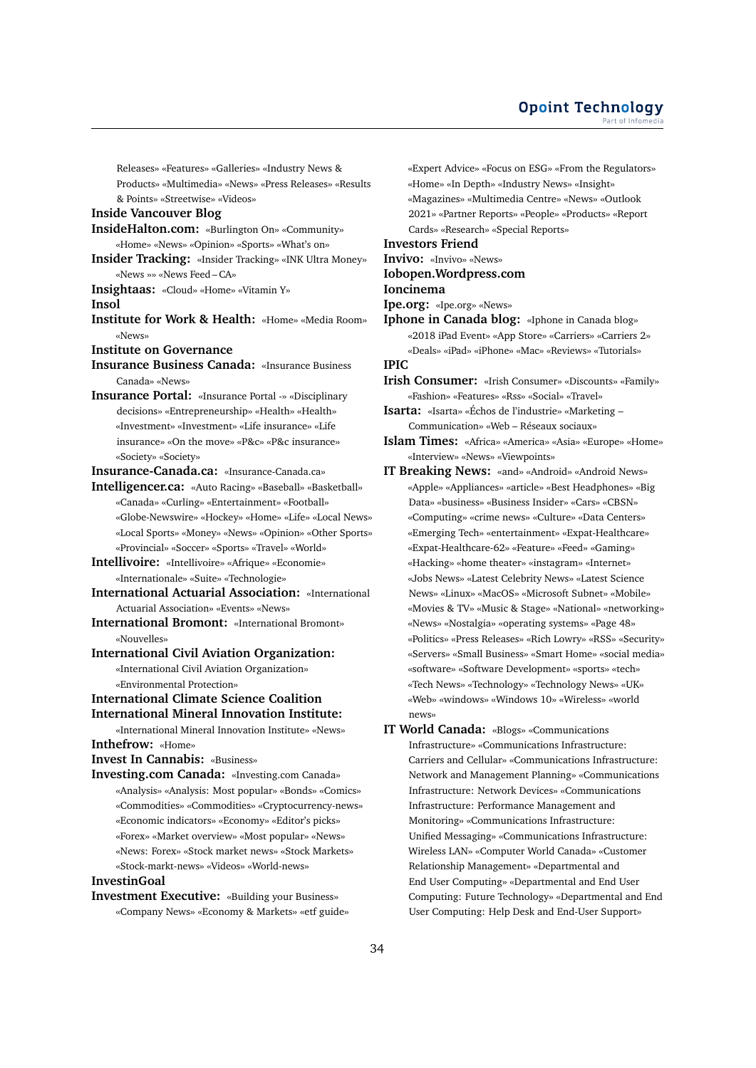Releases» «Features» «Galleries» «Industry News & Products» «Multimedia» «News» «Press Releases» «Results & Points» «Streetwise» «Videos»

# **Inside Vancouver Blog**

- **InsideHalton.com:** «Burlington On» «Community» «Home» «News» «Opinion» «Sports» «What's on»
- **Insider Tracking:** «Insider Tracking» «INK Ultra Money» «News »» «News Feed – CA»

**Insightaas:** «Cloud» «Home» «Vitamin Y»

**Insol**

- **Institute for Work & Health:** «Home» «Media Room» «News»
- **Institute on Governance**
- **Insurance Business Canada:** «Insurance Business Canada» «News»
- **Insurance Portal:** «Insurance Portal -» «Disciplinary decisions» «Entrepreneurship» «Health» «Health» «Investment» «Investment» «Life insurance» «Life insurance» «On the move» «P&c» «P&c insurance» «Society» «Society»

**Insurance-Canada.ca:** «Insurance-Canada.ca»

**Intelligencer.ca:** «Auto Racing» «Baseball» «Basketball» «Canada» «Curling» «Entertainment» «Football» «Globe-Newswire» «Hockey» «Home» «Life» «Local News» «Local Sports» «Money» «News» «Opinion» «Other Sports» «Provincial» «Soccer» «Sports» «Travel» «World»

**Intellivoire:** «Intellivoire» «Afrique» «Economie» «Internationale» «Suite» «Technologie»

- **International Actuarial Association:** «International Actuarial Association» «Events» «News»
- **International Bromont:** «International Bromont» «Nouvelles»

# **International Civil Aviation Organization:**

«International Civil Aviation Organization» «Environmental Protection»

# **International Climate Science Coalition International Mineral Innovation Institute:**

«International Mineral Innovation Institute» «News» **Inthefrow:** «Home»

**Invest In Cannabis:** «Business»

**Investing.com Canada:** «Investing.com Canada» «Analysis» «Analysis: Most popular» «Bonds» «Comics» «Commodities» «Commodities» «Cryptocurrency-news» «Economic indicators» «Economy» «Editor's picks» «Forex» «Market overview» «Most popular» «News» «News: Forex» «Stock market news» «Stock Markets» «Stock-markt-news» «Videos» «World-news»

#### **InvestinGoal**

**Investment Executive:** «Building your Business» «Company News» «Economy & Markets» «etf guide» «Expert Advice» «Focus on ESG» «From the Regulators» «Home» «In Depth» «Industry News» «Insight» «Magazines» «Multimedia Centre» «News» «Outlook 2021» «Partner Reports» «People» «Products» «Report Cards» «Research» «Special Reports»

# **Investors Friend**

**Invivo:** «Invivo» «News» **Iobopen.Wordpress.com**

**Ioncinema**

**Ipe.org:** «Ipe.org» «News»

**Iphone in Canada blog:** «Iphone in Canada blog» «2018 iPad Event» «App Store» «Carriers» «Carriers 2» «Deals» «iPad» «iPhone» «Mac» «Reviews» «Tutorials»

**IPIC**

- **Irish Consumer:** «Irish Consumer» «Discounts» «Family» «Fashion» «Features» «Rss» «Social» «Travel»
- **Isarta:** «Isarta» «Échos de l'industrie» «Marketing Communication» «Web – Réseaux sociaux»
- **Islam Times:** «Africa» «America» «Asia» «Europe» «Home» «Interview» «News» «Viewpoints»
- **IT Breaking News:** «and» «Android» «Android News» «Apple» «Appliances» «article» «Best Headphones» «Big Data» «business» «Business Insider» «Cars» «CBSN» «Computing» «crime news» «Culture» «Data Centers» «Emerging Tech» «entertainment» «Expat-Healthcare» «Expat-Healthcare-62» «Feature» «Feed» «Gaming» «Hacking» «home theater» «instagram» «Internet» «Jobs News» «Latest Celebrity News» «Latest Science News» «Linux» «MacOS» «Microsoft Subnet» «Mobile» «Movies & TV» «Music & Stage» «National» «networking» «News» «Nostalgia» «operating systems» «Page 48» «Politics» «Press Releases» «Rich Lowry» «RSS» «Security» «Servers» «Small Business» «Smart Home» «social media» «software» «Software Development» «sports» «tech» «Tech News» «Technology» «Technology News» «UK» «Web» «windows» «Windows 10» «Wireless» «world news»
- **IT World Canada:** «Blogs» «Communications Infrastructure» «Communications Infrastructure: Carriers and Cellular» «Communications Infrastructure: Network and Management Planning» «Communications Infrastructure: Network Devices» «Communications Infrastructure: Performance Management and Monitoring» «Communications Infrastructure: Unified Messaging» «Communications Infrastructure: Wireless LAN» «Computer World Canada» «Customer Relationship Management» «Departmental and End User Computing» «Departmental and End User Computing: Future Technology» «Departmental and End User Computing: Help Desk and End-User Support»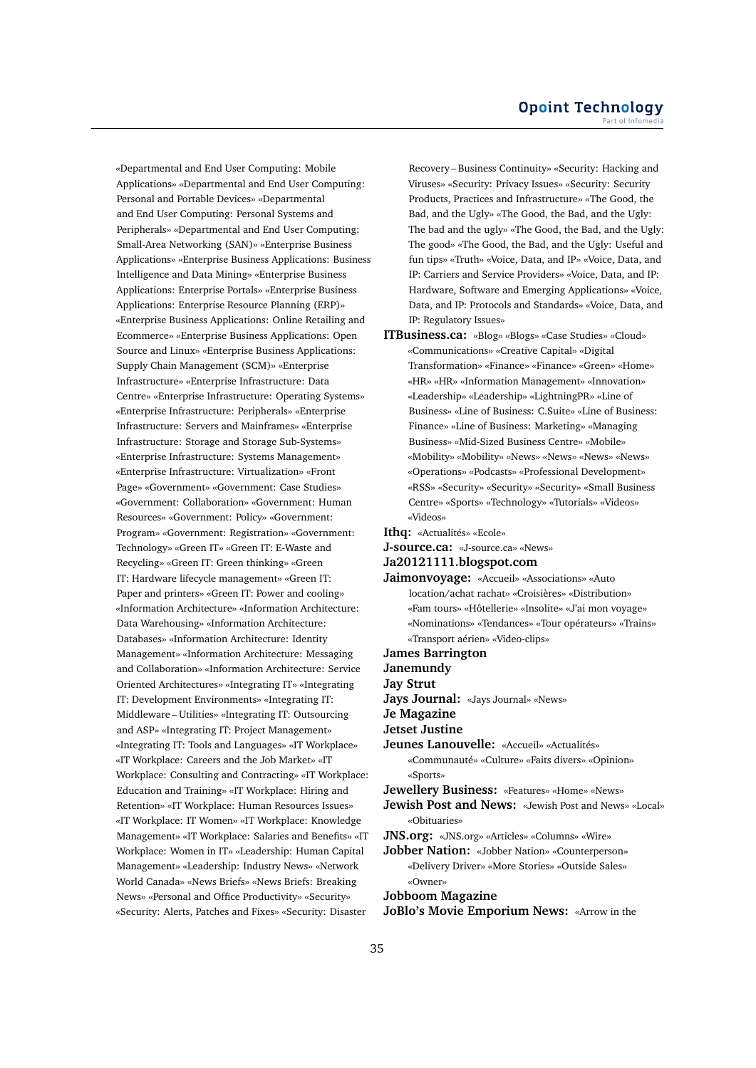«Departmental and End User Computing: Mobile Applications» «Departmental and End User Computing: Personal and Portable Devices» «Departmental and End User Computing: Personal Systems and Peripherals» «Departmental and End User Computing: Small-Area Networking (SAN)» «Enterprise Business Applications» «Enterprise Business Applications: Business Intelligence and Data Mining» «Enterprise Business Applications: Enterprise Portals» «Enterprise Business Applications: Enterprise Resource Planning (ERP)» «Enterprise Business Applications: Online Retailing and Ecommerce» «Enterprise Business Applications: Open Source and Linux» «Enterprise Business Applications: Supply Chain Management (SCM)» «Enterprise Infrastructure» «Enterprise Infrastructure: Data Centre» «Enterprise Infrastructure: Operating Systems» «Enterprise Infrastructure: Peripherals» «Enterprise Infrastructure: Servers and Mainframes» «Enterprise Infrastructure: Storage and Storage Sub-Systems» «Enterprise Infrastructure: Systems Management» «Enterprise Infrastructure: Virtualization» «Front Page» «Government» «Government: Case Studies» «Government: Collaboration» «Government: Human Resources» «Government: Policy» «Government: Program» «Government: Registration» «Government: Technology» «Green IT» «Green IT: E-Waste and Recycling» «Green IT: Green thinking» «Green IT: Hardware lifecycle management» «Green IT: Paper and printers» «Green IT: Power and cooling» «Information Architecture» «Information Architecture: Data Warehousing» «Information Architecture: Databases» «Information Architecture: Identity Management» «Information Architecture: Messaging and Collaboration» «Information Architecture: Service Oriented Architectures» «Integrating IT» «Integrating IT: Development Environments» «Integrating IT: Middleware – Utilities» «Integrating IT: Outsourcing and ASP» «Integrating IT: Project Management» «Integrating IT: Tools and Languages» «IT Workplace» «IT Workplace: Careers and the Job Market» «IT Workplace: Consulting and Contracting» «IT Workplace: Education and Training» «IT Workplace: Hiring and Retention» «IT Workplace: Human Resources Issues» «IT Workplace: IT Women» «IT Workplace: Knowledge Management» «IT Workplace: Salaries and Benefits» «IT Workplace: Women in IT» «Leadership: Human Capital Management» «Leadership: Industry News» «Network World Canada» «News Briefs» «News Briefs: Breaking News» «Personal and Office Productivity» «Security» «Security: Alerts, Patches and Fixes» «Security: Disaster

Recovery – Business Continuity» «Security: Hacking and Viruses» «Security: Privacy Issues» «Security: Security Products, Practices and Infrastructure» «The Good, the Bad, and the Ugly» «The Good, the Bad, and the Ugly: The bad and the ugly» «The Good, the Bad, and the Ugly: The good» «The Good, the Bad, and the Ugly: Useful and fun tips» «Truth» «Voice, Data, and IP» «Voice, Data, and IP: Carriers and Service Providers» «Voice, Data, and IP: Hardware, Software and Emerging Applications» «Voice, Data, and IP: Protocols and Standards» «Voice, Data, and IP: Regulatory Issues»

- **ITBusiness.ca:** «Blog» «Blogs» «Case Studies» «Cloud» «Communications» «Creative Capital» «Digital Transformation» «Finance» «Finance» «Green» «Home» «HR» «HR» «Information Management» «Innovation» «Leadership» «Leadership» «LightningPR» «Line of Business» «Line of Business: C.Suite» «Line of Business: Finance» «Line of Business: Marketing» «Managing Business» «Mid-Sized Business Centre» «Mobile» «Mobility» «Mobility» «News» «News» «News» «News» «Operations» «Podcasts» «Professional Development» «RSS» «Security» «Security» «Security» «Small Business Centre» «Sports» «Technology» «Tutorials» «Videos» «Videos»
- **Ithq:** «Actualités» «Ecole»
- **J-source.ca:** «J-source.ca» «News»
- **Ja20121111.blogspot.com**
- **Jaimonvoyage:** «Accueil» «Associations» «Auto location/achat rachat» «Croisières» «Distribution» «Fam tours» «Hôtellerie» «Insolite» «J'ai mon voyage» «Nominations» «Tendances» «Tour opérateurs» «Trains» «Transport aérien» «Video-clips»
- **James Barrington**
- **Janemundy**
- **Jay Strut**
- **Jays Journal:** «Jays Journal» «News»
- **Je Magazine**
- **Jetset Justine**

**Jeunes Lanouvelle:** «Accueil» «Actualités» «Communauté» «Culture» «Faits divers» «Opinion» «Sports»

**Jewellery Business:** «Features» «Home» «News»

- **Jewish Post and News:** «Jewish Post and News» «Local» «Obituaries»
- **JNS.org:** «JNS.org» «Articles» «Columns» «Wire»
- **Jobber Nation:** «Jobber Nation» «Counterperson» «Delivery Driver» «More Stories» «Outside Sales» «Owner»

**Jobboom Magazine**

**JoBlo's Movie Emporium News:** «Arrow in the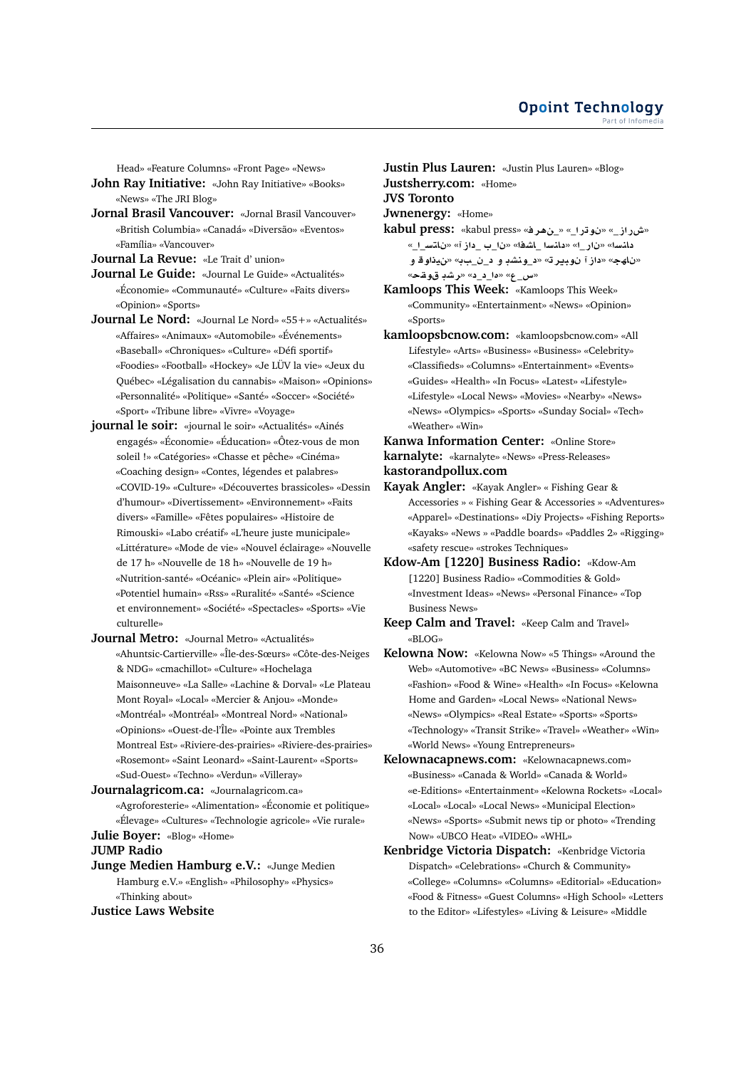Head» «Feature Columns» «Front Page» «News»

- **John Ray Initiative:** «John Ray Initiative» «Books» «News» «The JRI Blog»
- **Jornal Brasil Vancouver:** «Jornal Brasil Vancouver» «British Columbia» «Canadá» «Diversão» «Eventos» «Família» «Vancouver»

**Journal La Revue:** «Le Trait d' union»

- **Journal Le Guide:** «Journal Le Guide» «Actualités» «Économie» «Communauté» «Culture» «Faits divers» «Opinion» «Sports»
- **Journal Le Nord:** «Journal Le Nord» «55+» «Actualités» «Affaires» «Animaux» «Automobile» «Événements» «Baseball» «Chroniques» «Culture» «Défi sportif» «Foodies» «Football» «Hockey» «Je LÜV la vie» «Jeux du Québec» «Légalisation du cannabis» «Maison» «Opinions» «Personnalité» «Politique» «Santé» «Soccer» «Société» «Sport» «Tribune libre» «Vivre» «Voyage»
- **journal le soir:** «journal le soir» «Actualités» «Ainés engagés» «Économie» «Éducation» «Ôtez-vous de mon soleil !» «Catégories» «Chasse et pêche» «Cinéma» «Coaching design» «Contes, légendes et palabres» «COVID-19» «Culture» «Découvertes brassicoles» «Dessin d'humour» «Divertissement» «Environnement» «Faits divers» «Famille» «Fêtes populaires» «Histoire de Rimouski» «Labo créatif» «L'heure juste municipale» «Littérature» «Mode de vie» «Nouvel éclairage» «Nouvelle de 17 h» «Nouvelle de 18 h» «Nouvelle de 19 h» «Nutrition-santé» «Océanic» «Plein air» «Politique» «Potentiel humain» «Rss» «Ruralité» «Santé» «Science et environnement» «Société» «Spectacles» «Sports» «Vie culturelle»
- **Journal Metro:** «Journal Metro» «Actualités» «Ahuntsic-Cartierville» «Île-des-Sœurs» «Côte-des-Neiges & NDG» «cmachillot» «Culture» «Hochelaga Maisonneuve» «La Salle» «Lachine & Dorval» «Le Plateau Mont Royal» «Local» «Mercier & Anjou» «Monde» «Montréal» «Montréal» «Montreal Nord» «National» «Opinions» «Ouest-de-l'Île» «Pointe aux Trembles Montreal Est» «Riviere-des-prairies» «Riviere-des-prairies» «Rosemont» «Saint Leonard» «Saint-Laurent» «Sports» «Sud-Ouest» «Techno» «Verdun» «Villeray»
- **Journalagricom.ca:** «Journalagricom.ca» «Agroforesterie» «Alimentation» «Économie et politique» «Élevage» «Cultures» «Technologie agricole» «Vie rurale»

**Julie Boyer:** «Blog» «Home»

# **JUMP Radio**

**Junge Medien Hamburg e.V.:** «Junge Medien Hamburg e.V.» «English» «Philosophy» «Physics» «Thinking about»

# **Justice Laws Website**

**Justin Plus Lauren:** «Justin Plus Lauren» «Blog» **Justsherry.com:** «Home»

**JVS Toronto**

**Jwnenergy:** «Home»

**kabul press:** «kabul press» «**r¡**\_» «\_**Cw** » «\_**ECM**» دانسا» «نار\_ا» «دانسا \_اشفا» «نا\_ب \_داز آ» «ناتس\_ا\_» «ناهج» «داز آ نوبير ته «د\_ونشد و د\_ن\_ببه «نيذاو قو «**qw Kr**» «\_\_**£**» «\_**x**»

**Kamloops This Week:** «Kamloops This Week» «Community» «Entertainment» «News» «Opinion» «Sports»

- **kamloopsbcnow.com:** «kamloopsbcnow.com» «All Lifestyle» «Arts» «Business» «Business» «Celebrity» «Classifieds» «Columns» «Entertainment» «Events» «Guides» «Health» «In Focus» «Latest» «Lifestyle» «Lifestyle» «Local News» «Movies» «Nearby» «News» «News» «Olympics» «Sports» «Sunday Social» «Tech» «Weather» «Win»
- **Kanwa Information Center:** «Online Store» **karnalyte:** «karnalyte» «News» «Press-Releases» **kastorandpollux.com**
- **Kayak Angler:** «Kayak Angler» « Fishing Gear & Accessories » « Fishing Gear & Accessories » «Adventures» «Apparel» «Destinations» «Diy Projects» «Fishing Reports» «Kayaks» «News » «Paddle boards» «Paddles 2» «Rigging» «safety rescue» «strokes Techniques»
- **Kdow-Am [1220] Business Radio:** «Kdow-Am [1220] Business Radio» «Commodities & Gold» «Investment Ideas» «News» «Personal Finance» «Top Business News»
- **Keep Calm and Travel:** «Keep Calm and Travel» «BLOG»
- **Kelowna Now:** «Kelowna Now» «5 Things» «Around the Web» «Automotive» «BC News» «Business» «Columns» «Fashion» «Food & Wine» «Health» «In Focus» «Kelowna Home and Garden» «Local News» «National News» «News» «Olympics» «Real Estate» «Sports» «Sports» «Technology» «Transit Strike» «Travel» «Weather» «Win» «World News» «Young Entrepreneurs»
- **Kelownacapnews.com:** «Kelownacapnews.com» «Business» «Canada & World» «Canada & World» «e-Editions» «Entertainment» «Kelowna Rockets» «Local» «Local» «Local» «Local News» «Municipal Election» «News» «Sports» «Submit news tip or photo» «Trending Now» «UBCO Heat» «VIDEO» «WHL»
- **Kenbridge Victoria Dispatch:** «Kenbridge Victoria Dispatch» «Celebrations» «Church & Community» «College» «Columns» «Columns» «Editorial» «Education» «Food & Fitness» «Guest Columns» «High School» «Letters to the Editor» «Lifestyles» «Living & Leisure» «Middle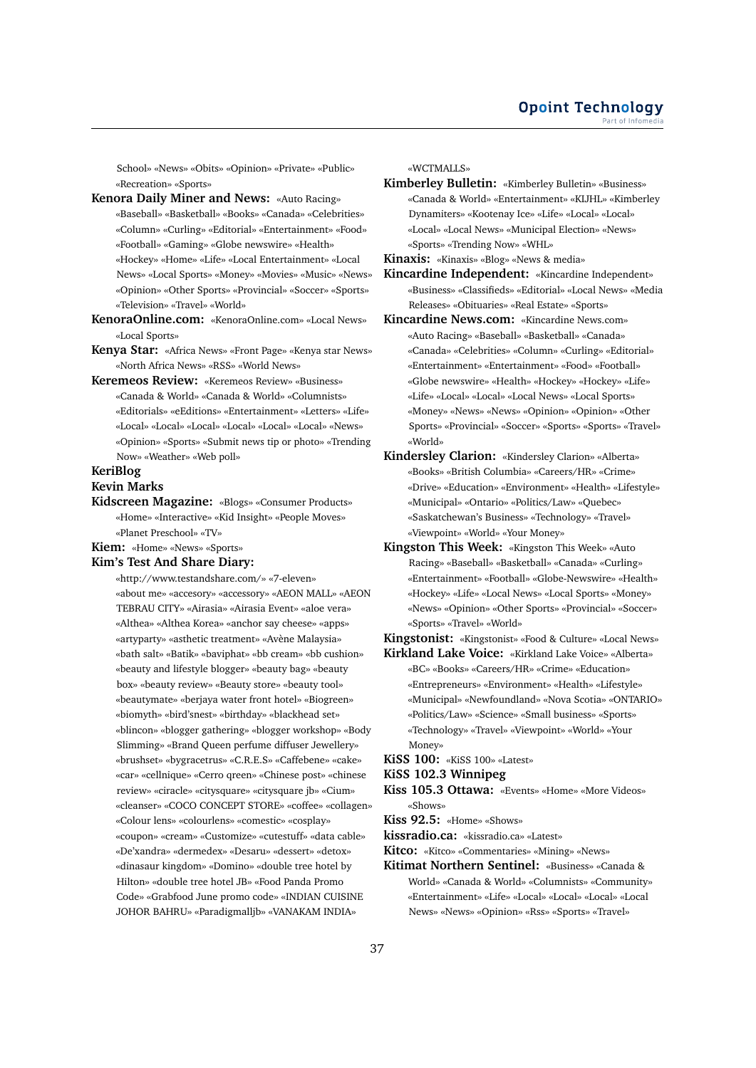School» «News» «Obits» «Opinion» «Private» «Public» «Recreation» «Sports»

**Kenora Daily Miner and News:** «Auto Racing» «Baseball» «Basketball» «Books» «Canada» «Celebrities» «Column» «Curling» «Editorial» «Entertainment» «Food» «Football» «Gaming» «Globe newswire» «Health» «Hockey» «Home» «Life» «Local Entertainment» «Local News» «Local Sports» «Money» «Movies» «Music» «News» «Opinion» «Other Sports» «Provincial» «Soccer» «Sports» «Television» «Travel» «World»

- **KenoraOnline.com:** «KenoraOnline.com» «Local News» «Local Sports»
- **Kenya Star:** «Africa News» «Front Page» «Kenya star News» «North Africa News» «RSS» «World News»
- **Keremeos Review:** «Keremeos Review» «Business» «Canada & World» «Canada & World» «Columnists» «Editorials» «eEditions» «Entertainment» «Letters» «Life» «Local» «Local» «Local» «Local» «Local» «Local» «News» «Opinion» «Sports» «Submit news tip or photo» «Trending Now» «Weather» «Web poll»

# **KeriBlog**

## **Kevin Marks**

**Kidscreen Magazine:** «Blogs» «Consumer Products» «Home» «Interactive» «Kid Insight» «People Moves» «Planet Preschool» «TV»

**Kiem:** «Home» «News» «Sports»

#### **Kim's Test And Share Diary:**

«http://www.testandshare.com/» «7-eleven» «about me» «accesory» «accessory» «AEON MALL» «AEON TEBRAU CITY» «Airasia» «Airasia Event» «aloe vera» «Althea» «Althea Korea» «anchor say cheese» «apps» «artyparty» «asthetic treatment» «Avène Malaysia» «bath salt» «Batik» «baviphat» «bb cream» «bb cushion» «beauty and lifestyle blogger» «beauty bag» «beauty box» «beauty review» «Beauty store» «beauty tool» «beautymate» «berjaya water front hotel» «Biogreen» «biomyth» «bird'snest» «birthday» «blackhead set» «blincon» «blogger gathering» «blogger workshop» «Body Slimming» «Brand Queen perfume diffuser Jewellery» «brushset» «bygracetrus» «C.R.E.S» «Caffebene» «cake» «car» «cellnique» «Cerro qreen» «Chinese post» «chinese review» «ciracle» «citysquare» «citysquare jb» «Cium» «cleanser» «COCO CONCEPT STORE» «coffee» «collagen» «Colour lens» «colourlens» «comestic» «cosplay» «coupon» «cream» «Customize» «cutestuff» «data cable» «De'xandra» «dermedex» «Desaru» «dessert» «detox» «dinasaur kingdom» «Domino» «double tree hotel by Hilton» «double tree hotel JB» «Food Panda Promo Code» «Grabfood June promo code» «INDIAN CUISINE JOHOR BAHRU» «Paradigmalljb» «VANAKAM INDIA»

«WCTMALLS»

**Kimberley Bulletin:** «Kimberley Bulletin» «Business» «Canada & World» «Entertainment» «KIJHL» «Kimberley Dynamiters» «Kootenay Ice» «Life» «Local» «Local» «Local» «Local News» «Municipal Election» «News» «Sports» «Trending Now» «WHL»

**Kinaxis:** «Kinaxis» «Blog» «News & media»

- **Kincardine Independent:** «Kincardine Independent» «Business» «Classifieds» «Editorial» «Local News» «Media Releases» «Obituaries» «Real Estate» «Sports»
- **Kincardine News.com:** «Kincardine News.com» «Auto Racing» «Baseball» «Basketball» «Canada» «Canada» «Celebrities» «Column» «Curling» «Editorial» «Entertainment» «Entertainment» «Food» «Football» «Globe newswire» «Health» «Hockey» «Hockey» «Life» «Life» «Local» «Local» «Local News» «Local Sports» «Money» «News» «News» «Opinion» «Opinion» «Other Sports» «Provincial» «Soccer» «Sports» «Sports» «Travel» «World»
- **Kindersley Clarion:** «Kindersley Clarion» «Alberta» «Books» «British Columbia» «Careers/HR» «Crime» «Drive» «Education» «Environment» «Health» «Lifestyle» «Municipal» «Ontario» «Politics/Law» «Quebec» «Saskatchewan's Business» «Technology» «Travel» «Viewpoint» «World» «Your Money»
- **Kingston This Week:** «Kingston This Week» «Auto Racing» «Baseball» «Basketball» «Canada» «Curling» «Entertainment» «Football» «Globe-Newswire» «Health» «Hockey» «Life» «Local News» «Local Sports» «Money» «News» «Opinion» «Other Sports» «Provincial» «Soccer» «Sports» «Travel» «World»

**Kingstonist:** «Kingstonist» «Food & Culture» «Local News»

- **Kirkland Lake Voice:** «Kirkland Lake Voice» «Alberta» «BC» «Books» «Careers/HR» «Crime» «Education» «Entrepreneurs» «Environment» «Health» «Lifestyle» «Municipal» «Newfoundland» «Nova Scotia» «ONTARIO» «Politics/Law» «Science» «Small business» «Sports» «Technology» «Travel» «Viewpoint» «World» «Your Money»
- **KiSS 100:** «KiSS 100» «Latest»
- **KiSS 102.3 Winnipeg**
- **Kiss 105.3 Ottawa:** «Events» «Home» «More Videos» «Shows»
- **Kiss 92.5:** «Home» «Shows»
- **kissradio.ca:** «kissradio.ca» «Latest»
- **Kitco:** «Kitco» «Commentaries» «Mining» «News»
- **Kitimat Northern Sentinel:** «Business» «Canada & World» «Canada & World» «Columnists» «Community» «Entertainment» «Life» «Local» «Local» «Local» «Local News» «News» «Opinion» «Rss» «Sports» «Travel»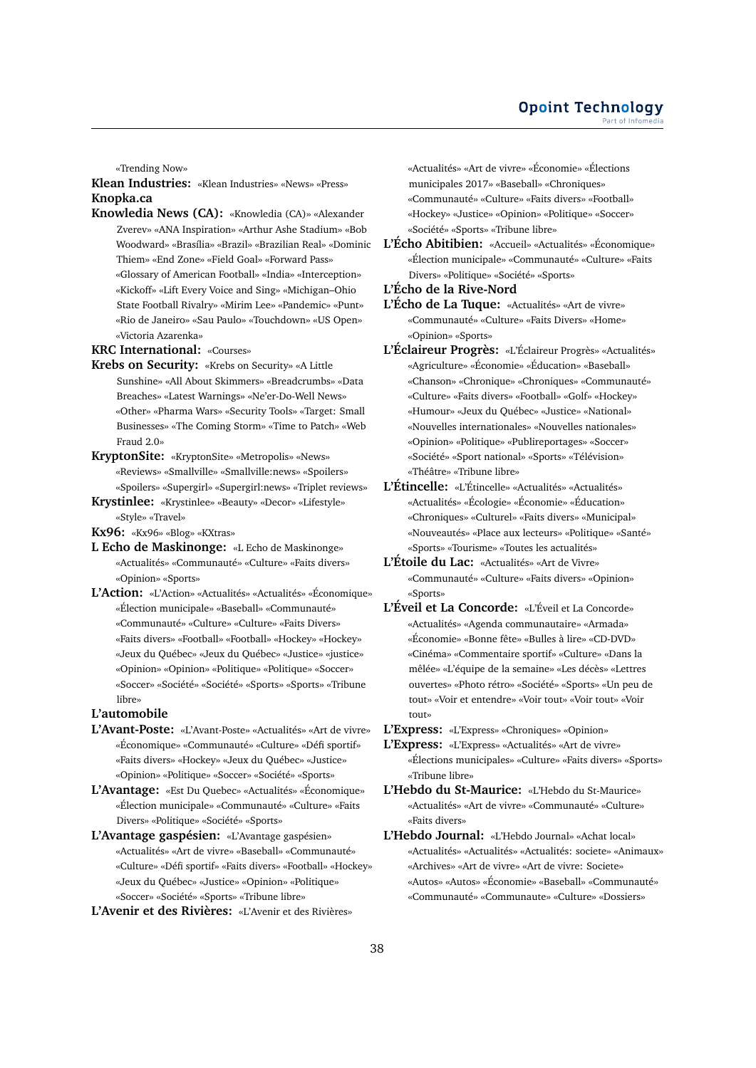«Trending Now»

# **Klean Industries:** «Klean Industries» «News» «Press» **Knopka.ca**

- **Knowledia News (CA):** «Knowledia (CA)» «Alexander Zverev» «ANA Inspiration» «Arthur Ashe Stadium» «Bob Woodward» «Brasília» «Brazil» «Brazilian Real» «Dominic Thiem» «End Zone» «Field Goal» «Forward Pass» «Glossary of American Football» «India» «Interception» «Kickoff» «Lift Every Voice and Sing» «Michigan–Ohio State Football Rivalry» «Mirim Lee» «Pandemic» «Punt» «Rio de Janeiro» «Sau Paulo» «Touchdown» «US Open» «Victoria Azarenka»
- **KRC International:** «Courses»
- **Krebs on Security:** «Krebs on Security» «A Little Sunshine» «All About Skimmers» «Breadcrumbs» «Data Breaches» «Latest Warnings» «Ne'er-Do-Well News» «Other» «Pharma Wars» «Security Tools» «Target: Small Businesses» «The Coming Storm» «Time to Patch» «Web Fraud 2.0»
- **KryptonSite:** «KryptonSite» «Metropolis» «News» «Reviews» «Smallville» «Smallville:news» «Spoilers» «Spoilers» «Supergirl» «Supergirl:news» «Triplet reviews»
- **Krystinlee:** «Krystinlee» «Beauty» «Decor» «Lifestyle» «Style» «Travel»
- **Kx96:** «Kx96» «Blog» «KXtras»
- **L Echo de Maskinonge:** «L Echo de Maskinonge» «Actualités» «Communauté» «Culture» «Faits divers» «Opinion» «Sports»
- **L'Action:** «L'Action» «Actualités» «Actualités» «Économique» «Élection municipale» «Baseball» «Communauté» «Communauté» «Culture» «Culture» «Faits Divers» «Faits divers» «Football» «Football» «Hockey» «Hockey» «Jeux du Québec» «Jeux du Québec» «Justice» «justice» «Opinion» «Opinion» «Politique» «Politique» «Soccer» «Soccer» «Société» «Société» «Sports» «Sports» «Tribune libre»

#### **L'automobile**

- **L'Avant-Poste:** «L'Avant-Poste» «Actualités» «Art de vivre» «Économique» «Communauté» «Culture» «Défi sportif» «Faits divers» «Hockey» «Jeux du Québec» «Justice» «Opinion» «Politique» «Soccer» «Société» «Sports»
- **L'Avantage:** «Est Du Quebec» «Actualités» «Économique» «Élection municipale» «Communauté» «Culture» «Faits Divers» «Politique» «Société» «Sports»
- **L'Avantage gaspésien:** «L'Avantage gaspésien» «Actualités» «Art de vivre» «Baseball» «Communauté» «Culture» «Défi sportif» «Faits divers» «Football» «Hockey» «Jeux du Québec» «Justice» «Opinion» «Politique» «Soccer» «Société» «Sports» «Tribune libre»
- **L'Avenir et des Rivières:** «L'Avenir et des Rivières»

«Actualités» «Art de vivre» «Économie» «Élections municipales 2017» «Baseball» «Chroniques» «Communauté» «Culture» «Faits divers» «Football» «Hockey» «Justice» «Opinion» «Politique» «Soccer» «Société» «Sports» «Tribune libre»

**L'Écho Abitibien:** «Accueil» «Actualités» «Économique» «Élection municipale» «Communauté» «Culture» «Faits Divers» «Politique» «Société» «Sports»

# **L'Écho de la Rive-Nord**

- **L'Écho de La Tuque:** «Actualités» «Art de vivre» «Communauté» «Culture» «Faits Divers» «Home» «Opinion» «Sports»
- **L'Éclaireur Progrès:** «L'Éclaireur Progrès» «Actualités» «Agriculture» «Économie» «Éducation» «Baseball» «Chanson» «Chronique» «Chroniques» «Communauté» «Culture» «Faits divers» «Football» «Golf» «Hockey» «Humour» «Jeux du Québec» «Justice» «National» «Nouvelles internationales» «Nouvelles nationales» «Opinion» «Politique» «Publireportages» «Soccer» «Société» «Sport national» «Sports» «Télévision» «Théâtre» «Tribune libre»
- **L'Étincelle:** «L'Étincelle» «Actualités» «Actualités» «Actualités» «Écologie» «Économie» «Éducation» «Chroniques» «Culturel» «Faits divers» «Municipal» «Nouveautés» «Place aux lecteurs» «Politique» «Santé» «Sports» «Tourisme» «Toutes les actualités»
- **L'Étoile du Lac:** «Actualités» «Art de Vivre» «Communauté» «Culture» «Faits divers» «Opinion» «Sports»
- **L'Éveil et La Concorde:** «L'Éveil et La Concorde» «Actualités» «Agenda communautaire» «Armada» «Économie» «Bonne fête» «Bulles à lire» «CD-DVD» «Cinéma» «Commentaire sportif» «Culture» «Dans la mêlée» «L'équipe de la semaine» «Les décès» «Lettres ouvertes» «Photo rétro» «Société» «Sports» «Un peu de tout» «Voir et entendre» «Voir tout» «Voir tout» «Voir tout»

**L'Express:** «L'Express» «Chroniques» «Opinion»

**L'Express:** «L'Express» «Actualités» «Art de vivre» «Élections municipales» «Culture» «Faits divers» «Sports» «Tribune libre»

- **L'Hebdo du St-Maurice:** «L'Hebdo du St-Maurice» «Actualités» «Art de vivre» «Communauté» «Culture» «Faits divers»
- **L'Hebdo Journal:** «L'Hebdo Journal» «Achat local» «Actualités» «Actualités» «Actualités: societe» «Animaux» «Archives» «Art de vivre» «Art de vivre: Societe» «Autos» «Autos» «Économie» «Baseball» «Communauté» «Communauté» «Communaute» «Culture» «Dossiers»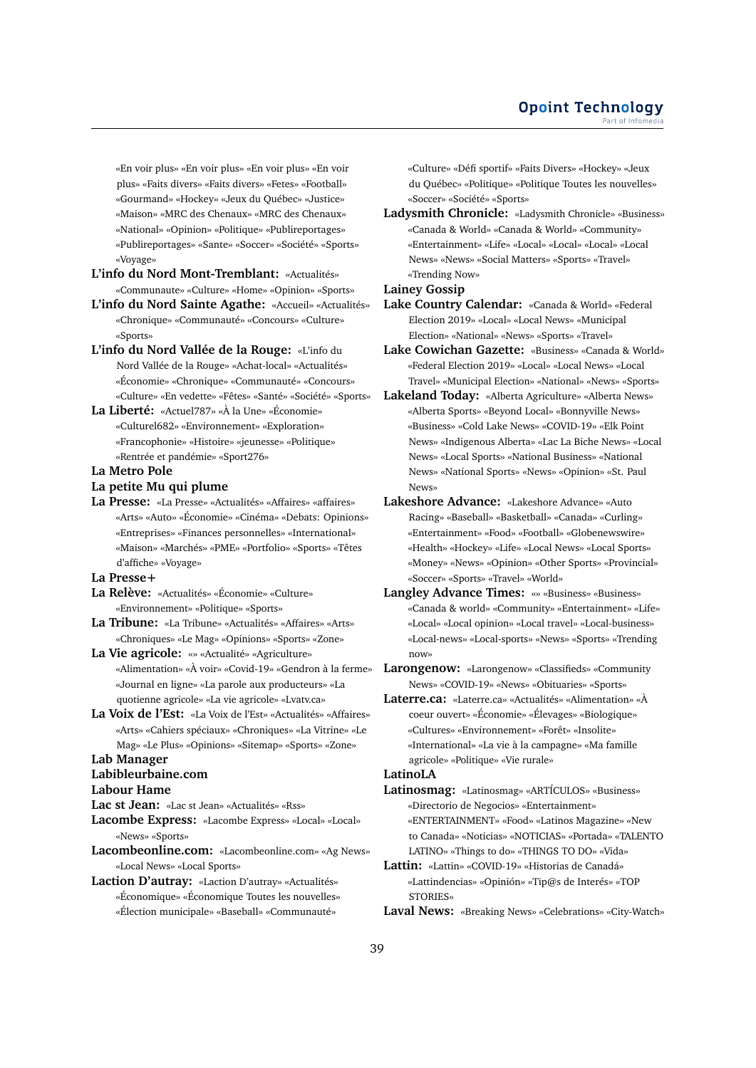«En voir plus» «En voir plus» «En voir plus» «En voir plus» «Faits divers» «Faits divers» «Fetes» «Football» «Gourmand» «Hockey» «Jeux du Québec» «Justice» «Maison» «MRC des Chenaux» «MRC des Chenaux» «National» «Opinion» «Politique» «Publireportages» «Publireportages» «Sante» «Soccer» «Société» «Sports» «Voyage»

**L'info du Nord Mont-Tremblant:** «Actualités» «Communaute» «Culture» «Home» «Opinion» «Sports»

**L'info du Nord Sainte Agathe:** «Accueil» «Actualités» «Chronique» «Communauté» «Concours» «Culture» «Sports»

- **L'info du Nord Vallée de la Rouge:** «L'info du Nord Vallée de la Rouge» «Achat-local» «Actualités» «Économie» «Chronique» «Communauté» «Concours» «Culture» «En vedette» «Fêtes» «Santé» «Société» «Sports»
- **La Liberté:** «Actuel787» «À la Une» «Économie» «Culturel682» «Environnement» «Exploration» «Francophonie» «Histoire» «jeunesse» «Politique» «Rentrée et pandémie» «Sport276»
- **La Metro Pole**
- **La petite Mu qui plume**
- **La Presse:** «La Presse» «Actualités» «Affaires» «affaires» «Arts» «Auto» «Économie» «Cinéma» «Debats: Opinions» «Entreprises» «Finances personnelles» «International» «Maison» «Marchés» «PME» «Portfolio» «Sports» «Têtes d'affiche» «Voyage»
- **La Presse+**
- **La Relève:** «Actualités» «Économie» «Culture» «Environnement» «Politique» «Sports»
- **La Tribune:** «La Tribune» «Actualités» «Affaires» «Arts» «Chroniques» «Le Mag» «Opinions» «Sports» «Zone»
- **La Vie agricole:** «» «Actualité» «Agriculture» «Alimentation» «À voir» «Covid-19» «Gendron à la ferme» «Journal en ligne» «La parole aux producteurs» «La quotienne agricole» «La vie agricole» «Lvatv.ca»
- **La Voix de l'Est:** «La Voix de l'Est» «Actualités» «Affaires» «Arts» «Cahiers spéciaux» «Chroniques» «La Vitrine» «Le Mag» «Le Plus» «Opinions» «Sitemap» «Sports» «Zone»

#### **Lab Manager Labibleurbaine.com**

**Labour Hame**

**Lac st Jean:** «Lac st Jean» «Actualités» «Rss»

- **Lacombe Express:** «Lacombe Express» «Local» «Local» «News» «Sports»
- **Lacombeonline.com:** «Lacombeonline.com» «Ag News» «Local News» «Local Sports»
- **Laction D'autray:** «Laction D'autray» «Actualités» «Économique» «Économique Toutes les nouvelles» «Élection municipale» «Baseball» «Communauté»

«Culture» «Défi sportif» «Faits Divers» «Hockey» «Jeux du Québec» «Politique» «Politique Toutes les nouvelles» «Soccer» «Société» «Sports»

**Ladysmith Chronicle:** «Ladysmith Chronicle» «Business» «Canada & World» «Canada & World» «Community» «Entertainment» «Life» «Local» «Local» «Local» «Local News» «News» «Social Matters» «Sports» «Travel» «Trending Now»

# **Lainey Gossip**

- **Lake Country Calendar:** «Canada & World» «Federal Election 2019» «Local» «Local News» «Municipal Election» «National» «News» «Sports» «Travel»
- **Lake Cowichan Gazette:** «Business» «Canada & World» «Federal Election 2019» «Local» «Local News» «Local Travel» «Municipal Election» «National» «News» «Sports»
- **Lakeland Today:** «Alberta Agriculture» «Alberta News» «Alberta Sports» «Beyond Local» «Bonnyville News» «Business» «Cold Lake News» «COVID-19» «Elk Point News» «Indigenous Alberta» «Lac La Biche News» «Local News» «Local Sports» «National Business» «National News» «National Sports» «News» «Opinion» «St. Paul News»
- **Lakeshore Advance:** «Lakeshore Advance» «Auto Racing» «Baseball» «Basketball» «Canada» «Curling» «Entertainment» «Food» «Football» «Globenewswire» «Health» «Hockey» «Life» «Local News» «Local Sports» «Money» «News» «Opinion» «Other Sports» «Provincial» «Soccer» «Sports» «Travel» «World»
- **Langley Advance Times:** «» «Business» «Business» «Canada & world» «Community» «Entertainment» «Life» «Local» «Local opinion» «Local travel» «Local-business» «Local-news» «Local-sports» «News» «Sports» «Trending now»
- **Larongenow:** «Larongenow» «Classifieds» «Community News» «COVID-19» «News» «Obituaries» «Sports»

**Laterre.ca:** «Laterre.ca» «Actualités» «Alimentation» «À coeur ouvert» «Économie» «Élevages» «Biologique» «Cultures» «Environnement» «Forêt» «Insolite» «International» «La vie à la campagne» «Ma famille agricole» «Politique» «Vie rurale»

## **LatinoLA**

**Latinosmag:** «Latinosmag» «ARTÍCULOS» «Business» «Directorio de Negocios» «Entertainment» «ENTERTAINMENT» «Food» «Latinos Magazine» «New to Canada» «Noticias» «NOTICIAS» «Portada» «TALENTO LATINO» «Things to do» «THINGS TO DO» «Vida»

**Lattin:** «Lattin» «COVID-19» «Historias de Canadá» «Lattindencias» «Opinión» «Tip@s de Interés» «TOP STORIES»

**Laval News:** «Breaking News» «Celebrations» «City-Watch»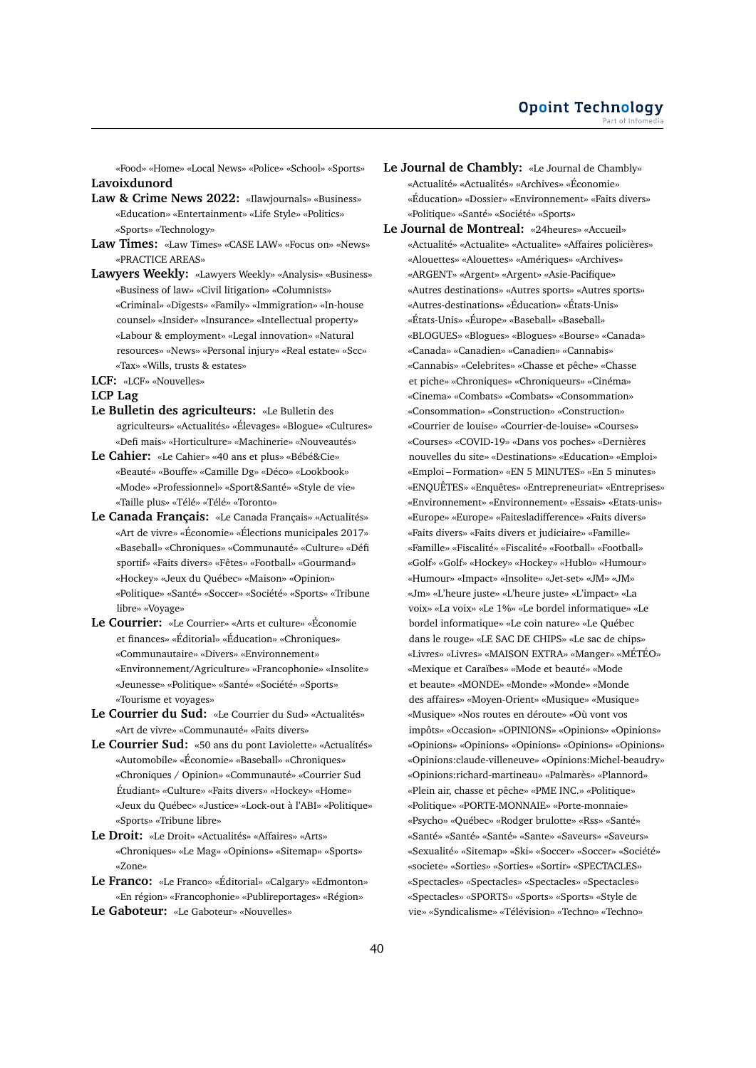«Food» «Home» «Local News» «Police» «School» «Sports» **Lavoixdunord**

- **Law & Crime News 2022:** «Ilawjournals» «Business» «Education» «Entertainment» «Life Style» «Politics» «Sports» «Technology»
- **Law Times:** «Law Times» «CASE LAW» «Focus on» «News» «PRACTICE AREAS»
- **Lawyers Weekly:** «Lawyers Weekly» «Analysis» «Business» «Business of law» «Civil litigation» «Columnists» «Criminal» «Digests» «Family» «Immigration» «In-house counsel» «Insider» «Insurance» «Intellectual property» «Labour & employment» «Legal innovation» «Natural resources» «News» «Personal injury» «Real estate» «Scc» «Tax» «Wills, trusts & estates»
- **LCF:** «LCF» «Nouvelles»

#### **LCP Lag**

- **Le Bulletin des agriculteurs:** «Le Bulletin des agriculteurs» «Actualités» «Élevages» «Blogue» «Cultures» «Defi mais» «Horticulture» «Machinerie» «Nouveautés»
- **Le Cahier:** «Le Cahier» «40 ans et plus» «Bébé&Cie» «Beauté» «Bouffe» «Camille Dg» «Déco» «Lookbook» «Mode» «Professionnel» «Sport&Santé» «Style de vie» «Taille plus» «Télé» «Télé» «Toronto»
- **Le Canada Français:** «Le Canada Français» «Actualités» «Art de vivre» «Économie» «Élections municipales 2017» «Baseball» «Chroniques» «Communauté» «Culture» «Défi sportif» «Faits divers» «Fêtes» «Football» «Gourmand» «Hockey» «Jeux du Québec» «Maison» «Opinion» «Politique» «Santé» «Soccer» «Société» «Sports» «Tribune libre» «Voyage»
- **Le Courrier:** «Le Courrier» «Arts et culture» «Économie et finances» «Éditorial» «Éducation» «Chroniques» «Communautaire» «Divers» «Environnement» «Environnement/Agriculture» «Francophonie» «Insolite» «Jeunesse» «Politique» «Santé» «Société» «Sports» «Tourisme et voyages»
- **Le Courrier du Sud:** «Le Courrier du Sud» «Actualités» «Art de vivre» «Communauté» «Faits divers»
- **Le Courrier Sud:** «50 ans du pont Laviolette» «Actualités» «Automobile» «Économie» «Baseball» «Chroniques» «Chroniques / Opinion» «Communauté» «Courrier Sud Étudiant» «Culture» «Faits divers» «Hockey» «Home» «Jeux du Québec» «Justice» «Lock-out à l'ABI» «Politique» «Sports» «Tribune libre»
- **Le Droit:** «Le Droit» «Actualités» «Affaires» «Arts» «Chroniques» «Le Mag» «Opinions» «Sitemap» «Sports» «Zone»
- **Le Franco:** «Le Franco» «Éditorial» «Calgary» «Edmonton» «En région» «Francophonie» «Publireportages» «Région»
- **Le Gaboteur:** «Le Gaboteur» «Nouvelles»
- **Le Journal de Chambly:** «Le Journal de Chambly» «Actualité» «Actualités» «Archives» «Économie» «Éducation» «Dossier» «Environnement» «Faits divers» «Politique» «Santé» «Société» «Sports»
- **Le Journal de Montreal:** «24heures» «Accueil» «Actualité» «Actualite» «Actualite» «Affaires policières» «Alouettes» «Alouettes» «Amériques» «Archives» «ARGENT» «Argent» «Argent» «Asie-Pacifique» «Autres destinations» «Autres sports» «Autres sports» «Autres-destinations» «Éducation» «États-Unis» «États-Unis» «Éurope» «Baseball» «Baseball» «BLOGUES» «Blogues» «Blogues» «Bourse» «Canada» «Canada» «Canadien» «Canadien» «Cannabis» «Cannabis» «Celebrites» «Chasse et pêche» «Chasse et piche» «Chroniques» «Chroniqueurs» «Cinéma» «Cinema» «Combats» «Combats» «Consommation» «Consommation» «Construction» «Construction» «Courrier de louise» «Courrier-de-louise» «Courses» «Courses» «COVID-19» «Dans vos poches» «Dernières nouvelles du site» «Destinations» «Education» «Emploi» «Emploi – Formation» «EN 5 MINUTES» «En 5 minutes» «ENQUÊTES» «Enquêtes» «Entrepreneuriat» «Entreprises» «Environnement» «Environnement» «Essais» «Etats-unis» «Europe» «Europe» «Faitesladifference» «Faits divers» «Faits divers» «Faits divers et judiciaire» «Famille» «Famille» «Fiscalité» «Fiscalité» «Football» «Football» «Golf» «Golf» «Hockey» «Hockey» «Hublo» «Humour» «Humour» «Impact» «Insolite» «Jet-set» «JM» «JM» «Jm» «L'heure juste» «L'heure juste» «L'impact» «La voix» «La voix» «Le 1%» «Le bordel informatique» «Le bordel informatique» «Le coin nature» «Le Québec dans le rouge» «LE SAC DE CHIPS» «Le sac de chips» «Livres» «Livres» «MAISON EXTRA» «Manger» «MÉTÉO» «Mexique et Caraïbes» «Mode et beauté» «Mode et beaute» «MONDE» «Monde» «Monde» «Monde des affaires» «Moyen-Orient» «Musique» «Musique» «Musique» «Nos routes en déroute» «Où vont vos impôts» «Occasion» «OPINIONS» «Opinions» «Opinions» «Opinions» «Opinions» «Opinions» «Opinions» «Opinions» «Opinions:claude-villeneuve» «Opinions:Michel-beaudry» «Opinions:richard-martineau» «Palmarès» «Plannord» «Plein air, chasse et pêche» «PME INC.» «Politique» «Politique» «PORTE-MONNAIE» «Porte-monnaie» «Psycho» «Québec» «Rodger brulotte» «Rss» «Santé» «Santé» «Santé» «Santé» «Sante» «Saveurs» «Saveurs» «Sexualité» «Sitemap» «Ski» «Soccer» «Soccer» «Société» «societe» «Sorties» «Sorties» «Sortir» «SPECTACLES» «Spectacles» «Spectacles» «Spectacles» «Spectacles» «Spectacles» «SPORTS» «Sports» «Sports» «Style de vie» «Syndicalisme» «Télévision» «Techno» «Techno»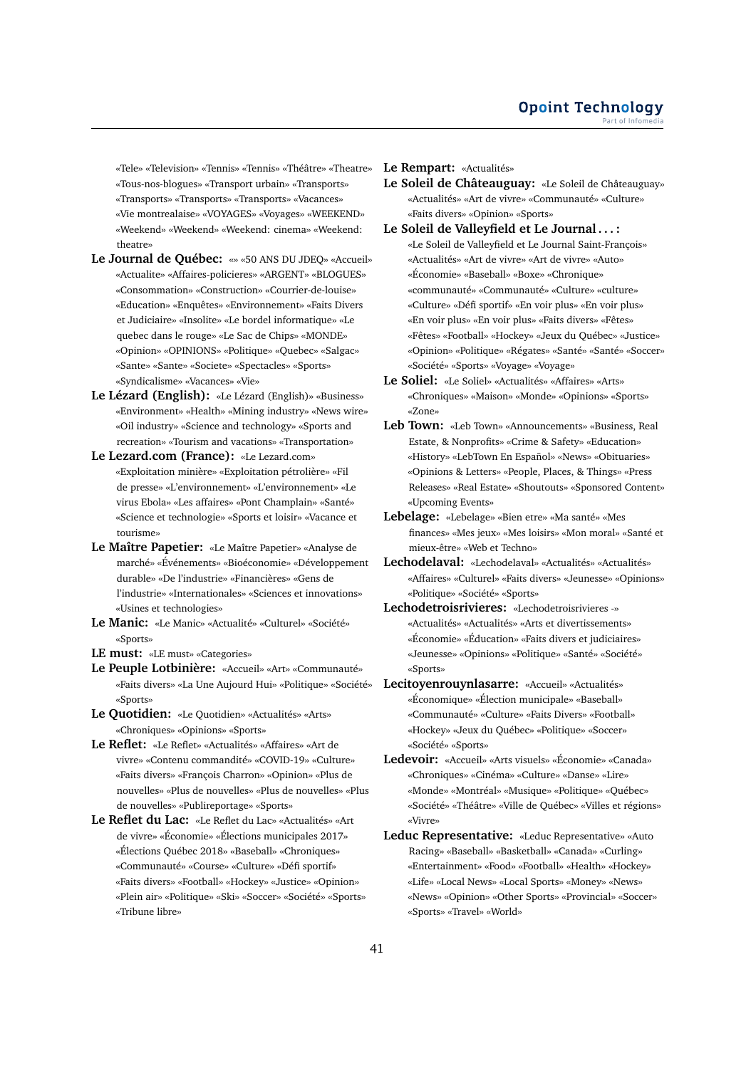«Tele» «Television» «Tennis» «Tennis» «Théâtre» «Theatre» «Tous-nos-blogues» «Transport urbain» «Transports» «Transports» «Transports» «Transports» «Vacances» «Vie montrealaise» «VOYAGES» «Voyages» «WEEKEND» «Weekend» «Weekend» «Weekend: cinema» «Weekend: theatre»

- **Le Journal de Québec:** «» «50 ANS DU JDEQ» «Accueil» «Actualite» «Affaires-policieres» «ARGENT» «BLOGUES» «Consommation» «Construction» «Courrier-de-louise» «Education» «Enquêtes» «Environnement» «Faits Divers et Judiciaire» «Insolite» «Le bordel informatique» «Le quebec dans le rouge» «Le Sac de Chips» «MONDE» «Opinion» «OPINIONS» «Politique» «Quebec» «Salgac» «Sante» «Sante» «Societe» «Spectacles» «Sports» «Syndicalisme» «Vacances» «Vie»
- **Le Lézard (English):** «Le Lézard (English)» «Business» «Environment» «Health» «Mining industry» «News wire» «Oil industry» «Science and technology» «Sports and recreation» «Tourism and vacations» «Transportation»
- **Le Lezard.com (France):** «Le Lezard.com» «Exploitation minière» «Exploitation pétrolière» «Fil de presse» «L'environnement» «L'environnement» «Le virus Ebola» «Les affaires» «Pont Champlain» «Santé» «Science et technologie» «Sports et loisir» «Vacance et tourisme»
- **Le Maître Papetier:** «Le Maître Papetier» «Analyse de marché» «Événements» «Bioéconomie» «Développement durable» «De l'industrie» «Financières» «Gens de l'industrie» «Internationales» «Sciences et innovations» «Usines et technologies»
- **Le Manic:** «Le Manic» «Actualité» «Culturel» «Société» «Sports»
- **LE must:** «LE must» «Categories»
- **Le Peuple Lotbinière:** «Accueil» «Art» «Communauté» «Faits divers» «La Une Aujourd Hui» «Politique» «Société» «Sports»
- **Le Quotidien:** «Le Quotidien» «Actualités» «Arts» «Chroniques» «Opinions» «Sports»
- **Le Reflet:** «Le Reflet» «Actualités» «Affaires» «Art de vivre» «Contenu commandité» «COVID-19» «Culture» «Faits divers» «François Charron» «Opinion» «Plus de nouvelles» «Plus de nouvelles» «Plus de nouvelles» «Plus de nouvelles» «Publireportage» «Sports»
- **Le Reflet du Lac:** «Le Reflet du Lac» «Actualités» «Art de vivre» «Économie» «Élections municipales 2017» «Élections Québec 2018» «Baseball» «Chroniques» «Communauté» «Course» «Culture» «Défi sportif» «Faits divers» «Football» «Hockey» «Justice» «Opinion» «Plein air» «Politique» «Ski» «Soccer» «Société» «Sports» «Tribune libre»

**Le Rempart:** «Actualités»

- **Le Soleil de Châteauguay:** «Le Soleil de Châteauguay» «Actualités» «Art de vivre» «Communauté» «Culture» «Faits divers» «Opinion» «Sports»
- **Le Soleil de Valleyfield et Le Journal . . . :** «Le Soleil de Valleyfield et Le Journal Saint-François» «Actualités» «Art de vivre» «Art de vivre» «Auto» «Économie» «Baseball» «Boxe» «Chronique» «communauté» «Communauté» «Culture» «culture» «Culture» «Défi sportif» «En voir plus» «En voir plus» «En voir plus» «En voir plus» «Faits divers» «Fêtes» «Fêtes» «Football» «Hockey» «Jeux du Québec» «Justice» «Opinion» «Politique» «Régates» «Santé» «Santé» «Soccer» «Société» «Sports» «Voyage» «Voyage»
- **Le Soliel:** «Le Soliel» «Actualités» «Affaires» «Arts» «Chroniques» «Maison» «Monde» «Opinions» «Sports» «Zone»
- **Leb Town:** «Leb Town» «Announcements» «Business, Real Estate, & Nonprofits» «Crime & Safety» «Education» «History» «LebTown En Español» «News» «Obituaries» «Opinions & Letters» «People, Places, & Things» «Press Releases» «Real Estate» «Shoutouts» «Sponsored Content» «Upcoming Events»
- **Lebelage:** «Lebelage» «Bien etre» «Ma santé» «Mes finances» «Mes jeux» «Mes loisirs» «Mon moral» «Santé et mieux-être» «Web et Techno»
- **Lechodelaval:** «Lechodelaval» «Actualités» «Actualités» «Affaires» «Culturel» «Faits divers» «Jeunesse» «Opinions» «Politique» «Société» «Sports»
- **Lechodetroisrivieres:** «Lechodetroisrivieres -» «Actualités» «Actualités» «Arts et divertissements» «Économie» «Éducation» «Faits divers et judiciaires» «Jeunesse» «Opinions» «Politique» «Santé» «Société» «Sports»
- **Lecitoyenrouynlasarre:** «Accueil» «Actualités» «Économique» «Élection municipale» «Baseball» «Communauté» «Culture» «Faits Divers» «Football» «Hockey» «Jeux du Québec» «Politique» «Soccer» «Société» «Sports»
- **Ledevoir:** «Accueil» «Arts visuels» «Économie» «Canada» «Chroniques» «Cinéma» «Culture» «Danse» «Lire» «Monde» «Montréal» «Musique» «Politique» «Québec» «Société» «Théâtre» «Ville de Québec» «Villes et régions» «Vivre»
- **Leduc Representative:** «Leduc Representative» «Auto Racing» «Baseball» «Basketball» «Canada» «Curling» «Entertainment» «Food» «Football» «Health» «Hockey» «Life» «Local News» «Local Sports» «Money» «News» «News» «Opinion» «Other Sports» «Provincial» «Soccer» «Sports» «Travel» «World»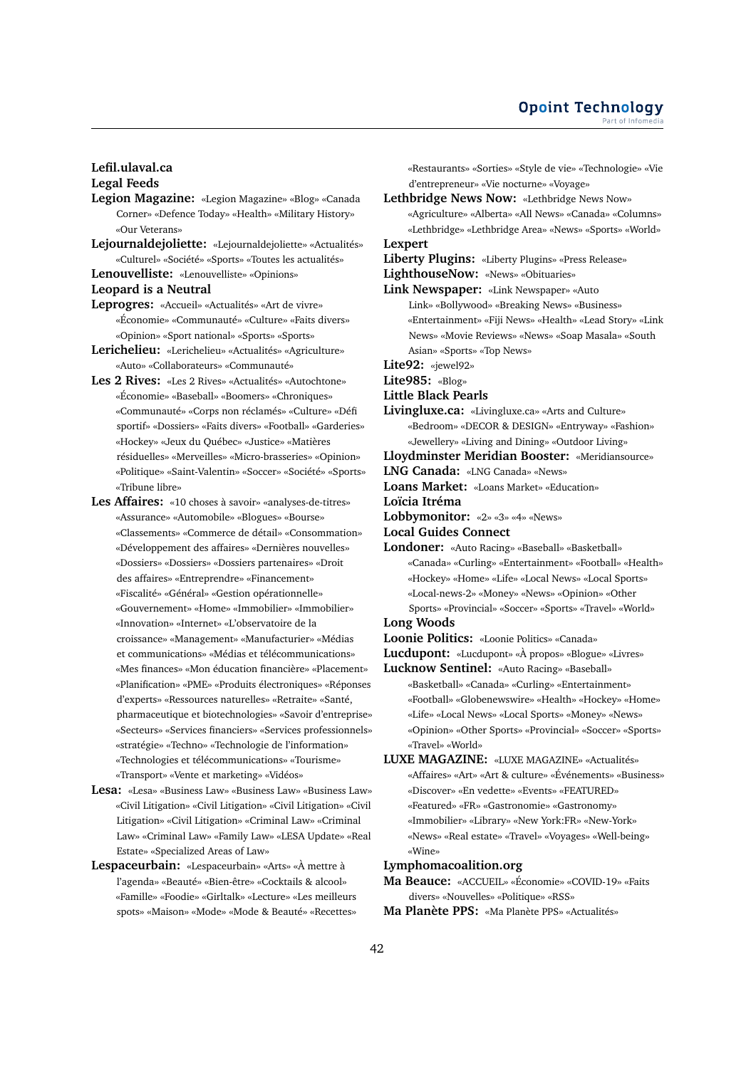# **Lefil.ulaval.ca Legal Feeds**

- **Legion Magazine:** «Legion Magazine» «Blog» «Canada Corner» «Defence Today» «Health» «Military History» «Our Veterans»
- **Lejournaldejoliette:** «Lejournaldejoliette» «Actualités» «Culturel» «Société» «Sports» «Toutes les actualités»
- **Lenouvelliste:** «Lenouvelliste» «Opinions»
- **Leopard is a Neutral**
- **Leprogres:** «Accueil» «Actualités» «Art de vivre» «Économie» «Communauté» «Culture» «Faits divers» «Opinion» «Sport national» «Sports» «Sports»
- **Lerichelieu:** «Lerichelieu» «Actualités» «Agriculture» «Auto» «Collaborateurs» «Communauté»
- **Les 2 Rives:** «Les 2 Rives» «Actualités» «Autochtone» «Économie» «Baseball» «Boomers» «Chroniques» «Communauté» «Corps non réclamés» «Culture» «Défi sportif» «Dossiers» «Faits divers» «Football» «Garderies» «Hockey» «Jeux du Québec» «Justice» «Matières résiduelles» «Merveilles» «Micro-brasseries» «Opinion» «Politique» «Saint-Valentin» «Soccer» «Société» «Sports» «Tribune libre»
- **Les Affaires:** «10 choses à savoir» «analyses-de-titres» «Assurance» «Automobile» «Blogues» «Bourse» «Classements» «Commerce de détail» «Consommation» «Développement des affaires» «Dernières nouvelles» «Dossiers» «Dossiers» «Dossiers partenaires» «Droit des affaires» «Entreprendre» «Financement» «Fiscalité» «Général» «Gestion opérationnelle» «Gouvernement» «Home» «Immobilier» «Immobilier» «Innovation» «Internet» «L'observatoire de la croissance» «Management» «Manufacturier» «Médias et communications» «Médias et télécommunications» «Mes finances» «Mon éducation financière» «Placement» «Planification» «PME» «Produits électroniques» «Réponses d'experts» «Ressources naturelles» «Retraite» «Santé, pharmaceutique et biotechnologies» «Savoir d'entreprise» «Secteurs» «Services financiers» «Services professionnels» «stratégie» «Techno» «Technologie de l'information» «Technologies et télécommunications» «Tourisme» «Transport» «Vente et marketing» «Vidéos»
- **Lesa:** «Lesa» «Business Law» «Business Law» «Business Law» «Civil Litigation» «Civil Litigation» «Civil Litigation» «Civil Litigation» «Civil Litigation» «Criminal Law» «Criminal Law» «Criminal Law» «Family Law» «LESA Update» «Real Estate» «Specialized Areas of Law»
- **Lespaceurbain:** «Lespaceurbain» «Arts» «À mettre à l'agenda» «Beauté» «Bien-être» «Cocktails & alcool» «Famille» «Foodie» «Girltalk» «Lecture» «Les meilleurs spots» «Maison» «Mode» «Mode & Beauté» «Recettes»

«Restaurants» «Sorties» «Style de vie» «Technologie» «Vie d'entrepreneur» «Vie nocturne» «Voyage»

- **Lethbridge News Now:** «Lethbridge News Now» «Agriculture» «Alberta» «All News» «Canada» «Columns» «Lethbridge» «Lethbridge Area» «News» «Sports» «World»
- **Lexpert**
- **Liberty Plugins:** «Liberty Plugins» «Press Release»
- **LighthouseNow:** «News» «Obituaries»
- **Link Newspaper:** «Link Newspaper» «Auto Link» «Bollywood» «Breaking News» «Business» «Entertainment» «Fiji News» «Health» «Lead Story» «Link News» «Movie Reviews» «News» «Soap Masala» «South Asian» «Sports» «Top News»
- **Lite92:** «jewel92»
- **Lite985:** «Blog»
- **Little Black Pearls**
- **Livingluxe.ca:** «Livingluxe.ca» «Arts and Culture» «Bedroom» «DECOR & DESIGN» «Entryway» «Fashion» «Jewellery» «Living and Dining» «Outdoor Living»

**Lloydminster Meridian Booster:** «Meridiansource»

- **LNG Canada:** «LNG Canada» «News»
- **Loans Market:** «Loans Market» «Education»
- **Loïcia Itréma**
- **Lobbymonitor:** «2» «3» «4» «News»
- **Local Guides Connect**
- **Londoner:** «Auto Racing» «Baseball» «Basketball» «Canada» «Curling» «Entertainment» «Football» «Health» «Hockey» «Home» «Life» «Local News» «Local Sports» «Local-news-2» «Money» «News» «Opinion» «Other Sports» «Provincial» «Soccer» «Sports» «Travel» «World»
- **Long Woods**
- **Loonie Politics:** «Loonie Politics» «Canada»
- **Lucdupont:** «Lucdupont» «À propos» «Blogue» «Livres»
- **Lucknow Sentinel:** «Auto Racing» «Baseball» «Basketball» «Canada» «Curling» «Entertainment» «Football» «Globenewswire» «Health» «Hockey» «Home» «Life» «Local News» «Local Sports» «Money» «News» «Opinion» «Other Sports» «Provincial» «Soccer» «Sports» «Travel» «World»
- **LUXE MAGAZINE:** «LUXE MAGAZINE» «Actualités» «Affaires» «Art» «Art & culture» «Événements» «Business» «Discover» «En vedette» «Events» «FEATURED» «Featured» «FR» «Gastronomie» «Gastronomy» «Immobilier» «Library» «New York:FR» «New-York» «News» «Real estate» «Travel» «Voyages» «Well-being» «Wine»
- **Lymphomacoalition.org**
- **Ma Beauce:** «ACCUEIL» «Économie» «COVID-19» «Faits divers» «Nouvelles» «Politique» «RSS»
- **Ma Planète PPS:** «Ma Planète PPS» «Actualités»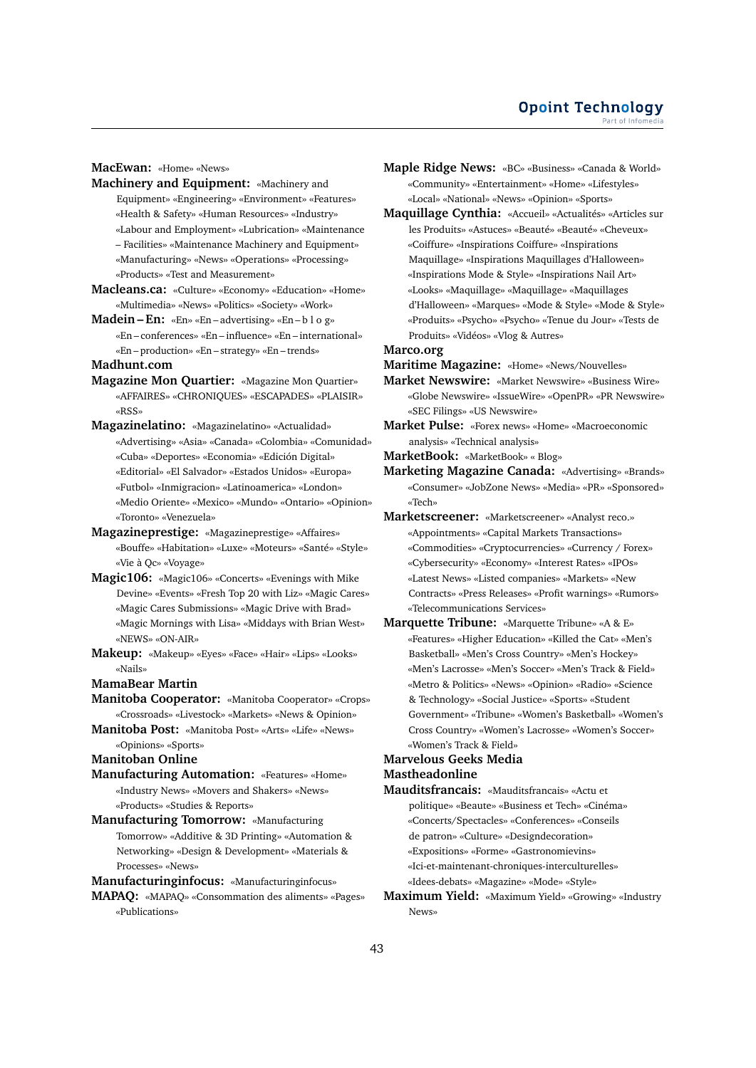#### **MacEwan:** «Home» «News»

**Machinery and Equipment:** «Machinery and Equipment» «Engineering» «Environment» «Features» «Health & Safety» «Human Resources» «Industry» «Labour and Employment» «Lubrication» «Maintenance – Facilities» «Maintenance Machinery and Equipment» «Manufacturing» «News» «Operations» «Processing» «Products» «Test and Measurement»

- **Macleans.ca:** «Culture» «Economy» «Education» «Home» «Multimedia» «News» «Politics» «Society» «Work»
- **Madein En:** «En» «En advertising» «En b l o g» «En – conferences» «En – influence» «En – international» «En – production» «En – strategy» «En – trends»

#### **Madhunt.com**

- **Magazine Mon Quartier:** «Magazine Mon Quartier» «AFFAIRES» «CHRONIQUES» «ESCAPADES» «PLAISIR» «RSS»
- **Magazinelatino:** «Magazinelatino» «Actualidad» «Advertising» «Asia» «Canada» «Colombia» «Comunidad» «Cuba» «Deportes» «Economia» «Edición Digital» «Editorial» «El Salvador» «Estados Unidos» «Europa» «Futbol» «Inmigracion» «Latinoamerica» «London» «Medio Oriente» «Mexico» «Mundo» «Ontario» «Opinion» «Toronto» «Venezuela»
- **Magazineprestige:** «Magazineprestige» «Affaires» «Bouffe» «Habitation» «Luxe» «Moteurs» «Santé» «Style» «Vie à Qc» «Voyage»
- **Magic106:** «Magic106» «Concerts» «Evenings with Mike Devine» «Events» «Fresh Top 20 with Liz» «Magic Cares» «Magic Cares Submissions» «Magic Drive with Brad» «Magic Mornings with Lisa» «Middays with Brian West» «NEWS» «ON-AIR»
- **Makeup:** «Makeup» «Eyes» «Face» «Hair» «Lips» «Looks» «Nails»

# **MamaBear Martin**

- **Manitoba Cooperator:** «Manitoba Cooperator» «Crops» «Crossroads» «Livestock» «Markets» «News & Opinion»
- **Manitoba Post:** «Manitoba Post» «Arts» «Life» «News» «Opinions» «Sports»

**Manitoban Online**

**Manufacturing Automation:** «Features» «Home» «Industry News» «Movers and Shakers» «News» «Products» «Studies & Reports»

**Manufacturing Tomorrow:** «Manufacturing Tomorrow» «Additive & 3D Printing» «Automation & Networking» «Design & Development» «Materials & Processes» «News»

**Manufacturinginfocus:** «Manufacturinginfocus» **MAPAQ:** «MAPAQ» «Consommation des aliments» «Pages» «Publications»

**Maple Ridge News:** «BC» «Business» «Canada & World» «Community» «Entertainment» «Home» «Lifestyles» «Local» «National» «News» «Opinion» «Sports»

**Maquillage Cynthia:** «Accueil» «Actualités» «Articles sur les Produits» «Astuces» «Beauté» «Beauté» «Cheveux» «Coiffure» «Inspirations Coiffure» «Inspirations Maquillage» «Inspirations Maquillages d'Halloween» «Inspirations Mode & Style» «Inspirations Nail Art» «Looks» «Maquillage» «Maquillage» «Maquillages d'Halloween» «Marques» «Mode & Style» «Mode & Style» «Produits» «Psycho» «Psycho» «Tenue du Jour» «Tests de Produits» «Vidéos» «Vlog & Autres»

#### **Marco.org**

**Maritime Magazine:** «Home» «News/Nouvelles»

- **Market Newswire:** «Market Newswire» «Business Wire» «Globe Newswire» «IssueWire» «OpenPR» «PR Newswire» «SEC Filings» «US Newswire»
- **Market Pulse:** «Forex news» «Home» «Macroeconomic analysis» «Technical analysis»

**MarketBook:** «MarketBook» « Blog»

**Marketing Magazine Canada:** «Advertising» «Brands» «Consumer» «JobZone News» «Media» «PR» «Sponsored» «Tech»

- **Marketscreener:** «Marketscreener» «Analyst reco.» «Appointments» «Capital Markets Transactions» «Commodities» «Cryptocurrencies» «Currency / Forex» «Cybersecurity» «Economy» «Interest Rates» «IPOs» «Latest News» «Listed companies» «Markets» «New Contracts» «Press Releases» «Profit warnings» «Rumors» «Telecommunications Services»
- **Marquette Tribune:** «Marquette Tribune» «A & E» «Features» «Higher Education» «Killed the Cat» «Men's Basketball» «Men's Cross Country» «Men's Hockey» «Men's Lacrosse» «Men's Soccer» «Men's Track & Field» «Metro & Politics» «News» «Opinion» «Radio» «Science & Technology» «Social Justice» «Sports» «Student Government» «Tribune» «Women's Basketball» «Women's Cross Country» «Women's Lacrosse» «Women's Soccer» «Women's Track & Field»

# **Marvelous Geeks Media Mastheadonline**

- **Mauditsfrancais:** «Mauditsfrancais» «Actu et politique» «Beaute» «Business et Tech» «Cinéma» «Concerts/Spectacles» «Conferences» «Conseils de patron» «Culture» «Designdecoration» «Expositions» «Forme» «Gastronomievins» «Ici-et-maintenant-chroniques-interculturelles» «Idees-debats» «Magazine» «Mode» «Style»
- **Maximum Yield:** «Maximum Yield» «Growing» «Industry News»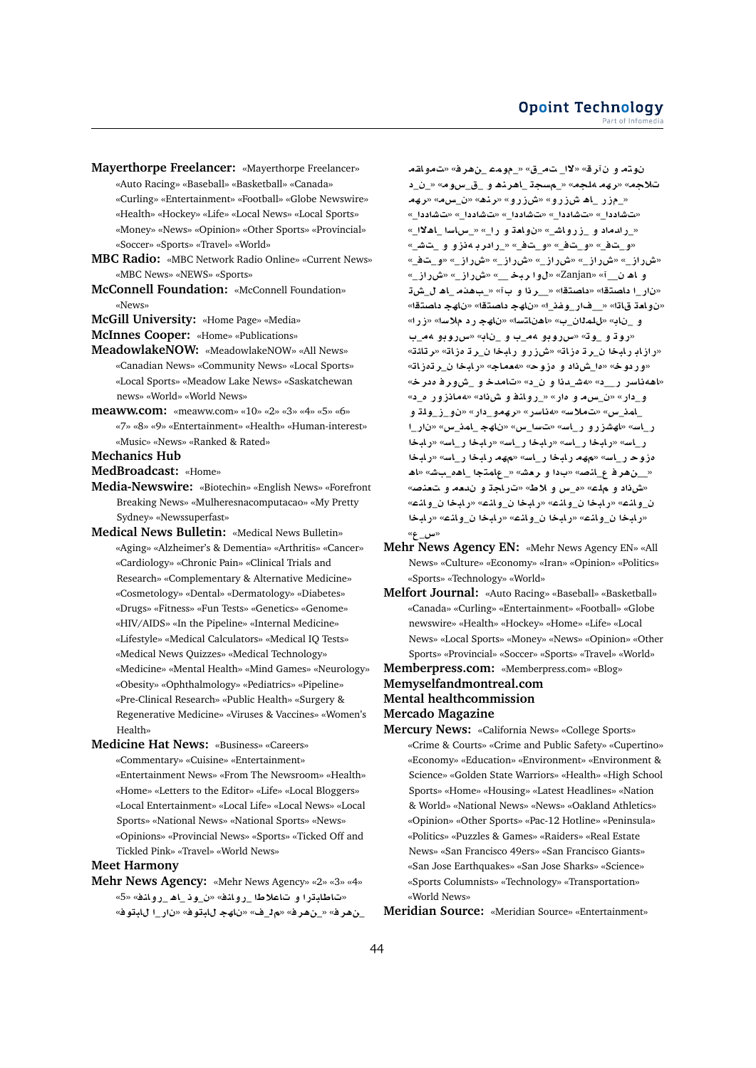- **Mayerthorpe Freelancer:** «Mayerthorpe Freelancer» «Auto Racing» «Baseball» «Basketball» «Canada» «Curling» «Entertainment» «Football» «Globe Newswire» «Health» «Hockey» «Life» «Local News» «Local Sports» «Money» «News» «Opinion» «Other Sports» «Provincial» «Soccer» «Sports» «Travel» «World»
- **MBC Radio:** «MBC Network Radio Online» «Current News» «MBC News» «NEWS» «Sports»
- **McConnell Foundation:** «McConnell Foundation» «News»
- **McGill University:** «Home Page» «Media»
- **McInnes Cooper:** «Home» «Publications»
- **MeadowlakeNOW:** «MeadowlakeNOW» «All News» «Canadian News» «Community News» «Local Sports» «Local Sports» «Meadow Lake News» «Saskatchewan news» «World» «World News»
- **meaww.com:** «meaww.com» «10» «2» «3» «4» «5» «6» «7» «8» «9» «Entertainment» «Health» «Human-interest» «Music» «News» «Ranked & Rated»

**Mechanics Hub**

**MedBroadcast:** «Home»

- **Media-Newswire:** «Biotechin» «English News» «Forefront Breaking News» «Mulheresnacomputacao» «My Pretty Sydney» «Newssuperfast»
- **Medical News Bulletin:** «Medical News Bulletin» «Aging» «Alzheimer's & Dementia» «Arthritis» «Cancer» «Cardiology» «Chronic Pain» «Clinical Trials and Research» «Complementary & Alternative Medicine» «Cosmetology» «Dental» «Dermatology» «Diabetes» «Drugs» «Fitness» «Fun Tests» «Genetics» «Genome» «HIV/AIDS» «In the Pipeline» «Internal Medicine» «Lifestyle» «Medical Calculators» «Medical IQ Tests» «Medical News Quizzes» «Medical Technology» «Medicine» «Mental Health» «Mind Games» «Neurology» «Obesity» «Ophthalmology» «Pediatrics» «Pipeline» «Pre-Clinical Research» «Public Health» «Surgery & Regenerative Medicine» «Viruses & Vaccines» «Women's Health»
- **Medicine Hat News:** «Business» «Careers» «Commentary» «Cuisine» «Entertainment» «Entertainment News» «From The Newsroom» «Health» «Home» «Letters to the Editor» «Life» «Local Bloggers» «Local Entertainment» «Local Life» «Local News» «Local Sports» «National News» «National Sports» «News» «Opinions» «Provincial News» «Sports» «Ticked Off and Tickled Pink» «Travel» «World News»

# **Meet Harmony**

**Mehr News Agency:** «Mehr News Agency» «2» «3» «4» «تاطلبترا و تاعلاطا رولنف» «ن وذ اه رولنف» «5» \_ن هر ف» «\_ن هر ف» «م ل\_ف» «ن لهج للبتو ف» «ن ار\_ا للبتو ف»

**qA¤** » «**r¡**\_ **mw**\_» «\_ \_**¯**» «**r ¤ tw**   $L$  تلاجه» «رهه الجه» «\_مسجة\_اهرند و\_ق\_سومه «\_ن\_د «\_مزر \_اه شiرو» «شiرو» «برند» «ن\_سمه» «رهه «ت شاددا\_» «ت شاددا\_» «ت شاددا\_» «ت شاددا\_» «ت شاددا\_» « راد مداد و زروانشـ» «ن و امحدّ و را » « س اسدا اهلا<sup>2</sup>ا » «و تف» «و تف» «و تف» « رادربهذزو و ت*ش*ت» «ش راز\_» «ش راز\_» «ش راز\_» «ش راز\_» «و\_تـف\_» «\_**ECM**» «\_**ECM**» «\_\_ **br ¤**» «Zanjan» «\_\_ **¡A ¤** «نار\_ا داصتقا» «داصتقا» «\_\_ر ذا و بآ» «\_بـهذم \_اه ل\_ش ت «ن و امت قاتا» «\_فار\_وفذ\_ا» «ناهج داصتقا» «ناهج داصتقا» و \_ناب» «للملاان\_ب» «اهناتسا» «ناهج ر د ملاسا» «ز را» «روڌ و \_وڌ» «س**روڊو 4م\_ب و \_ناب» «س**روڊو 4م\_ب «رازاب رابخا ن\_ر تـ مزات<sup>ه «</sup>ش(رو رابخا ن\_ر تـ مزات<sup>ه «</sup>ر تائتـ» «وردوخ» «ما شiاد و مزوج» «<mark>معماج»</mark> «رابخا ن رتمزاته «اهه ناسر ر\_ د» «*هشد*او ن\_د» «تامدخو\_ش ور فردرخ» «\_**£ C¤EA¢**» « **L ¤ nA¤C**\_» «**C£ ¤ H**\_» «**C** \_**¤** \_امذ\_س» «تملاس» «هناسر» «رهمو\_دار» «نو\_ز\_ولة و \_**C** » «**x**\_**mA**\_ **hA** » «**x**\_**F** » «**FA**\_**C ¤CEJhA**» «**FA**\_**C bAC**» «**FA**\_**C bAC**» «**FA**\_**C bAC**» «**FA**\_**C bAC**» «**FA**\_**C bAC**» «**FA**\_**C bAC h**» «**FA**\_**C bAC h**» «**FA**\_**C wE£** «\_\_نِ هر في ع\_انصه «بدا و برهشه «\_عامتجا \_اهه\_بت*ش*» «اهـ «ش ذاد و ملاء» «ه س و لاط» «ت راجة و ندمه و تعنصه» «**nA¤**\_ **bAC**» «**nA¤**\_ **bAC**» «**nA¤**\_ **bAC**» «**nA¤**\_ «رابخا ن\_وانم» «رابخا ن\_وانم» «رابخا ن\_وانم» «رابخا «\_**x**»

- **Mehr News Agency EN:** «Mehr News Agency EN» «All News» «Culture» «Economy» «Iran» «Opinion» «Politics» «Sports» «Technology» «World»
- **Melfort Journal:** «Auto Racing» «Baseball» «Basketball» «Canada» «Curling» «Entertainment» «Football» «Globe newswire» «Health» «Hockey» «Home» «Life» «Local News» «Local Sports» «Money» «News» «Opinion» «Other Sports» «Provincial» «Soccer» «Sports» «Travel» «World»
- **Memberpress.com:** «Memberpress.com» «Blog» **Memyselfandmontreal.com Mental healthcommission Mercado Magazine**
- **Mercury News:** «California News» «College Sports» «Crime & Courts» «Crime and Public Safety» «Cupertino» «Economy» «Education» «Environment» «Environment & Science» «Golden State Warriors» «Health» «High School Sports» «Home» «Housing» «Latest Headlines» «Nation & World» «National News» «News» «Oakland Athletics» «Opinion» «Other Sports» «Pac-12 Hotline» «Peninsula» «Politics» «Puzzles & Games» «Raiders» «Real Estate News» «San Francisco 49ers» «San Francisco Giants» «San Jose Earthquakes» «San Jose Sharks» «Science» «Sports Columnists» «Technology» «Transportation» «World News»

**Meridian Source:** «Meridian Source» «Entertainment»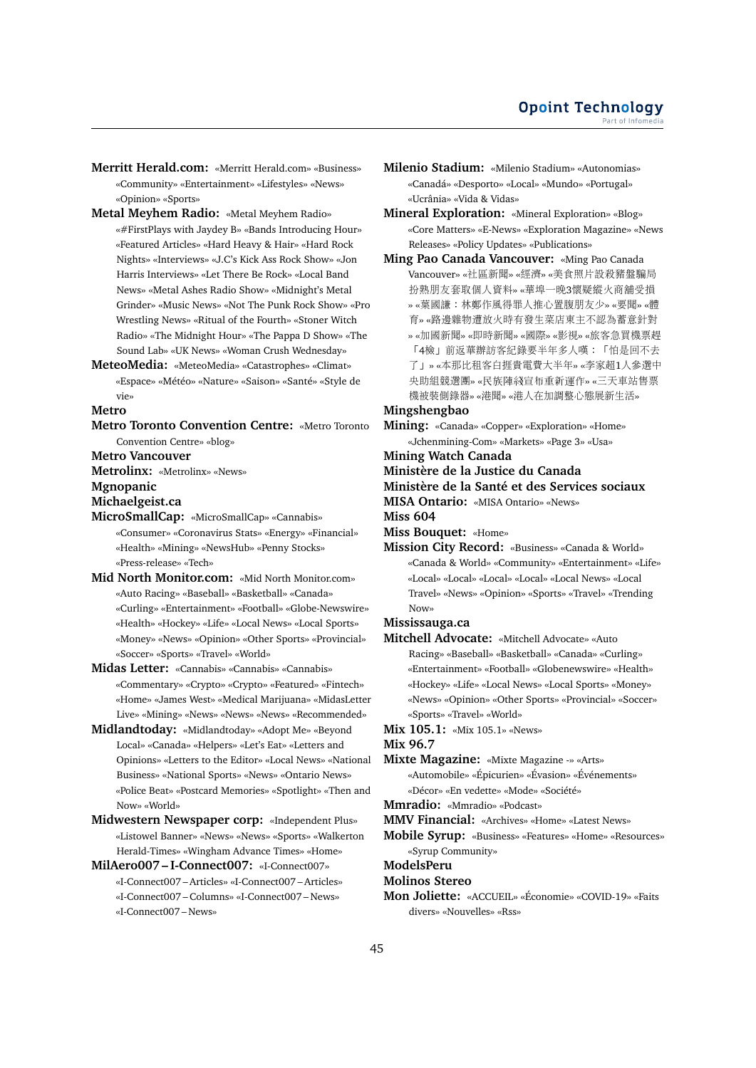- **Merritt Herald.com:** «Merritt Herald.com» «Business» «Community» «Entertainment» «Lifestyles» «News» «Opinion» «Sports»
- **Metal Meyhem Radio:** «Metal Meyhem Radio» «#FirstPlays with Jaydey B» «Bands Introducing Hour» «Featured Articles» «Hard Heavy & Hair» «Hard Rock Nights» «Interviews» «J.C's Kick Ass Rock Show» «Jon Harris Interviews» «Let There Be Rock» «Local Band News» «Metal Ashes Radio Show» «Midnight's Metal Grinder» «Music News» «Not The Punk Rock Show» «Pro Wrestling News» «Ritual of the Fourth» «Stoner Witch Radio» «The Midnight Hour» «The Pappa D Show» «The Sound Lab» «UK News» «Woman Crush Wednesday»
- **MeteoMedia:** «MeteoMedia» «Catastrophes» «Climat» «Espace» «Météo» «Nature» «Saison» «Santé» «Style de vie»

## **Metro**

**Metro Toronto Convention Centre:** «Metro Toronto Convention Centre» «blog»

# **Metro Vancouver**

**Metrolinx:** «Metrolinx» «News»

## **Mgnopanic**

**Michaelgeist.ca**

- **MicroSmallCap:** «MicroSmallCap» «Cannabis» «Consumer» «Coronavirus Stats» «Energy» «Financial» «Health» «Mining» «NewsHub» «Penny Stocks» «Press-release» «Tech»
- **Mid North Monitor.com:** «Mid North Monitor.com» «Auto Racing» «Baseball» «Basketball» «Canada» «Curling» «Entertainment» «Football» «Globe-Newswire» «Health» «Hockey» «Life» «Local News» «Local Sports» «Money» «News» «Opinion» «Other Sports» «Provincial» «Soccer» «Sports» «Travel» «World»
- **Midas Letter:** «Cannabis» «Cannabis» «Cannabis» «Commentary» «Crypto» «Crypto» «Featured» «Fintech» «Home» «James West» «Medical Marijuana» «MidasLetter Live» «Mining» «News» «News» «News» «Recommended»
- **Midlandtoday:** «Midlandtoday» «Adopt Me» «Beyond Local» «Canada» «Helpers» «Let's Eat» «Letters and Opinions» «Letters to the Editor» «Local News» «National Business» «National Sports» «News» «Ontario News» «Police Beat» «Postcard Memories» «Spotlight» «Then and Now» «World»
- **Midwestern Newspaper corp:** «Independent Plus» «Listowel Banner» «News» «News» «Sports» «Walkerton Herald-Times» «Wingham Advance Times» «Home»
- **MilAero007 I-Connect007:** «I-Connect007» «I-Connect007 – Articles» «I-Connect007 – Articles» «I-Connect007 – Columns» «I-Connect007 – News» «I-Connect007 – News»

**Milenio Stadium:** «Milenio Stadium» «Autonomias» «Canadá» «Desporto» «Local» «Mundo» «Portugal» «Ucrânia» «Vida & Vidas»

**Mineral Exploration:** «Mineral Exploration» «Blog» «Core Matters» «E-News» «Exploration Magazine» «News Releases» «Policy Updates» «Publications»

**Ming Pao Canada Vancouver:** «Ming Pao Canada Vancouver» «社區新聞» «經濟» «美食照片設殺豬盤騙<sup>局</sup> 扮熟朋友套取個人資料» «華埠一晚3懷疑縱火商舖受<sup>損</sup> » «葉國謙:林鄭作風得罪人推心置腹朋友少» «要聞» «<sup>體</sup> 育» «路邊雜物遭放火時有發生菜店東主不認為蓄意針<sup>對</sup> » «加國新聞» «即時新聞» «國際» «影視» «旅客急買機票<sup>趕</sup> 「4檢」前返華辦訪客紀錄要半年多人嘆:「怕是回不去 <sup>了</sup>」» «本那比租客白捱貴電費大半年» «李家超1人參選<sup>中</sup> 央助組競選團» «民族陣綫宣布重新運作» «三天車站售<sup>票</sup> <sup>機</sup>被裝側錄器» «港聞» «港人在加調整心態展新生活»

# **Mingshengbao**

**Mining:** «Canada» «Copper» «Exploration» «Home» «Jchenmining-Com» «Markets» «Page 3» «Usa»

# **Mining Watch Canada**

**Ministère de la Justice du Canada**

#### **Ministère de la Santé et des Services sociaux**

**MISA Ontario:** «MISA Ontario» «News»

**Miss 604**

- **Miss Bouquet:** «Home»
- **Mission City Record:** «Business» «Canada & World» «Canada & World» «Community» «Entertainment» «Life» «Local» «Local» «Local» «Local» «Local News» «Local Travel» «News» «Opinion» «Sports» «Travel» «Trending Now»

# **Mississauga.ca**

- **Mitchell Advocate:** «Mitchell Advocate» «Auto Racing» «Baseball» «Basketball» «Canada» «Curling» «Entertainment» «Football» «Globenewswire» «Health» «Hockey» «Life» «Local News» «Local Sports» «Money» «News» «Opinion» «Other Sports» «Provincial» «Soccer» «Sports» «Travel» «World»
- **Mix 105.1:** «Mix 105.1» «News»

# **Mix 96.7**

**Mixte Magazine:** «Mixte Magazine -» «Arts» «Automobile» «Épicurien» «Évasion» «Événements» «Décor» «En vedette» «Mode» «Société»

**Mmradio:** «Mmradio» «Podcast»

- **MMV Financial:** «Archives» «Home» «Latest News»
- **Mobile Syrup:** «Business» «Features» «Home» «Resources» «Syrup Community»

# **ModelsPeru**

**Molinos Stereo**

**Mon Joliette:** «ACCUEIL» «Économie» «COVID-19» «Faits divers» «Nouvelles» «Rss»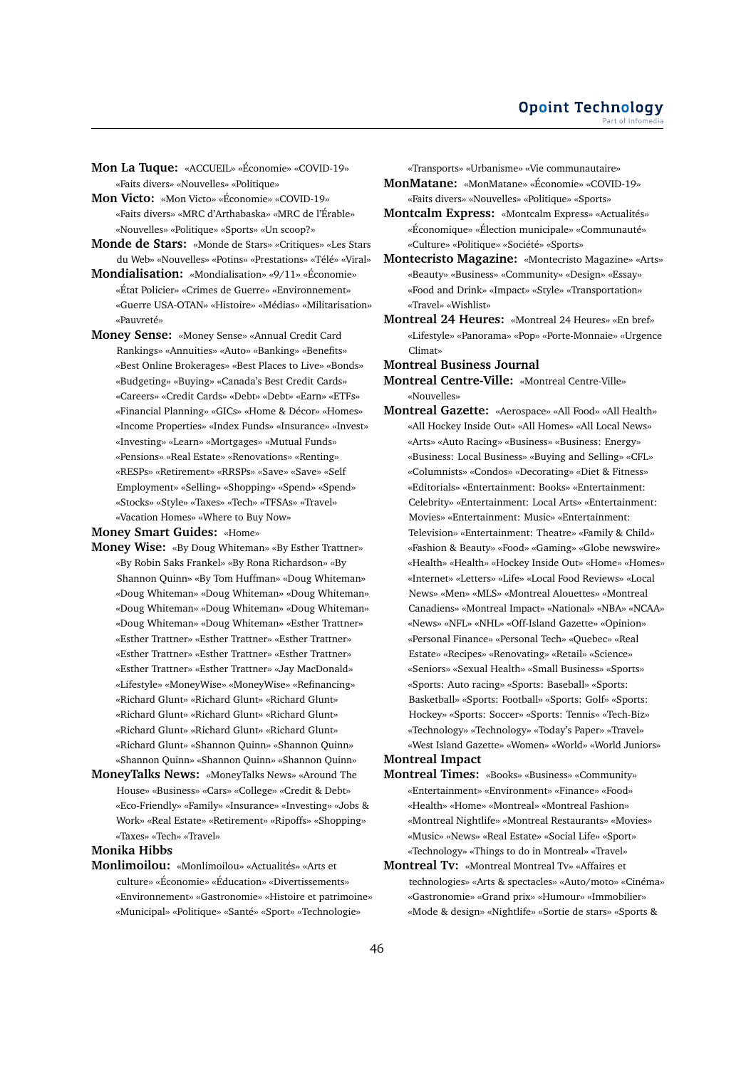- **Mon La Tuque:** «ACCUEIL» «Économie» «COVID-19» «Faits divers» «Nouvelles» «Politique»
- **Mon Victo:** «Mon Victo» «Économie» «COVID-19» «Faits divers» «MRC d'Arthabaska» «MRC de l'Érable» «Nouvelles» «Politique» «Sports» «Un scoop?»
- **Monde de Stars:** «Monde de Stars» «Critiques» «Les Stars du Web» «Nouvelles» «Potins» «Prestations» «Télé» «Viral»
- **Mondialisation:** «Mondialisation» «9/11» «Économie» «État Policier» «Crimes de Guerre» «Environnement» «Guerre USA-OTAN» «Histoire» «Médias» «Militarisation» «Pauvreté»
- **Money Sense:** «Money Sense» «Annual Credit Card Rankings» «Annuities» «Auto» «Banking» «Benefits» «Best Online Brokerages» «Best Places to Live» «Bonds» «Budgeting» «Buying» «Canada's Best Credit Cards» «Careers» «Credit Cards» «Debt» «Debt» «Earn» «ETFs» «Financial Planning» «GICs» «Home & Décor» «Homes» «Income Properties» «Index Funds» «Insurance» «Invest» «Investing» «Learn» «Mortgages» «Mutual Funds» «Pensions» «Real Estate» «Renovations» «Renting» «RESPs» «Retirement» «RRSPs» «Save» «Save» «Self Employment» «Selling» «Shopping» «Spend» «Spend» «Stocks» «Style» «Taxes» «Tech» «TFSAs» «Travel» «Vacation Homes» «Where to Buy Now»

#### **Money Smart Guides:** «Home»

- **Money Wise:** «By Doug Whiteman» «By Esther Trattner» «By Robin Saks Frankel» «By Rona Richardson» «By Shannon Quinn» «By Tom Huffman» «Doug Whiteman» «Doug Whiteman» «Doug Whiteman» «Doug Whiteman» «Doug Whiteman» «Doug Whiteman» «Doug Whiteman» «Doug Whiteman» «Doug Whiteman» «Esther Trattner» «Esther Trattner» «Esther Trattner» «Esther Trattner» «Esther Trattner» «Esther Trattner» «Esther Trattner» «Esther Trattner» «Esther Trattner» «Jay MacDonald» «Lifestyle» «MoneyWise» «MoneyWise» «Refinancing» «Richard Glunt» «Richard Glunt» «Richard Glunt» «Richard Glunt» «Richard Glunt» «Richard Glunt» «Richard Glunt» «Richard Glunt» «Richard Glunt» «Richard Glunt» «Shannon Quinn» «Shannon Quinn» «Shannon Quinn» «Shannon Quinn» «Shannon Quinn»
- **MoneyTalks News:** «MoneyTalks News» «Around The House» «Business» «Cars» «College» «Credit & Debt» «Eco-Friendly» «Family» «Insurance» «Investing» «Jobs & Work» «Real Estate» «Retirement» «Ripoffs» «Shopping» «Taxes» «Tech» «Travel»

# **Monika Hibbs**

**Monlimoilou:** «Monlimoilou» «Actualités» «Arts et culture» «Économie» «Éducation» «Divertissements» «Environnement» «Gastronomie» «Histoire et patrimoine» «Municipal» «Politique» «Santé» «Sport» «Technologie»

«Transports» «Urbanisme» «Vie communautaire»

- **MonMatane:** «MonMatane» «Économie» «COVID-19» «Faits divers» «Nouvelles» «Politique» «Sports»
- **Montcalm Express:** «Montcalm Express» «Actualités» «Économique» «Élection municipale» «Communauté» «Culture» «Politique» «Société» «Sports»
- **Montecristo Magazine:** «Montecristo Magazine» «Arts» «Beauty» «Business» «Community» «Design» «Essay» «Food and Drink» «Impact» «Style» «Transportation» «Travel» «Wishlist»
- **Montreal 24 Heures:** «Montreal 24 Heures» «En bref» «Lifestyle» «Panorama» «Pop» «Porte-Monnaie» «Urgence Climat»

#### **Montreal Business Journal**

**Montreal Centre-Ville:** «Montreal Centre-Ville» «Nouvelles»

- **Montreal Gazette:** «Aerospace» «All Food» «All Health» «All Hockey Inside Out» «All Homes» «All Local News» «Arts» «Auto Racing» «Business» «Business: Energy» «Business: Local Business» «Buying and Selling» «CFL» «Columnists» «Condos» «Decorating» «Diet & Fitness» «Editorials» «Entertainment: Books» «Entertainment: Celebrity» «Entertainment: Local Arts» «Entertainment: Movies» «Entertainment: Music» «Entertainment: Television» «Entertainment: Theatre» «Family & Child» «Fashion & Beauty» «Food» «Gaming» «Globe newswire» «Health» «Health» «Hockey Inside Out» «Home» «Homes» «Internet» «Letters» «Life» «Local Food Reviews» «Local News» «Men» «MLS» «Montreal Alouettes» «Montreal Canadiens» «Montreal Impact» «National» «NBA» «NCAA» «News» «NFL» «NHL» «Off-Island Gazette» «Opinion» «Personal Finance» «Personal Tech» «Quebec» «Real Estate» «Recipes» «Renovating» «Retail» «Science» «Seniors» «Sexual Health» «Small Business» «Sports» «Sports: Auto racing» «Sports: Baseball» «Sports: Basketball» «Sports: Football» «Sports: Golf» «Sports: Hockey» «Sports: Soccer» «Sports: Tennis» «Tech-Biz» «Technology» «Technology» «Today's Paper» «Travel» «West Island Gazette» «Women» «World» «World Juniors» **Montreal Impact**
- **Montreal Times:** «Books» «Business» «Community» «Entertainment» «Environment» «Finance» «Food» «Health» «Home» «Montreal» «Montreal Fashion» «Montreal Nightlife» «Montreal Restaurants» «Movies» «Music» «News» «Real Estate» «Social Life» «Sport» «Technology» «Things to do in Montreal» «Travel»
- **Montreal Tv:** «Montreal Montreal Tv» «Affaires et technologies» «Arts & spectacles» «Auto/moto» «Cinéma» «Gastronomie» «Grand prix» «Humour» «Immobilier» «Mode & design» «Nightlife» «Sortie de stars» «Sports &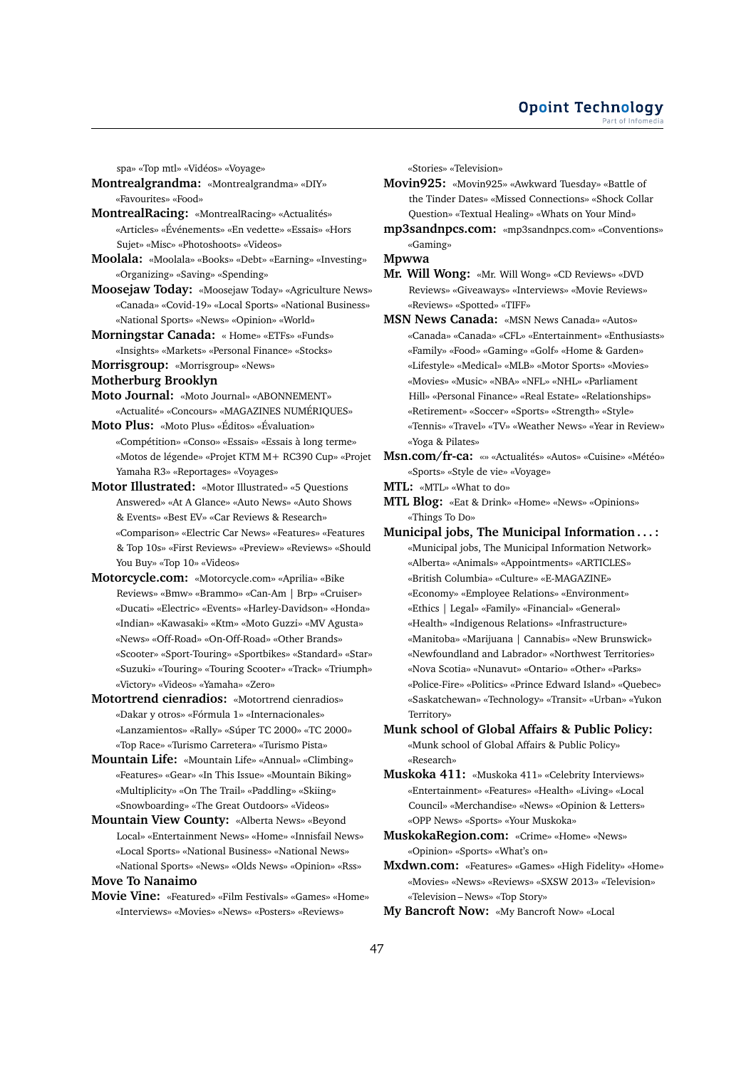spa» «Top mtl» «Vidéos» «Voyage»

- **Montrealgrandma:** «Montrealgrandma» «DIY» «Favourites» «Food»
- **MontrealRacing:** «MontrealRacing» «Actualités» «Articles» «Événements» «En vedette» «Essais» «Hors Sujet» «Misc» «Photoshoots» «Videos»
- **Moolala:** «Moolala» «Books» «Debt» «Earning» «Investing» «Organizing» «Saving» «Spending»
- **Moosejaw Today:** «Moosejaw Today» «Agriculture News» «Canada» «Covid-19» «Local Sports» «National Business» «National Sports» «News» «Opinion» «World»
- **Morningstar Canada:** « Home» «ETFs» «Funds» «Insights» «Markets» «Personal Finance» «Stocks»
- **Morrisgroup:** «Morrisgroup» «News»
- **Motherburg Brooklyn**
- **Moto Journal:** «Moto Journal» «ABONNEMENT» «Actualité» «Concours» «MAGAZINES NUMÉRIQUES»
- **Moto Plus:** «Moto Plus» «Éditos» «Évaluation» «Compétition» «Conso» «Essais» «Essais à long terme» «Motos de légende» «Projet KTM M+ RC390 Cup» «Projet Yamaha R3» «Reportages» «Voyages»
- **Motor Illustrated:** «Motor Illustrated» «5 Questions Answered» «At A Glance» «Auto News» «Auto Shows & Events» «Best EV» «Car Reviews & Research» «Comparison» «Electric Car News» «Features» «Features & Top 10s» «First Reviews» «Preview» «Reviews» «Should You Buy» «Top 10» «Videos»
- **Motorcycle.com:** «Motorcycle.com» «Aprilia» «Bike Reviews» «Bmw» «Brammo» «Can-Am | Brp» «Cruiser» «Ducati» «Electric» «Events» «Harley-Davidson» «Honda» «Indian» «Kawasaki» «Ktm» «Moto Guzzi» «MV Agusta» «News» «Off-Road» «On-Off-Road» «Other Brands» «Scooter» «Sport-Touring» «Sportbikes» «Standard» «Star» «Suzuki» «Touring» «Touring Scooter» «Track» «Triumph» «Victory» «Videos» «Yamaha» «Zero»
- **Motortrend cienradios:** «Motortrend cienradios» «Dakar y otros» «Fórmula 1» «Internacionales» «Lanzamientos» «Rally» «Súper TC 2000» «TC 2000» «Top Race» «Turismo Carretera» «Turismo Pista»
- **Mountain Life:** «Mountain Life» «Annual» «Climbing» «Features» «Gear» «In This Issue» «Mountain Biking» «Multiplicity» «On The Trail» «Paddling» «Skiing» «Snowboarding» «The Great Outdoors» «Videos»
- **Mountain View County:** «Alberta News» «Beyond Local» «Entertainment News» «Home» «Innisfail News» «Local Sports» «National Business» «National News» «National Sports» «News» «Olds News» «Opinion» «Rss»

# **Move To Nanaimo**

**Movie Vine:** «Featured» «Film Festivals» «Games» «Home» «Interviews» «Movies» «News» «Posters» «Reviews»

«Stories» «Television»

- **Movin925:** «Movin925» «Awkward Tuesday» «Battle of the Tinder Dates» «Missed Connections» «Shock Collar Question» «Textual Healing» «Whats on Your Mind»
- **mp3sandnpcs.com:** «mp3sandnpcs.com» «Conventions» «Gaming»

**Mpwwa**

- **Mr. Will Wong:** «Mr. Will Wong» «CD Reviews» «DVD Reviews» «Giveaways» «Interviews» «Movie Reviews» «Reviews» «Spotted» «TIFF»
- **MSN News Canada:** «MSN News Canada» «Autos» «Canada» «Canada» «CFL» «Entertainment» «Enthusiasts» «Family» «Food» «Gaming» «Golf» «Home & Garden» «Lifestyle» «Medical» «MLB» «Motor Sports» «Movies» «Movies» «Music» «NBA» «NFL» «NHL» «Parliament Hill» «Personal Finance» «Real Estate» «Relationships» «Retirement» «Soccer» «Sports» «Strength» «Style» «Tennis» «Travel» «TV» «Weather News» «Year in Review» «Yoga & Pilates»
- **Msn.com/fr-ca:** «» «Actualités» «Autos» «Cuisine» «Météo» «Sports» «Style de vie» «Voyage»
- **MTL:** «MTL» «What to do»
- **MTL Blog:** «Eat & Drink» «Home» «News» «Opinions» «Things To Do»
- **Municipal jobs, The Municipal Information . . . :** «Municipal jobs, The Municipal Information Network» «Alberta» «Animals» «Appointments» «ARTICLES» «British Columbia» «Culture» «E-MAGAZINE» «Economy» «Employee Relations» «Environment» «Ethics | Legal» «Family» «Financial» «General» «Health» «Indigenous Relations» «Infrastructure» «Manitoba» «Marijuana | Cannabis» «New Brunswick» «Newfoundland and Labrador» «Northwest Territories» «Nova Scotia» «Nunavut» «Ontario» «Other» «Parks» «Police-Fire» «Politics» «Prince Edward Island» «Quebec» «Saskatchewan» «Technology» «Transit» «Urban» «Yukon Territory»
- **Munk school of Global Affairs & Public Policy:** «Munk school of Global Affairs & Public Policy» «Research»
- **Muskoka 411:** «Muskoka 411» «Celebrity Interviews» «Entertainment» «Features» «Health» «Living» «Local Council» «Merchandise» «News» «Opinion & Letters» «OPP News» «Sports» «Your Muskoka»
- **MuskokaRegion.com:** «Crime» «Home» «News» «Opinion» «Sports» «What's on»
- **Mxdwn.com:** «Features» «Games» «High Fidelity» «Home» «Movies» «News» «Reviews» «SXSW 2013» «Television» «Television – News» «Top Story»
- **My Bancroft Now:** «My Bancroft Now» «Local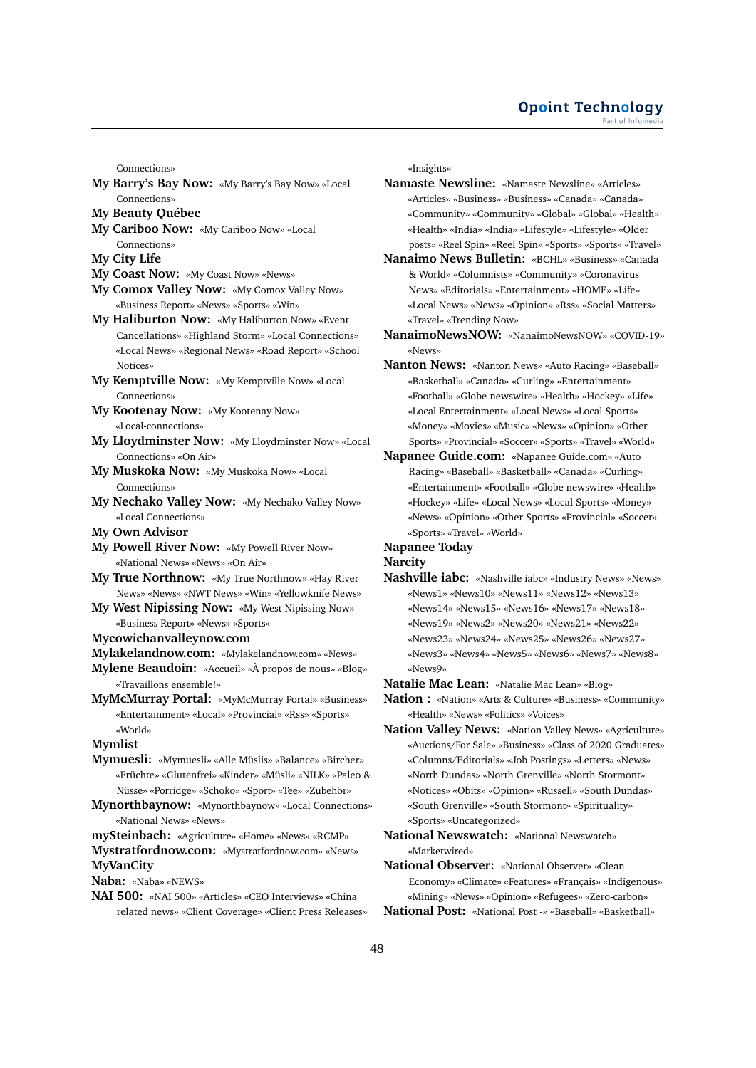#### **Opoint Technology** Part of Infomer

Connections»

- **My Barry's Bay Now:** «My Barry's Bay Now» «Local Connections»
- **My Beauty Québec**
- **My Cariboo Now:** «My Cariboo Now» «Local Connections»
- **My City Life**
- **My Coast Now:** «My Coast Now» «News»
- **My Comox Valley Now:** «My Comox Valley Now» «Business Report» «News» «Sports» «Win»
- **My Haliburton Now:** «My Haliburton Now» «Event Cancellations» «Highland Storm» «Local Connections» «Local News» «Regional News» «Road Report» «School Notices»
- **My Kemptville Now:** «My Kemptville Now» «Local Connections»
- **My Kootenay Now:** «My Kootenay Now» «Local-connections»
- **My Lloydminster Now:** «My Lloydminster Now» «Local Connections» «On Air»
- **My Muskoka Now:** «My Muskoka Now» «Local Connections»
- **My Nechako Valley Now:** «My Nechako Valley Now» «Local Connections»
- **My Own Advisor**
- **My Powell River Now:** «My Powell River Now» «National News» «News» «On Air»
- **My True Northnow:** «My True Northnow» «Hay River News» «News» «NWT News» «Win» «Yellowknife News»
- **My West Nipissing Now:** «My West Nipissing Now» «Business Report» «News» «Sports»

#### **Mycowichanvalleynow.com**

**Mylakelandnow.com:** «Mylakelandnow.com» «News»

- **Mylene Beaudoin:** «Accueil» «À propos de nous» «Blog» «Travaillons ensemble!»
- **MyMcMurray Portal:** «MyMcMurray Portal» «Business» «Entertainment» «Local» «Provincial» «Rss» «Sports» «World»

#### **Mymlist**

- **Mymuesli:** «Mymuesli» «Alle Müslis» «Balance» «Bircher» «Früchte» «Glutenfrei» «Kinder» «Müsli» «NILK» «Paleo & Nüsse» «Porridge» «Schoko» «Sport» «Tee» «Zubehör»
- **Mynorthbaynow:** «Mynorthbaynow» «Local Connections» «National News» «News»

**mySteinbach:** «Agriculture» «Home» «News» «RCMP» **Mystratfordnow.com:** «Mystratfordnow.com» «News» **MyVanCity**

**Naba:** «Naba» «NEWS»

**NAI 500:** «NAI 500» «Articles» «CEO Interviews» «China related news» «Client Coverage» «Client Press Releases» «Insights»

- **Namaste Newsline:** «Namaste Newsline» «Articles» «Articles» «Business» «Business» «Canada» «Canada» «Community» «Community» «Global» «Global» «Health» «Health» «India» «India» «Lifestyle» «Lifestyle» «Older posts» «Reel Spin» «Reel Spin» «Sports» «Sports» «Travel»
- **Nanaimo News Bulletin:** «BCHL» «Business» «Canada & World» «Columnists» «Community» «Coronavirus News» «Editorials» «Entertainment» «HOME» «Life» «Local News» «News» «Opinion» «Rss» «Social Matters» «Travel» «Trending Now»
- **NanaimoNewsNOW:** «NanaimoNewsNOW» «COVID-19» «News»
- **Nanton News:** «Nanton News» «Auto Racing» «Baseball» «Basketball» «Canada» «Curling» «Entertainment» «Football» «Globe-newswire» «Health» «Hockey» «Life» «Local Entertainment» «Local News» «Local Sports» «Money» «Movies» «Music» «News» «Opinion» «Other Sports» «Provincial» «Soccer» «Sports» «Travel» «World»
- **Napanee Guide.com:** «Napanee Guide.com» «Auto Racing» «Baseball» «Basketball» «Canada» «Curling» «Entertainment» «Football» «Globe newswire» «Health» «Hockey» «Life» «Local News» «Local Sports» «Money» «News» «Opinion» «Other Sports» «Provincial» «Soccer» «Sports» «Travel» «World»

# **Napanee Today**

**Narcity**

**Nashville iabc:** «Nashville iabc» «Industry News» «News» «News1» «News10» «News11» «News12» «News13» «News14» «News15» «News16» «News17» «News18» «News19» «News2» «News20» «News21» «News22» «News23» «News24» «News25» «News26» «News27» «News3» «News4» «News5» «News6» «News7» «News8» «News9»

**Natalie Mac Lean:** «Natalie Mac Lean» «Blog»

- **Nation :** «Nation» «Arts & Culture» «Business» «Community» «Health» «News» «Politics» «Voices»
- **Nation Valley News:** «Nation Valley News» «Agriculture» «Auctions/For Sale» «Business» «Class of 2020 Graduates» «Columns/Editorials» «Job Postings» «Letters» «News» «North Dundas» «North Grenville» «North Stormont» «Notices» «Obits» «Opinion» «Russell» «South Dundas» «South Grenville» «South Stormont» «Spirituality» «Sports» «Uncategorized»
- **National Newswatch:** «National Newswatch» «Marketwired»
- **National Observer:** «National Observer» «Clean Economy» «Climate» «Features» «Français» «Indigenous» «Mining» «News» «Opinion» «Refugees» «Zero-carbon»
- **National Post:** «National Post -» «Baseball» «Basketball»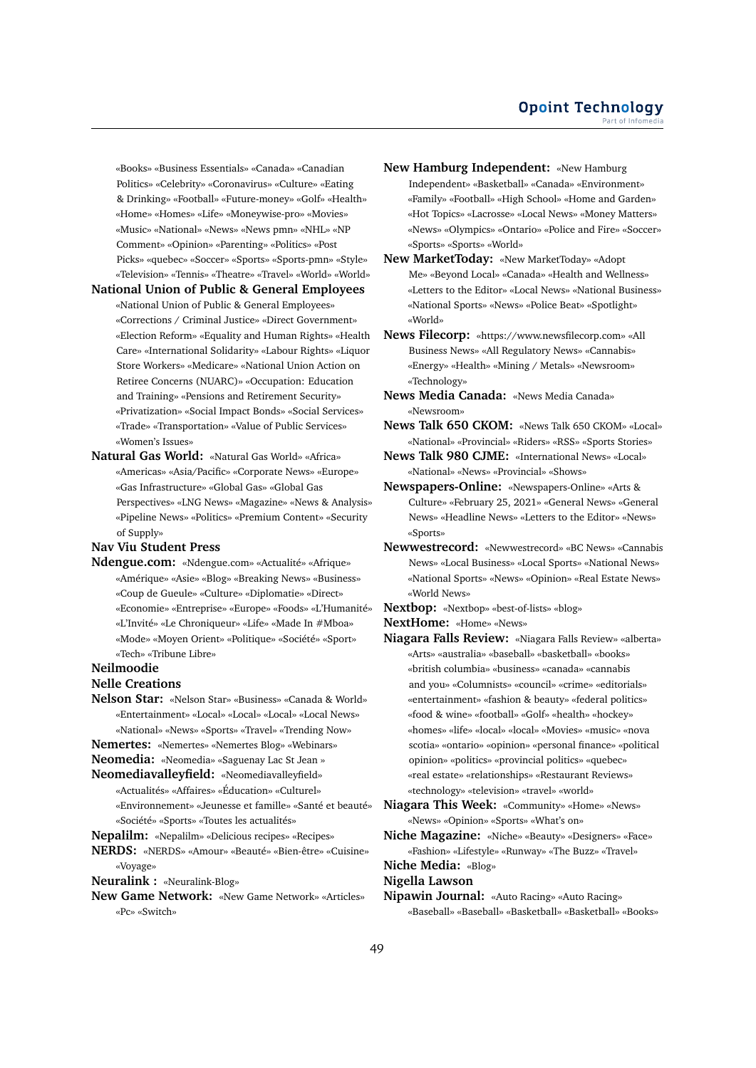«Books» «Business Essentials» «Canada» «Canadian Politics» «Celebrity» «Coronavirus» «Culture» «Eating & Drinking» «Football» «Future-money» «Golf» «Health» «Home» «Homes» «Life» «Moneywise-pro» «Movies» «Music» «National» «News» «News pmn» «NHL» «NP Comment» «Opinion» «Parenting» «Politics» «Post Picks» «quebec» «Soccer» «Sports» «Sports-pmn» «Style» «Television» «Tennis» «Theatre» «Travel» «World» «World»

**National Union of Public & General Employees** «National Union of Public & General Employees» «Corrections / Criminal Justice» «Direct Government» «Election Reform» «Equality and Human Rights» «Health Care» «International Solidarity» «Labour Rights» «Liquor Store Workers» «Medicare» «National Union Action on Retiree Concerns (NUARC)» «Occupation: Education and Training» «Pensions and Retirement Security» «Privatization» «Social Impact Bonds» «Social Services» «Trade» «Transportation» «Value of Public Services» «Women's Issues»

**Natural Gas World:** «Natural Gas World» «Africa» «Americas» «Asia/Pacific» «Corporate News» «Europe» «Gas Infrastructure» «Global Gas» «Global Gas Perspectives» «LNG News» «Magazine» «News & Analysis» «Pipeline News» «Politics» «Premium Content» «Security of Supply»

# **Nav Viu Student Press**

**Ndengue.com:** «Ndengue.com» «Actualité» «Afrique» «Amérique» «Asie» «Blog» «Breaking News» «Business» «Coup de Gueule» «Culture» «Diplomatie» «Direct» «Economie» «Entreprise» «Europe» «Foods» «L'Humanité» «L'Invité» «Le Chroniqueur» «Life» «Made In #Mboa» «Mode» «Moyen Orient» «Politique» «Société» «Sport» «Tech» «Tribune Libre»

#### **Neilmoodie**

#### **Nelle Creations**

**Nelson Star:** «Nelson Star» «Business» «Canada & World» «Entertainment» «Local» «Local» «Local» «Local News» «National» «News» «Sports» «Travel» «Trending Now»

**Nemertes:** «Nemertes» «Nemertes Blog» «Webinars»

- **Neomedia:** «Neomedia» «Saguenay Lac St Jean »
- **Neomediavalleyfield:** «Neomediavalleyfield» «Actualités» «Affaires» «Éducation» «Culturel» «Environnement» «Jeunesse et famille» «Santé et beauté» «Société» «Sports» «Toutes les actualités»

**Nepalilm:** «Nepalilm» «Delicious recipes» «Recipes»

**NERDS:** «NERDS» «Amour» «Beauté» «Bien-être» «Cuisine» «Voyage»

**Neuralink :** «Neuralink-Blog»

**New Game Network:** «New Game Network» «Articles» «Pc» «Switch»

- **New Hamburg Independent:** «New Hamburg Independent» «Basketball» «Canada» «Environment» «Family» «Football» «High School» «Home and Garden» «Hot Topics» «Lacrosse» «Local News» «Money Matters» «News» «Olympics» «Ontario» «Police and Fire» «Soccer» «Sports» «Sports» «World»
- **New MarketToday:** «New MarketToday» «Adopt Me» «Beyond Local» «Canada» «Health and Wellness» «Letters to the Editor» «Local News» «National Business» «National Sports» «News» «Police Beat» «Spotlight» «World»
- **News Filecorp:** «https://www.newsfilecorp.com» «All Business News» «All Regulatory News» «Cannabis» «Energy» «Health» «Mining / Metals» «Newsroom» «Technology»
- **News Media Canada:** «News Media Canada» «Newsroom»
- **News Talk 650 CKOM:** «News Talk 650 CKOM» «Local» «National» «Provincial» «Riders» «RSS» «Sports Stories»
- **News Talk 980 CJME:** «International News» «Local» «National» «News» «Provincial» «Shows»
- **Newspapers-Online:** «Newspapers-Online» «Arts & Culture» «February 25, 2021» «General News» «General News» «Headline News» «Letters to the Editor» «News» «Sports»
- **Newwestrecord:** «Newwestrecord» «BC News» «Cannabis News» «Local Business» «Local Sports» «National News» «National Sports» «News» «Opinion» «Real Estate News» «World News»
- **Nextbop:** «Nextbop» «best-of-lists» «blog»
- **NextHome:** «Home» «News»
- **Niagara Falls Review:** «Niagara Falls Review» «alberta» «Arts» «australia» «baseball» «basketball» «books» «british columbia» «business» «canada» «cannabis and you» «Columnists» «council» «crime» «editorials» «entertainment» «fashion & beauty» «federal politics» «food & wine» «football» «Golf» «health» «hockey» «homes» «life» «local» «local» «Movies» «music» «nova scotia» «ontario» «opinion» «personal finance» «political opinion» «politics» «provincial politics» «quebec» «real estate» «relationships» «Restaurant Reviews» «technology» «television» «travel» «world»
- **Niagara This Week:** «Community» «Home» «News» «News» «Opinion» «Sports» «What's on»
- **Niche Magazine:** «Niche» «Beauty» «Designers» «Face» «Fashion» «Lifestyle» «Runway» «The Buzz» «Travel»

**Niche Media:** «Blog»

#### **Nigella Lawson**

**Nipawin Journal:** «Auto Racing» «Auto Racing» «Baseball» «Baseball» «Basketball» «Basketball» «Books»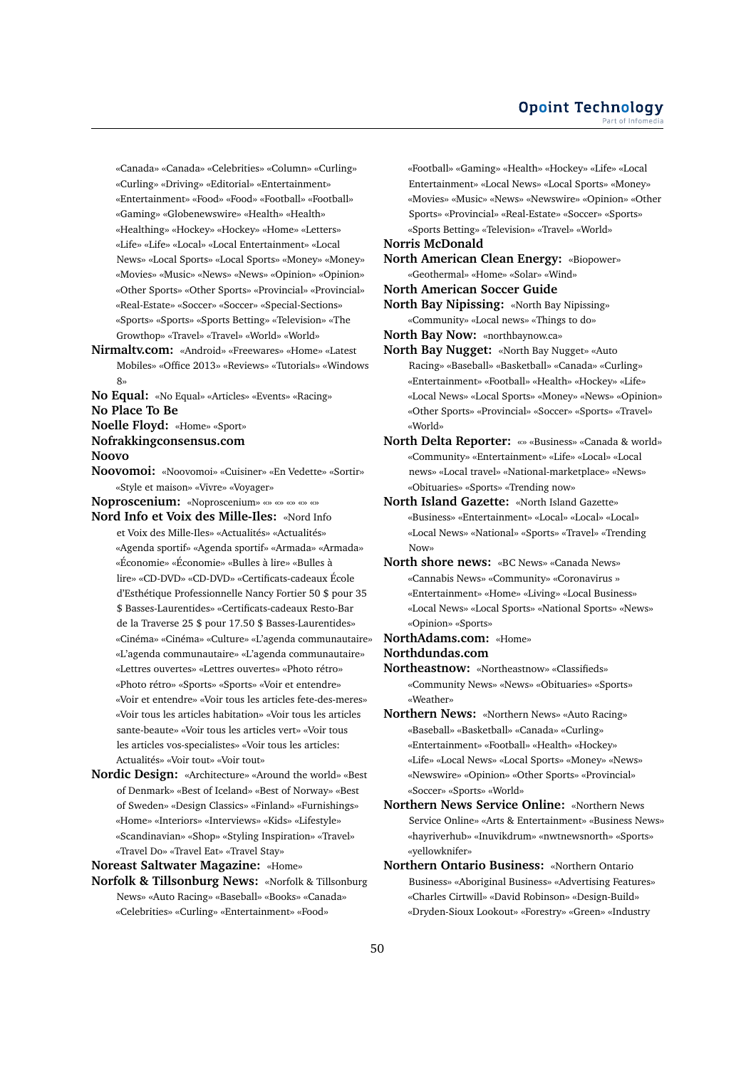«Canada» «Canada» «Celebrities» «Column» «Curling» «Curling» «Driving» «Editorial» «Entertainment» «Entertainment» «Food» «Food» «Football» «Football» «Gaming» «Globenewswire» «Health» «Health» «Healthing» «Hockey» «Hockey» «Home» «Letters» «Life» «Life» «Local» «Local Entertainment» «Local News» «Local Sports» «Local Sports» «Money» «Money» «Movies» «Music» «News» «News» «Opinion» «Opinion» «Other Sports» «Other Sports» «Provincial» «Provincial» «Real-Estate» «Soccer» «Soccer» «Special-Sections» «Sports» «Sports» «Sports Betting» «Television» «The Growthop» «Travel» «Travel» «World» «World»

**Nirmaltv.com:** «Android» «Freewares» «Home» «Latest Mobiles» «Office 2013» «Reviews» «Tutorials» «Windows  $\mathsf{R}^{\mathsf{v}}$ 

**No Equal:** «No Equal» «Articles» «Events» «Racing»

**No Place To Be**

**Noelle Floyd:** «Home» «Sport»

**Nofrakkingconsensus.com**

#### **Noovo**

**Noovomoi:** «Noovomoi» «Cuisiner» «En Vedette» «Sortir» «Style et maison» «Vivre» «Voyager»

**Noproscenium:** «Noproscenium» «» «» «» «» «»

- **Nord Info et Voix des Mille-Iles:** «Nord Info et Voix des Mille-Iles» «Actualités» «Actualités» «Agenda sportif» «Agenda sportif» «Armada» «Armada» «Économie» «Économie» «Bulles à lire» «Bulles à lire» «CD-DVD» «CD-DVD» «Certificats-cadeaux École d'Esthétique Professionnelle Nancy Fortier 50 \$ pour 35 \$ Basses-Laurentides» «Certificats-cadeaux Resto-Bar de la Traverse 25 \$ pour 17.50 \$ Basses-Laurentides» «Cinéma» «Cinéma» «Culture» «L'agenda communautaire» «L'agenda communautaire» «L'agenda communautaire» «Lettres ouvertes» «Lettres ouvertes» «Photo rétro» «Photo rétro» «Sports» «Sports» «Voir et entendre» «Voir et entendre» «Voir tous les articles fete-des-meres» «Voir tous les articles habitation» «Voir tous les articles sante-beaute» «Voir tous les articles vert» «Voir tous les articles vos-specialistes» «Voir tous les articles: Actualités» «Voir tout» «Voir tout»
- **Nordic Design:** «Architecture» «Around the world» «Best of Denmark» «Best of Iceland» «Best of Norway» «Best of Sweden» «Design Classics» «Finland» «Furnishings» «Home» «Interiors» «Interviews» «Kids» «Lifestyle» «Scandinavian» «Shop» «Styling Inspiration» «Travel» «Travel Do» «Travel Eat» «Travel Stay»

**Noreast Saltwater Magazine:** «Home»

**Norfolk & Tillsonburg News:** «Norfolk & Tillsonburg News» «Auto Racing» «Baseball» «Books» «Canada» «Celebrities» «Curling» «Entertainment» «Food»

«Football» «Gaming» «Health» «Hockey» «Life» «Local Entertainment» «Local News» «Local Sports» «Money» «Movies» «Music» «News» «Newswire» «Opinion» «Other Sports» «Provincial» «Real-Estate» «Soccer» «Sports» «Sports Betting» «Television» «Travel» «World»

#### **Norris McDonald**

- **North American Clean Energy:** «Biopower» «Geothermal» «Home» «Solar» «Wind»
- **North American Soccer Guide**
- **North Bay Nipissing:** «North Bay Nipissing» «Community» «Local news» «Things to do»
- **North Bay Now:** «northbaynow.ca»
- **North Bay Nugget:** «North Bay Nugget» «Auto Racing» «Baseball» «Basketball» «Canada» «Curling» «Entertainment» «Football» «Health» «Hockey» «Life» «Local News» «Local Sports» «Money» «News» «Opinion» «Other Sports» «Provincial» «Soccer» «Sports» «Travel» «World»
- **North Delta Reporter:** «» «Business» «Canada & world» «Community» «Entertainment» «Life» «Local» «Local news» «Local travel» «National-marketplace» «News» «Obituaries» «Sports» «Trending now»
- **North Island Gazette:** «North Island Gazette» «Business» «Entertainment» «Local» «Local» «Local» «Local News» «National» «Sports» «Travel» «Trending Now»
- **North shore news:** «BC News» «Canada News» «Cannabis News» «Community» «Coronavirus » «Entertainment» «Home» «Living» «Local Business» «Local News» «Local Sports» «National Sports» «News» «Opinion» «Sports»
- **NorthAdams.com:** «Home»

**Northdundas.com**

- **Northeastnow:** «Northeastnow» «Classifieds» «Community News» «News» «Obituaries» «Sports» «Weather»
- **Northern News:** «Northern News» «Auto Racing» «Baseball» «Basketball» «Canada» «Curling» «Entertainment» «Football» «Health» «Hockey» «Life» «Local News» «Local Sports» «Money» «News» «Newswire» «Opinion» «Other Sports» «Provincial» «Soccer» «Sports» «World»
- **Northern News Service Online:** «Northern News Service Online» «Arts & Entertainment» «Business News» «hayriverhub» «Inuvikdrum» «nwtnewsnorth» «Sports» «yellowknifer»
- **Northern Ontario Business:** «Northern Ontario Business» «Aboriginal Business» «Advertising Features» «Charles Cirtwill» «David Robinson» «Design-Build» «Dryden-Sioux Lookout» «Forestry» «Green» «Industry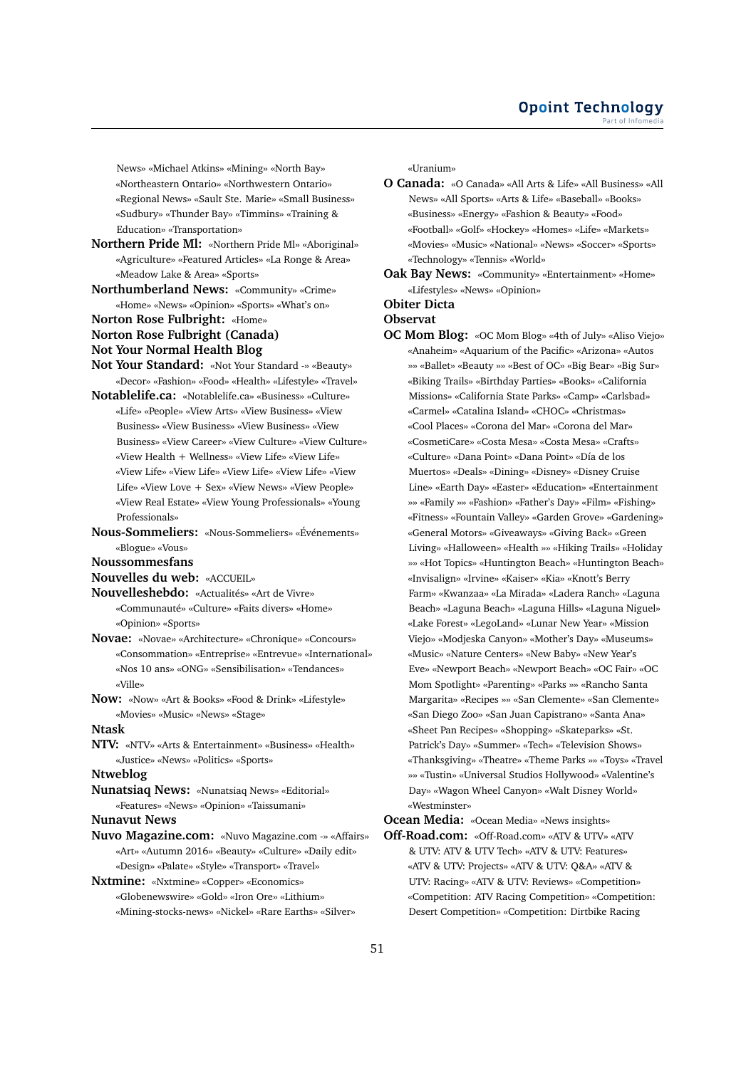News» «Michael Atkins» «Mining» «North Bay» «Northeastern Ontario» «Northwestern Ontario» «Regional News» «Sault Ste. Marie» «Small Business» «Sudbury» «Thunder Bay» «Timmins» «Training & Education» «Transportation»

- **Northern Pride Ml:** «Northern Pride Ml» «Aboriginal» «Agriculture» «Featured Articles» «La Ronge & Area» «Meadow Lake & Area» «Sports»
- **Northumberland News:** «Community» «Crime» «Home» «News» «Opinion» «Sports» «What's on» **Norton Rose Fulbright:** «Home»
- 
- **Norton Rose Fulbright (Canada) Not Your Normal Health Blog**
- 
- **Not Your Standard:** «Not Your Standard -» «Beauty» «Decor» «Fashion» «Food» «Health» «Lifestyle» «Travel»
- **Notablelife.ca:** «Notablelife.ca» «Business» «Culture» «Life» «People» «View Arts» «View Business» «View Business» «View Business» «View Business» «View Business» «View Career» «View Culture» «View Culture» «View Health + Wellness» «View Life» «View Life» «View Life» «View Life» «View Life» «View Life» «View Life» «View Love + Sex» «View News» «View People» «View Real Estate» «View Young Professionals» «Young Professionals»
- **Nous-Sommeliers:** «Nous-Sommeliers» «Événements» «Blogue» «Vous»

**Noussommesfans**

**Nouvelles du web:** «ACCUEIL»

- **Nouvelleshebdo:** «Actualités» «Art de Vivre» «Communauté» «Culture» «Faits divers» «Home» «Opinion» «Sports»
- **Novae:** «Novae» «Architecture» «Chronique» «Concours» «Consommation» «Entreprise» «Entrevue» «International» «Nos 10 ans» «ONG» «Sensibilisation» «Tendances» «Ville»
- **Now:** «Now» «Art & Books» «Food & Drink» «Lifestyle» «Movies» «Music» «News» «Stage»

**Ntask**

**NTV:** «NTV» «Arts & Entertainment» «Business» «Health» «Justice» «News» «Politics» «Sports»

#### **Ntweblog**

**Nunatsiaq News:** «Nunatsiaq News» «Editorial» «Features» «News» «Opinion» «Taissumani»

**Nunavut News**

- **Nuvo Magazine.com:** «Nuvo Magazine.com -» «Affairs» «Art» «Autumn 2016» «Beauty» «Culture» «Daily edit» «Design» «Palate» «Style» «Transport» «Travel»
- **Nxtmine:** «Nxtmine» «Copper» «Economics» «Globenewswire» «Gold» «Iron Ore» «Lithium» «Mining-stocks-news» «Nickel» «Rare Earths» «Silver»

«Uranium»

- **O Canada:** «O Canada» «All Arts & Life» «All Business» «All News» «All Sports» «Arts & Life» «Baseball» «Books» «Business» «Energy» «Fashion & Beauty» «Food» «Football» «Golf» «Hockey» «Homes» «Life» «Markets» «Movies» «Music» «National» «News» «Soccer» «Sports» «Technology» «Tennis» «World»
- **Oak Bay News:** «Community» «Entertainment» «Home» «Lifestyles» «News» «Opinion»

# **Obiter Dicta**

**Observat**

**OC Mom Blog:** «OC Mom Blog» «4th of July» «Aliso Viejo» «Anaheim» «Aquarium of the Pacific» «Arizona» «Autos »» «Ballet» «Beauty »» «Best of OC» «Big Bear» «Big Sur» «Biking Trails» «Birthday Parties» «Books» «California Missions» «California State Parks» «Camp» «Carlsbad» «Carmel» «Catalina Island» «CHOC» «Christmas» «Cool Places» «Corona del Mar» «Corona del Mar» «CosmetiCare» «Costa Mesa» «Costa Mesa» «Crafts» «Culture» «Dana Point» «Dana Point» «Día de los Muertos» «Deals» «Dining» «Disney» «Disney Cruise Line» «Earth Day» «Easter» «Education» «Entertainment »» «Family »» «Fashion» «Father's Day» «Film» «Fishing» «Fitness» «Fountain Valley» «Garden Grove» «Gardening» «General Motors» «Giveaways» «Giving Back» «Green Living» «Halloween» «Health »» «Hiking Trails» «Holiday »» «Hot Topics» «Huntington Beach» «Huntington Beach» «Invisalign» «Irvine» «Kaiser» «Kia» «Knott's Berry Farm» «Kwanzaa» «La Mirada» «Ladera Ranch» «Laguna Beach» «Laguna Beach» «Laguna Hills» «Laguna Niguel» «Lake Forest» «LegoLand» «Lunar New Year» «Mission Viejo» «Modjeska Canyon» «Mother's Day» «Museums» «Music» «Nature Centers» «New Baby» «New Year's Eve» «Newport Beach» «Newport Beach» «OC Fair» «OC Mom Spotlight» «Parenting» «Parks »» «Rancho Santa Margarita» «Recipes »» «San Clemente» «San Clemente» «San Diego Zoo» «San Juan Capistrano» «Santa Ana» «Sheet Pan Recipes» «Shopping» «Skateparks» «St. Patrick's Day» «Summer» «Tech» «Television Shows» «Thanksgiving» «Theatre» «Theme Parks »» «Toys» «Travel »» «Tustin» «Universal Studios Hollywood» «Valentine's Day» «Wagon Wheel Canyon» «Walt Disney World» «Westminster»

**Ocean Media:** «Ocean Media» «News insights»

**Off-Road.com:** «Off-Road.com» «ATV & UTV» «ATV & UTV: ATV & UTV Tech» «ATV & UTV: Features» «ATV & UTV: Projects» «ATV & UTV: Q&A» «ATV & UTV: Racing» «ATV & UTV: Reviews» «Competition» «Competition: ATV Racing Competition» «Competition: Desert Competition» «Competition: Dirtbike Racing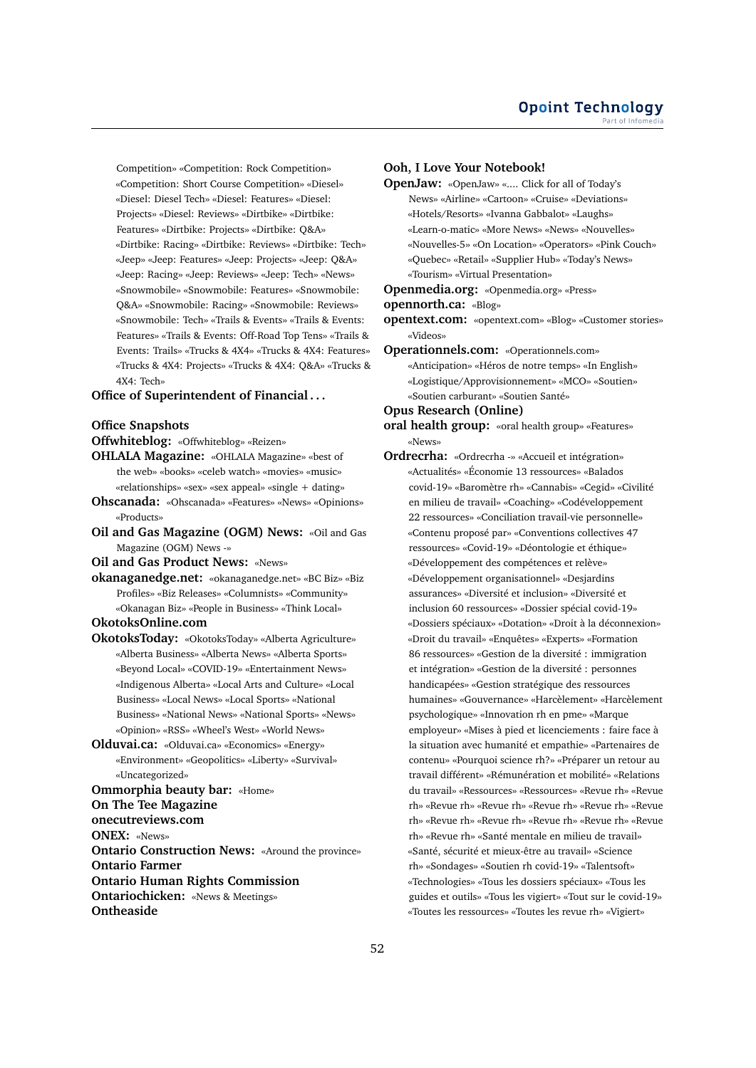Competition» «Competition: Rock Competition» «Competition: Short Course Competition» «Diesel» «Diesel: Diesel Tech» «Diesel: Features» «Diesel: Projects» «Diesel: Reviews» «Dirtbike» «Dirtbike: Features» «Dirtbike: Projects» «Dirtbike: Q&A» «Dirtbike: Racing» «Dirtbike: Reviews» «Dirtbike: Tech» «Jeep» «Jeep: Features» «Jeep: Projects» «Jeep: Q&A» «Jeep: Racing» «Jeep: Reviews» «Jeep: Tech» «News» «Snowmobile» «Snowmobile: Features» «Snowmobile: Q&A» «Snowmobile: Racing» «Snowmobile: Reviews» «Snowmobile: Tech» «Trails & Events» «Trails & Events: Features» «Trails & Events: Off-Road Top Tens» «Trails & Events: Trails» «Trucks & 4X4» «Trucks & 4X4: Features» «Trucks & 4X4: Projects» «Trucks & 4X4: Q&A» «Trucks & 4X4: Tech»

# **Office of Superintendent of Financial . . .**

#### **Office Snapshots**

- **Offwhiteblog:** «Offwhiteblog» «Reizen»
- **OHLALA Magazine:** «OHLALA Magazine» «best of the web» «books» «celeb watch» «movies» «music» «relationships» «sex» «sex appeal» «single + dating»
- **Ohscanada:** «Ohscanada» «Features» «News» «Opinions» «Products»
- **Oil and Gas Magazine (OGM) News:** «Oil and Gas Magazine (OGM) News -»

**Oil and Gas Product News:** «News»

- **okanaganedge.net:** «okanaganedge.net» «BC Biz» «Biz Profiles» «Biz Releases» «Columnists» «Community» «Okanagan Biz» «People in Business» «Think Local»
- **OkotoksOnline.com**
- **OkotoksToday:** «OkotoksToday» «Alberta Agriculture» «Alberta Business» «Alberta News» «Alberta Sports» «Beyond Local» «COVID-19» «Entertainment News» «Indigenous Alberta» «Local Arts and Culture» «Local Business» «Local News» «Local Sports» «National Business» «National News» «National Sports» «News» «Opinion» «RSS» «Wheel's West» «World News»
- **Olduvai.ca:** «Olduvai.ca» «Economics» «Energy» «Environment» «Geopolitics» «Liberty» «Survival» «Uncategorized»

**Ommorphia beauty bar:** «Home»

**On The Tee Magazine**

**onecutreviews.com**

**ONEX:** «News»

**Ontario Construction News:** «Around the province» **Ontario Farmer Ontario Human Rights Commission Ontariochicken:** «News & Meetings»

**Ontheaside**

## **Ooh, I Love Your Notebook!**

**OpenJaw:** «OpenJaw» «.... Click for all of Today's News» «Airline» «Cartoon» «Cruise» «Deviations» «Hotels/Resorts» «Ivanna Gabbalot» «Laughs» «Learn-o-matic» «More News» «News» «Nouvelles» «Nouvelles-5» «On Location» «Operators» «Pink Couch» «Quebec» «Retail» «Supplier Hub» «Today's News» «Tourism» «Virtual Presentation»

**Openmedia.org:** «Openmedia.org» «Press»

**opennorth.ca:** «Blog»

**opentext.com:** «opentext.com» «Blog» «Customer stories» «Videos»

**Operationnels.com:** «Operationnels.com» «Anticipation» «Héros de notre temps» «In English» «Logistique/Approvisionnement» «MCO» «Soutien» «Soutien carburant» «Soutien Santé»

#### **Opus Research (Online)**

**oral health group:** «oral health group» «Features» «News»

**Ordrecrha:** «Ordrecrha -» «Accueil et intégration» «Actualités» «Économie 13 ressources» «Balados covid-19» «Baromètre rh» «Cannabis» «Cegid» «Civilité en milieu de travail» «Coaching» «Codéveloppement 22 ressources» «Conciliation travail-vie personnelle» «Contenu proposé par» «Conventions collectives 47 ressources» «Covid-19» «Déontologie et éthique» «Développement des compétences et relève» «Développement organisationnel» «Desjardins assurances» «Diversité et inclusion» «Diversité et inclusion 60 ressources» «Dossier spécial covid-19» «Dossiers spéciaux» «Dotation» «Droit à la déconnexion» «Droit du travail» «Enquêtes» «Experts» «Formation 86 ressources» «Gestion de la diversité : immigration et intégration» «Gestion de la diversité : personnes handicapées» «Gestion stratégique des ressources humaines» «Gouvernance» «Harcèlement» «Harcèlement psychologique» «Innovation rh en pme» «Marque employeur» «Mises à pied et licenciements : faire face à la situation avec humanité et empathie» «Partenaires de contenu» «Pourquoi science rh?» «Préparer un retour au travail différent» «Rémunération et mobilité» «Relations du travail» «Ressources» «Ressources» «Revue rh» «Revue rh» «Revue rh» «Revue rh» «Revue rh» «Revue rh» «Revue rh» «Revue rh» «Revue rh» «Revue rh» «Revue rh» «Revue rh» «Revue rh» «Santé mentale en milieu de travail» «Santé, sécurité et mieux-être au travail» «Science rh» «Sondages» «Soutien rh covid-19» «Talentsoft» «Technologies» «Tous les dossiers spéciaux» «Tous les guides et outils» «Tous les vigiert» «Tout sur le covid-19» «Toutes les ressources» «Toutes les revue rh» «Vigiert»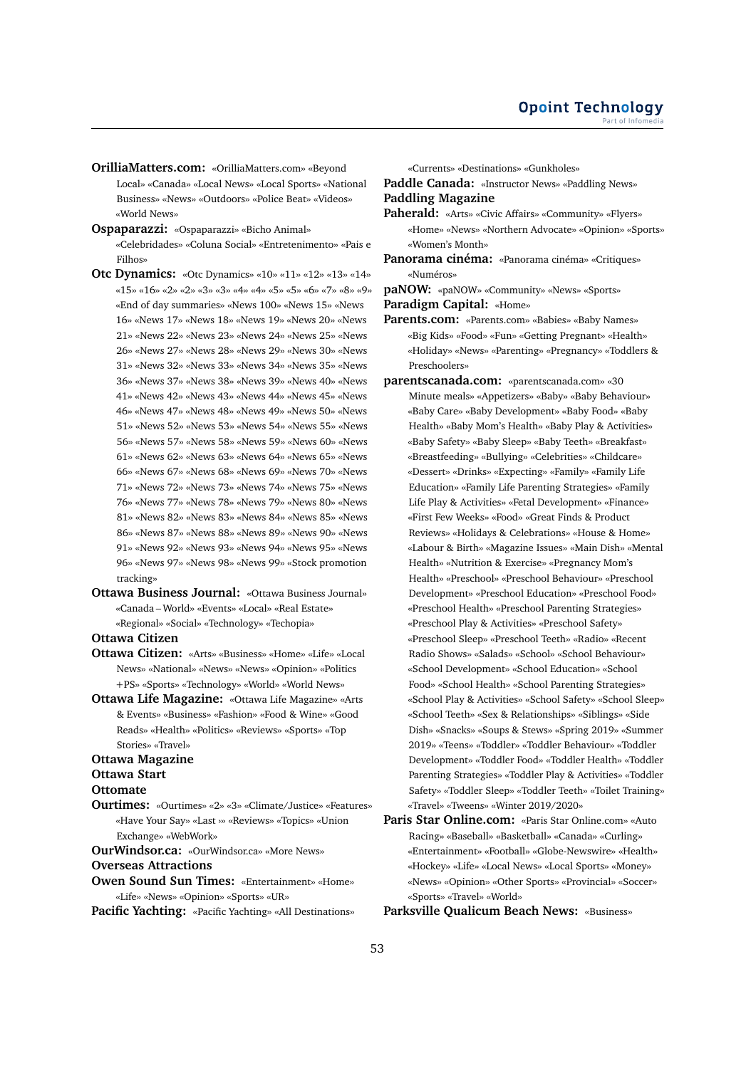**OrilliaMatters.com:** «OrilliaMatters.com» «Beyond Local» «Canada» «Local News» «Local Sports» «National Business» «News» «Outdoors» «Police Beat» «Videos» «World News»

**Ospaparazzi:** «Ospaparazzi» «Bicho Animal» «Celebridades» «Coluna Social» «Entretenimento» «Pais e Filhos»

- **Otc Dynamics:** «Otc Dynamics» «10» «11» «12» «13» «14» «15» «16» «2» «2» «3» «3» «4» «4» «5» «5» «6» «7» «8» «9» «End of day summaries» «News 100» «News 15» «News 16» «News 17» «News 18» «News 19» «News 20» «News 21» «News 22» «News 23» «News 24» «News 25» «News 26» «News 27» «News 28» «News 29» «News 30» «News 31» «News 32» «News 33» «News 34» «News 35» «News 36» «News 37» «News 38» «News 39» «News 40» «News 41» «News 42» «News 43» «News 44» «News 45» «News 46» «News 47» «News 48» «News 49» «News 50» «News 51» «News 52» «News 53» «News 54» «News 55» «News 56» «News 57» «News 58» «News 59» «News 60» «News 61» «News 62» «News 63» «News 64» «News 65» «News 66» «News 67» «News 68» «News 69» «News 70» «News 71» «News 72» «News 73» «News 74» «News 75» «News 76» «News 77» «News 78» «News 79» «News 80» «News 81» «News 82» «News 83» «News 84» «News 85» «News 86» «News 87» «News 88» «News 89» «News 90» «News 91» «News 92» «News 93» «News 94» «News 95» «News 96» «News 97» «News 98» «News 99» «Stock promotion tracking»
- **Ottawa Business Journal:** «Ottawa Business Journal» «Canada – World» «Events» «Local» «Real Estate» «Regional» «Social» «Technology» «Techopia»

**Ottawa Citizen**

- **Ottawa Citizen:** «Arts» «Business» «Home» «Life» «Local News» «National» «News» «News» «Opinion» «Politics +PS» «Sports» «Technology» «World» «World News»
- **Ottawa Life Magazine:** «Ottawa Life Magazine» «Arts & Events» «Business» «Fashion» «Food & Wine» «Good Reads» «Health» «Politics» «Reviews» «Sports» «Top Stories» «Travel»

#### **Ottawa Magazine**

- **Ottawa Start**
- **Ottomate**
- **Ourtimes:** «Ourtimes» «2» «3» «Climate/Justice» «Features» «Have Your Say» «Last ›» «Reviews» «Topics» «Union Exchange» «WebWork»

**OurWindsor.ca:** «OurWindsor.ca» «More News»

# **Overseas Attractions**

**Owen Sound Sun Times:** «Entertainment» «Home» «Life» «News» «Opinion» «Sports» «UR»

**Pacific Yachting:** «Pacific Yachting» «All Destinations»

«Currents» «Destinations» «Gunkholes»

**Paddle Canada:** «Instructor News» «Paddling News» **Paddling Magazine**

- **Paherald:** «Arts» «Civic Affairs» «Community» «Flyers» «Home» «News» «Northern Advocate» «Opinion» «Sports» «Women's Month»
- **Panorama cinéma:** «Panorama cinéma» «Critiques» «Numéros»

**paNOW:** «paNOW» «Community» «News» «Sports»

**Paradigm Capital:** «Home»

**Parents.com:** «Parents.com» «Babies» «Baby Names» «Big Kids» «Food» «Fun» «Getting Pregnant» «Health» «Holiday» «News» «Parenting» «Pregnancy» «Toddlers & Preschoolers»

- **parentscanada.com:** «parentscanada.com» «30 Minute meals» «Appetizers» «Baby» «Baby Behaviour» «Baby Care» «Baby Development» «Baby Food» «Baby Health» «Baby Mom's Health» «Baby Play & Activities» «Baby Safety» «Baby Sleep» «Baby Teeth» «Breakfast» «Breastfeeding» «Bullying» «Celebrities» «Childcare» «Dessert» «Drinks» «Expecting» «Family» «Family Life Education» «Family Life Parenting Strategies» «Family Life Play & Activities» «Fetal Development» «Finance» «First Few Weeks» «Food» «Great Finds & Product Reviews» «Holidays & Celebrations» «House & Home» «Labour & Birth» «Magazine Issues» «Main Dish» «Mental Health» «Nutrition & Exercise» «Pregnancy Mom's Health» «Preschool» «Preschool Behaviour» «Preschool Development» «Preschool Education» «Preschool Food» «Preschool Health» «Preschool Parenting Strategies» «Preschool Play & Activities» «Preschool Safety» «Preschool Sleep» «Preschool Teeth» «Radio» «Recent Radio Shows» «Salads» «School» «School Behaviour» «School Development» «School Education» «School Food» «School Health» «School Parenting Strategies» «School Play & Activities» «School Safety» «School Sleep» «School Teeth» «Sex & Relationships» «Siblings» «Side Dish» «Snacks» «Soups & Stews» «Spring 2019» «Summer 2019» «Teens» «Toddler» «Toddler Behaviour» «Toddler Development» «Toddler Food» «Toddler Health» «Toddler Parenting Strategies» «Toddler Play & Activities» «Toddler Safety» «Toddler Sleep» «Toddler Teeth» «Toilet Training» «Travel» «Tweens» «Winter 2019/2020»
- **Paris Star Online.com:** «Paris Star Online.com» «Auto Racing» «Baseball» «Basketball» «Canada» «Curling» «Entertainment» «Football» «Globe-Newswire» «Health» «Hockey» «Life» «Local News» «Local Sports» «Money» «News» «Opinion» «Other Sports» «Provincial» «Soccer» «Sports» «Travel» «World»

**Parksville Qualicum Beach News:** «Business»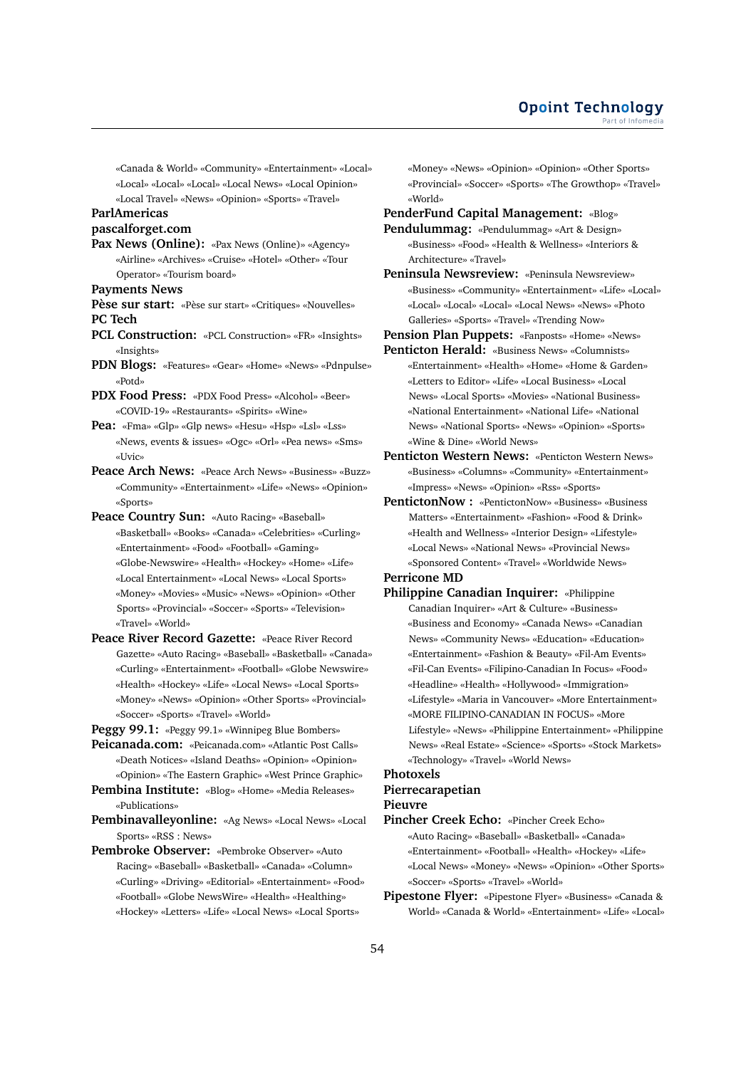«Canada & World» «Community» «Entertainment» «Local» «Local» «Local» «Local» «Local News» «Local Opinion» «Local Travel» «News» «Opinion» «Sports» «Travel»

# **ParlAmericas**

# **pascalforget.com**

**Pax News (Online):** «Pax News (Online)» «Agency» «Airline» «Archives» «Cruise» «Hotel» «Other» «Tour Operator» «Tourism board»

**Payments News**

**Pèse sur start:** «Pèse sur start» «Critiques» «Nouvelles» **PC Tech**

**PCL Construction:** «PCL Construction» «FR» «Insights» «Insights»

**PDN Blogs:** «Features» «Gear» «Home» «News» «Pdnpulse» «Potd»

- **PDX Food Press:** «PDX Food Press» «Alcohol» «Beer» «COVID-19» «Restaurants» «Spirits» «Wine»
- **Pea:** «Fma» «Glp» «Glp news» «Hesu» «Hsp» «Lsl» «Lss» «News, events & issues» «Ogc» «Orl» «Pea news» «Sms» «Uvic»
- **Peace Arch News:** «Peace Arch News» «Business» «Buzz» «Community» «Entertainment» «Life» «News» «Opinion» «Sports»
- **Peace Country Sun:** «Auto Racing» «Baseball» «Basketball» «Books» «Canada» «Celebrities» «Curling» «Entertainment» «Food» «Football» «Gaming» «Globe-Newswire» «Health» «Hockey» «Home» «Life» «Local Entertainment» «Local News» «Local Sports» «Money» «Movies» «Music» «News» «Opinion» «Other Sports» «Provincial» «Soccer» «Sports» «Television» «Travel» «World»
- **Peace River Record Gazette:** «Peace River Record Gazette» «Auto Racing» «Baseball» «Basketball» «Canada» «Curling» «Entertainment» «Football» «Globe Newswire» «Health» «Hockey» «Life» «Local News» «Local Sports» «Money» «News» «Opinion» «Other Sports» «Provincial» «Soccer» «Sports» «Travel» «World»

**Peggy 99.1:** «Peggy 99.1» «Winnipeg Blue Bombers»

- **Peicanada.com:** «Peicanada.com» «Atlantic Post Calls» «Death Notices» «Island Deaths» «Opinion» «Opinion» «Opinion» «The Eastern Graphic» «West Prince Graphic»
- **Pembina Institute:** «Blog» «Home» «Media Releases» «Publications»

**Pembinavalleyonline:** «Ag News» «Local News» «Local Sports» «RSS : News»

**Pembroke Observer:** «Pembroke Observer» «Auto Racing» «Baseball» «Basketball» «Canada» «Column» «Curling» «Driving» «Editorial» «Entertainment» «Food» «Football» «Globe NewsWire» «Health» «Healthing» «Hockey» «Letters» «Life» «Local News» «Local Sports»

«Money» «News» «Opinion» «Opinion» «Other Sports» «Provincial» «Soccer» «Sports» «The Growthop» «Travel» «World»

**PenderFund Capital Management:** «Blog» **Pendulummag:** «Pendulummag» «Art & Design» «Business» «Food» «Health & Wellness» «Interiors & Architecture» «Travel»

- **Peninsula Newsreview:** «Peninsula Newsreview» «Business» «Community» «Entertainment» «Life» «Local» «Local» «Local» «Local» «Local News» «News» «Photo Galleries» «Sports» «Travel» «Trending Now»
- **Pension Plan Puppets:** «Fanposts» «Home» «News» **Penticton Herald:** «Business News» «Columnists» «Entertainment» «Health» «Home» «Home & Garden» «Letters to Editor» «Life» «Local Business» «Local News» «Local Sports» «Movies» «National Business» «National Entertainment» «National Life» «National News» «National Sports» «News» «Opinion» «Sports» «Wine & Dine» «World News»
- **Penticton Western News:** «Penticton Western News» «Business» «Columns» «Community» «Entertainment» «Impress» «News» «Opinion» «Rss» «Sports»
- **PentictonNow :** «PentictonNow» «Business» «Business Matters» «Entertainment» «Fashion» «Food & Drink» «Health and Wellness» «Interior Design» «Lifestyle» «Local News» «National News» «Provincial News» «Sponsored Content» «Travel» «Worldwide News» **Perricone MD**
- **Philippine Canadian Inquirer:** «Philippine Canadian Inquirer» «Art & Culture» «Business» «Business and Economy» «Canada News» «Canadian News» «Community News» «Education» «Education» «Entertainment» «Fashion & Beauty» «Fil-Am Events» «Fil-Can Events» «Filipino-Canadian In Focus» «Food» «Headline» «Health» «Hollywood» «Immigration» «Lifestyle» «Maria in Vancouver» «More Entertainment» «MORE FILIPINO-CANADIAN IN FOCUS» «More Lifestyle» «News» «Philippine Entertainment» «Philippine News» «Real Estate» «Science» «Sports» «Stock Markets» «Technology» «Travel» «World News»

# **Photoxels**

#### **Pierrecarapetian Pieuvre**

- **Pincher Creek Echo:** «Pincher Creek Echo» «Auto Racing» «Baseball» «Basketball» «Canada» «Entertainment» «Football» «Health» «Hockey» «Life» «Local News» «Money» «News» «Opinion» «Other Sports» «Soccer» «Sports» «Travel» «World»
- **Pipestone Flyer:** «Pipestone Flyer» «Business» «Canada & World» «Canada & World» «Entertainment» «Life» «Local»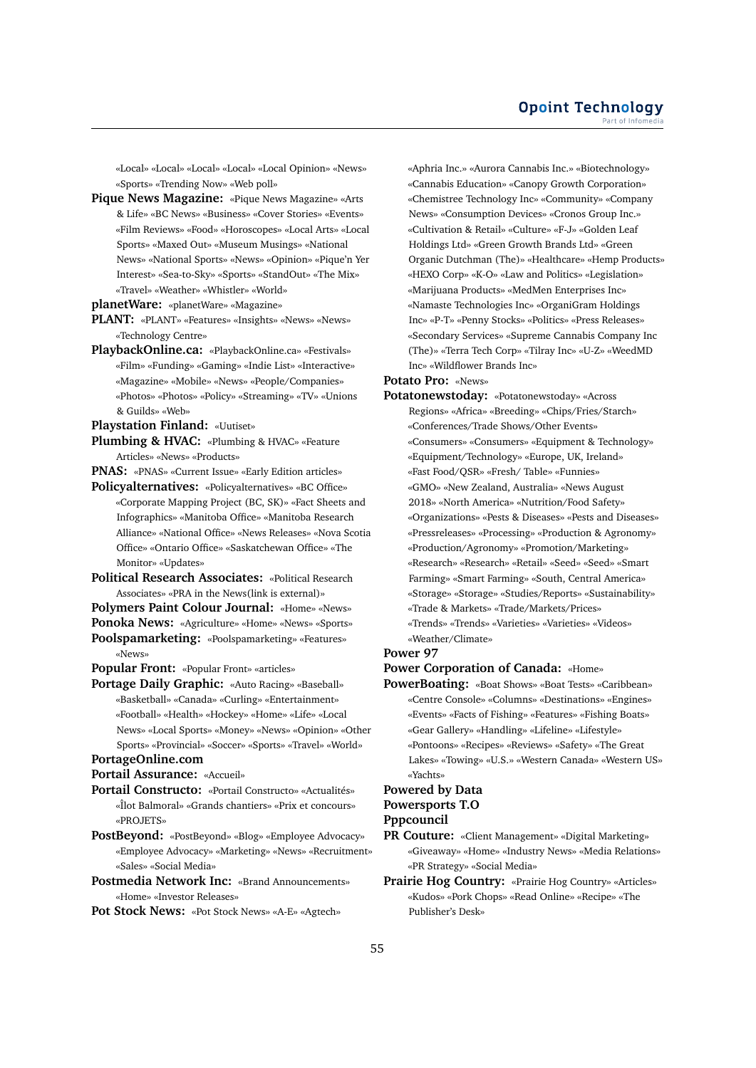«Local» «Local» «Local» «Local» «Local Opinion» «News» «Sports» «Trending Now» «Web poll»

**Pique News Magazine:** «Pique News Magazine» «Arts & Life» «BC News» «Business» «Cover Stories» «Events» «Film Reviews» «Food» «Horoscopes» «Local Arts» «Local Sports» «Maxed Out» «Museum Musings» «National News» «National Sports» «News» «Opinion» «Pique'n Yer Interest» «Sea-to-Sky» «Sports» «StandOut» «The Mix» «Travel» «Weather» «Whistler» «World»

**planetWare:** «planetWare» «Magazine»

- **PLANT:** «PLANT» «Features» «Insights» «News» «News» «Technology Centre»
- **PlaybackOnline.ca:** «PlaybackOnline.ca» «Festivals» «Film» «Funding» «Gaming» «Indie List» «Interactive» «Magazine» «Mobile» «News» «People/Companies» «Photos» «Photos» «Policy» «Streaming» «TV» «Unions & Guilds» «Web»
- **Playstation Finland:** «Uutiset»
- **Plumbing & HVAC:** «Plumbing & HVAC» «Feature Articles» «News» «Products»
- **PNAS:** «PNAS» «Current Issue» «Early Edition articles»
- **Policyalternatives:** «Policyalternatives» «BC Office» «Corporate Mapping Project (BC, SK)» «Fact Sheets and Infographics» «Manitoba Office» «Manitoba Research Alliance» «National Office» «News Releases» «Nova Scotia Office» «Ontario Office» «Saskatchewan Office» «The Monitor» «Updates»
- **Political Research Associates:** «Political Research Associates» «PRA in the News(link is external)»
- **Polymers Paint Colour Journal:** «Home» «News»

**Ponoka News:** «Agriculture» «Home» «News» «Sports»

**Poolspamarketing:** «Poolspamarketing» «Features» «News»

**Popular Front:** «Popular Front» «articles»

**Portage Daily Graphic:** «Auto Racing» «Baseball» «Basketball» «Canada» «Curling» «Entertainment» «Football» «Health» «Hockey» «Home» «Life» «Local News» «Local Sports» «Money» «News» «Opinion» «Other Sports» «Provincial» «Soccer» «Sports» «Travel» «World»

# **PortageOnline.com**

**Portail Assurance:** «Accueil»

- **Portail Constructo:** «Portail Constructo» «Actualités» «Îlot Balmoral» «Grands chantiers» «Prix et concours» «PROJETS»
- **PostBeyond:** «PostBeyond» «Blog» «Employee Advocacy» «Employee Advocacy» «Marketing» «News» «Recruitment» «Sales» «Social Media»
- **Postmedia Network Inc:** «Brand Announcements» «Home» «Investor Releases»

**Pot Stock News:** «Pot Stock News» «A-E» «Agtech»

«Aphria Inc.» «Aurora Cannabis Inc.» «Biotechnology» «Cannabis Education» «Canopy Growth Corporation» «Chemistree Technology Inc» «Community» «Company News» «Consumption Devices» «Cronos Group Inc.» «Cultivation & Retail» «Culture» «F-J» «Golden Leaf Holdings Ltd» «Green Growth Brands Ltd» «Green Organic Dutchman (The)» «Healthcare» «Hemp Products» «HEXO Corp» «K-O» «Law and Politics» «Legislation» «Marijuana Products» «MedMen Enterprises Inc» «Namaste Technologies Inc» «OrganiGram Holdings Inc» «P-T» «Penny Stocks» «Politics» «Press Releases» «Secondary Services» «Supreme Cannabis Company Inc (The)» «Terra Tech Corp» «Tilray Inc» «U-Z» «WeedMD Inc» «Wildflower Brands Inc»

**Potato Pro:** «News»

**Potatonewstoday:** «Potatonewstoday» «Across Regions» «Africa» «Breeding» «Chips/Fries/Starch» «Conferences/Trade Shows/Other Events» «Consumers» «Consumers» «Equipment & Technology» «Equipment/Technology» «Europe, UK, Ireland» «Fast Food/QSR» «Fresh/ Table» «Funnies» «GMO» «New Zealand, Australia» «News August 2018» «North America» «Nutrition/Food Safety» «Organizations» «Pests & Diseases» «Pests and Diseases» «Pressreleases» «Processing» «Production & Agronomy» «Production/Agronomy» «Promotion/Marketing» «Research» «Research» «Retail» «Seed» «Seed» «Smart Farming» «Smart Farming» «South, Central America» «Storage» «Storage» «Studies/Reports» «Sustainability» «Trade & Markets» «Trade/Markets/Prices» «Trends» «Trends» «Varieties» «Varieties» «Videos» «Weather/Climate»

# **Power 97**

- **Power Corporation of Canada:** «Home»
- **PowerBoating:** «Boat Shows» «Boat Tests» «Caribbean» «Centre Console» «Columns» «Destinations» «Engines» «Events» «Facts of Fishing» «Features» «Fishing Boats» «Gear Gallery» «Handling» «Lifeline» «Lifestyle» «Pontoons» «Recipes» «Reviews» «Safety» «The Great Lakes» «Towing» «U.S.» «Western Canada» «Western US» «Yachts»

# **Powered by Data Powersports T.O**

# **Pppcouncil**

- **PR Couture:** «Client Management» «Digital Marketing» «Giveaway» «Home» «Industry News» «Media Relations» «PR Strategy» «Social Media»
- **Prairie Hog Country:** «Prairie Hog Country» «Articles» «Kudos» «Pork Chops» «Read Online» «Recipe» «The Publisher's Desk»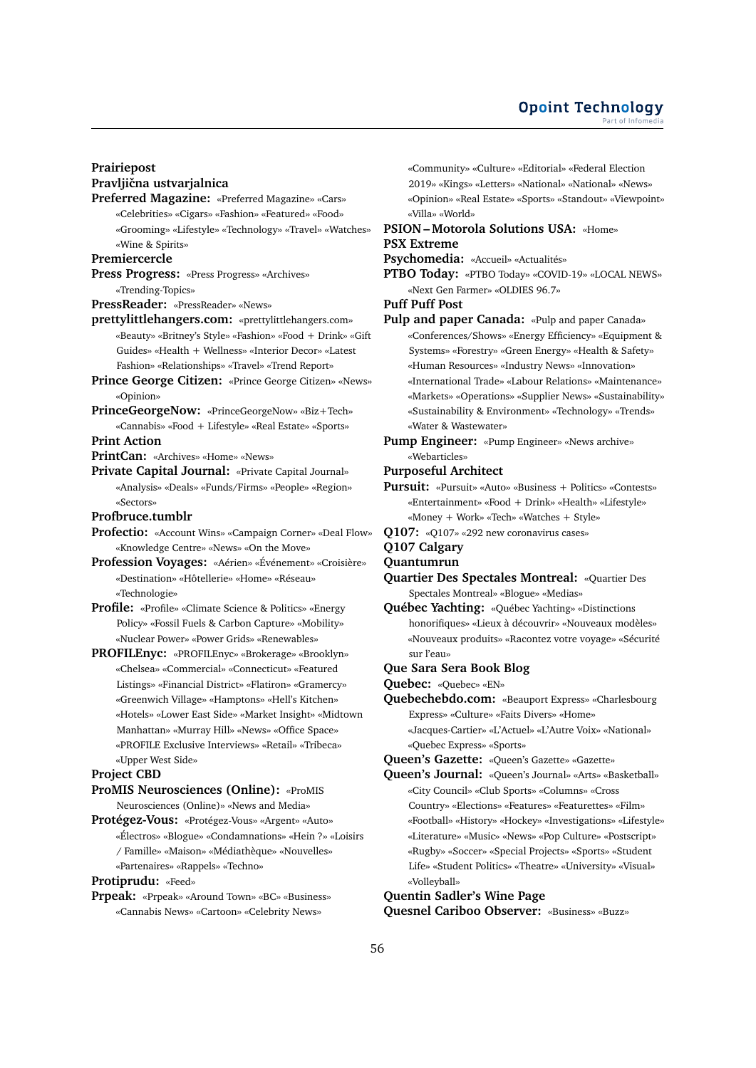# **Prairiepost Pravljiˇcna ustvarjalnica**

**Preferred Magazine:** «Preferred Magazine» «Cars» «Celebrities» «Cigars» «Fashion» «Featured» «Food» «Grooming» «Lifestyle» «Technology» «Travel» «Watches» «Wine & Spirits»

# **Premiercercle**

- **Press Progress:** «Press Progress» «Archives» «Trending-Topics»
- **PressReader:** «PressReader» «News»
- **prettylittlehangers.com:** «prettylittlehangers.com» «Beauty» «Britney's Style» «Fashion» «Food + Drink» «Gift Guides» «Health + Wellness» «Interior Decor» «Latest Fashion» «Relationships» «Travel» «Trend Report»
- **Prince George Citizen:** «Prince George Citizen» «News» «Opinion»
- **PrinceGeorgeNow:** «PrinceGeorgeNow» «Biz+Tech» «Cannabis» «Food + Lifestyle» «Real Estate» «Sports»

# **Print Action**

- **PrintCan:** «Archives» «Home» «News»
- **Private Capital Journal:** «Private Capital Journal» «Analysis» «Deals» «Funds/Firms» «People» «Region» «Sectors»

#### **Profbruce.tumblr**

- **Profectio:** «Account Wins» «Campaign Corner» «Deal Flow» «Knowledge Centre» «News» «On the Move»
- **Profession Voyages:** «Aérien» «Événement» «Croisière» «Destination» «Hôtellerie» «Home» «Réseau» «Technologie»
- **Profile:** «Profile» «Climate Science & Politics» «Energy Policy» «Fossil Fuels & Carbon Capture» «Mobility» «Nuclear Power» «Power Grids» «Renewables»
- **PROFILEnyc:** «PROFILEnyc» «Brokerage» «Brooklyn» «Chelsea» «Commercial» «Connecticut» «Featured Listings» «Financial District» «Flatiron» «Gramercy» «Greenwich Village» «Hamptons» «Hell's Kitchen» «Hotels» «Lower East Side» «Market Insight» «Midtown Manhattan» «Murray Hill» «News» «Office Space» «PROFILE Exclusive Interviews» «Retail» «Tribeca» «Upper West Side»

## **Project CBD**

**ProMIS Neurosciences (Online):** «ProMIS Neurosciences (Online)» «News and Media»

**Protégez-Vous:** «Protégez-Vous» «Argent» «Auto» «Électros» «Blogue» «Condamnations» «Hein ?» «Loisirs / Famille» «Maison» «Médiathèque» «Nouvelles» «Partenaires» «Rappels» «Techno»

#### **Protiprudu:** «Feed»

**Prpeak:** «Prpeak» «Around Town» «BC» «Business» «Cannabis News» «Cartoon» «Celebrity News»

«Community» «Culture» «Editorial» «Federal Election 2019» «Kings» «Letters» «National» «National» «News» «Opinion» «Real Estate» «Sports» «Standout» «Viewpoint» «Villa» «World»

# **PSION – Motorola Solutions USA:** «Home» **PSX Extreme**

#### **Psychomedia:** «Accueil» «Actualités»

**PTBO Today:** «PTBO Today» «COVID-19» «LOCAL NEWS» «Next Gen Farmer» «OLDIES 96.7»

#### **Puff Puff Post**

- **Pulp and paper Canada:** «Pulp and paper Canada» «Conferences/Shows» «Energy Efficiency» «Equipment & Systems» «Forestry» «Green Energy» «Health & Safety» «Human Resources» «Industry News» «Innovation» «International Trade» «Labour Relations» «Maintenance» «Markets» «Operations» «Supplier News» «Sustainability» «Sustainability & Environment» «Technology» «Trends» «Water & Wastewater»
- **Pump Engineer:** «Pump Engineer» «News archive» «Webarticles»

# **Purposeful Architect**

- **Pursuit:** «Pursuit» «Auto» «Business + Politics» «Contests» «Entertainment» «Food + Drink» «Health» «Lifestyle» «Money + Work» «Tech» «Watches + Style»
- **Q107:** «Q107» «292 new coronavirus cases»

# **Q107 Calgary**

**Quantumrun**

- **Quartier Des Spectales Montreal:** «Quartier Des Spectales Montreal» «Blogue» «Medias»
- **Québec Yachting:** «Québec Yachting» «Distinctions honorifiques» «Lieux à découvrir» «Nouveaux modèles» «Nouveaux produits» «Racontez votre voyage» «Sécurité sur l'eau»

#### **Que Sara Sera Book Blog**

- **Quebec:** «Quebec» «EN»
- **Quebechebdo.com:** «Beauport Express» «Charlesbourg Express» «Culture» «Faits Divers» «Home» «Jacques-Cartier» «L'Actuel» «L'Autre Voix» «National» «Quebec Express» «Sports»

**Queen's Gazette:** «Queen's Gazette» «Gazette»

**Queen's Journal:** «Queen's Journal» «Arts» «Basketball» «City Council» «Club Sports» «Columns» «Cross Country» «Elections» «Features» «Featurettes» «Film» «Football» «History» «Hockey» «Investigations» «Lifestyle» «Literature» «Music» «News» «Pop Culture» «Postscript» «Rugby» «Soccer» «Special Projects» «Sports» «Student Life» «Student Politics» «Theatre» «University» «Visual» «Volleyball»

#### **Quentin Sadler's Wine Page**

**Quesnel Cariboo Observer:** «Business» «Buzz»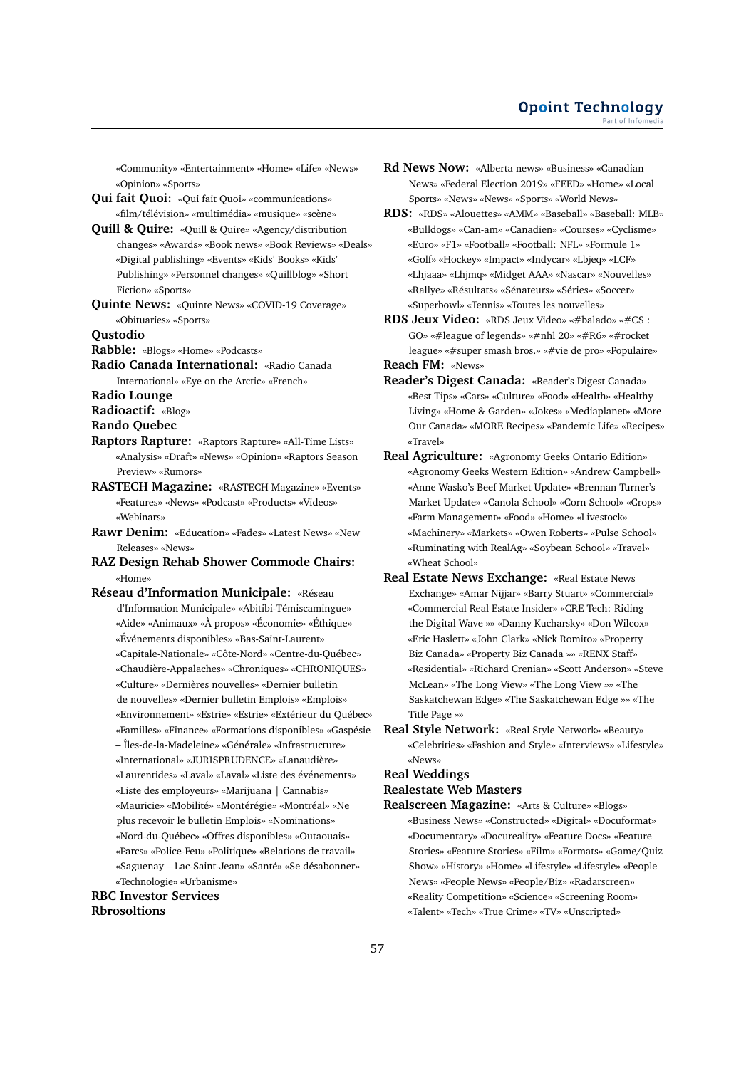«Community» «Entertainment» «Home» «Life» «News» «Opinion» «Sports»

**Qui fait Quoi:** «Qui fait Quoi» «communications» «film/télévision» «multimédia» «musique» «scène»

**Quill & Quire:** «Quill & Quire» «Agency/distribution changes» «Awards» «Book news» «Book Reviews» «Deals» «Digital publishing» «Events» «Kids' Books» «Kids' Publishing» «Personnel changes» «Quillblog» «Short Fiction» «Sports»

**Quinte News:** «Quinte News» «COVID-19 Coverage» «Obituaries» «Sports»

**Qustodio**

**Rabble:** «Blogs» «Home» «Podcasts»

**Radio Canada International:** «Radio Canada International» «Eye on the Arctic» «French»

**Radio Lounge**

**Radioactif:** «Blog»

**Rando Quebec**

- **Raptors Rapture:** «Raptors Rapture» «All-Time Lists» «Analysis» «Draft» «News» «Opinion» «Raptors Season Preview» «Rumors»
- **RASTECH Magazine:** «RASTECH Magazine» «Events» «Features» «News» «Podcast» «Products» «Videos» «Webinars»
- **Rawr Denim:** «Education» «Fades» «Latest News» «New Releases» «News»
- **RAZ Design Rehab Shower Commode Chairs:** «Home»

**Réseau d'Information Municipale:** «Réseau d'Information Municipale» «Abitibi-Témiscamingue» «Aide» «Animaux» «À propos» «Économie» «Éthique» «Événements disponibles» «Bas-Saint-Laurent» «Capitale-Nationale» «Côte-Nord» «Centre-du-Québec» «Chaudière-Appalaches» «Chroniques» «CHRONIQUES» «Culture» «Dernières nouvelles» «Dernier bulletin de nouvelles» «Dernier bulletin Emplois» «Emplois» «Environnement» «Estrie» «Estrie» «Extérieur du Québec» «Familles» «Finance» «Formations disponibles» «Gaspésie – Îles-de-la-Madeleine» «Générale» «Infrastructure» «International» «JURISPRUDENCE» «Lanaudière» «Laurentides» «Laval» «Laval» «Liste des événements» «Liste des employeurs» «Marijuana | Cannabis» «Mauricie» «Mobilité» «Montérégie» «Montréal» «Ne plus recevoir le bulletin Emplois» «Nominations» «Nord-du-Québec» «Offres disponibles» «Outaouais» «Parcs» «Police-Feu» «Politique» «Relations de travail» «Saguenay – Lac-Saint-Jean» «Santé» «Se désabonner» «Technologie» «Urbanisme»

**RBC Investor Services Rbrosoltions**

- **Rd News Now:** «Alberta news» «Business» «Canadian News» «Federal Election 2019» «FEED» «Home» «Local Sports» «News» «News» «Sports» «World News»
- **RDS:** «RDS» «Alouettes» «AMM» «Baseball» «Baseball: MLB» «Bulldogs» «Can-am» «Canadien» «Courses» «Cyclisme» «Euro» «F1» «Football» «Football: NFL» «Formule 1» «Golf» «Hockey» «Impact» «Indycar» «Lbjeq» «LCF» «Lhjaaa» «Lhjmq» «Midget AAA» «Nascar» «Nouvelles» «Rallye» «Résultats» «Sénateurs» «Séries» «Soccer» «Superbowl» «Tennis» «Toutes les nouvelles»

**RDS Jeux Video:** «RDS Jeux Video» «#balado» «#CS : GO» «#league of legends» «#nhl 20» «#R6» «#rocket league» «#super smash bros.» «#vie de pro» «Populaire» **Reach FM:** «News»

- **Reader's Digest Canada:** «Reader's Digest Canada» «Best Tips» «Cars» «Culture» «Food» «Health» «Healthy Living» «Home & Garden» «Jokes» «Mediaplanet» «More Our Canada» «MORE Recipes» «Pandemic Life» «Recipes» «Travel»
- **Real Agriculture:** «Agronomy Geeks Ontario Edition» «Agronomy Geeks Western Edition» «Andrew Campbell» «Anne Wasko's Beef Market Update» «Brennan Turner's Market Update» «Canola School» «Corn School» «Crops» «Farm Management» «Food» «Home» «Livestock» «Machinery» «Markets» «Owen Roberts» «Pulse School» «Ruminating with RealAg» «Soybean School» «Travel» «Wheat School»
- **Real Estate News Exchange:** «Real Estate News Exchange» «Amar Nijjar» «Barry Stuart» «Commercial» «Commercial Real Estate Insider» «CRE Tech: Riding the Digital Wave »» «Danny Kucharsky» «Don Wilcox» «Eric Haslett» «John Clark» «Nick Romito» «Property Biz Canada» «Property Biz Canada »» «RENX Staff» «Residential» «Richard Crenian» «Scott Anderson» «Steve McLean» «The Long View» «The Long View »» «The Saskatchewan Edge» «The Saskatchewan Edge »» «The Title Page »»
- **Real Style Network:** «Real Style Network» «Beauty» «Celebrities» «Fashion and Style» «Interviews» «Lifestyle» «News»

**Real Weddings**

# **Realestate Web Masters**

**Realscreen Magazine:** «Arts & Culture» «Blogs» «Business News» «Constructed» «Digital» «Docuformat» «Documentary» «Docureality» «Feature Docs» «Feature Stories» «Feature Stories» «Film» «Formats» «Game/Quiz Show» «History» «Home» «Lifestyle» «Lifestyle» «People News» «People News» «People/Biz» «Radarscreen» «Reality Competition» «Science» «Screening Room» «Talent» «Tech» «True Crime» «TV» «Unscripted»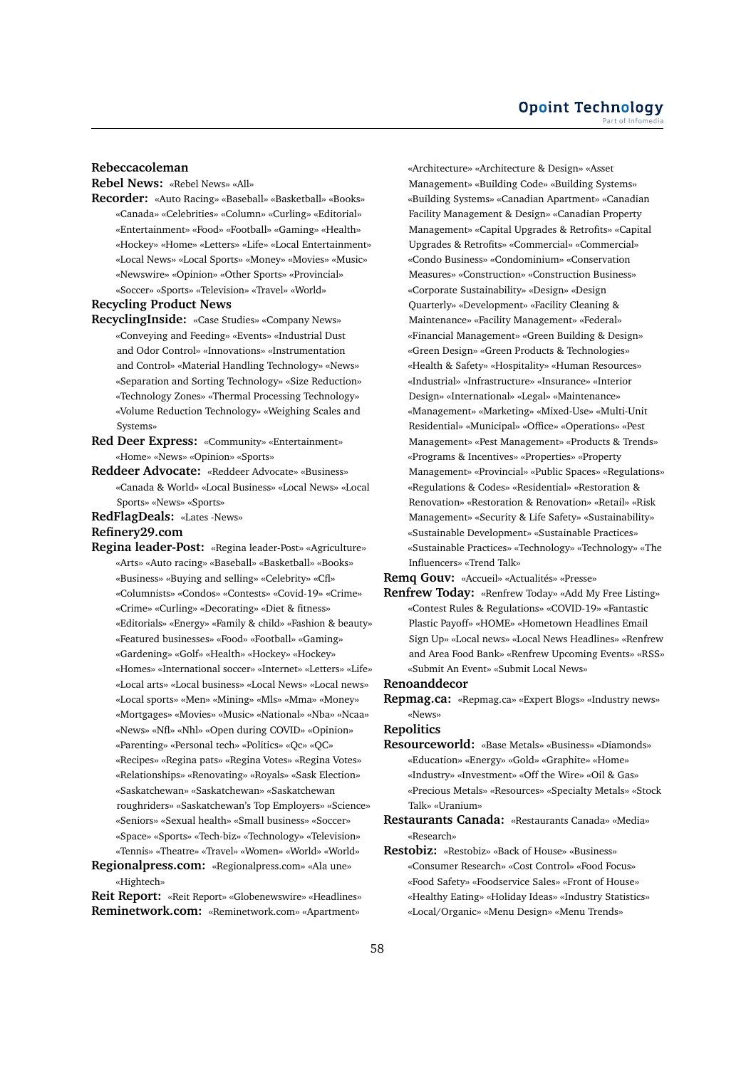# **Rebeccacoleman**

**Rebel News:** «Rebel News» «All»

**Recorder:** «Auto Racing» «Baseball» «Basketball» «Books» «Canada» «Celebrities» «Column» «Curling» «Editorial» «Entertainment» «Food» «Football» «Gaming» «Health» «Hockey» «Home» «Letters» «Life» «Local Entertainment» «Local News» «Local Sports» «Money» «Movies» «Music» «Newswire» «Opinion» «Other Sports» «Provincial» «Soccer» «Sports» «Television» «Travel» «World»

#### **Recycling Product News**

- **RecyclingInside:** «Case Studies» «Company News» «Conveying and Feeding» «Events» «Industrial Dust and Odor Control» «Innovations» «Instrumentation and Control» «Material Handling Technology» «News» «Separation and Sorting Technology» «Size Reduction» «Technology Zones» «Thermal Processing Technology» «Volume Reduction Technology» «Weighing Scales and Systems»
- **Red Deer Express:** «Community» «Entertainment» «Home» «News» «Opinion» «Sports»
- **Reddeer Advocate:** «Reddeer Advocate» «Business» «Canada & World» «Local Business» «Local News» «Local Sports» «News» «Sports»
- **RedFlagDeals:** «Lates -News»

#### **Refinery29.com**

- **Regina leader-Post:** «Regina leader-Post» «Agriculture» «Arts» «Auto racing» «Baseball» «Basketball» «Books» «Business» «Buying and selling» «Celebrity» «Cfl» «Columnists» «Condos» «Contests» «Covid-19» «Crime» «Crime» «Curling» «Decorating» «Diet & fitness» «Editorials» «Energy» «Family & child» «Fashion & beauty» «Featured businesses» «Food» «Football» «Gaming» «Gardening» «Golf» «Health» «Hockey» «Hockey» «Homes» «International soccer» «Internet» «Letters» «Life» «Local arts» «Local business» «Local News» «Local news» «Local sports» «Men» «Mining» «Mls» «Mma» «Money» «Mortgages» «Movies» «Music» «National» «Nba» «Ncaa» «News» «Nfl» «Nhl» «Open during COVID» «Opinion» «Parenting» «Personal tech» «Politics» «Qc» «QC» «Recipes» «Regina pats» «Regina Votes» «Regina Votes» «Relationships» «Renovating» «Royals» «Sask Election» «Saskatchewan» «Saskatchewan» «Saskatchewan roughriders» «Saskatchewan's Top Employers» «Science» «Seniors» «Sexual health» «Small business» «Soccer» «Space» «Sports» «Tech-biz» «Technology» «Television» «Tennis» «Theatre» «Travel» «Women» «World» «World»
- **Regionalpress.com:** «Regionalpress.com» «Ala une» «Hightech»

**Reit Report:** «Reit Report» «Globenewswire» «Headlines» **Reminetwork.com:** «Reminetwork.com» «Apartment»

«Architecture» «Architecture & Design» «Asset Management» «Building Code» «Building Systems» «Building Systems» «Canadian Apartment» «Canadian Facility Management & Design» «Canadian Property Management» «Capital Upgrades & Retrofits» «Capital Upgrades & Retrofits» «Commercial» «Commercial» «Condo Business» «Condominium» «Conservation Measures» «Construction» «Construction Business» «Corporate Sustainability» «Design» «Design Quarterly» «Development» «Facility Cleaning & Maintenance» «Facility Management» «Federal» «Financial Management» «Green Building & Design» «Green Design» «Green Products & Technologies» «Health & Safety» «Hospitality» «Human Resources» «Industrial» «Infrastructure» «Insurance» «Interior Design» «International» «Legal» «Maintenance» «Management» «Marketing» «Mixed-Use» «Multi-Unit Residential» «Municipal» «Office» «Operations» «Pest Management» «Pest Management» «Products & Trends» «Programs & Incentives» «Properties» «Property Management» «Provincial» «Public Spaces» «Regulations» «Regulations & Codes» «Residential» «Restoration & Renovation» «Restoration & Renovation» «Retail» «Risk Management» «Security & Life Safety» «Sustainability» «Sustainable Development» «Sustainable Practices» «Sustainable Practices» «Technology» «Technology» «The Influencers» «Trend Talk»

**Remq Gouv:** «Accueil» «Actualités» «Presse»

**Renfrew Today:** «Renfrew Today» «Add My Free Listing» «Contest Rules & Regulations» «COVID-19» «Fantastic Plastic Payoff» «HOME» «Hometown Headlines Email Sign Up» «Local news» «Local News Headlines» «Renfrew and Area Food Bank» «Renfrew Upcoming Events» «RSS» «Submit An Event» «Submit Local News»

#### **Renoanddecor**

**Repmag.ca:** «Repmag.ca» «Expert Blogs» «Industry news» «News»

**Repolitics**

- **Resourceworld:** «Base Metals» «Business» «Diamonds» «Education» «Energy» «Gold» «Graphite» «Home» «Industry» «Investment» «Off the Wire» «Oil & Gas» «Precious Metals» «Resources» «Specialty Metals» «Stock Talk» «Uranium»
- **Restaurants Canada:** «Restaurants Canada» «Media» «Research»
- **Restobiz:** «Restobiz» «Back of House» «Business» «Consumer Research» «Cost Control» «Food Focus» «Food Safety» «Foodservice Sales» «Front of House» «Healthy Eating» «Holiday Ideas» «Industry Statistics» «Local/Organic» «Menu Design» «Menu Trends»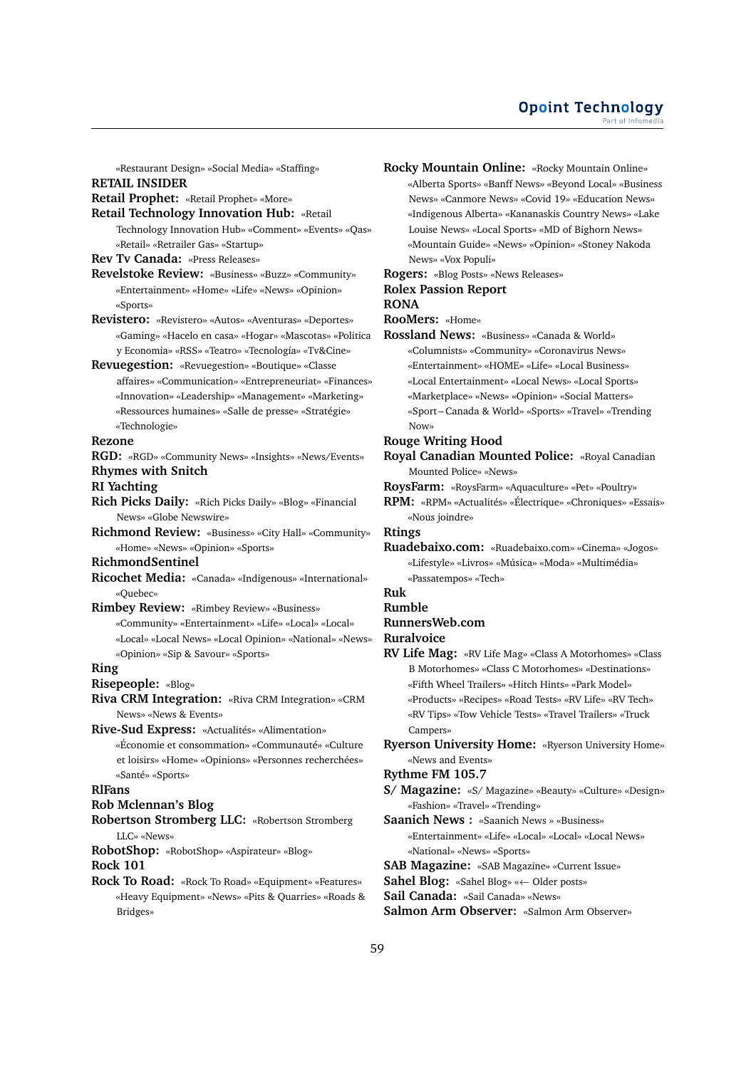«Restaurant Design» «Social Media» «Staffing»

# **RETAIL INSIDER**

- **Retail Prophet:** «Retail Prophet» «More»
- **Retail Technology Innovation Hub:** «Retail Technology Innovation Hub» «Comment» «Events» «Qas» «Retail» «Retrailer Gas» «Startup»

**Rev Tv Canada:** «Press Releases»

- **Revelstoke Review:** «Business» «Buzz» «Community» «Entertainment» «Home» «Life» «News» «Opinion» «Sports»
- **Revistero:** «Revistero» «Autos» «Aventuras» «Deportes» «Gaming» «Hacelo en casa» «Hogar» «Mascotas» «Politica y Economia» «RSS» «Teatro» «Tecnología» «Tv&Cine»
- **Revuegestion:** «Revuegestion» «Boutique» «Classe affaires» «Communication» «Entrepreneuriat» «Finances» «Innovation» «Leadership» «Management» «Marketing» «Ressources humaines» «Salle de presse» «Stratégie» «Technologie»

## **Rezone**

**RGD:** «RGD» «Community News» «Insights» «News/Events» **Rhymes with Snitch**

#### **RI Yachting**

- **Rich Picks Daily:** «Rich Picks Daily» «Blog» «Financial News» «Globe Newswire»
- **Richmond Review:** «Business» «City Hall» «Community» «Home» «News» «Opinion» «Sports»

**RichmondSentinel**

- **Ricochet Media:** «Canada» «Indigenous» «International» «Quebec»
- **Rimbey Review:** «Rimbey Review» «Business» «Community» «Entertainment» «Life» «Local» «Local» «Local» «Local News» «Local Opinion» «National» «News» «Opinion» «Sip & Savour» «Sports»

#### **Ring**

- **Risepeople:** «Blog»
- **Riva CRM Integration:** «Riva CRM Integration» «CRM News» «News & Events»
- **Rive-Sud Express:** «Actualités» «Alimentation» «Économie et consommation» «Communauté» «Culture et loisirs» «Home» «Opinions» «Personnes recherchées» «Santé» «Sports»

# **RlFans**

# **Rob Mclennan's Blog**

**Robertson Stromberg LLC:** «Robertson Stromberg LLC» «News»

**RobotShop:** «RobotShop» «Aspirateur» «Blog» **Rock 101**

**Rock To Road:** «Rock To Road» «Equipment» «Features» «Heavy Equipment» «News» «Pits & Quarries» «Roads & Bridges»

**Rocky Mountain Online:** «Rocky Mountain Online» «Alberta Sports» «Banff News» «Beyond Local» «Business News» «Canmore News» «Covid 19» «Education News» «Indigenous Alberta» «Kananaskis Country News» «Lake Louise News» «Local Sports» «MD of Bighorn News» «Mountain Guide» «News» «Opinion» «Stoney Nakoda News» «Vox Populi»

# **Rogers:** «Blog Posts» «News Releases» **Rolex Passion Report**

#### **RONA**

**RooMers:** «Home»

**Rossland News:** «Business» «Canada & World» «Columnists» «Community» «Coronavirus News» «Entertainment» «HOME» «Life» «Local Business» «Local Entertainment» «Local News» «Local Sports» «Marketplace» «News» «Opinion» «Social Matters» «Sport – Canada & World» «Sports» «Travel» «Trending Now»

## **Rouge Writing Hood**

**Royal Canadian Mounted Police:** «Royal Canadian Mounted Police» «News»

- **RoysFarm:** «RoysFarm» «Aquaculture» «Pet» «Poultry»
- **RPM:** «RPM» «Actualités» «Électrique» «Chroniques» «Essais» «Nous joindre»

## **Rtings**

**Ruadebaixo.com:** «Ruadebaixo.com» «Cinema» «Jogos» «Lifestyle» «Livros» «Música» «Moda» «Multimédia» «Passatempos» «Tech»

# **Ruk**

# **Rumble**

**RunnersWeb.com**

- **Ruralvoice**
- **RV Life Mag:** «RV Life Mag» «Class A Motorhomes» «Class B Motorhomes» «Class C Motorhomes» «Destinations» «Fifth Wheel Trailers» «Hitch Hints» «Park Model» «Products» «Recipes» «Road Tests» «RV Life» «RV Tech» «RV Tips» «Tow Vehicle Tests» «Travel Trailers» «Truck Campers»
- **Ryerson University Home:** «Ryerson University Home» «News and Events»

# **Rythme FM 105.7**

- **S/ Magazine:** «S/ Magazine» «Beauty» «Culture» «Design» «Fashion» «Travel» «Trending»
- **Saanich News :** «Saanich News » «Business» «Entertainment» «Life» «Local» «Local» «Local News» «National» «News» «Sports»
- **SAB Magazine:** «SAB Magazine» «Current Issue»
- **Sahel Blog:** «Sahel Blog» «← Older posts»
- **Sail Canada:** «Sail Canada» «News»
- **Salmon Arm Observer:** «Salmon Arm Observer»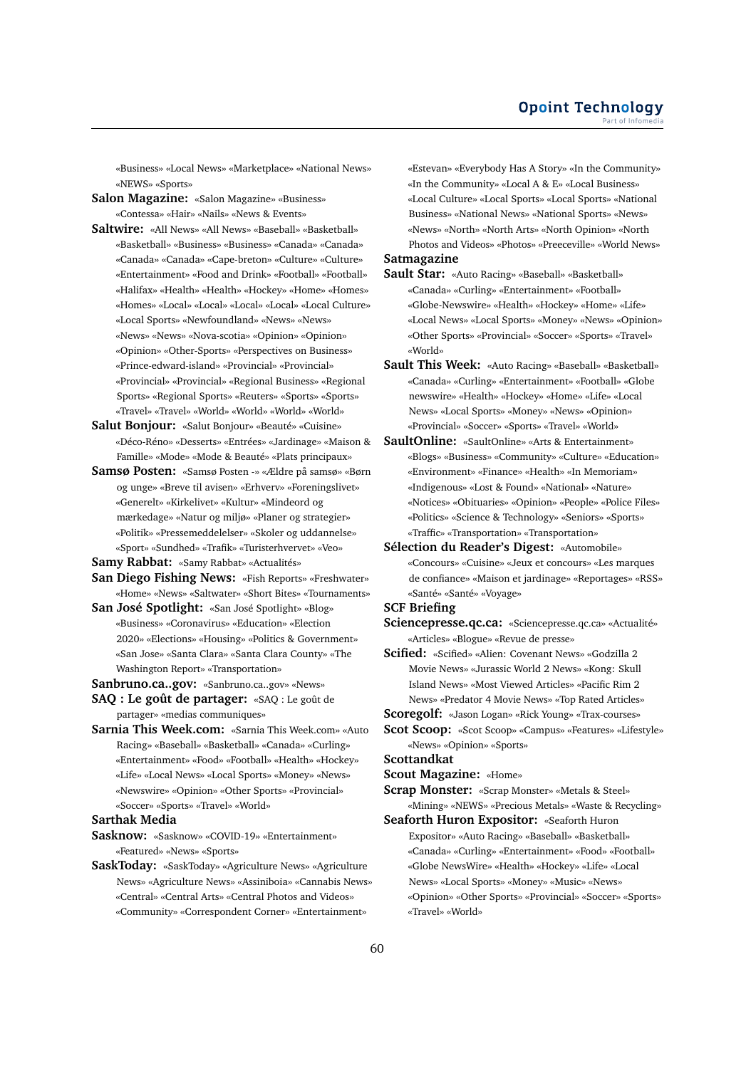«Business» «Local News» «Marketplace» «National News» «NEWS» «Sports»

**Salon Magazine:** «Salon Magazine» «Business» «Contessa» «Hair» «Nails» «News & Events»

- **Saltwire:** «All News» «All News» «Baseball» «Basketball» «Basketball» «Business» «Business» «Canada» «Canada» «Canada» «Canada» «Cape-breton» «Culture» «Culture» «Entertainment» «Food and Drink» «Football» «Football» «Halifax» «Health» «Health» «Hockey» «Home» «Homes» «Homes» «Local» «Local» «Local» «Local» «Local Culture» «Local Sports» «Newfoundland» «News» «News» «News» «News» «Nova-scotia» «Opinion» «Opinion» «Opinion» «Other-Sports» «Perspectives on Business» «Prince-edward-island» «Provincial» «Provincial» «Provincial» «Provincial» «Regional Business» «Regional Sports» «Regional Sports» «Reuters» «Sports» «Sports» «Travel» «Travel» «World» «World» «World» «World»
- **Salut Bonjour:** «Salut Bonjour» «Beauté» «Cuisine» «Déco-Réno» «Desserts» «Entrées» «Jardinage» «Maison & Famille» «Mode» «Mode & Beauté» «Plats principaux»
- **Samsø Posten:** «Samsø Posten -» «Ældre på samsø» «Børn og unge» «Breve til avisen» «Erhverv» «Foreningslivet» «Generelt» «Kirkelivet» «Kultur» «Mindeord og mærkedage» «Natur og miljø» «Planer og strategier» «Politik» «Pressemeddelelser» «Skoler og uddannelse» «Sport» «Sundhed» «Trafik» «Turisterhvervet» «Veo»

**Samy Rabbat:** «Samy Rabbat» «Actualités»

- **San Diego Fishing News:** «Fish Reports» «Freshwater» «Home» «News» «Saltwater» «Short Bites» «Tournaments»
- **San José Spotlight:** «San José Spotlight» «Blog» «Business» «Coronavirus» «Education» «Election 2020» «Elections» «Housing» «Politics & Government» «San Jose» «Santa Clara» «Santa Clara County» «The Washington Report» «Transportation»
- **Sanbruno.ca..gov:** «Sanbruno.ca..gov» «News»

**SAQ : Le goût de partager:** «SAQ : Le goût de partager» «medias communiques»

**Sarnia This Week.com:** «Sarnia This Week.com» «Auto Racing» «Baseball» «Basketball» «Canada» «Curling» «Entertainment» «Food» «Football» «Health» «Hockey» «Life» «Local News» «Local Sports» «Money» «News» «Newswire» «Opinion» «Other Sports» «Provincial» «Soccer» «Sports» «Travel» «World»

#### **Sarthak Media**

**Sasknow:** «Sasknow» «COVID-19» «Entertainment» «Featured» «News» «Sports»

**SaskToday:** «SaskToday» «Agriculture News» «Agriculture News» «Agriculture News» «Assiniboia» «Cannabis News» «Central» «Central Arts» «Central Photos and Videos» «Community» «Correspondent Corner» «Entertainment»

«Estevan» «Everybody Has A Story» «In the Community» «In the Community» «Local A & E» «Local Business» «Local Culture» «Local Sports» «Local Sports» «National Business» «National News» «National Sports» «News» «News» «North» «North Arts» «North Opinion» «North Photos and Videos» «Photos» «Preeceville» «World News»

# **Satmagazine**

- **Sault Star:** «Auto Racing» «Baseball» «Basketball» «Canada» «Curling» «Entertainment» «Football» «Globe-Newswire» «Health» «Hockey» «Home» «Life» «Local News» «Local Sports» «Money» «News» «Opinion» «Other Sports» «Provincial» «Soccer» «Sports» «Travel» «World»
- **Sault This Week:** «Auto Racing» «Baseball» «Basketball» «Canada» «Curling» «Entertainment» «Football» «Globe newswire» «Health» «Hockey» «Home» «Life» «Local News» «Local Sports» «Money» «News» «Opinion» «Provincial» «Soccer» «Sports» «Travel» «World»
- **SaultOnline:** «SaultOnline» «Arts & Entertainment» «Blogs» «Business» «Community» «Culture» «Education» «Environment» «Finance» «Health» «In Memoriam» «Indigenous» «Lost & Found» «National» «Nature» «Notices» «Obituaries» «Opinion» «People» «Police Files» «Politics» «Science & Technology» «Seniors» «Sports» «Traffic» «Transportation» «Transportation»
- **Sélection du Reader's Digest:** «Automobile» «Concours» «Cuisine» «Jeux et concours» «Les marques de confiance» «Maison et jardinage» «Reportages» «RSS» «Santé» «Santé» «Voyage»

# **SCF Briefing**

- **Sciencepresse.qc.ca:** «Sciencepresse.qc.ca» «Actualité» «Articles» «Blogue» «Revue de presse»
- **Scified:** «Scified» «Alien: Covenant News» «Godzilla 2 Movie News» «Jurassic World 2 News» «Kong: Skull Island News» «Most Viewed Articles» «Pacific Rim 2 News» «Predator 4 Movie News» «Top Rated Articles»
- **Scoregolf:** «Jason Logan» «Rick Young» «Trax-courses»
- **Scot Scoop:** «Scot Scoop» «Campus» «Features» «Lifestyle» «News» «Opinion» «Sports»

# **Scottandkat**

**Scout Magazine:** «Home»

**Scrap Monster:** «Scrap Monster» «Metals & Steel»

- «Mining» «NEWS» «Precious Metals» «Waste & Recycling» **Seaforth Huron Expositor:** «Seaforth Huron
- Expositor» «Auto Racing» «Baseball» «Basketball» «Canada» «Curling» «Entertainment» «Food» «Football» «Globe NewsWire» «Health» «Hockey» «Life» «Local News» «Local Sports» «Money» «Music» «News» «Opinion» «Other Sports» «Provincial» «Soccer» «Sports» «Travel» «World»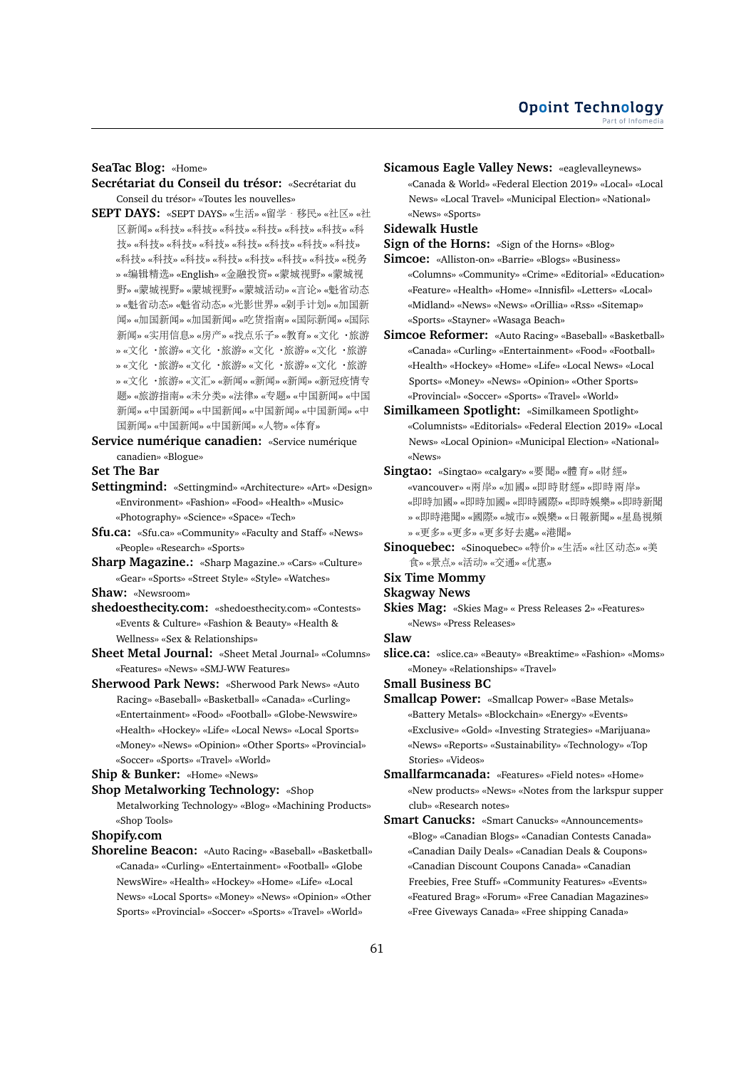**SeaTac Blog:** «Home»

- **Secrétariat du Conseil du trésor:** «Secrétariat du Conseil du trésor» «Toutes les nouvelles»
- **SEPT DAYS:** «SEPT DAYS» «生活» «留学·移民» «社区» «<sup>社</sup> <sup>区</sup>新闻» «科技» «科技» «科技» «科技» «科技» «科技» «<sup>科</sup> 技» «科技» «科技» «科技» «科技» «科技» «科技» «科技» «科技» «科技» «科技» «科技» «科技» «科技» «科技» «税<sup>务</sup> » «编辑精选» «English» «金融投资» «蒙城视野» «蒙城<sup>视</sup> 野» «蒙城视野» «蒙城视野» «蒙城活动» «言论» «魁省动<sup>态</sup> » «魁省动态» «魁省动态» «光影世界» «剁手计划» «加国<sup>新</sup> 闻» «加国新闻» «加国新闻» «吃货指南» «国际新闻» «国际 <sup>新</sup>闻» «实用信息» «房产» «找点乐子» «教育» «文化·旅<sup>游</sup> » «文化·旅游» «文化·旅游» «文化·旅游» «文化·旅<sup>游</sup> » «文化·旅游» «文化·旅游» «文化·旅游» «文化·旅<sup>游</sup> » «文化·旅游» «文汇» «新闻» «新闻» «新闻» «新冠疫情<sup>专</sup> <sup>题</sup>» «旅游指南» «未分类» «法律» «专题» «中国新闻» «中<sup>国</sup> 新闻» «中国新闻» «中国新闻» «中国新闻» «中国新闻» «中 <sup>国</sup>新闻» «中国新闻» «中国新闻» «人物» «体育»
- **Service numérique canadien:** «Service numérique canadien» «Blogue»

**Set The Bar**

- **Settingmind:** «Settingmind» «Architecture» «Art» «Design» «Environment» «Fashion» «Food» «Health» «Music» «Photography» «Science» «Space» «Tech»
- **Sfu.ca:** «Sfu.ca» «Community» «Faculty and Staff» «News» «People» «Research» «Sports»
- **Sharp Magazine.:** «Sharp Magazine.» «Cars» «Culture» «Gear» «Sports» «Street Style» «Style» «Watches»

**Shaw:** «Newsroom»

- **shedoesthecity.com:** «shedoesthecity.com» «Contests» «Events & Culture» «Fashion & Beauty» «Health & Wellness» «Sex & Relationships»
- **Sheet Metal Journal:** «Sheet Metal Journal» «Columns» «Features» «News» «SMJ-WW Features»
- **Sherwood Park News:** «Sherwood Park News» «Auto Racing» «Baseball» «Basketball» «Canada» «Curling» «Entertainment» «Food» «Football» «Globe-Newswire» «Health» «Hockey» «Life» «Local News» «Local Sports» «Money» «News» «Opinion» «Other Sports» «Provincial» «Soccer» «Sports» «Travel» «World»

## **Ship & Bunker:** «Home» «News»

**Shop Metalworking Technology:** «Shop Metalworking Technology» «Blog» «Machining Products» «Shop Tools»

**Shopify.com**

**Shoreline Beacon:** «Auto Racing» «Baseball» «Basketball» «Canada» «Curling» «Entertainment» «Football» «Globe NewsWire» «Health» «Hockey» «Home» «Life» «Local News» «Local Sports» «Money» «News» «Opinion» «Other Sports» «Provincial» «Soccer» «Sports» «Travel» «World»

**Sicamous Eagle Valley News:** «eaglevalleynews» «Canada & World» «Federal Election 2019» «Local» «Local News» «Local Travel» «Municipal Election» «National» «News» «Sports»

# **Sidewalk Hustle**

**Sign of the Horns:** «Sign of the Horns» «Blog»

- **Simcoe:** «Alliston-on» «Barrie» «Blogs» «Business» «Columns» «Community» «Crime» «Editorial» «Education» «Feature» «Health» «Home» «Innisfil» «Letters» «Local» «Midland» «News» «News» «Orillia» «Rss» «Sitemap» «Sports» «Stayner» «Wasaga Beach»
- **Simcoe Reformer:** «Auto Racing» «Baseball» «Basketball» «Canada» «Curling» «Entertainment» «Food» «Football» «Health» «Hockey» «Home» «Life» «Local News» «Local Sports» «Money» «News» «Opinion» «Other Sports» «Provincial» «Soccer» «Sports» «Travel» «World»
- **Similkameen Spotlight:** «Similkameen Spotlight» «Columnists» «Editorials» «Federal Election 2019» «Local News» «Local Opinion» «Municipal Election» «National» «News»
- **Singtao:** «Singtao» «calgary» «要聞» «體育» «財經» «vancouver» «兩岸» «加國» «即時財經» «即時兩岸» «即時加國» «即時加國» «即時國際» «即時娛樂» «即時新聞 » «即時港聞» «國際» «城市» «娛樂» «日報新聞» «星島視<sup>頻</sup> » «更多» «更多» «更多好去處» «港聞»
- **Sinoquebec:** «Sinoquebec» «特价» «生活» «社区动态» «<sup>美</sup> <sup>食</sup>» «景点» «活动» «交通» «优惠»
- **Six Time Mommy**
- **Skagway News**
- **Skies Mag:** «Skies Mag» « Press Releases 2» «Features» «News» «Press Releases»
- **Slaw**
- **slice.ca:** «slice.ca» «Beauty» «Breaktime» «Fashion» «Moms» «Money» «Relationships» «Travel»
- **Small Business BC**
- **Smallcap Power:** «Smallcap Power» «Base Metals» «Battery Metals» «Blockchain» «Energy» «Events» «Exclusive» «Gold» «Investing Strategies» «Marijuana» «News» «Reports» «Sustainability» «Technology» «Top Stories» «Videos»
- **Smallfarmcanada:** «Features» «Field notes» «Home» «New products» «News» «Notes from the larkspur supper club» «Research notes»
- **Smart Canucks:** «Smart Canucks» «Announcements» «Blog» «Canadian Blogs» «Canadian Contests Canada» «Canadian Daily Deals» «Canadian Deals & Coupons» «Canadian Discount Coupons Canada» «Canadian Freebies, Free Stuff» «Community Features» «Events» «Featured Brag» «Forum» «Free Canadian Magazines» «Free Giveways Canada» «Free shipping Canada»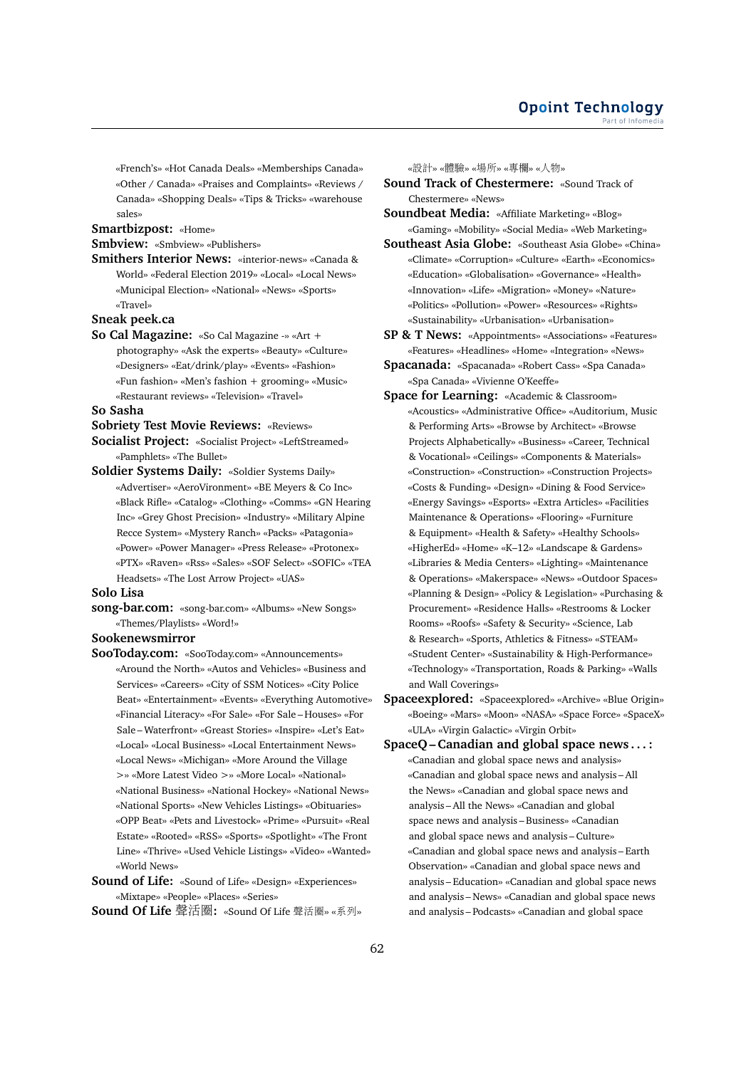«French's» «Hot Canada Deals» «Memberships Canada» «Other / Canada» «Praises and Complaints» «Reviews / Canada» «Shopping Deals» «Tips & Tricks» «warehouse sales»

# **Smartbizpost:** «Home»

#### **Smbview:** «Smbview» «Publishers»

**Smithers Interior News:** «interior-news» «Canada & World» «Federal Election 2019» «Local» «Local News» «Municipal Election» «National» «News» «Sports» «Travel»

#### **Sneak peek.ca**

**So Cal Magazine:** «So Cal Magazine -» «Art + photography» «Ask the experts» «Beauty» «Culture» «Designers» «Eat/drink/play» «Events» «Fashion» «Fun fashion» «Men's fashion + grooming» «Music» «Restaurant reviews» «Television» «Travel»

#### **So Sasha**

- **Sobriety Test Movie Reviews:** «Reviews»
- **Socialist Project:** «Socialist Project» «LeftStreamed» «Pamphlets» «The Bullet»
- **Soldier Systems Daily:** «Soldier Systems Daily» «Advertiser» «AeroVironment» «BE Meyers & Co Inc» «Black Rifle» «Catalog» «Clothing» «Comms» «GN Hearing Inc» «Grey Ghost Precision» «Industry» «Military Alpine Recce System» «Mystery Ranch» «Packs» «Patagonia» «Power» «Power Manager» «Press Release» «Protonex» «PTX» «Raven» «Rss» «Sales» «SOF Select» «SOFIC» «TEA Headsets» «The Lost Arrow Project» «UAS»

#### **Solo Lisa**

**song-bar.com:** «song-bar.com» «Albums» «New Songs» «Themes/Playlists» «Word!»

# **Sookenewsmirror**

- **SooToday.com:** «SooToday.com» «Announcements» «Around the North» «Autos and Vehicles» «Business and Services» «Careers» «City of SSM Notices» «City Police Beat» «Entertainment» «Events» «Everything Automotive» «Financial Literacy» «For Sale» «For Sale – Houses» «For Sale – Waterfront» «Greast Stories» «Inspire» «Let's Eat» «Local» «Local Business» «Local Entertainment News» «Local News» «Michigan» «More Around the Village >» «More Latest Video >» «More Local» «National» «National Business» «National Hockey» «National News» «National Sports» «New Vehicles Listings» «Obituaries» «OPP Beat» «Pets and Livestock» «Prime» «Pursuit» «Real Estate» «Rooted» «RSS» «Sports» «Spotlight» «The Front Line» «Thrive» «Used Vehicle Listings» «Video» «Wanted» «World News»
- **Sound of Life:** «Sound of Life» «Design» «Experiences» «Mixtape» «People» «Places» «Series»
- **Sound Of Life** <sup>聲</sup>活圈**:** «Sound Of Life 聲活圈» «系列»

«設計» «體驗» «場所» «專欄» «人物»

**Sound Track of Chestermere:** «Sound Track of Chestermere» «News»

**Soundbeat Media:** «Affiliate Marketing» «Blog» «Gaming» «Mobility» «Social Media» «Web Marketing»

- **Southeast Asia Globe:** «Southeast Asia Globe» «China» «Climate» «Corruption» «Culture» «Earth» «Economics» «Education» «Globalisation» «Governance» «Health» «Innovation» «Life» «Migration» «Money» «Nature» «Politics» «Pollution» «Power» «Resources» «Rights» «Sustainability» «Urbanisation» «Urbanisation»
- **SP & T News:** «Appointments» «Associations» «Features» «Features» «Headlines» «Home» «Integration» «News»
- **Spacanada:** «Spacanada» «Robert Cass» «Spa Canada» «Spa Canada» «Vivienne O'Keeffe»
- **Space for Learning:** «Academic & Classroom» «Acoustics» «Administrative Office» «Auditorium, Music & Performing Arts» «Browse by Architect» «Browse Projects Alphabetically» «Business» «Career, Technical & Vocational» «Ceilings» «Components & Materials» «Construction» «Construction» «Construction Projects» «Costs & Funding» «Design» «Dining & Food Service» «Energy Savings» «Esports» «Extra Articles» «Facilities Maintenance & Operations» «Flooring» «Furniture & Equipment» «Health & Safety» «Healthy Schools» «HigherEd» «Home» «K–12» «Landscape & Gardens» «Libraries & Media Centers» «Lighting» «Maintenance & Operations» «Makerspace» «News» «Outdoor Spaces» «Planning & Design» «Policy & Legislation» «Purchasing & Procurement» «Residence Halls» «Restrooms & Locker Rooms» «Roofs» «Safety & Security» «Science, Lab & Research» «Sports, Athletics & Fitness» «STEAM» «Student Center» «Sustainability & High-Performance» «Technology» «Transportation, Roads & Parking» «Walls and Wall Coverings»
- **Spaceexplored:** «Spaceexplored» «Archive» «Blue Origin» «Boeing» «Mars» «Moon» «NASA» «Space Force» «SpaceX» «ULA» «Virgin Galactic» «Virgin Orbit»
- **SpaceQ Canadian and global space news . . . :** «Canadian and global space news and analysis» «Canadian and global space news and analysis – All the News» «Canadian and global space news and analysis – All the News» «Canadian and global space news and analysis – Business» «Canadian and global space news and analysis – Culture» «Canadian and global space news and analysis – Earth Observation» «Canadian and global space news and analysis – Education» «Canadian and global space news and analysis – News» «Canadian and global space news and analysis – Podcasts» «Canadian and global space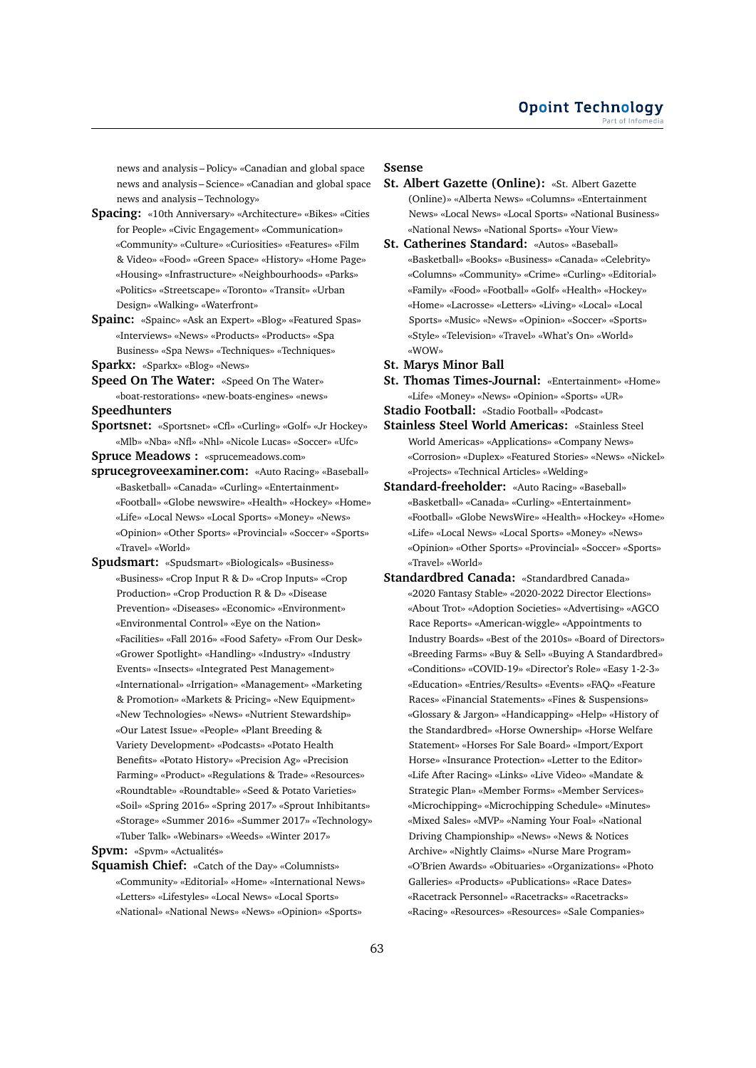news and analysis – Policy» «Canadian and global space news and analysis – Science» «Canadian and global space news and analysis – Technology»

- **Spacing:** «10th Anniversary» «Architecture» «Bikes» «Cities for People» «Civic Engagement» «Communication» «Community» «Culture» «Curiosities» «Features» «Film & Video» «Food» «Green Space» «History» «Home Page» «Housing» «Infrastructure» «Neighbourhoods» «Parks» «Politics» «Streetscape» «Toronto» «Transit» «Urban Design» «Walking» «Waterfront»
- **Spainc:** «Spainc» «Ask an Expert» «Blog» «Featured Spas» «Interviews» «News» «Products» «Products» «Spa Business» «Spa News» «Techniques» «Techniques»

**Sparkx:** «Sparkx» «Blog» «News»

- **Speed On The Water:** «Speed On The Water» «boat-restorations» «new-boats-engines» «news» **Speedhunters**
- 
- **Sportsnet:** «Sportsnet» «Cfl» «Curling» «Golf» «Jr Hockey» «Mlb» «Nba» «Nfl» «Nhl» «Nicole Lucas» «Soccer» «Ufc»

**Spruce Meadows :** «sprucemeadows.com»

- **sprucegroveexaminer.com:** «Auto Racing» «Baseball» «Basketball» «Canada» «Curling» «Entertainment» «Football» «Globe newswire» «Health» «Hockey» «Home» «Life» «Local News» «Local Sports» «Money» «News» «Opinion» «Other Sports» «Provincial» «Soccer» «Sports» «Travel» «World»
- **Spudsmart:** «Spudsmart» «Biologicals» «Business» «Business» «Crop Input R & D» «Crop Inputs» «Crop Production» «Crop Production R & D» «Disease Prevention» «Diseases» «Economic» «Environment» «Environmental Control» «Eye on the Nation» «Facilities» «Fall 2016» «Food Safety» «From Our Desk» «Grower Spotlight» «Handling» «Industry» «Industry Events» «Insects» «Integrated Pest Management» «International» «Irrigation» «Management» «Marketing & Promotion» «Markets & Pricing» «New Equipment» «New Technologies» «News» «Nutrient Stewardship» «Our Latest Issue» «People» «Plant Breeding & Variety Development» «Podcasts» «Potato Health Benefits» «Potato History» «Precision Ag» «Precision Farming» «Product» «Regulations & Trade» «Resources» «Roundtable» «Roundtable» «Seed & Potato Varieties» «Soil» «Spring 2016» «Spring 2017» «Sprout Inhibitants» «Storage» «Summer 2016» «Summer 2017» «Technology» «Tuber Talk» «Webinars» «Weeds» «Winter 2017»

**Spvm:** «Spvm» «Actualités»

**Squamish Chief:** «Catch of the Day» «Columnists» «Community» «Editorial» «Home» «International News» «Letters» «Lifestyles» «Local News» «Local Sports» «National» «National News» «News» «Opinion» «Sports»

#### **Ssense**

- **St. Albert Gazette (Online):** «St. Albert Gazette (Online)» «Alberta News» «Columns» «Entertainment News» «Local News» «Local Sports» «National Business» «National News» «National Sports» «Your View»
- **St. Catherines Standard:** «Autos» «Baseball» «Basketball» «Books» «Business» «Canada» «Celebrity» «Columns» «Community» «Crime» «Curling» «Editorial» «Family» «Food» «Football» «Golf» «Health» «Hockey» «Home» «Lacrosse» «Letters» «Living» «Local» «Local Sports» «Music» «News» «Opinion» «Soccer» «Sports» «Style» «Television» «Travel» «What's On» «World» «WOW»
- **St. Marys Minor Ball**
- **St. Thomas Times-Journal:** «Entertainment» «Home» «Life» «Money» «News» «Opinion» «Sports» «UR»

**Stadio Football:** «Stadio Football» «Podcast»

- **Stainless Steel World Americas:** «Stainless Steel World Americas» «Applications» «Company News» «Corrosion» «Duplex» «Featured Stories» «News» «Nickel» «Projects» «Technical Articles» «Welding»
- **Standard-freeholder:** «Auto Racing» «Baseball» «Basketball» «Canada» «Curling» «Entertainment» «Football» «Globe NewsWire» «Health» «Hockey» «Home» «Life» «Local News» «Local Sports» «Money» «News» «Opinion» «Other Sports» «Provincial» «Soccer» «Sports» «Travel» «World»
- **Standardbred Canada:** «Standardbred Canada» «2020 Fantasy Stable» «2020-2022 Director Elections» «About Trot» «Adoption Societies» «Advertising» «AGCO Race Reports» «American-wiggle» «Appointments to Industry Boards» «Best of the 2010s» «Board of Directors» «Breeding Farms» «Buy & Sell» «Buying A Standardbred» «Conditions» «COVID-19» «Director's Role» «Easy 1-2-3» «Education» «Entries/Results» «Events» «FAQ» «Feature Races» «Financial Statements» «Fines & Suspensions» «Glossary & Jargon» «Handicapping» «Help» «History of the Standardbred» «Horse Ownership» «Horse Welfare Statement» «Horses For Sale Board» «Import/Export Horse» «Insurance Protection» «Letter to the Editor» «Life After Racing» «Links» «Live Video» «Mandate & Strategic Plan» «Member Forms» «Member Services» «Microchipping» «Microchipping Schedule» «Minutes» «Mixed Sales» «MVP» «Naming Your Foal» «National Driving Championship» «News» «News & Notices Archive» «Nightly Claims» «Nurse Mare Program» «O'Brien Awards» «Obituaries» «Organizations» «Photo Galleries» «Products» «Publications» «Race Dates» «Racetrack Personnel» «Racetracks» «Racetracks» «Racing» «Resources» «Resources» «Sale Companies»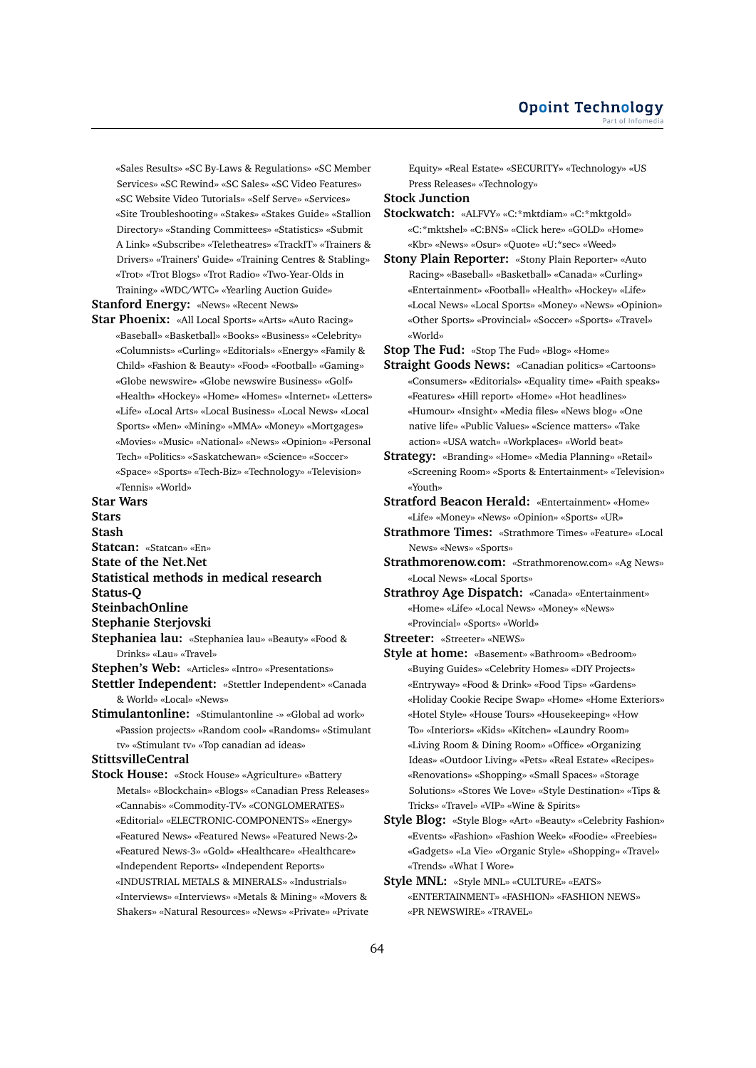«Sales Results» «SC By-Laws & Regulations» «SC Member Services» «SC Rewind» «SC Sales» «SC Video Features» «SC Website Video Tutorials» «Self Serve» «Services» «Site Troubleshooting» «Stakes» «Stakes Guide» «Stallion Directory» «Standing Committees» «Statistics» «Submit A Link» «Subscribe» «Teletheatres» «TrackIT» «Trainers & Drivers» «Trainers' Guide» «Training Centres & Stabling» «Trot» «Trot Blogs» «Trot Radio» «Two-Year-Olds in Training» «WDC/WTC» «Yearling Auction Guide»

**Stanford Energy:** «News» «Recent News»

**Star Phoenix:** «All Local Sports» «Arts» «Auto Racing» «Baseball» «Basketball» «Books» «Business» «Celebrity» «Columnists» «Curling» «Editorials» «Energy» «Family & Child» «Fashion & Beauty» «Food» «Football» «Gaming» «Globe newswire» «Globe newswire Business» «Golf» «Health» «Hockey» «Home» «Homes» «Internet» «Letters» «Life» «Local Arts» «Local Business» «Local News» «Local Sports» «Men» «Mining» «MMA» «Money» «Mortgages» «Movies» «Music» «National» «News» «Opinion» «Personal Tech» «Politics» «Saskatchewan» «Science» «Soccer» «Space» «Sports» «Tech-Biz» «Technology» «Television» «Tennis» «World»

# **Star Wars**

- **Stars Stash Statcan:** «Statcan» «En» **State of the Net.Net Statistical methods in medical research Status-Q SteinbachOnline Stephanie Sterjovski**
- **Stephaniea lau:** «Stephaniea lau» «Beauty» «Food & Drinks» «Lau» «Travel»
- **Stephen's Web:** «Articles» «Intro» «Presentations»
- **Stettler Independent:** «Stettler Independent» «Canada & World» «Local» «News»
- **Stimulantonline:** «Stimulantonline -» «Global ad work» «Passion projects» «Random cool» «Randoms» «Stimulant tv» «Stimulant tv» «Top canadian ad ideas»

## **StittsvilleCentral**

**Stock House:** «Stock House» «Agriculture» «Battery Metals» «Blockchain» «Blogs» «Canadian Press Releases» «Cannabis» «Commodity-TV» «CONGLOMERATES» «Editorial» «ELECTRONIC-COMPONENTS» «Energy» «Featured News» «Featured News» «Featured News-2» «Featured News-3» «Gold» «Healthcare» «Healthcare» «Independent Reports» «Independent Reports» «INDUSTRIAL METALS & MINERALS» «Industrials» «Interviews» «Interviews» «Metals & Mining» «Movers & Shakers» «Natural Resources» «News» «Private» «Private Equity» «Real Estate» «SECURITY» «Technology» «US Press Releases» «Technology»

#### **Stock Junction**

**Stockwatch:** «ALFVY» «C:\*mktdiam» «C:\*mktgold» «C:\*mktshel» «C:BNS» «Click here» «GOLD» «Home» «Kbr» «News» «Osur» «Quote» «U:\*sec» «Weed»

**Stony Plain Reporter:** «Stony Plain Reporter» «Auto Racing» «Baseball» «Basketball» «Canada» «Curling» «Entertainment» «Football» «Health» «Hockey» «Life» «Local News» «Local Sports» «Money» «News» «Opinion» «Other Sports» «Provincial» «Soccer» «Sports» «Travel» «World»

**Stop The Fud:** «Stop The Fud» «Blog» «Home»

- **Straight Goods News:** «Canadian politics» «Cartoons» «Consumers» «Editorials» «Equality time» «Faith speaks» «Features» «Hill report» «Home» «Hot headlines» «Humour» «Insight» «Media files» «News blog» «One native life» «Public Values» «Science matters» «Take action» «USA watch» «Workplaces» «World beat»
- **Strategy:** «Branding» «Home» «Media Planning» «Retail» «Screening Room» «Sports & Entertainment» «Television» «Youth»
- **Stratford Beacon Herald:** «Entertainment» «Home» «Life» «Money» «News» «Opinion» «Sports» «UR»
- **Strathmore Times:** «Strathmore Times» «Feature» «Local News» «News» «Sports»
- **Strathmorenow.com:** «Strathmorenow.com» «Ag News» «Local News» «Local Sports»
- **Strathroy Age Dispatch:** «Canada» «Entertainment» «Home» «Life» «Local News» «Money» «News» «Provincial» «Sports» «World»
- **Streeter:** «Streeter» «NEWS»
- **Style at home:** «Basement» «Bathroom» «Bedroom» «Buying Guides» «Celebrity Homes» «DIY Projects» «Entryway» «Food & Drink» «Food Tips» «Gardens» «Holiday Cookie Recipe Swap» «Home» «Home Exteriors» «Hotel Style» «House Tours» «Housekeeping» «How To» «Interiors» «Kids» «Kitchen» «Laundry Room» «Living Room & Dining Room» «Office» «Organizing Ideas» «Outdoor Living» «Pets» «Real Estate» «Recipes» «Renovations» «Shopping» «Small Spaces» «Storage Solutions» «Stores We Love» «Style Destination» «Tips & Tricks» «Travel» «VIP» «Wine & Spirits»
- **Style Blog:** «Style Blog» «Art» «Beauty» «Celebrity Fashion» «Events» «Fashion» «Fashion Week» «Foodie» «Freebies» «Gadgets» «La Vie» «Organic Style» «Shopping» «Travel» «Trends» «What I Wore»
- **Style MNL:** «Style MNL» «CULTURE» «EATS» «ENTERTAINMENT» «FASHION» «FASHION NEWS» «PR NEWSWIRE» «TRAVEL»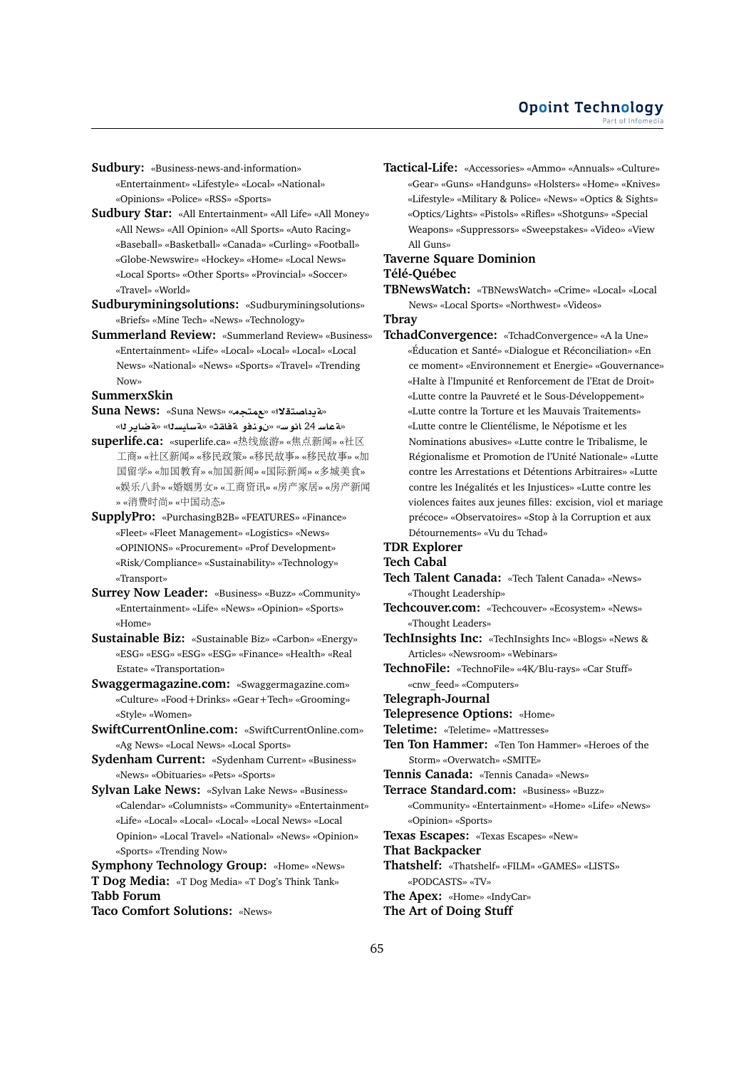**Sudbury:** «Business-news-and-information» «Entertainment» «Lifestyle» «Local» «National»

«Opinions» «Police» «RSS» «Sports»

- **Sudbury Star:** «All Entertainment» «All Life» «All Money» «All News» «All Opinion» «All Sports» «Auto Racing» «Baseball» «Basketball» «Canada» «Curling» «Football» «Globe-Newswire» «Hockey» «Home» «Local News» «Local Sports» «Other Sports» «Provincial» «Soccer» «Travel» «World»
- **Sudburyminingsolutions:** «Sudburyminingsolutions» «Briefs» «Mine Tech» «News» «Technology»
- **Summerland Review:** «Summerland Review» «Business» «Entertainment» «Life» «Local» «Local» «Local» «Local News» «National» «News» «Sports» «Travel» «Trending Now»

#### **SummerxSkin**

- **Suna News:** «Suna News» «**tm**» «**¯tOA §T**» «**r§ART**» «**syAFT**» «**qAT ¤nw** » «**FwA** 24 **FAT**»
- **superlife.ca:** «superlife.ca» «热线旅游» «焦点新闻» «社区 工商» «社区新闻» «移民政策» «移民故事» «移民故事» «加 <sup>国</sup>留学» «加国教育» «加国新闻» «国际新闻» «多城美食» «娱乐八卦» «婚姻男女» «工商资讯» «房产家居» «房产新<sup>闻</sup> » «消费时尚» «中国动态»
- **SupplyPro:** «PurchasingB2B» «FEATURES» «Finance» «Fleet» «Fleet Management» «Logistics» «News» «OPINIONS» «Procurement» «Prof Development» «Risk/Compliance» «Sustainability» «Technology» «Transport»
- **Surrey Now Leader:** «Business» «Buzz» «Community» «Entertainment» «Life» «News» «Opinion» «Sports» «Home»
- **Sustainable Biz:** «Sustainable Biz» «Carbon» «Energy» «ESG» «ESG» «ESG» «ESG» «Finance» «Health» «Real Estate» «Transportation»
- **Swaggermagazine.com:** «Swaggermagazine.com» «Culture» «Food+Drinks» «Gear+Tech» «Grooming» «Style» «Women»
- **SwiftCurrentOnline.com:** «SwiftCurrentOnline.com» «Ag News» «Local News» «Local Sports»
- **Sydenham Current:** «Sydenham Current» «Business» «News» «Obituaries» «Pets» «Sports»
- **Sylvan Lake News:** «Sylvan Lake News» «Business» «Calendar» «Columnists» «Community» «Entertainment» «Life» «Local» «Local» «Local» «Local News» «Local Opinion» «Local Travel» «National» «News» «Opinion» «Sports» «Trending Now»

**Symphony Technology Group:** «Home» «News» **T Dog Media:** «T Dog Media» «T Dog's Think Tank» **Tabb Forum Taco Comfort Solutions:** «News»

**Tactical-Life:** «Accessories» «Ammo» «Annuals» «Culture» «Gear» «Guns» «Handguns» «Holsters» «Home» «Knives» «Lifestyle» «Military & Police» «News» «Optics & Sights» «Optics/Lights» «Pistols» «Rifles» «Shotguns» «Special Weapons» «Suppressors» «Sweepstakes» «Video» «View All Guns»

#### **Taverne Square Dominion Télé-Québec**

**TBNewsWatch:** «TBNewsWatch» «Crime» «Local» «Local News» «Local Sports» «Northwest» «Videos»

# **Tbray**

**TchadConvergence:** «TchadConvergence» «A la Une» «Éducation et Santé» «Dialogue et Réconciliation» «En ce moment» «Environnement et Energie» «Gouvernance» «Halte à l'Impunité et Renforcement de l'Etat de Droit» «Lutte contre la Pauvreté et le Sous-Développement» «Lutte contre la Torture et les Mauvais Traitements» «Lutte contre le Clientélisme, le Népotisme et les Nominations abusives» «Lutte contre le Tribalisme, le Régionalisme et Promotion de l'Unité Nationale» «Lutte contre les Arrestations et Détentions Arbitraires» «Lutte contre les Inégalités et les Injustices» «Lutte contre les violences faites aux jeunes filles: excision, viol et mariage précoce» «Observatoires» «Stop à la Corruption et aux Détournements» «Vu du Tchad»

#### **TDR Explorer**

# **Tech Cabal**

- **Tech Talent Canada:** «Tech Talent Canada» «News» «Thought Leadership»
- **Techcouver.com:** «Techcouver» «Ecosystem» «News» «Thought Leaders»
- **TechInsights Inc:** «TechInsights Inc» «Blogs» «News & Articles» «Newsroom» «Webinars»
- **TechnoFile:** «TechnoFile» «4K/Blu-rays» «Car Stuff» «cnw\_feed» «Computers»

#### **Telegraph-Journal**

- **Telepresence Options:** «Home»
- **Teletime:** «Teletime» «Mattresses»
- **Ten Ton Hammer:** «Ten Ton Hammer» «Heroes of the Storm» «Overwatch» «SMITE»

**Tennis Canada:** «Tennis Canada» «News»

- **Terrace Standard.com:** «Business» «Buzz»
	- «Community» «Entertainment» «Home» «Life» «News» «Opinion» «Sports»

**Texas Escapes:** «Texas Escapes» «New»

#### **That Backpacker**

- **Thatshelf:** «Thatshelf» «FILM» «GAMES» «LISTS» «PODCASTS» «TV»
- **The Apex:** «Home» «IndyCar»
- **The Art of Doing Stuff**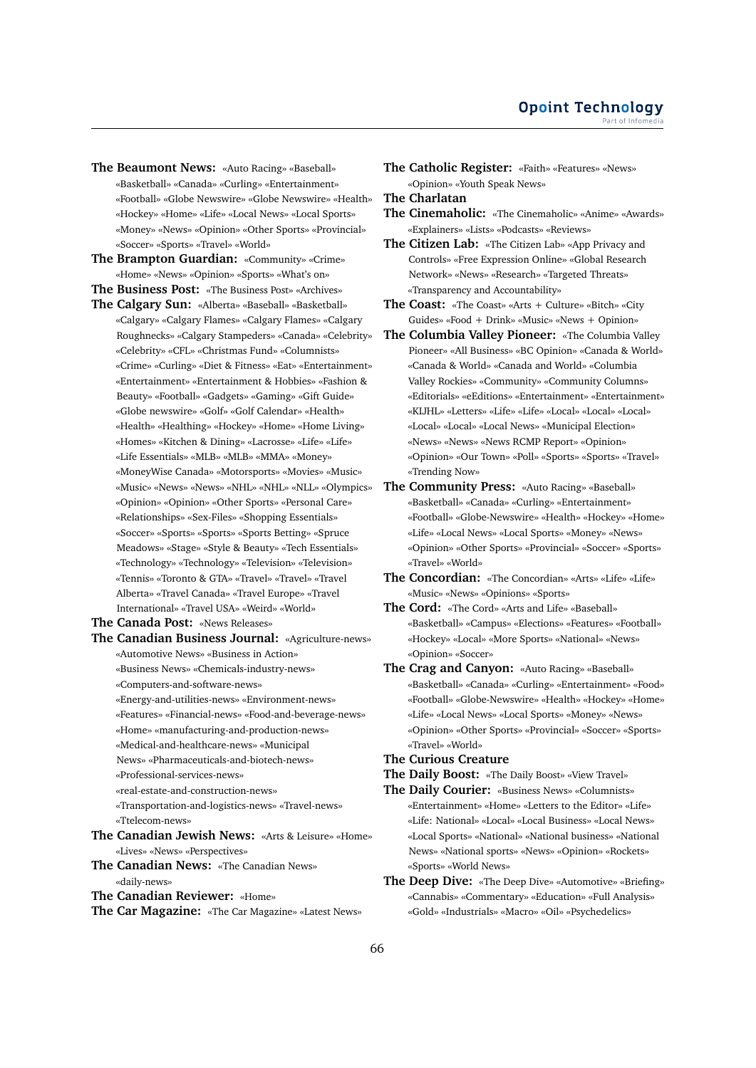- **The Beaumont News:** «Auto Racing» «Baseball» «Basketball» «Canada» «Curling» «Entertainment» «Football» «Globe Newswire» «Globe Newswire» «Health» «Hockey» «Home» «Life» «Local News» «Local Sports» «Money» «News» «Opinion» «Other Sports» «Provincial» «Soccer» «Sports» «Travel» «World»
- **The Brampton Guardian:** «Community» «Crime» «Home» «News» «Opinion» «Sports» «What's on»
- **The Business Post:** «The Business Post» «Archives»
- **The Calgary Sun:** «Alberta» «Baseball» «Basketball» «Calgary» «Calgary Flames» «Calgary Flames» «Calgary Roughnecks» «Calgary Stampeders» «Canada» «Celebrity» «Celebrity» «CFL» «Christmas Fund» «Columnists» «Crime» «Curling» «Diet & Fitness» «Eat» «Entertainment» «Entertainment» «Entertainment & Hobbies» «Fashion & Beauty» «Football» «Gadgets» «Gaming» «Gift Guide» «Globe newswire» «Golf» «Golf Calendar» «Health» «Health» «Healthing» «Hockey» «Home» «Home Living» «Homes» «Kitchen & Dining» «Lacrosse» «Life» «Life» «Life Essentials» «MLB» «MLB» «MMA» «Money» «MoneyWise Canada» «Motorsports» «Movies» «Music» «Music» «News» «News» «NHL» «NHL» «NLL» «Olympics» «Opinion» «Opinion» «Other Sports» «Personal Care» «Relationships» «Sex-Files» «Shopping Essentials» «Soccer» «Sports» «Sports» «Sports Betting» «Spruce Meadows» «Stage» «Style & Beauty» «Tech Essentials» «Technology» «Technology» «Television» «Television» «Tennis» «Toronto & GTA» «Travel» «Travel» «Travel Alberta» «Travel Canada» «Travel Europe» «Travel International» «Travel USA» «Weird» «World»
- **The Canada Post:** «News Releases»
- **The Canadian Business Journal:** «Agriculture-news» «Automotive News» «Business in Action» «Business News» «Chemicals-industry-news» «Computers-and-software-news»
	- «Energy-and-utilities-news» «Environment-news»
	- «Features» «Financial-news» «Food-and-beverage-news»
	- «Home» «manufacturing-and-production-news»
	- «Medical-and-healthcare-news» «Municipal
	- News» «Pharmaceuticals-and-biotech-news»
	- «Professional-services-news»
	- «real-estate-and-construction-news»
	- «Transportation-and-logistics-news» «Travel-news» «Ttelecom-news»
- **The Canadian Jewish News:** «Arts & Leisure» «Home» «Lives» «News» «Perspectives»
- **The Canadian News:** «The Canadian News» «daily-news»
- **The Canadian Reviewer:** «Home»
- **The Car Magazine:** «The Car Magazine» «Latest News»
- **The Catholic Register:** «Faith» «Features» «News» «Opinion» «Youth Speak News»
- **The Charlatan**
- **The Cinemaholic:** «The Cinemaholic» «Anime» «Awards» «Explainers» «Lists» «Podcasts» «Reviews»
- **The Citizen Lab:** «The Citizen Lab» «App Privacy and Controls» «Free Expression Online» «Global Research Network» «News» «Research» «Targeted Threats» «Transparency and Accountability»
- **The Coast:** «The Coast» «Arts + Culture» «Bitch» «City Guides» «Food + Drink» «Music» «News + Opinion»
- **The Columbia Valley Pioneer:** «The Columbia Valley Pioneer» «All Business» «BC Opinion» «Canada & World» «Canada & World» «Canada and World» «Columbia Valley Rockies» «Community» «Community Columns» «Editorials» «eEditions» «Entertainment» «Entertainment» «KIJHL» «Letters» «Life» «Life» «Local» «Local» «Local» «Local» «Local» «Local News» «Municipal Election» «News» «News» «News RCMP Report» «Opinion» «Opinion» «Our Town» «Poll» «Sports» «Sports» «Travel» «Trending Now»
- **The Community Press:** «Auto Racing» «Baseball» «Basketball» «Canada» «Curling» «Entertainment» «Football» «Globe-Newswire» «Health» «Hockey» «Home» «Life» «Local News» «Local Sports» «Money» «News» «Opinion» «Other Sports» «Provincial» «Soccer» «Sports» «Travel» «World»
- **The Concordian:** «The Concordian» «Arts» «Life» «Life» «Music» «News» «Opinions» «Sports»
- **The Cord:** «The Cord» «Arts and Life» «Baseball» «Basketball» «Campus» «Elections» «Features» «Football» «Hockey» «Local» «More Sports» «National» «News» «Opinion» «Soccer»
- **The Crag and Canyon:** «Auto Racing» «Baseball» «Basketball» «Canada» «Curling» «Entertainment» «Food» «Football» «Globe-Newswire» «Health» «Hockey» «Home» «Life» «Local News» «Local Sports» «Money» «News» «Opinion» «Other Sports» «Provincial» «Soccer» «Sports» «Travel» «World»
- **The Curious Creature**
- **The Daily Boost:** «The Daily Boost» «View Travel»
- **The Daily Courier:** «Business News» «Columnists» «Entertainment» «Home» «Letters to the Editor» «Life» «Life: National» «Local» «Local Business» «Local News» «Local Sports» «National» «National business» «National News» «National sports» «News» «Opinion» «Rockets» «Sports» «World News»
- **The Deep Dive:** «The Deep Dive» «Automotive» «Briefing» «Cannabis» «Commentary» «Education» «Full Analysis» «Gold» «Industrials» «Macro» «Oil» «Psychedelics»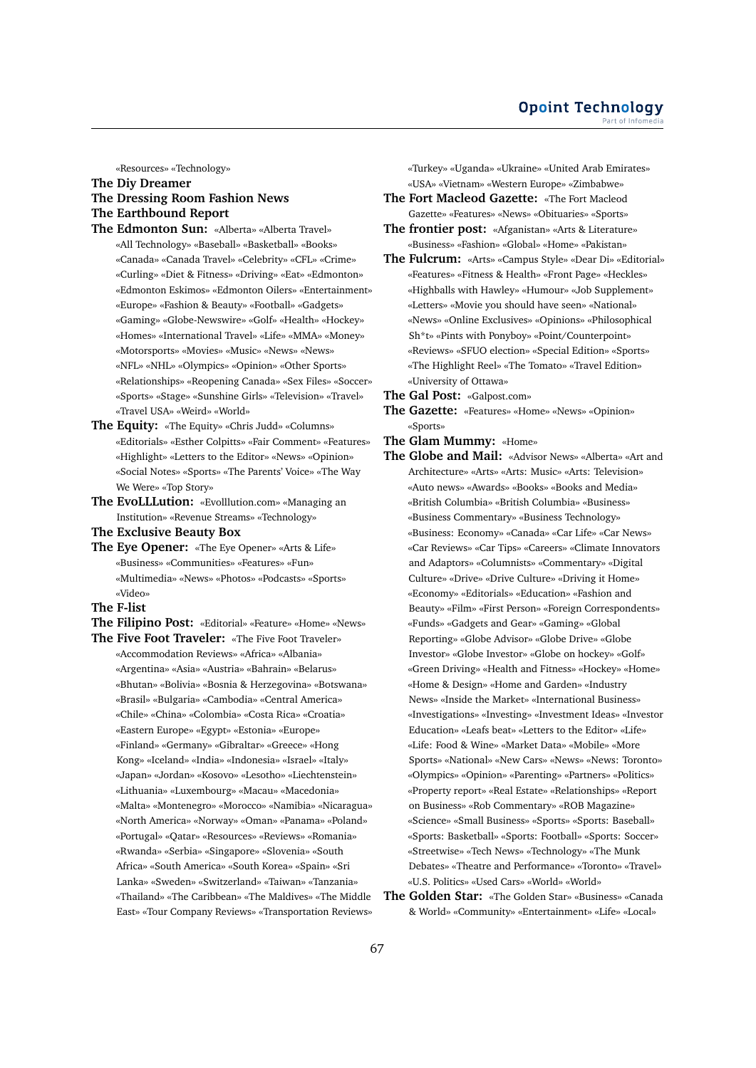#### **Opoint Technology** Part of Infomed

«Resources» «Technology»

#### **The Diy Dreamer**

# **The Dressing Room Fashion News The Earthbound Report**

- **The Edmonton Sun:** «Alberta» «Alberta Travel» «All Technology» «Baseball» «Basketball» «Books» «Canada» «Canada Travel» «Celebrity» «CFL» «Crime» «Curling» «Diet & Fitness» «Driving» «Eat» «Edmonton» «Edmonton Eskimos» «Edmonton Oilers» «Entertainment» «Europe» «Fashion & Beauty» «Football» «Gadgets» «Gaming» «Globe-Newswire» «Golf» «Health» «Hockey» «Homes» «International Travel» «Life» «MMA» «Money» «Motorsports» «Movies» «Music» «News» «News» «NFL» «NHL» «Olympics» «Opinion» «Other Sports» «Relationships» «Reopening Canada» «Sex Files» «Soccer» «Sports» «Stage» «Sunshine Girls» «Television» «Travel» «Travel USA» «Weird» «World»
- **The Equity:** «The Equity» «Chris Judd» «Columns» «Editorials» «Esther Colpitts» «Fair Comment» «Features» «Highlight» «Letters to the Editor» «News» «Opinion» «Social Notes» «Sports» «The Parents' Voice» «The Way We Were» «Top Story»
- **The EvoLLLution:** «Evolllution.com» «Managing an Institution» «Revenue Streams» «Technology»
- **The Exclusive Beauty Box**
- **The Eye Opener:** «The Eye Opener» «Arts & Life» «Business» «Communities» «Features» «Fun» «Multimedia» «News» «Photos» «Podcasts» «Sports» «Video»
- **The F-list**
- **The Filipino Post:** «Editorial» «Feature» «Home» «News»
- **The Five Foot Traveler:** «The Five Foot Traveler» «Accommodation Reviews» «Africa» «Albania» «Argentina» «Asia» «Austria» «Bahrain» «Belarus» «Bhutan» «Bolivia» «Bosnia & Herzegovina» «Botswana» «Brasil» «Bulgaria» «Cambodia» «Central America» «Chile» «China» «Colombia» «Costa Rica» «Croatia» «Eastern Europe» «Egypt» «Estonia» «Europe» «Finland» «Germany» «Gibraltar» «Greece» «Hong Kong» «Iceland» «India» «Indonesia» «Israel» «Italy» «Japan» «Jordan» «Kosovo» «Lesotho» «Liechtenstein» «Lithuania» «Luxembourg» «Macau» «Macedonia» «Malta» «Montenegro» «Morocco» «Namibia» «Nicaragua» «North America» «Norway» «Oman» «Panama» «Poland» «Portugal» «Qatar» «Resources» «Reviews» «Romania» «Rwanda» «Serbia» «Singapore» «Slovenia» «South Africa» «South America» «South Korea» «Spain» «Sri Lanka» «Sweden» «Switzerland» «Taiwan» «Tanzania» «Thailand» «The Caribbean» «The Maldives» «The Middle East» «Tour Company Reviews» «Transportation Reviews»

«Turkey» «Uganda» «Ukraine» «United Arab Emirates» «USA» «Vietnam» «Western Europe» «Zimbabwe»

- **The Fort Macleod Gazette:** «The Fort Macleod Gazette» «Features» «News» «Obituaries» «Sports»
- **The frontier post:** «Afganistan» «Arts & Literature» «Business» «Fashion» «Global» «Home» «Pakistan»
- **The Fulcrum:** «Arts» «Campus Style» «Dear Di» «Editorial» «Features» «Fitness & Health» «Front Page» «Heckles» «Highballs with Hawley» «Humour» «Job Supplement» «Letters» «Movie you should have seen» «National» «News» «Online Exclusives» «Opinions» «Philosophical Sh\*t» «Pints with Ponyboy» «Point/Counterpoint» «Reviews» «SFUO election» «Special Edition» «Sports» «The Highlight Reel» «The Tomato» «Travel Edition» «University of Ottawa»
- **The Gal Post:** «Galpost.com»
- **The Gazette:** «Features» «Home» «News» «Opinion» «Sports»
- **The Glam Mummy:** «Home»
- **The Globe and Mail:** «Advisor News» «Alberta» «Art and Architecture» «Arts» «Arts: Music» «Arts: Television» «Auto news» «Awards» «Books» «Books and Media» «British Columbia» «British Columbia» «Business» «Business Commentary» «Business Technology» «Business: Economy» «Canada» «Car Life» «Car News» «Car Reviews» «Car Tips» «Careers» «Climate Innovators and Adaptors» «Columnists» «Commentary» «Digital Culture» «Drive» «Drive Culture» «Driving it Home» «Economy» «Editorials» «Education» «Fashion and Beauty» «Film» «First Person» «Foreign Correspondents» «Funds» «Gadgets and Gear» «Gaming» «Global Reporting» «Globe Advisor» «Globe Drive» «Globe Investor» «Globe Investor» «Globe on hockey» «Golf» «Green Driving» «Health and Fitness» «Hockey» «Home» «Home & Design» «Home and Garden» «Industry News» «Inside the Market» «International Business» «Investigations» «Investing» «Investment Ideas» «Investor Education» «Leafs beat» «Letters to the Editor» «Life» «Life: Food & Wine» «Market Data» «Mobile» «More Sports» «National» «New Cars» «News» «News: Toronto» «Olympics» «Opinion» «Parenting» «Partners» «Politics» «Property report» «Real Estate» «Relationships» «Report on Business» «Rob Commentary» «ROB Magazine» «Science» «Small Business» «Sports» «Sports: Baseball» «Sports: Basketball» «Sports: Football» «Sports: Soccer» «Streetwise» «Tech News» «Technology» «The Munk Debates» «Theatre and Performance» «Toronto» «Travel» «U.S. Politics» «Used Cars» «World» «World»
- **The Golden Star:** «The Golden Star» «Business» «Canada & World» «Community» «Entertainment» «Life» «Local»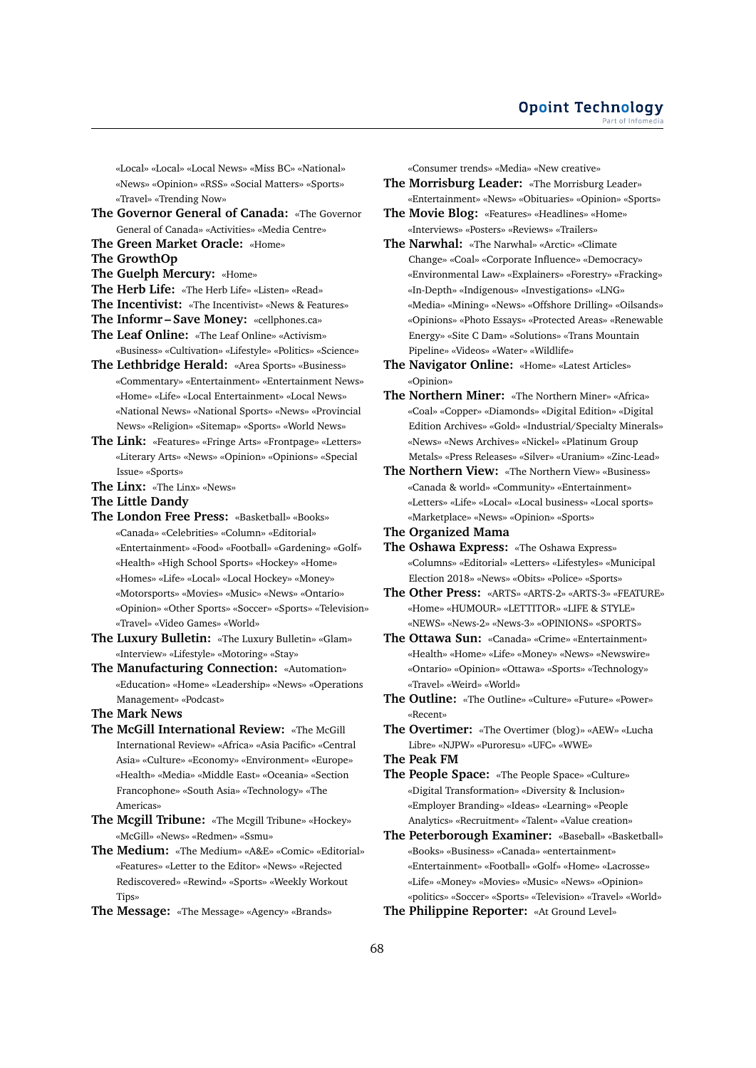«Local» «Local» «Local News» «Miss BC» «National» «News» «Opinion» «RSS» «Social Matters» «Sports» «Travel» «Trending Now»

- **The Governor General of Canada:** «The Governor General of Canada» «Activities» «Media Centre»
- **The Green Market Oracle:** «Home»
- **The GrowthOp**
- **The Guelph Mercury:** «Home»
- **The Herb Life:** «The Herb Life» «Listen» «Read»
- **The Incentivist:** «The Incentivist» «News & Features»
- **The Informr Save Money:** «cellphones.ca»
- **The Leaf Online:** «The Leaf Online» «Activism» «Business» «Cultivation» «Lifestyle» «Politics» «Science»
- **The Lethbridge Herald:** «Area Sports» «Business» «Commentary» «Entertainment» «Entertainment News» «Home» «Life» «Local Entertainment» «Local News» «National News» «National Sports» «News» «Provincial News» «Religion» «Sitemap» «Sports» «World News»
- **The Link:** «Features» «Fringe Arts» «Frontpage» «Letters» «Literary Arts» «News» «Opinion» «Opinions» «Special Issue» «Sports»
- **The Linx:** «The Linx» «News»
- **The Little Dandy**
- **The London Free Press:** «Basketball» «Books» «Canada» «Celebrities» «Column» «Editorial» «Entertainment» «Food» «Football» «Gardening» «Golf» «Health» «High School Sports» «Hockey» «Home» «Homes» «Life» «Local» «Local Hockey» «Money» «Motorsports» «Movies» «Music» «News» «Ontario» «Opinion» «Other Sports» «Soccer» «Sports» «Television» «Travel» «Video Games» «World»
- **The Luxury Bulletin:** «The Luxury Bulletin» «Glam» «Interview» «Lifestyle» «Motoring» «Stay»
- **The Manufacturing Connection:** «Automation» «Education» «Home» «Leadership» «News» «Operations Management» «Podcast»
- **The Mark News**
- **The McGill International Review:** «The McGill International Review» «Africa» «Asia Pacific» «Central Asia» «Culture» «Economy» «Environment» «Europe» «Health» «Media» «Middle East» «Oceania» «Section Francophone» «South Asia» «Technology» «The Americas»
- **The Mcgill Tribune:** «The Mcgill Tribune» «Hockey» «McGill» «News» «Redmen» «Ssmu»
- **The Medium:** «The Medium» «A&E» «Comic» «Editorial» «Features» «Letter to the Editor» «News» «Rejected Rediscovered» «Rewind» «Sports» «Weekly Workout Tips»
- **The Message:** «The Message» «Agency» «Brands»

«Consumer trends» «Media» «New creative»

**The Morrisburg Leader:** «The Morrisburg Leader» «Entertainment» «News» «Obituaries» «Opinion» «Sports»

- **The Movie Blog:** «Features» «Headlines» «Home» «Interviews» «Posters» «Reviews» «Trailers»
- **The Narwhal:** «The Narwhal» «Arctic» «Climate Change» «Coal» «Corporate Influence» «Democracy» «Environmental Law» «Explainers» «Forestry» «Fracking» «In-Depth» «Indigenous» «Investigations» «LNG» «Media» «Mining» «News» «Offshore Drilling» «Oilsands» «Opinions» «Photo Essays» «Protected Areas» «Renewable Energy» «Site C Dam» «Solutions» «Trans Mountain Pipeline» «Videos» «Water» «Wildlife»
- **The Navigator Online:** «Home» «Latest Articles» «Opinion»
- **The Northern Miner:** «The Northern Miner» «Africa» «Coal» «Copper» «Diamonds» «Digital Edition» «Digital Edition Archives» «Gold» «Industrial/Specialty Minerals» «News» «News Archives» «Nickel» «Platinum Group Metals» «Press Releases» «Silver» «Uranium» «Zinc-Lead»
- **The Northern View:** «The Northern View» «Business» «Canada & world» «Community» «Entertainment» «Letters» «Life» «Local» «Local business» «Local sports» «Marketplace» «News» «Opinion» «Sports»
- **The Organized Mama**
- **The Oshawa Express:** «The Oshawa Express» «Columns» «Editorial» «Letters» «Lifestyles» «Municipal Election 2018» «News» «Obits» «Police» «Sports»
- **The Other Press:** «ARTS» «ARTS-2» «ARTS-3» «FEATURE» «Home» «HUMOUR» «LETTITOR» «LIFE & STYLE» «NEWS» «News-2» «News-3» «OPINIONS» «SPORTS»
- **The Ottawa Sun:** «Canada» «Crime» «Entertainment» «Health» «Home» «Life» «Money» «News» «Newswire» «Ontario» «Opinion» «Ottawa» «Sports» «Technology» «Travel» «Weird» «World»
- **The Outline:** «The Outline» «Culture» «Future» «Power» «Recent»
- **The Overtimer:** «The Overtimer (blog)» «AEW» «Lucha Libre» «NJPW» «Puroresu» «UFC» «WWE»

**The Peak FM**

- **The People Space:** «The People Space» «Culture» «Digital Transformation» «Diversity & Inclusion» «Employer Branding» «Ideas» «Learning» «People Analytics» «Recruitment» «Talent» «Value creation»
- **The Peterborough Examiner:** «Baseball» «Basketball» «Books» «Business» «Canada» «entertainment» «Entertainment» «Football» «Golf» «Home» «Lacrosse» «Life» «Money» «Movies» «Music» «News» «Opinion» «politics» «Soccer» «Sports» «Television» «Travel» «World»
- **The Philippine Reporter:** «At Ground Level»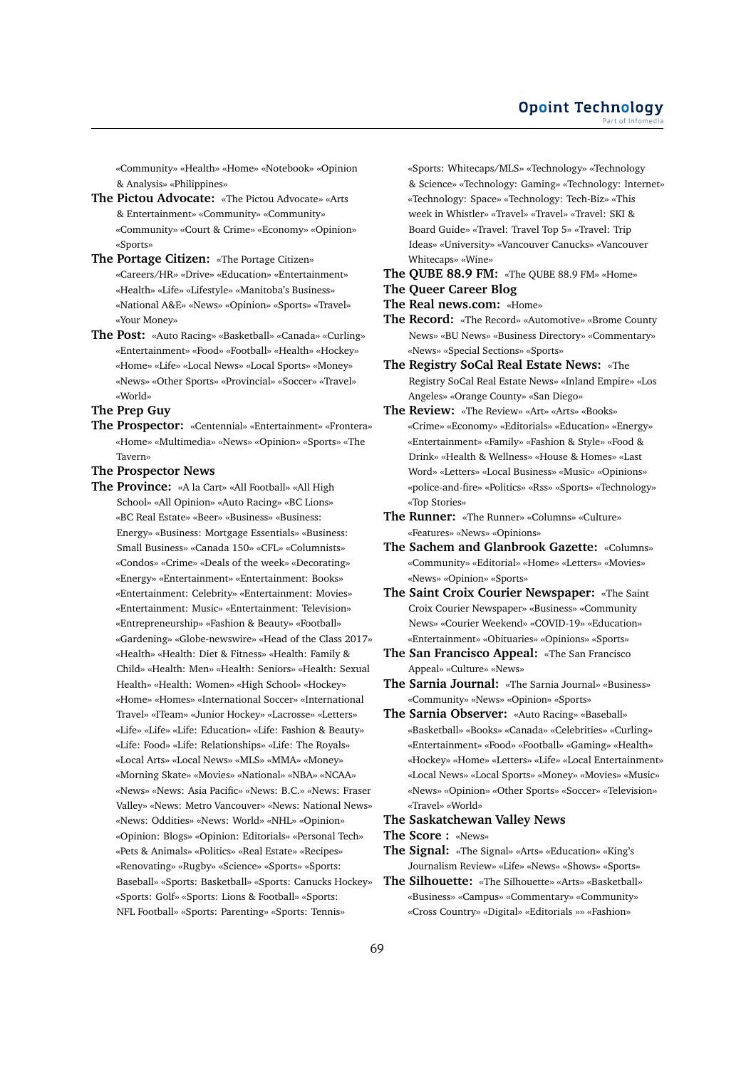«Community» «Health» «Home» «Notebook» «Opinion & Analysis» «Philippines»

- **The Pictou Advocate:** «The Pictou Advocate» «Arts & Entertainment» «Community» «Community» «Community» «Court & Crime» «Economy» «Opinion» «Sports»
- **The Portage Citizen:** «The Portage Citizen» «Careers/HR» «Drive» «Education» «Entertainment» «Health» «Life» «Lifestyle» «Manitoba's Business» «National A&E» «News» «Opinion» «Sports» «Travel» «Your Money»
- **The Post:** «Auto Racing» «Basketball» «Canada» «Curling» «Entertainment» «Food» «Football» «Health» «Hockey» «Home» «Life» «Local News» «Local Sports» «Money» «News» «Other Sports» «Provincial» «Soccer» «Travel» «World»

**The Prep Guy**

- **The Prospector:** «Centennial» «Entertainment» «Frontera» «Home» «Multimedia» «News» «Opinion» «Sports» «The Tavern»
- **The Prospector News**
- **The Province:** «A la Cart» «All Football» «All High School» «All Opinion» «Auto Racing» «BC Lions» «BC Real Estate» «Beer» «Business» «Business: Energy» «Business: Mortgage Essentials» «Business: Small Business» «Canada 150» «CFL» «Columnists» «Condos» «Crime» «Deals of the week» «Decorating» «Energy» «Entertainment» «Entertainment: Books» «Entertainment: Celebrity» «Entertainment: Movies» «Entertainment: Music» «Entertainment: Television» «Entrepreneurship» «Fashion & Beauty» «Football» «Gardening» «Globe-newswire» «Head of the Class 2017» «Health» «Health: Diet & Fitness» «Health: Family & Child» «Health: Men» «Health: Seniors» «Health: Sexual Health» «Health: Women» «High School» «Hockey» «Home» «Homes» «International Soccer» «International Travel» «ITeam» «Junior Hockey» «Lacrosse» «Letters» «Life» «Life» «Life: Education» «Life: Fashion & Beauty» «Life: Food» «Life: Relationships» «Life: The Royals» «Local Arts» «Local News» «MLS» «MMA» «Money» «Morning Skate» «Movies» «National» «NBA» «NCAA» «News» «News: Asia Pacific» «News: B.C.» «News: Fraser Valley» «News: Metro Vancouver» «News: National News» «News: Oddities» «News: World» «NHL» «Opinion» «Opinion: Blogs» «Opinion: Editorials» «Personal Tech» «Pets & Animals» «Politics» «Real Estate» «Recipes» «Renovating» «Rugby» «Science» «Sports» «Sports: Baseball» «Sports: Basketball» «Sports: Canucks Hockey» «Sports: Golf» «Sports: Lions & Football» «Sports: NFL Football» «Sports: Parenting» «Sports: Tennis»

«Sports: Whitecaps/MLS» «Technology» «Technology & Science» «Technology: Gaming» «Technology: Internet» «Technology: Space» «Technology: Tech-Biz» «This week in Whistler» «Travel» «Travel» «Travel: SKI & Board Guide» «Travel: Travel Top 5» «Travel: Trip Ideas» «University» «Vancouver Canucks» «Vancouver Whitecaps» «Wine»

- **The QUBE 88.9 FM:** «The QUBE 88.9 FM» «Home»
- **The Queer Career Blog**
- **The Real news.com:** «Home»
- **The Record:** «The Record» «Automotive» «Brome County News» «BU News» «Business Directory» «Commentary» «News» «Special Sections» «Sports»
- **The Registry SoCal Real Estate News:** «The Registry SoCal Real Estate News» «Inland Empire» «Los Angeles» «Orange County» «San Diego»
- **The Review:** «The Review» «Art» «Arts» «Books» «Crime» «Economy» «Editorials» «Education» «Energy» «Entertainment» «Family» «Fashion & Style» «Food & Drink» «Health & Wellness» «House & Homes» «Last Word» «Letters» «Local Business» «Music» «Opinions» «police-and-fire» «Politics» «Rss» «Sports» «Technology» «Top Stories»
- **The Runner:** «The Runner» «Columns» «Culture» «Features» «News» «Opinions»
- **The Sachem and Glanbrook Gazette:** «Columns» «Community» «Editorial» «Home» «Letters» «Movies» «News» «Opinion» «Sports»
- **The Saint Croix Courier Newspaper:** «The Saint Croix Courier Newspaper» «Business» «Community News» «Courier Weekend» «COVID-19» «Education» «Entertainment» «Obituaries» «Opinions» «Sports»
- **The San Francisco Appeal:** «The San Francisco Appeal» «Culture» «News»
- **The Sarnia Journal:** «The Sarnia Journal» «Business» «Community» «News» «Opinion» «Sports»
- **The Sarnia Observer:** «Auto Racing» «Baseball» «Basketball» «Books» «Canada» «Celebrities» «Curling» «Entertainment» «Food» «Football» «Gaming» «Health» «Hockey» «Home» «Letters» «Life» «Local Entertainment» «Local News» «Local Sports» «Money» «Movies» «Music» «News» «Opinion» «Other Sports» «Soccer» «Television» «Travel» «World»

# **The Saskatchewan Valley News**

**The Score :** «News»

- **The Signal:** «The Signal» «Arts» «Education» «King's Journalism Review» «Life» «News» «Shows» «Sports»
- **The Silhouette:** «The Silhouette» «Arts» «Basketball» «Business» «Campus» «Commentary» «Community» «Cross Country» «Digital» «Editorials »» «Fashion»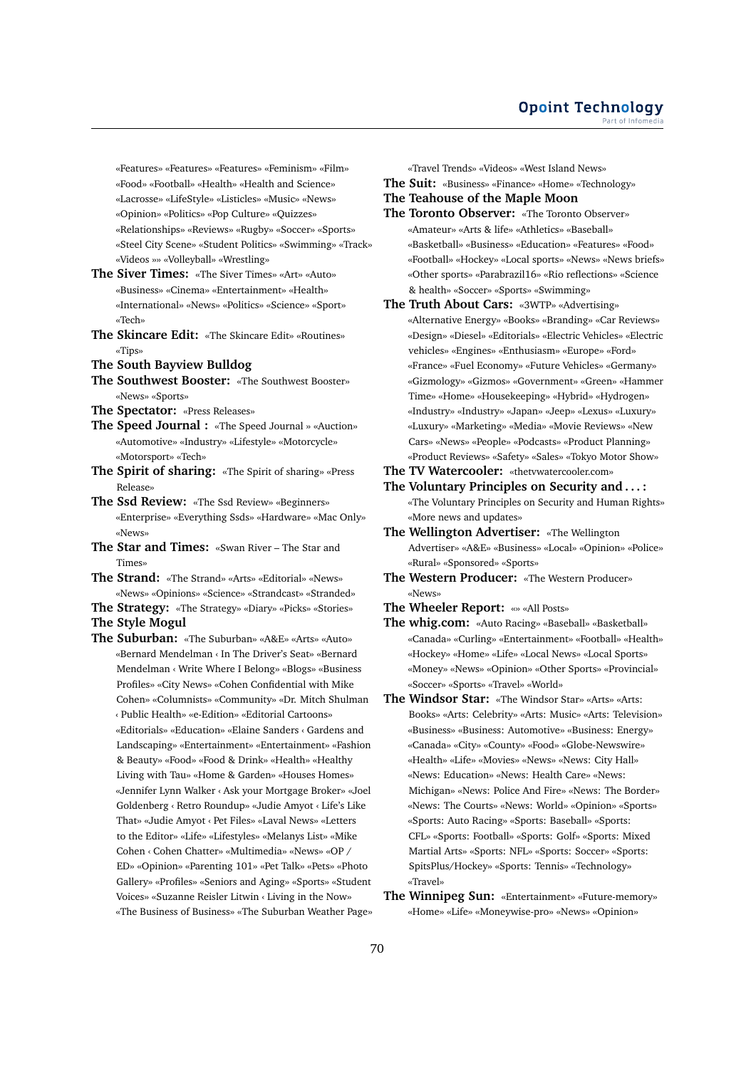«Features» «Features» «Features» «Feminism» «Film» «Food» «Football» «Health» «Health and Science» «Lacrosse» «LifeStyle» «Listicles» «Music» «News» «Opinion» «Politics» «Pop Culture» «Quizzes» «Relationships» «Reviews» «Rugby» «Soccer» «Sports» «Steel City Scene» «Student Politics» «Swimming» «Track» «Videos »» «Volleyball» «Wrestling»

- **The Siver Times:** «The Siver Times» «Art» «Auto» «Business» «Cinema» «Entertainment» «Health» «International» «News» «Politics» «Science» «Sport» «Tech»
- **The Skincare Edit:** «The Skincare Edit» «Routines» «Tips»
- **The South Bayview Bulldog**
- **The Southwest Booster:** «The Southwest Booster» «News» «Sports»
- **The Spectator:** «Press Releases»
- **The Speed Journal :** «The Speed Journal » «Auction» «Automotive» «Industry» «Lifestyle» «Motorcycle» «Motorsport» «Tech»
- **The Spirit of sharing:** «The Spirit of sharing» «Press Release»
- **The Ssd Review:** «The Ssd Review» «Beginners» «Enterprise» «Everything Ssds» «Hardware» «Mac Only» «News»
- **The Star and Times:** «Swan River The Star and Times»
- **The Strand:** «The Strand» «Arts» «Editorial» «News» «News» «Opinions» «Science» «Strandcast» «Stranded»
- **The Strategy:** «The Strategy» «Diary» «Picks» «Stories»
- **The Style Mogul**
- **The Suburban:** «The Suburban» «A&E» «Arts» «Auto» «Bernard Mendelman ‹ In The Driver's Seat» «Bernard Mendelman ‹ Write Where I Belong» «Blogs» «Business Profiles» «City News» «Cohen Confidential with Mike Cohen» «Columnists» «Community» «Dr. Mitch Shulman ‹ Public Health» «e-Edition» «Editorial Cartoons» «Editorials» «Education» «Elaine Sanders ‹ Gardens and Landscaping» «Entertainment» «Entertainment» «Fashion & Beauty» «Food» «Food & Drink» «Health» «Healthy Living with Tau» «Home & Garden» «Houses Homes» «Jennifer Lynn Walker ‹ Ask your Mortgage Broker» «Joel Goldenberg ‹ Retro Roundup» «Judie Amyot ‹ Life's Like That» «Judie Amyot ‹ Pet Files» «Laval News» «Letters to the Editor» «Life» «Lifestyles» «Melanys List» «Mike Cohen ‹ Cohen Chatter» «Multimedia» «News» «OP / ED» «Opinion» «Parenting 101» «Pet Talk» «Pets» «Photo Gallery» «Profiles» «Seniors and Aging» «Sports» «Student Voices» «Suzanne Reisler Litwin ‹ Living in the Now» «The Business of Business» «The Suburban Weather Page»

«Travel Trends» «Videos» «West Island News»

- **The Suit:** «Business» «Finance» «Home» «Technology»
- **The Teahouse of the Maple Moon**
- **The Toronto Observer:** «The Toronto Observer» «Amateur» «Arts & life» «Athletics» «Baseball» «Basketball» «Business» «Education» «Features» «Food» «Football» «Hockey» «Local sports» «News» «News briefs» «Other sports» «Parabrazil16» «Rio reflections» «Science & health» «Soccer» «Sports» «Swimming»
- **The Truth About Cars:** «3WTP» «Advertising» «Alternative Energy» «Books» «Branding» «Car Reviews» «Design» «Diesel» «Editorials» «Electric Vehicles» «Electric vehicles» «Engines» «Enthusiasm» «Europe» «Ford» «France» «Fuel Economy» «Future Vehicles» «Germany» «Gizmology» «Gizmos» «Government» «Green» «Hammer Time» «Home» «Housekeeping» «Hybrid» «Hydrogen» «Industry» «Industry» «Japan» «Jeep» «Lexus» «Luxury» «Luxury» «Marketing» «Media» «Movie Reviews» «New Cars» «News» «People» «Podcasts» «Product Planning» «Product Reviews» «Safety» «Sales» «Tokyo Motor Show»
- **The TV Watercooler:** «thetvwatercooler.com»
- **The Voluntary Principles on Security and . . . :** «The Voluntary Principles on Security and Human Rights» «More news and updates»
- **The Wellington Advertiser:** «The Wellington Advertiser» «A&E» «Business» «Local» «Opinion» «Police» «Rural» «Sponsored» «Sports»
- **The Western Producer:** «The Western Producer» «News»
- **The Wheeler Report:** «» «All Posts»
- **The whig.com:** «Auto Racing» «Baseball» «Basketball» «Canada» «Curling» «Entertainment» «Football» «Health» «Hockey» «Home» «Life» «Local News» «Local Sports» «Money» «News» «Opinion» «Other Sports» «Provincial» «Soccer» «Sports» «Travel» «World»
- **The Windsor Star:** «The Windsor Star» «Arts» «Arts: Books» «Arts: Celebrity» «Arts: Music» «Arts: Television» «Business» «Business: Automotive» «Business: Energy» «Canada» «City» «County» «Food» «Globe-Newswire» «Health» «Life» «Movies» «News» «News: City Hall» «News: Education» «News: Health Care» «News: Michigan» «News: Police And Fire» «News: The Border» «News: The Courts» «News: World» «Opinion» «Sports» «Sports: Auto Racing» «Sports: Baseball» «Sports: CFL» «Sports: Football» «Sports: Golf» «Sports: Mixed Martial Arts» «Sports: NFL» «Sports: Soccer» «Sports: SpitsPlus/Hockey» «Sports: Tennis» «Technology» «Travel»
- **The Winnipeg Sun:** «Entertainment» «Future-memory» «Home» «Life» «Moneywise-pro» «News» «Opinion»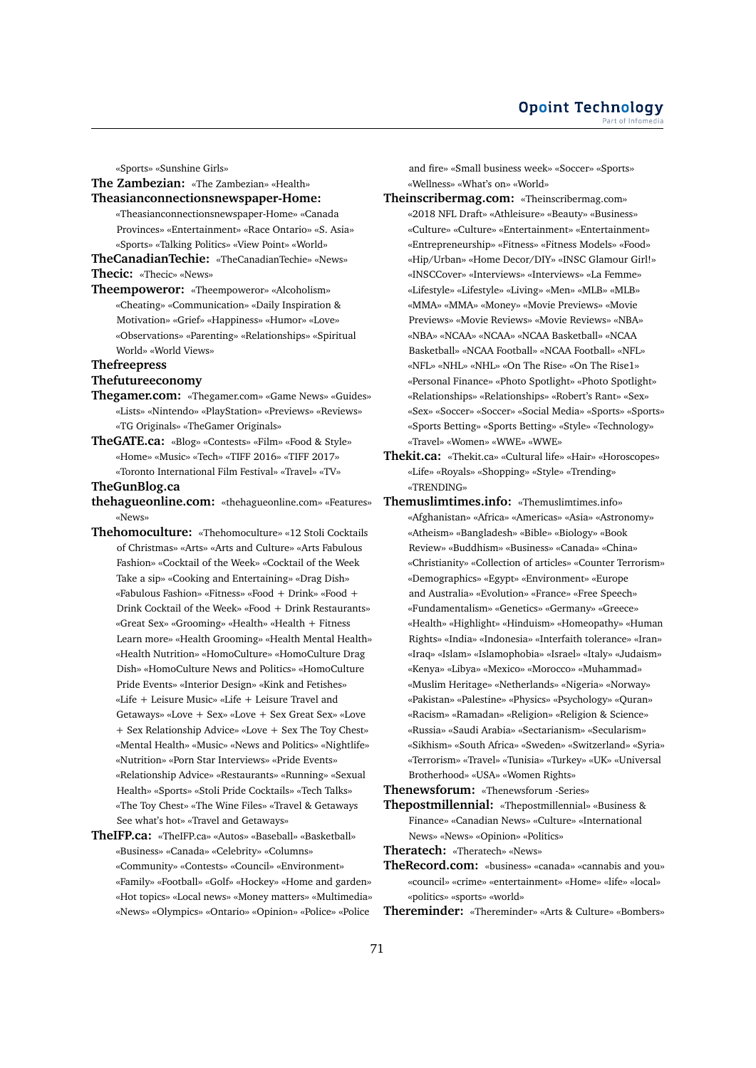«Sports» «Sunshine Girls»

**The Zambezian:** «The Zambezian» «Health» **Theasianconnectionsnewspaper-Home:**

- «Theasianconnectionsnewspaper-Home» «Canada Provinces» «Entertainment» «Race Ontario» «S. Asia»
- «Sports» «Talking Politics» «View Point» «World» **TheCanadianTechie:** «TheCanadianTechie» «News»
- **Thecic:** «Thecic» «News»
- **Theempoweror:** «Theempoweror» «Alcoholism» «Cheating» «Communication» «Daily Inspiration & Motivation» «Grief» «Happiness» «Humor» «Love» «Observations» «Parenting» «Relationships» «Spiritual World» «World Views»

#### **Thefreepress**

# **Thefutureeconomy**

- **Thegamer.com:** «Thegamer.com» «Game News» «Guides» «Lists» «Nintendo» «PlayStation» «Previews» «Reviews» «TG Originals» «TheGamer Originals»
- **TheGATE.ca:** «Blog» «Contests» «Film» «Food & Style» «Home» «Music» «Tech» «TIFF 2016» «TIFF 2017» «Toronto International Film Festival» «Travel» «TV»

# **TheGunBlog.ca**

- **thehagueonline.com:** «thehagueonline.com» «Features» «News»
- **Thehomoculture:** «Thehomoculture» «12 Stoli Cocktails of Christmas» «Arts» «Arts and Culture» «Arts Fabulous Fashion» «Cocktail of the Week» «Cocktail of the Week Take a sip» «Cooking and Entertaining» «Drag Dish» «Fabulous Fashion» «Fitness» «Food + Drink» «Food + Drink Cocktail of the Week» «Food + Drink Restaurants» «Great Sex» «Grooming» «Health» «Health + Fitness Learn more» «Health Grooming» «Health Mental Health» «Health Nutrition» «HomoCulture» «HomoCulture Drag Dish» «HomoCulture News and Politics» «HomoCulture Pride Events» «Interior Design» «Kink and Fetishes» «Life + Leisure Music» «Life + Leisure Travel and Getaways» «Love + Sex» «Love + Sex Great Sex» «Love + Sex Relationship Advice» «Love + Sex The Toy Chest» «Mental Health» «Music» «News and Politics» «Nightlife» «Nutrition» «Porn Star Interviews» «Pride Events» «Relationship Advice» «Restaurants» «Running» «Sexual Health» «Sports» «Stoli Pride Cocktails» «Tech Talks» «The Toy Chest» «The Wine Files» «Travel & Getaways See what's hot» «Travel and Getaways»
- **TheIFP.ca:** «TheIFP.ca» «Autos» «Baseball» «Basketball» «Business» «Canada» «Celebrity» «Columns» «Community» «Contests» «Council» «Environment» «Family» «Football» «Golf» «Hockey» «Home and garden» «Hot topics» «Local news» «Money matters» «Multimedia» «News» «Olympics» «Ontario» «Opinion» «Police» «Police

and fire» «Small business week» «Soccer» «Sports» «Wellness» «What's on» «World»

- **Theinscribermag.com:** «Theinscribermag.com» «2018 NFL Draft» «Athleisure» «Beauty» «Business» «Culture» «Culture» «Entertainment» «Entertainment» «Entrepreneurship» «Fitness» «Fitness Models» «Food» «Hip/Urban» «Home Decor/DIY» «INSC Glamour Girl!» «INSCCover» «Interviews» «Interviews» «La Femme» «Lifestyle» «Lifestyle» «Living» «Men» «MLB» «MLB» «MMA» «MMA» «Money» «Movie Previews» «Movie Previews» «Movie Reviews» «Movie Reviews» «NBA» «NBA» «NCAA» «NCAA» «NCAA Basketball» «NCAA Basketball» «NCAA Football» «NCAA Football» «NFL» «NFL» «NHL» «NHL» «On The Rise» «On The Rise1» «Personal Finance» «Photo Spotlight» «Photo Spotlight» «Relationships» «Relationships» «Robert's Rant» «Sex» «Sex» «Soccer» «Soccer» «Social Media» «Sports» «Sports» «Sports Betting» «Sports Betting» «Style» «Technology» «Travel» «Women» «WWE» «WWE»
- **Thekit.ca:** «Thekit.ca» «Cultural life» «Hair» «Horoscopes» «Life» «Royals» «Shopping» «Style» «Trending» «TRENDING»
- **Themuslimtimes.info:** «Themuslimtimes.info» «Afghanistan» «Africa» «Americas» «Asia» «Astronomy» «Atheism» «Bangladesh» «Bible» «Biology» «Book Review» «Buddhism» «Business» «Canada» «China» «Christianity» «Collection of articles» «Counter Terrorism» «Demographics» «Egypt» «Environment» «Europe and Australia» «Evolution» «France» «Free Speech» «Fundamentalism» «Genetics» «Germany» «Greece» «Health» «Highlight» «Hinduism» «Homeopathy» «Human Rights» «India» «Indonesia» «Interfaith tolerance» «Iran» «Iraq» «Islam» «Islamophobia» «Israel» «Italy» «Judaism» «Kenya» «Libya» «Mexico» «Morocco» «Muhammad» «Muslim Heritage» «Netherlands» «Nigeria» «Norway» «Pakistan» «Palestine» «Physics» «Psychology» «Quran» «Racism» «Ramadan» «Religion» «Religion & Science» «Russia» «Saudi Arabia» «Sectarianism» «Secularism» «Sikhism» «South Africa» «Sweden» «Switzerland» «Syria» «Terrorism» «Travel» «Tunisia» «Turkey» «UK» «Universal Brotherhood» «USA» «Women Rights»

**Thenewsforum:** «Thenewsforum -Series»

- **Thepostmillennial:** «Thepostmillennial» «Business & Finance» «Canadian News» «Culture» «International News» «News» «Opinion» «Politics»
- **Theratech:** «Theratech» «News»
- **TheRecord.com:** «business» «canada» «cannabis and you» «council» «crime» «entertainment» «Home» «life» «local» «politics» «sports» «world»
- **Thereminder:** «Thereminder» «Arts & Culture» «Bombers»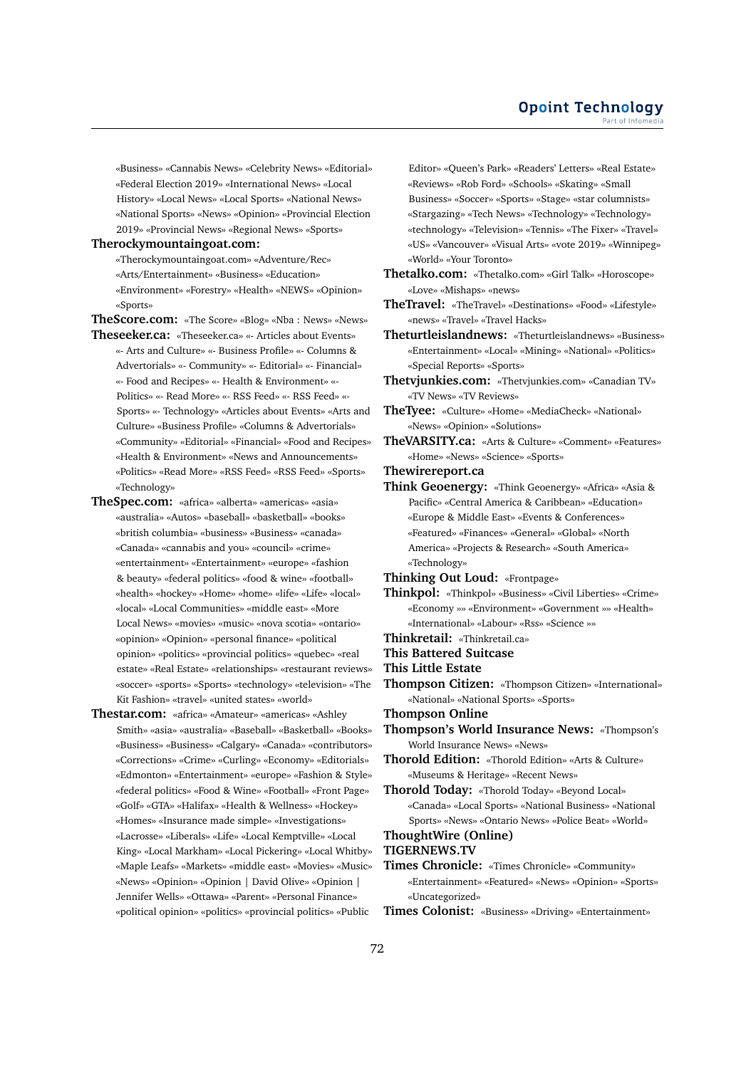«Business» «Cannabis News» «Celebrity News» «Editorial» «Federal Election 2019» «International News» «Local History» «Local News» «Local Sports» «National News» «National Sports» «News» «Opinion» «Provincial Election 2019» «Provincial News» «Regional News» «Sports»

#### **Therockymountaingoat.com:**

«Therockymountaingoat.com» «Adventure/Rec» «Arts/Entertainment» «Business» «Education» «Environment» «Forestry» «Health» «NEWS» «Opinion» «Sports»

**TheScore.com:** «The Score» «Blog» «Nba : News» «News» **Theseeker.ca:** «Theseeker.ca» «- Articles about Events»

- «- Arts and Culture» «- Business Profile» «- Columns & Advertorials» «- Community» «- Editorial» «- Financial» «- Food and Recipes» «- Health & Environment» «- Politics» «- Read More» «- RSS Feed» «- RSS Feed» «- Sports» «- Technology» «Articles about Events» «Arts and Culture» «Business Profile» «Columns & Advertorials» «Community» «Editorial» «Financial» «Food and Recipes» «Health & Environment» «News and Announcements» «Politics» «Read More» «RSS Feed» «RSS Feed» «Sports» «Technology»
- **TheSpec.com:** «africa» «alberta» «americas» «asia» «australia» «Autos» «baseball» «basketball» «books» «british columbia» «business» «Business» «canada» «Canada» «cannabis and you» «council» «crime» «entertainment» «Entertainment» «europe» «fashion & beauty» «federal politics» «food & wine» «football» «health» «hockey» «Home» «home» «life» «Life» «local» «local» «Local Communities» «middle east» «More Local News» «movies» «music» «nova scotia» «ontario» «opinion» «Opinion» «personal finance» «political opinion» «politics» «provincial politics» «quebec» «real estate» «Real Estate» «relationships» «restaurant reviews» «soccer» «sports» «Sports» «technology» «television» «The Kit Fashion» «travel» «united states» «world»
- **Thestar.com:** «africa» «Amateur» «americas» «Ashley Smith» «asia» «australia» «Baseball» «Basketball» «Books» «Business» «Business» «Calgary» «Canada» «contributors» «Corrections» «Crime» «Curling» «Economy» «Editorials» «Edmonton» «Entertainment» «europe» «Fashion & Style» «federal politics» «Food & Wine» «Football» «Front Page» «Golf» «GTA» «Halifax» «Health & Wellness» «Hockey» «Homes» «Insurance made simple» «Investigations» «Lacrosse» «Liberals» «Life» «Local Kemptville» «Local King» «Local Markham» «Local Pickering» «Local Whitby» «Maple Leafs» «Markets» «middle east» «Movies» «Music» «News» «Opinion» «Opinion | David Olive» «Opinion | Jennifer Wells» «Ottawa» «Parent» «Personal Finance» «political opinion» «politics» «provincial politics» «Public

Editor» «Queen's Park» «Readers' Letters» «Real Estate» «Reviews» «Rob Ford» «Schools» «Skating» «Small Business» «Soccer» «Sports» «Stage» «star columnists» «Stargazing» «Tech News» «Technology» «Technology» «technology» «Television» «Tennis» «The Fixer» «Travel» «US» «Vancouver» «Visual Arts» «vote 2019» «Winnipeg» «World» «Your Toronto»

- **Thetalko.com:** «Thetalko.com» «Girl Talk» «Horoscope» «Love» «Mishaps» «news»
- **TheTravel:** «TheTravel» «Destinations» «Food» «Lifestyle» «news» «Travel» «Travel Hacks»
- **Theturtleislandnews:** «Theturtleislandnews» «Business» «Entertainment» «Local» «Mining» «National» «Politics» «Special Reports» «Sports»

**Thetvjunkies.com:** «Thetvjunkies.com» «Canadian TV» «TV News» «TV Reviews»

- **TheTyee:** «Culture» «Home» «MediaCheck» «National» «News» «Opinion» «Solutions»
- **TheVARSITY.ca:** «Arts & Culture» «Comment» «Features» «Home» «News» «Science» «Sports»
- **Thewirereport.ca**
- **Think Geoenergy:** «Think Geoenergy» «Africa» «Asia & Pacific» «Central America & Caribbean» «Education» «Europe & Middle East» «Events & Conferences» «Featured» «Finances» «General» «Global» «North America» «Projects & Research» «South America» «Technology»
- **Thinking Out Loud:** «Frontpage»
- **Thinkpol:** «Thinkpol» «Business» «Civil Liberties» «Crime» «Economy »» «Environment» «Government »» «Health» «International» «Labour» «Rss» «Science »»
- **Thinkretail:** «Thinkretail.ca»
- **This Battered Suitcase**
- **This Little Estate**
- **Thompson Citizen:** «Thompson Citizen» «International» «National» «National Sports» «Sports»
- **Thompson Online**

**Thompson's World Insurance News:** «Thompson's World Insurance News» «News»

- **Thorold Edition:** «Thorold Edition» «Arts & Culture» «Museums & Heritage» «Recent News»
- **Thorold Today:** «Thorold Today» «Beyond Local» «Canada» «Local Sports» «National Business» «National Sports» «News» «Ontario News» «Police Beat» «World»

# **ThoughtWire (Online)**

# **TIGERNEWS.TV**

- **Times Chronicle:** «Times Chronicle» «Community» «Entertainment» «Featured» «News» «Opinion» «Sports» «Uncategorized»
- **Times Colonist:** «Business» «Driving» «Entertainment»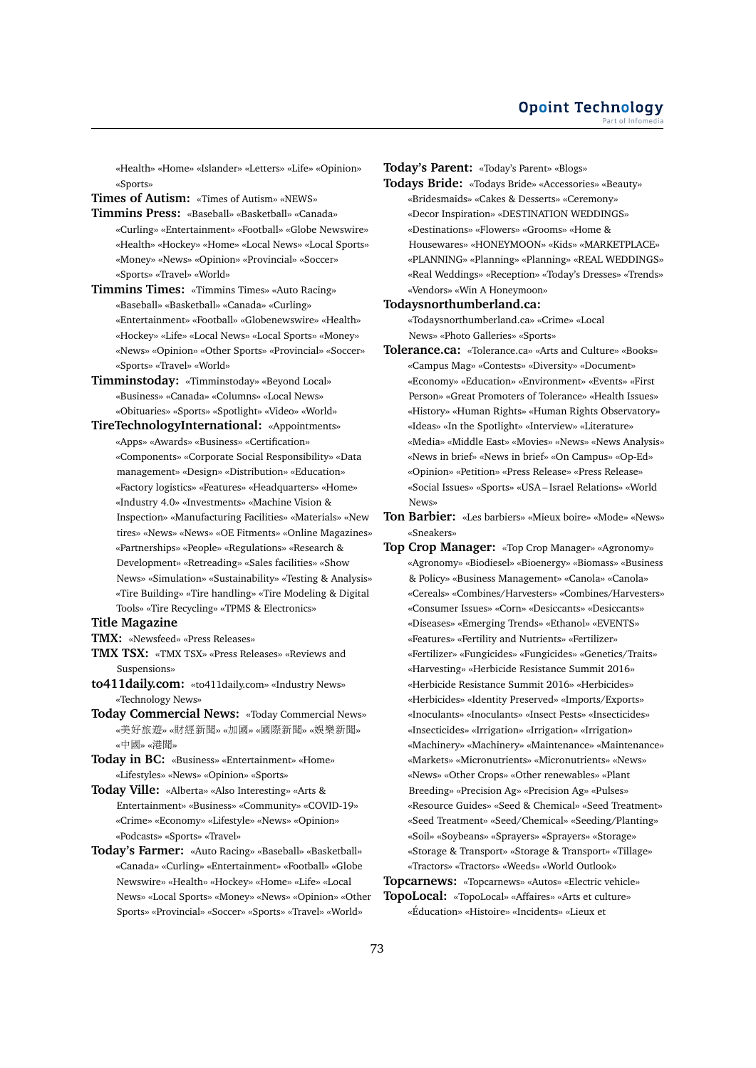«Health» «Home» «Islander» «Letters» «Life» «Opinion» «Sports»

**Times of Autism:** «Times of Autism» «NEWS»

- **Timmins Press:** «Baseball» «Basketball» «Canada» «Curling» «Entertainment» «Football» «Globe Newswire» «Health» «Hockey» «Home» «Local News» «Local Sports» «Money» «News» «Opinion» «Provincial» «Soccer» «Sports» «Travel» «World»
- **Timmins Times:** «Timmins Times» «Auto Racing» «Baseball» «Basketball» «Canada» «Curling» «Entertainment» «Football» «Globenewswire» «Health» «Hockey» «Life» «Local News» «Local Sports» «Money» «News» «Opinion» «Other Sports» «Provincial» «Soccer» «Sports» «Travel» «World»
- **Timminstoday:** «Timminstoday» «Beyond Local» «Business» «Canada» «Columns» «Local News» «Obituaries» «Sports» «Spotlight» «Video» «World»
- **TireTechnologyInternational:** «Appointments» «Apps» «Awards» «Business» «Certification» «Components» «Corporate Social Responsibility» «Data management» «Design» «Distribution» «Education» «Factory logistics» «Features» «Headquarters» «Home» «Industry 4.0» «Investments» «Machine Vision & Inspection» «Manufacturing Facilities» «Materials» «New tires» «News» «News» «OE Fitments» «Online Magazines» «Partnerships» «People» «Regulations» «Research & Development» «Retreading» «Sales facilities» «Show News» «Simulation» «Sustainability» «Testing & Analysis» «Tire Building» «Tire handling» «Tire Modeling & Digital Tools» «Tire Recycling» «TPMS & Electronics»

# **Title Magazine**

- **TMX:** «Newsfeed» «Press Releases»
- **TMX TSX:** «TMX TSX» «Press Releases» «Reviews and Suspensions»
- **to411daily.com:** «to411daily.com» «Industry News» «Technology News»
- **Today Commercial News:** «Today Commercial News» «美好旅遊» «財經新聞» «加國» «國際新聞» «娛樂新聞» «中國» «港聞»
- **Today in BC:** «Business» «Entertainment» «Home» «Lifestyles» «News» «Opinion» «Sports»
- **Today Ville:** «Alberta» «Also Interesting» «Arts & Entertainment» «Business» «Community» «COVID-19» «Crime» «Economy» «Lifestyle» «News» «Opinion» «Podcasts» «Sports» «Travel»
- **Today's Farmer:** «Auto Racing» «Baseball» «Basketball» «Canada» «Curling» «Entertainment» «Football» «Globe Newswire» «Health» «Hockey» «Home» «Life» «Local News» «Local Sports» «Money» «News» «Opinion» «Other Sports» «Provincial» «Soccer» «Sports» «Travel» «World»

**Today's Parent:** «Today's Parent» «Blogs»

**Todays Bride:** «Todays Bride» «Accessories» «Beauty» «Bridesmaids» «Cakes & Desserts» «Ceremony» «Decor Inspiration» «DESTINATION WEDDINGS» «Destinations» «Flowers» «Grooms» «Home & Housewares» «HONEYMOON» «Kids» «MARKETPLACE» «PLANNING» «Planning» «Planning» «REAL WEDDINGS» «Real Weddings» «Reception» «Today's Dresses» «Trends» «Vendors» «Win A Honeymoon»

#### **Todaysnorthumberland.ca:**

«Todaysnorthumberland.ca» «Crime» «Local News» «Photo Galleries» «Sports»

- **Tolerance.ca:** «Tolerance.ca» «Arts and Culture» «Books» «Campus Mag» «Contests» «Diversity» «Document» «Economy» «Education» «Environment» «Events» «First Person» «Great Promoters of Tolerance» «Health Issues» «History» «Human Rights» «Human Rights Observatory» «Ideas» «In the Spotlight» «Interview» «Literature» «Media» «Middle East» «Movies» «News» «News Analysis» «News in brief» «News in brief» «On Campus» «Op-Ed» «Opinion» «Petition» «Press Release» «Press Release» «Social Issues» «Sports» «USA – Israel Relations» «World News»
- **Ton Barbier:** «Les barbiers» «Mieux boire» «Mode» «News» «Sneakers»
- **Top Crop Manager:** «Top Crop Manager» «Agronomy» «Agronomy» «Biodiesel» «Bioenergy» «Biomass» «Business & Policy» «Business Management» «Canola» «Canola» «Cereals» «Combines/Harvesters» «Combines/Harvesters» «Consumer Issues» «Corn» «Desiccants» «Desiccants» «Diseases» «Emerging Trends» «Ethanol» «EVENTS» «Features» «Fertility and Nutrients» «Fertilizer» «Fertilizer» «Fungicides» «Fungicides» «Genetics/Traits» «Harvesting» «Herbicide Resistance Summit 2016» «Herbicide Resistance Summit 2016» «Herbicides» «Herbicides» «Identity Preserved» «Imports/Exports» «Inoculants» «Inoculants» «Insect Pests» «Insecticides» «Insecticides» «Irrigation» «Irrigation» «Irrigation» «Machinery» «Machinery» «Maintenance» «Maintenance» «Markets» «Micronutrients» «Micronutrients» «News» «News» «Other Crops» «Other renewables» «Plant Breeding» «Precision Ag» «Precision Ag» «Pulses» «Resource Guides» «Seed & Chemical» «Seed Treatment» «Seed Treatment» «Seed/Chemical» «Seeding/Planting» «Soil» «Soybeans» «Sprayers» «Sprayers» «Storage» «Storage & Transport» «Storage & Transport» «Tillage» «Tractors» «Tractors» «Weeds» «World Outlook»

## **Topcarnews:** «Topcarnews» «Autos» «Electric vehicle» **TopoLocal:** «TopoLocal» «Affaires» «Arts et culture» «Éducation» «Histoire» «Incidents» «Lieux et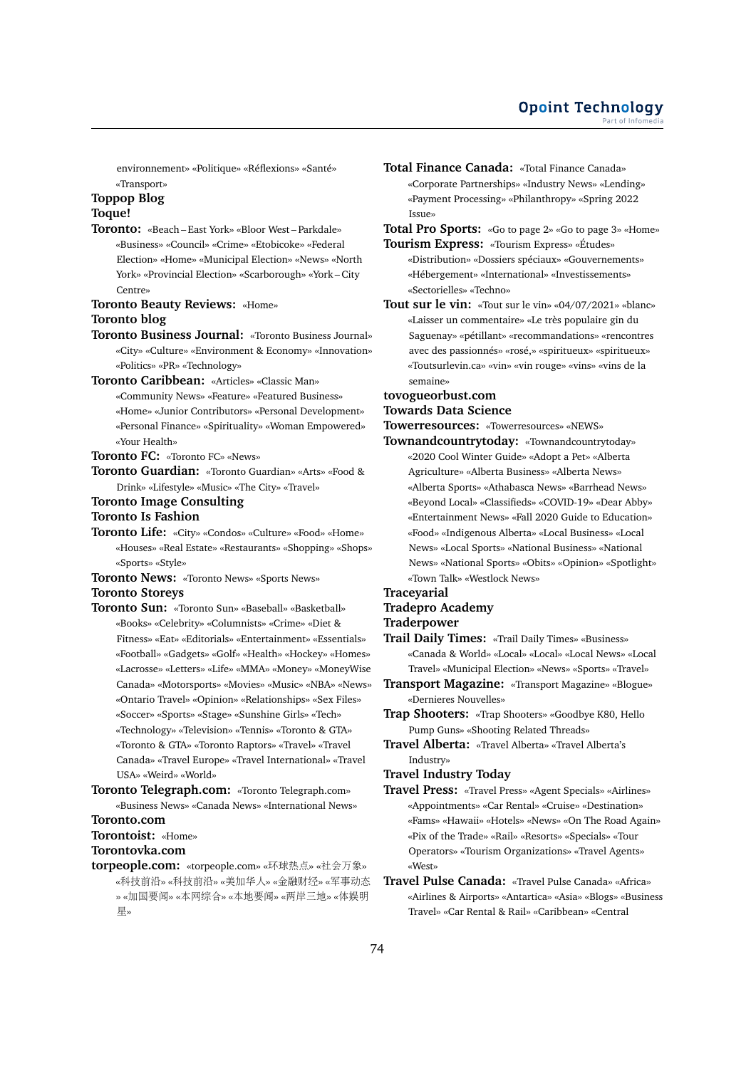environnement» «Politique» «Réflexions» «Santé» «Transport»

# **Toppop Blog**

# **Toque!**

**Toronto:** «Beach – East York» «Bloor West – Parkdale» «Business» «Council» «Crime» «Etobicoke» «Federal Election» «Home» «Municipal Election» «News» «North York» «Provincial Election» «Scarborough» «York – City Centre»

## **Toronto Beauty Reviews:** «Home» **Toronto blog**

- **Toronto Business Journal:** «Toronto Business Journal» «City» «Culture» «Environment & Economy» «Innovation» «Politics» «PR» «Technology»
- **Toronto Caribbean:** «Articles» «Classic Man» «Community News» «Feature» «Featured Business» «Home» «Junior Contributors» «Personal Development» «Personal Finance» «Spirituality» «Woman Empowered» «Your Health»

#### **Toronto FC:** «Toronto FC» «News»

- **Toronto Guardian:** «Toronto Guardian» «Arts» «Food & Drink» «Lifestyle» «Music» «The City» «Travel»
- **Toronto Image Consulting**

# **Toronto Is Fashion**

**Toronto Life:** «City» «Condos» «Culture» «Food» «Home» «Houses» «Real Estate» «Restaurants» «Shopping» «Shops» «Sports» «Style»

**Toronto News:** «Toronto News» «Sports News» **Toronto Storeys**

- **Toronto Sun:** «Toronto Sun» «Baseball» «Basketball» «Books» «Celebrity» «Columnists» «Crime» «Diet & Fitness» «Eat» «Editorials» «Entertainment» «Essentials» «Football» «Gadgets» «Golf» «Health» «Hockey» «Homes» «Lacrosse» «Letters» «Life» «MMA» «Money» «MoneyWise Canada» «Motorsports» «Movies» «Music» «NBA» «News» «Ontario Travel» «Opinion» «Relationships» «Sex Files» «Soccer» «Sports» «Stage» «Sunshine Girls» «Tech» «Technology» «Television» «Tennis» «Toronto & GTA» «Toronto & GTA» «Toronto Raptors» «Travel» «Travel Canada» «Travel Europe» «Travel International» «Travel USA» «Weird» «World»
- **Toronto Telegraph.com:** «Toronto Telegraph.com» «Business News» «Canada News» «International News»

#### **Toronto.com**

**Torontoist:** «Home»

# **Torontovka.com**

**torpeople.com:** «torpeople.com» «环球热点» «社会万象» «科技前沿» «科技前沿» «美加华人» «金融财经» «军事动<sup>态</sup> » «加国要闻» «本网综合» «本地要闻» «两岸三地» «体娱<sup>明</sup> 星»

**Total Finance Canada:** «Total Finance Canada» «Corporate Partnerships» «Industry News» «Lending» «Payment Processing» «Philanthropy» «Spring 2022 Issue»

**Total Pro Sports:** «Go to page 2» «Go to page 3» «Home» **Tourism Express:** «Tourism Express» «Études»

- «Distribution» «Dossiers spéciaux» «Gouvernements» «Hébergement» «International» «Investissements» «Sectorielles» «Techno»
- **Tout sur le vin:** «Tout sur le vin» «04/07/2021» «blanc» «Laisser un commentaire» «Le très populaire gin du Saguenay» «pétillant» «recommandations» «rencontres avec des passionnés» «rosé,» «spiritueux» «spiritueux» «Toutsurlevin.ca» «vin» «vin rouge» «vins» «vins de la semaine»

#### **tovogueorbust.com**

# **Towards Data Science**

- **Towerresources:** «Towerresources» «NEWS»
- **Townandcountrytoday:** «Townandcountrytoday» «2020 Cool Winter Guide» «Adopt a Pet» «Alberta Agriculture» «Alberta Business» «Alberta News» «Alberta Sports» «Athabasca News» «Barrhead News» «Beyond Local» «Classifieds» «COVID-19» «Dear Abby» «Entertainment News» «Fall 2020 Guide to Education» «Food» «Indigenous Alberta» «Local Business» «Local News» «Local Sports» «National Business» «National News» «National Sports» «Obits» «Opinion» «Spotlight» «Town Talk» «Westlock News»

# **Traceyarial**

# **Tradepro Academy**

# **Traderpower**

- **Trail Daily Times:** «Trail Daily Times» «Business» «Canada & World» «Local» «Local» «Local News» «Local Travel» «Municipal Election» «News» «Sports» «Travel»
- **Transport Magazine:** «Transport Magazine» «Blogue» «Dernieres Nouvelles»
- **Trap Shooters:** «Trap Shooters» «Goodbye K80, Hello Pump Guns» «Shooting Related Threads»
- **Travel Alberta:** «Travel Alberta» «Travel Alberta's Industry»

#### **Travel Industry Today**

- **Travel Press:** «Travel Press» «Agent Specials» «Airlines» «Appointments» «Car Rental» «Cruise» «Destination» «Fams» «Hawaii» «Hotels» «News» «On The Road Again» «Pix of the Trade» «Rail» «Resorts» «Specials» «Tour Operators» «Tourism Organizations» «Travel Agents» «West»
- **Travel Pulse Canada:** «Travel Pulse Canada» «Africa» «Airlines & Airports» «Antartica» «Asia» «Blogs» «Business Travel» «Car Rental & Rail» «Caribbean» «Central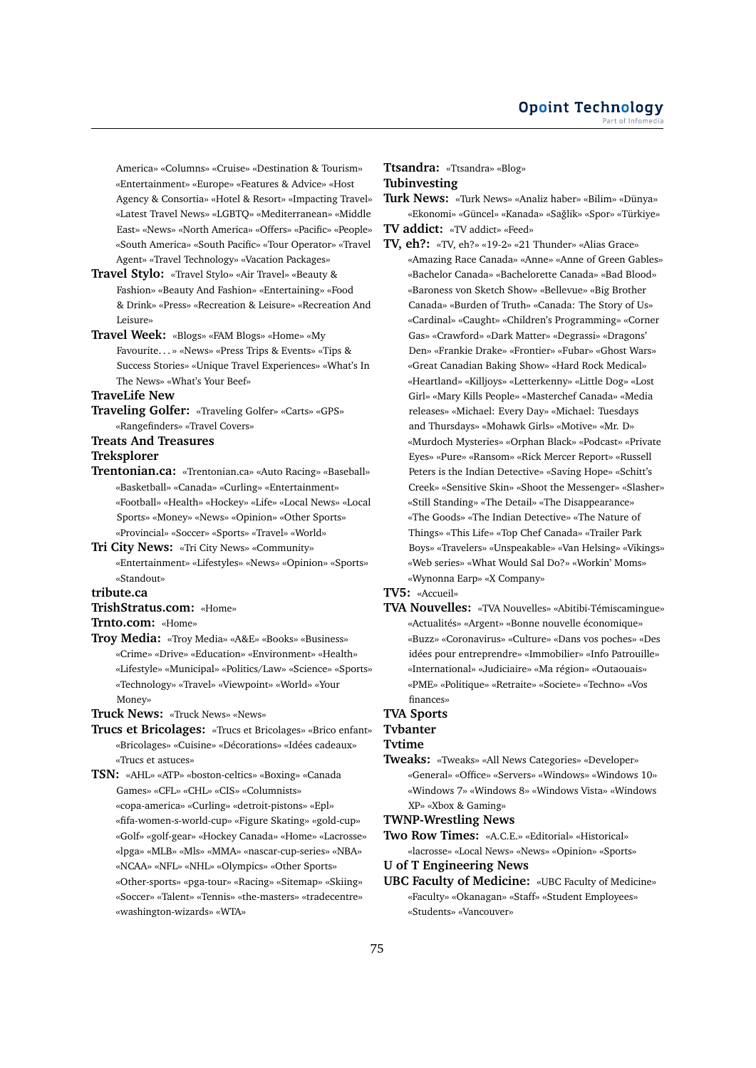America» «Columns» «Cruise» «Destination & Tourism» «Entertainment» «Europe» «Features & Advice» «Host Agency & Consortia» «Hotel & Resort» «Impacting Travel» «Latest Travel News» «LGBTQ» «Mediterranean» «Middle East» «News» «North America» «Offers» «Pacific» «People» «South America» «South Pacific» «Tour Operator» «Travel Agent» «Travel Technology» «Vacation Packages»

- **Travel Stylo:** «Travel Stylo» «Air Travel» «Beauty & Fashion» «Beauty And Fashion» «Entertaining» «Food & Drink» «Press» «Recreation & Leisure» «Recreation And Leisure»
- **Travel Week:** «Blogs» «FAM Blogs» «Home» «My Favourite. . . » «News» «Press Trips & Events» «Tips & Success Stories» «Unique Travel Experiences» «What's In The News» «What's Your Beef»

# **TraveLife New**

- **Traveling Golfer:** «Traveling Golfer» «Carts» «GPS» «Rangefinders» «Travel Covers»
- **Treats And Treasures**

#### **Treksplorer**

- **Trentonian.ca:** «Trentonian.ca» «Auto Racing» «Baseball» «Basketball» «Canada» «Curling» «Entertainment» «Football» «Health» «Hockey» «Life» «Local News» «Local Sports» «Money» «News» «Opinion» «Other Sports» «Provincial» «Soccer» «Sports» «Travel» «World»
- **Tri City News:** «Tri City News» «Community» «Entertainment» «Lifestyles» «News» «Opinion» «Sports» «Standout»

#### **tribute.ca**

- **TrishStratus.com:** «Home»
- **Trnto.com:** «Home»
- **Troy Media:** «Troy Media» «A&E» «Books» «Business» «Crime» «Drive» «Education» «Environment» «Health» «Lifestyle» «Municipal» «Politics/Law» «Science» «Sports» «Technology» «Travel» «Viewpoint» «World» «Your Money»

**Truck News:** «Truck News» «News»

**Trucs et Bricolages:** «Trucs et Bricolages» «Brico enfant» «Bricolages» «Cuisine» «Décorations» «Idées cadeaux» «Trucs et astuces»

**TSN:** «AHL» «ATP» «boston-celtics» «Boxing» «Canada Games» «CFL» «CHL» «CIS» «Columnists» «copa-america» «Curling» «detroit-pistons» «Epl» «fifa-women-s-world-cup» «Figure Skating» «gold-cup» «Golf» «golf-gear» «Hockey Canada» «Home» «Lacrosse» «lpga» «MLB» «Mls» «MMA» «nascar-cup-series» «NBA» «NCAA» «NFL» «NHL» «Olympics» «Other Sports» «Other-sports» «pga-tour» «Racing» «Sitemap» «Skiing» «Soccer» «Talent» «Tennis» «the-masters» «tradecentre» «washington-wizards» «WTA»

# **Ttsandra:** «Ttsandra» «Blog» **Tubinvesting**

- **Turk News:** «Turk News» «Analiz haber» «Bilim» «Dünya» «Ekonomi» «Güncel» «Kanada» «Sağlik» «Spor» «Türkiye»
- **TV addict:** «TV addict» «Feed»
- **TV, eh?:** «TV, eh?» «19-2» «21 Thunder» «Alias Grace» «Amazing Race Canada» «Anne» «Anne of Green Gables» «Bachelor Canada» «Bachelorette Canada» «Bad Blood» «Baroness von Sketch Show» «Bellevue» «Big Brother Canada» «Burden of Truth» «Canada: The Story of Us» «Cardinal» «Caught» «Children's Programming» «Corner Gas» «Crawford» «Dark Matter» «Degrassi» «Dragons' Den» «Frankie Drake» «Frontier» «Fubar» «Ghost Wars» «Great Canadian Baking Show» «Hard Rock Medical» «Heartland» «Killjoys» «Letterkenny» «Little Dog» «Lost Girl» «Mary Kills People» «Masterchef Canada» «Media releases» «Michael: Every Day» «Michael: Tuesdays and Thursdays» «Mohawk Girls» «Motive» «Mr. D» «Murdoch Mysteries» «Orphan Black» «Podcast» «Private Eyes» «Pure» «Ransom» «Rick Mercer Report» «Russell Peters is the Indian Detective» «Saving Hope» «Schitt's Creek» «Sensitive Skin» «Shoot the Messenger» «Slasher» «Still Standing» «The Detail» «The Disappearance» «The Goods» «The Indian Detective» «The Nature of Things» «This Life» «Top Chef Canada» «Trailer Park Boys» «Travelers» «Unspeakable» «Van Helsing» «Vikings» «Web series» «What Would Sal Do?» «Workin' Moms» «Wynonna Earp» «X Company»

#### **TV5:** «Accueil»

**TVA Nouvelles:** «TVA Nouvelles» «Abitibi-Témiscamingue» «Actualités» «Argent» «Bonne nouvelle économique» «Buzz» «Coronavirus» «Culture» «Dans vos poches» «Des idées pour entreprendre» «Immobilier» «Info Patrouille» «International» «Judiciaire» «Ma région» «Outaouais» «PME» «Politique» «Retraite» «Societe» «Techno» «Vos finances»

# **TVA Sports**

**Tvbanter**

#### **Tvtime**

**Tweaks:** «Tweaks» «All News Categories» «Developer» «General» «Office» «Servers» «Windows» «Windows 10» «Windows 7» «Windows 8» «Windows Vista» «Windows XP» «Xbox & Gaming»

#### **TWNP-Wrestling News**

**Two Row Times:** «A.C.E.» «Editorial» «Historical» «lacrosse» «Local News» «News» «Opinion» «Sports»

**U of T Engineering News**

**UBC Faculty of Medicine:** «UBC Faculty of Medicine» «Faculty» «Okanagan» «Staff» «Student Employees» «Students» «Vancouver»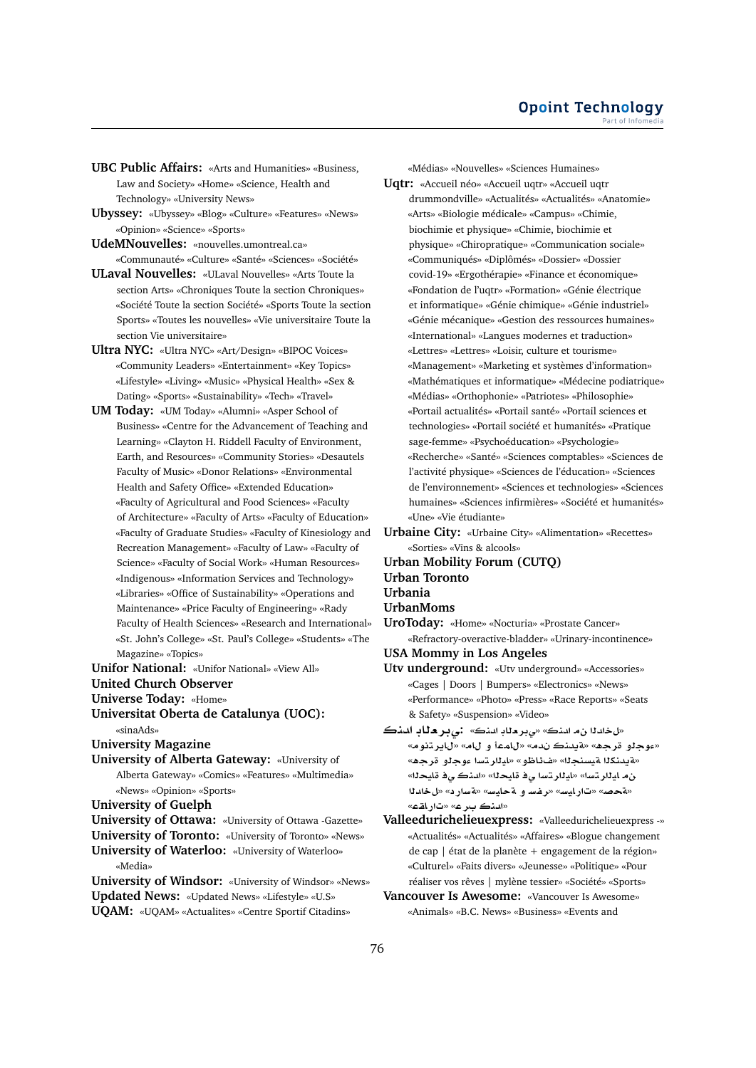- **UBC Public Affairs:** «Arts and Humanities» «Business, Law and Society» «Home» «Science, Health and Technology» «University News»
- **Ubyssey:** «Ubyssey» «Blog» «Culture» «Features» «News» «Opinion» «Science» «Sports»
- **UdeMNouvelles:** «nouvelles.umontreal.ca» «Communauté» «Culture» «Santé» «Sciences» «Société»
- **ULaval Nouvelles:** «ULaval Nouvelles» «Arts Toute la section Arts» «Chroniques Toute la section Chroniques» «Société Toute la section Société» «Sports Toute la section Sports» «Toutes les nouvelles» «Vie universitaire Toute la section Vie universitaire»
- **Ultra NYC:** «Ultra NYC» «Art/Design» «BIPOC Voices» «Community Leaders» «Entertainment» «Key Topics» «Lifestyle» «Living» «Music» «Physical Health» «Sex & Dating» «Sports» «Sustainability» «Tech» «Travel»
- **UM Today:** «UM Today» «Alumni» «Asper School of Business» «Centre for the Advancement of Teaching and Learning» «Clayton H. Riddell Faculty of Environment, Earth, and Resources» «Community Stories» «Desautels Faculty of Music» «Donor Relations» «Environmental Health and Safety Office» «Extended Education» «Faculty of Agricultural and Food Sciences» «Faculty of Architecture» «Faculty of Arts» «Faculty of Education» «Faculty of Graduate Studies» «Faculty of Kinesiology and Recreation Management» «Faculty of Law» «Faculty of Science» «Faculty of Social Work» «Human Resources» «Indigenous» «Information Services and Technology» «Libraries» «Office of Sustainability» «Operations and Maintenance» «Price Faculty of Engineering» «Rady Faculty of Health Sciences» «Research and International» «St. John's College» «St. Paul's College» «Students» «The Magazine» «Topics»
- **Unifor National:** «Unifor National» «View All»
- **United Church Observer**
- **Universe Today:** «Home»
- **Universitat Oberta de Catalunya (UOC):** «sinaAds»
- **University Magazine**
- **University of Alberta Gateway:** «University of
- Alberta Gateway» «Comics» «Features» «Multimedia» «News» «Opinion» «Sports»
- **University of Guelph**
- **University of Ottawa:** «University of Ottawa -Gazette»
- **University of Toronto:** «University of Toronto» «News» **University of Waterloo:** «University of Waterloo» «Media»
- **University of Windsor:** «University of Windsor» «News» **Updated News:** «Updated News» «Lifestyle» «U.S» **UQAM:** «UQAM» «Actualites» «Centre Sportif Citadins»

«Médias» «Nouvelles» «Sciences Humaines»

- **Uqtr:** «Accueil néo» «Accueil uqtr» «Accueil uqtr drummondville» «Actualités» «Actualités» «Anatomie» «Arts» «Biologie médicale» «Campus» «Chimie, biochimie et physique» «Chimie, biochimie et physique» «Chiropratique» «Communication sociale» «Communiqués» «Diplômés» «Dossier» «Dossier covid-19» «Ergothérapie» «Finance et économique» «Fondation de l'uqtr» «Formation» «Génie électrique et informatique» «Génie chimique» «Génie industriel» «Génie mécanique» «Gestion des ressources humaines» «International» «Langues modernes et traduction» «Lettres» «Lettres» «Loisir, culture et tourisme» «Management» «Marketing et systèmes d'information» «Mathématiques et informatique» «Médecine podiatrique» «Médias» «Orthophonie» «Patriotes» «Philosophie» «Portail actualités» «Portail santé» «Portail sciences et technologies» «Portail société et humanités» «Pratique sage-femme» «Psychoéducation» «Psychologie» «Recherche» «Santé» «Sciences comptables» «Sciences de l'activité physique» «Sciences de l'éducation» «Sciences de l'environnement» «Sciences et technologies» «Sciences humaines» «Sciences infirmières» «Société et humanités» «Une» «Vie étudiante»
- **Urbaine City:** «Urbaine City» «Alimentation» «Recettes» «Sorties» «Vins & alcools»
- **Urban Mobility Forum (CUTQ)**
- **Urban Toronto**
- **Urbania**
- **UrbanMoms**
- **UroToday:** «Home» «Nocturia» «Prostate Cancer» «Refractory-overactive-bladder» «Urinary-incontinence»
- **USA Mommy in Los Angeles**
- **Utv underground:** «Utv underground» «Accessories» «Cages | Doors | Bumpers» «Electronics» «News» «Performance» «Photo» «Press» «Race Reports» «Seats & Safety» «Suspension» «Video»
- «لخلدنا نه المنك» «ي بر مناد المنك». : 1**1 من الم**نك «عوجلو قرحه» «**قيدنڪ ندم» «للم**عا و للمه «للير تنوم» «**¤يدنك**لا ¤يسنجلا» «ف£اظو» «ايلارتسا ءوجلو قرجه» ن م ايـِللر تسا» «ايـِللر تسا ي في قايحـلل» «المنكــو قايحـلل» «قحصه» «تارايسه» «رفساو قحايسه» «قسارد» «لخلدنا «**qAC**» «**r nd**»
- **Valleedurichelieuexpress:** «Valleedurichelieuexpress -» «Actualités» «Actualités» «Affaires» «Blogue changement de cap | état de la planète + engagement de la région» «Culturel» «Faits divers» «Jeunesse» «Politique» «Pour réaliser vos rêves | mylène tessier» «Société» «Sports»
- **Vancouver Is Awesome:** «Vancouver Is Awesome» «Animals» «B.C. News» «Business» «Events and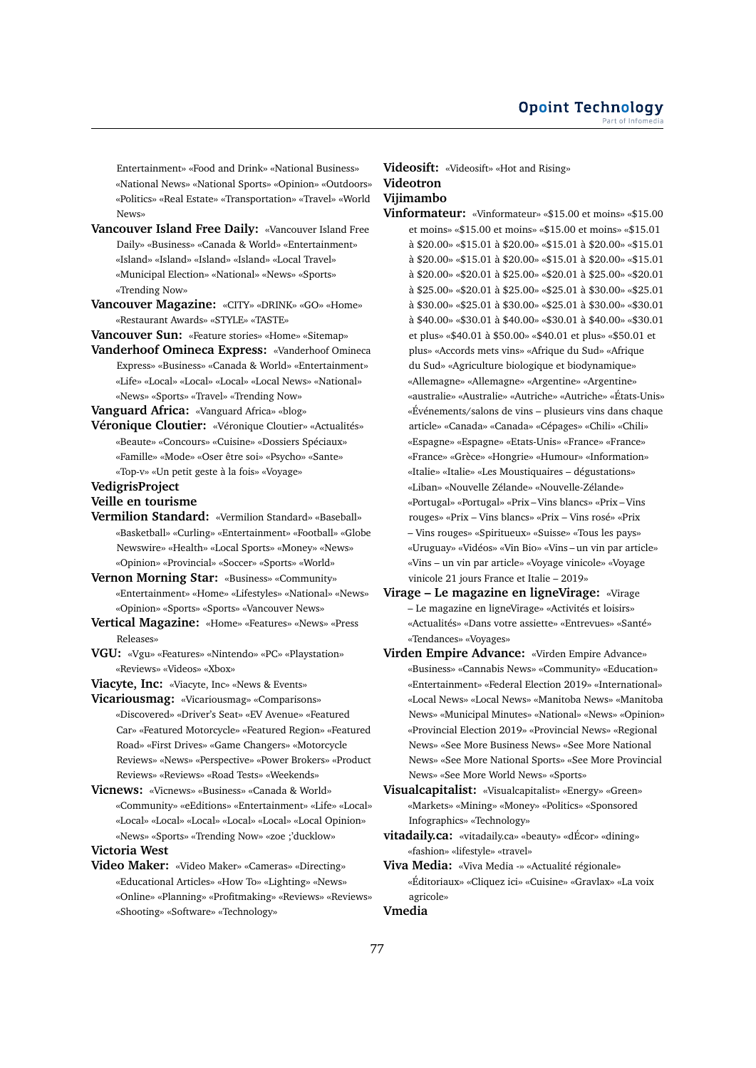Entertainment» «Food and Drink» «National Business» «National News» «National Sports» «Opinion» «Outdoors» «Politics» «Real Estate» «Transportation» «Travel» «World News»

- **Vancouver Island Free Daily:** «Vancouver Island Free Daily» «Business» «Canada & World» «Entertainment» «Island» «Island» «Island» «Island» «Local Travel» «Municipal Election» «National» «News» «Sports» «Trending Now»
- **Vancouver Magazine:** «CITY» «DRINK» «GO» «Home» «Restaurant Awards» «STYLE» «TASTE»
- **Vancouver Sun:** «Feature stories» «Home» «Sitemap»
- **Vanderhoof Omineca Express:** «Vanderhoof Omineca Express» «Business» «Canada & World» «Entertainment» «Life» «Local» «Local» «Local» «Local News» «National» «News» «Sports» «Travel» «Trending Now»

**Vanguard Africa:** «Vanguard Africa» «blog»

**Véronique Cloutier:** «Véronique Cloutier» «Actualités» «Beaute» «Concours» «Cuisine» «Dossiers Spéciaux» «Famille» «Mode» «Oser être soi» «Psycho» «Sante» «Top-v» «Un petit geste à la fois» «Voyage»

### **VedigrisProject**

## **Veille en tourisme**

- **Vermilion Standard:** «Vermilion Standard» «Baseball» «Basketball» «Curling» «Entertainment» «Football» «Globe Newswire» «Health» «Local Sports» «Money» «News» «Opinion» «Provincial» «Soccer» «Sports» «World»
- **Vernon Morning Star:** «Business» «Community» «Entertainment» «Home» «Lifestyles» «National» «News» «Opinion» «Sports» «Sports» «Vancouver News»
- **Vertical Magazine:** «Home» «Features» «News» «Press Releases»
- **VGU:** «Vgu» «Features» «Nintendo» «PC» «Playstation» «Reviews» «Videos» «Xbox»
- **Viacyte, Inc:** «Viacyte, Inc» «News & Events»
- **Vicariousmag:** «Vicariousmag» «Comparisons» «Discovered» «Driver's Seat» «EV Avenue» «Featured Car» «Featured Motorcycle» «Featured Region» «Featured Road» «First Drives» «Game Changers» «Motorcycle Reviews» «News» «Perspective» «Power Brokers» «Product Reviews» «Reviews» «Road Tests» «Weekends»
- **Vicnews:** «Vicnews» «Business» «Canada & World» «Community» «eEditions» «Entertainment» «Life» «Local» «Local» «Local» «Local» «Local» «Local» «Local Opinion» «News» «Sports» «Trending Now» «zoe ;'ducklow»

# **Victoria West**

**Video Maker:** «Video Maker» «Cameras» «Directing» «Educational Articles» «How To» «Lighting» «News» «Online» «Planning» «Profitmaking» «Reviews» «Reviews» «Shooting» «Software» «Technology»

#### **Videosift:** «Videosift» «Hot and Rising»

### **Videotron Vijimambo**

- **Vinformateur:** «Vinformateur» «\$15.00 et moins» «\$15.00 et moins» «\$15.00 et moins» «\$15.00 et moins» «\$15.01 à \$20.00» «\$15.01 à \$20.00» «\$15.01 à \$20.00» «\$15.01 à \$20.00» «\$15.01 à \$20.00» «\$15.01 à \$20.00» «\$15.01 à \$20.00» «\$20.01 à \$25.00» «\$20.01 à \$25.00» «\$20.01 à \$25.00» «\$20.01 à \$25.00» «\$25.01 à \$30.00» «\$25.01 à \$30.00» «\$25.01 à \$30.00» «\$25.01 à \$30.00» «\$30.01 à \$40.00» «\$30.01 à \$40.00» «\$30.01 à \$40.00» «\$30.01 et plus» «\$40.01 à \$50.00» «\$40.01 et plus» «\$50.01 et plus» «Accords mets vins» «Afrique du Sud» «Afrique du Sud» «Agriculture biologique et biodynamique» «Allemagne» «Allemagne» «Argentine» «Argentine» «australie» «Australie» «Autriche» «Autriche» «États-Unis» «Événements/salons de vins – plusieurs vins dans chaque article» «Canada» «Canada» «Cépages» «Chili» «Chili» «Espagne» «Espagne» «Etats-Unis» «France» «France» «France» «Grèce» «Hongrie» «Humour» «Information» «Italie» «Italie» «Les Moustiquaires – dégustations» «Liban» «Nouvelle Zélande» «Nouvelle-Zélande» «Portugal» «Portugal» «Prix – Vins blancs» «Prix – Vins rouges» «Prix – Vins blancs» «Prix – Vins rosé» «Prix – Vins rouges» «Spiritueux» «Suisse» «Tous les pays» «Uruguay» «Vidéos» «Vin Bio» «Vins – un vin par article» «Vins – un vin par article» «Voyage vinicole» «Voyage vinicole 21 jours France et Italie – 2019»
- **Virage Le magazine en ligneVirage:** «Virage – Le magazine en ligneVirage» «Activités et loisirs» «Actualités» «Dans votre assiette» «Entrevues» «Santé» «Tendances» «Voyages»
- **Virden Empire Advance:** «Virden Empire Advance» «Business» «Cannabis News» «Community» «Education» «Entertainment» «Federal Election 2019» «International» «Local News» «Local News» «Manitoba News» «Manitoba News» «Municipal Minutes» «National» «News» «Opinion» «Provincial Election 2019» «Provincial News» «Regional News» «See More Business News» «See More National News» «See More National Sports» «See More Provincial News» «See More World News» «Sports»
- **Visualcapitalist:** «Visualcapitalist» «Energy» «Green» «Markets» «Mining» «Money» «Politics» «Sponsored Infographics» «Technology»
- **vitadaily.ca:** «vitadaily.ca» «beauty» «dÉcor» «dining» «fashion» «lifestyle» «travel»
- **Viva Media:** «Viva Media -» «Actualité régionale» «Éditoriaux» «Cliquez ici» «Cuisine» «Gravlax» «La voix agricole»

#### **Vmedia**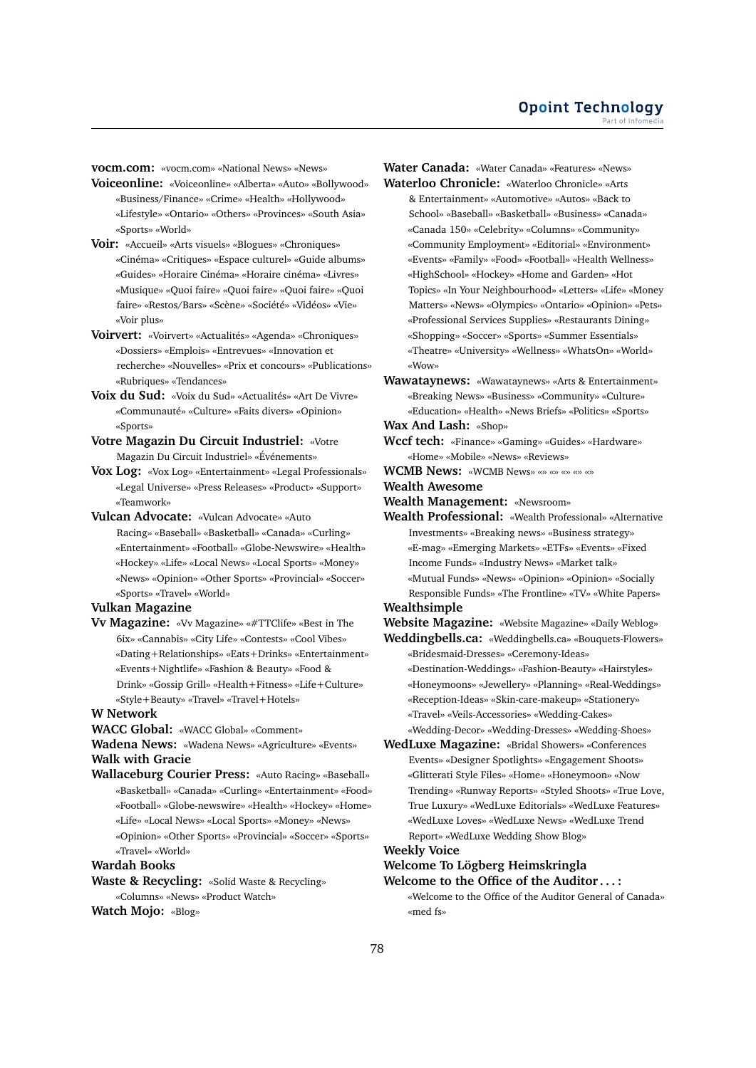**vocm.com:** «vocm.com» «National News» «News»

- **Voiceonline:** «Voiceonline» «Alberta» «Auto» «Bollywood» «Business/Finance» «Crime» «Health» «Hollywood» «Lifestyle» «Ontario» «Others» «Provinces» «South Asia» «Sports» «World»
- **Voir:** «Accueil» «Arts visuels» «Blogues» «Chroniques» «Cinéma» «Critiques» «Espace culturel» «Guide albums» «Guides» «Horaire Cinéma» «Horaire cinéma» «Livres» «Musique» «Quoi faire» «Quoi faire» «Quoi faire» «Quoi faire» «Restos/Bars» «Scène» «Société» «Vidéos» «Vie» «Voir plus»
- **Voirvert:** «Voirvert» «Actualités» «Agenda» «Chroniques» «Dossiers» «Emplois» «Entrevues» «Innovation et recherche» «Nouvelles» «Prix et concours» «Publications» «Rubriques» «Tendances»
- **Voix du Sud:** «Voix du Sud» «Actualités» «Art De Vivre» «Communauté» «Culture» «Faits divers» «Opinion» «Sports»
- **Votre Magazin Du Circuit Industriel:** «Votre Magazin Du Circuit Industriel» «Événements»
- **Vox Log:** «Vox Log» «Entertainment» «Legal Professionals» «Legal Universe» «Press Releases» «Product» «Support» «Teamwork»
- **Vulcan Advocate:** «Vulcan Advocate» «Auto Racing» «Baseball» «Basketball» «Canada» «Curling» «Entertainment» «Football» «Globe-Newswire» «Health» «Hockey» «Life» «Local News» «Local Sports» «Money» «News» «Opinion» «Other Sports» «Provincial» «Soccer» «Sports» «Travel» «World»

#### **Vulkan Magazine**

**Vv Magazine:** «Vv Magazine» «#TTClife» «Best in The 6ix» «Cannabis» «City Life» «Contests» «Cool Vibes» «Dating+Relationships» «Eats+Drinks» «Entertainment» «Events+Nightlife» «Fashion & Beauty» «Food & Drink» «Gossip Grill» «Health+Fitness» «Life+Culture» «Style+Beauty» «Travel» «Travel+Hotels»

# **W Network**

**WACC Global:** «WACC Global» «Comment»

**Wadena News:** «Wadena News» «Agriculture» «Events» **Walk with Gracie**

**Wallaceburg Courier Press:** «Auto Racing» «Baseball» «Basketball» «Canada» «Curling» «Entertainment» «Food» «Football» «Globe-newswire» «Health» «Hockey» «Home» «Life» «Local News» «Local Sports» «Money» «News» «Opinion» «Other Sports» «Provincial» «Soccer» «Sports» «Travel» «World»

# **Wardah Books**

**Waste & Recycling:** «Solid Waste & Recycling» «Columns» «News» «Product Watch»

**Watch Mojo:** «Blog»

**Water Canada:** «Water Canada» «Features» «News» **Waterloo Chronicle:** «Waterloo Chronicle» «Arts & Entertainment» «Automotive» «Autos» «Back to School» «Baseball» «Basketball» «Business» «Canada» «Canada 150» «Celebrity» «Columns» «Community» «Community Employment» «Editorial» «Environment» «Events» «Family» «Food» «Football» «Health Wellness» «HighSchool» «Hockey» «Home and Garden» «Hot Topics» «In Your Neighbourhood» «Letters» «Life» «Money Matters» «News» «Olympics» «Ontario» «Opinion» «Pets» «Professional Services Supplies» «Restaurants Dining» «Shopping» «Soccer» «Sports» «Summer Essentials» «Theatre» «University» «Wellness» «WhatsOn» «World» «Wow»

**Wawataynews:** «Wawataynews» «Arts & Entertainment» «Breaking News» «Business» «Community» «Culture» «Education» «Health» «News Briefs» «Politics» «Sports» **Wax And Lash:** «Shop»

- **Wccf tech:** «Finance» «Gaming» «Guides» «Hardware» «Home» «Mobile» «News» «Reviews»
- **WCMB News:** «WCMB News» «» «» «» «» «»

#### **Wealth Awesome**

**Wealth Management:** «Newsroom»

**Wealth Professional:** «Wealth Professional» «Alternative Investments» «Breaking news» «Business strategy» «E-mag» «Emerging Markets» «ETFs» «Events» «Fixed Income Funds» «Industry News» «Market talk» «Mutual Funds» «News» «Opinion» «Opinion» «Socially Responsible Funds» «The Frontline» «TV» «White Papers»

# **Wealthsimple**

**Website Magazine:** «Website Magazine» «Daily Weblog» **Weddingbells.ca:** «Weddingbells.ca» «Bouquets-Flowers»

- «Bridesmaid-Dresses» «Ceremony-Ideas» «Destination-Weddings» «Fashion-Beauty» «Hairstyles» «Honeymoons» «Jewellery» «Planning» «Real-Weddings» «Reception-Ideas» «Skin-care-makeup» «Stationery» «Travel» «Veils-Accessories» «Wedding-Cakes» «Wedding-Decor» «Wedding-Dresses» «Wedding-Shoes»
- **WedLuxe Magazine:** «Bridal Showers» «Conferences Events» «Designer Spotlights» «Engagement Shoots» «Glitterati Style Files» «Home» «Honeymoon» «Now Trending» «Runway Reports» «Styled Shoots» «True Love, True Luxury» «WedLuxe Editorials» «WedLuxe Features» «WedLuxe Loves» «WedLuxe News» «WedLuxe Trend Report» «WedLuxe Wedding Show Blog»

### **Weekly Voice**

# **Welcome To Lögberg Heimskringla**

**Welcome to the Office of the Auditor . . . :** «Welcome to the Office of the Auditor General of Canada» «med fs»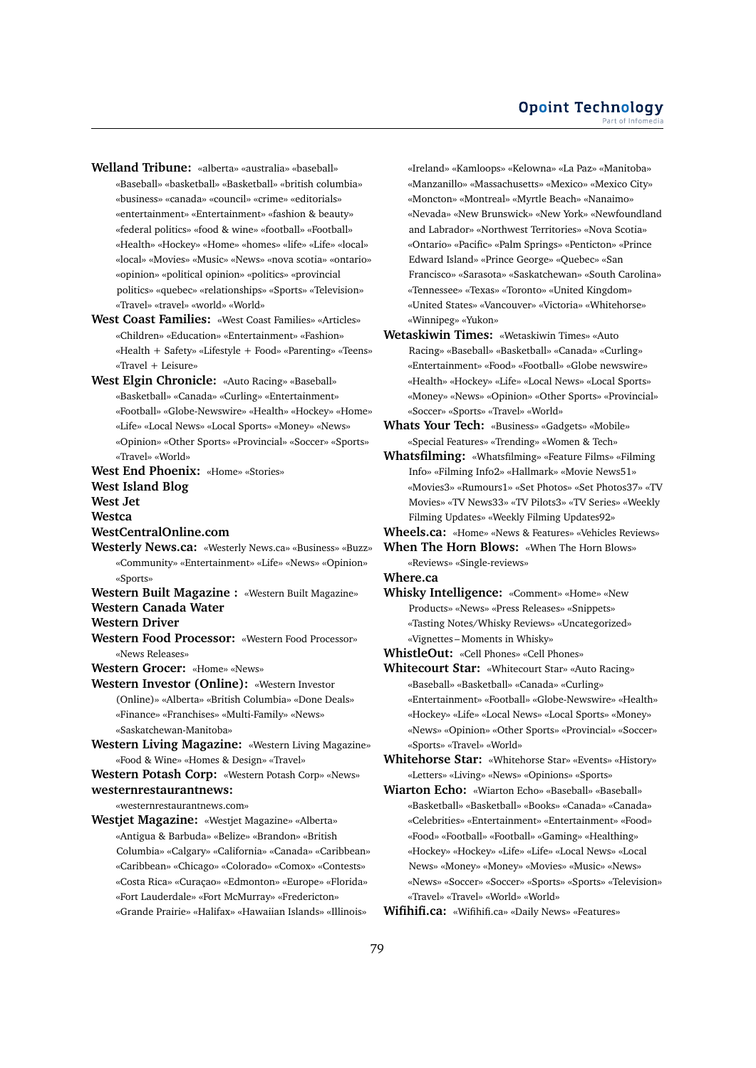**Welland Tribune:** «alberta» «australia» «baseball» «Baseball» «basketball» «Basketball» «british columbia» «business» «canada» «council» «crime» «editorials» «entertainment» «Entertainment» «fashion & beauty» «federal politics» «food & wine» «football» «Football» «Health» «Hockey» «Home» «homes» «life» «Life» «local» «local» «Movies» «Music» «News» «nova scotia» «ontario» «opinion» «political opinion» «politics» «provincial politics» «quebec» «relationships» «Sports» «Television» «Travel» «travel» «world» «World»

**West Coast Families:** «West Coast Families» «Articles» «Children» «Education» «Entertainment» «Fashion» «Health + Safety» «Lifestyle + Food» «Parenting» «Teens» «Travel + Leisure»

**West Elgin Chronicle:** «Auto Racing» «Baseball» «Basketball» «Canada» «Curling» «Entertainment» «Football» «Globe-Newswire» «Health» «Hockey» «Home» «Life» «Local News» «Local Sports» «Money» «News» «Opinion» «Other Sports» «Provincial» «Soccer» «Sports» «Travel» «World»

**West End Phoenix:** «Home» «Stories» **West Island Blog**

**West Jet Westca**

- **WestCentralOnline.com**
- **Westerly News.ca:** «Westerly News.ca» «Business» «Buzz» «Community» «Entertainment» «Life» «News» «Opinion» «Sports»
- **Western Built Magazine :** «Western Built Magazine» **Western Canada Water**

**Western Driver**

- **Western Food Processor:** «Western Food Processor» «News Releases»
- **Western Grocer:** «Home» «News»
- **Western Investor (Online):** «Western Investor (Online)» «Alberta» «British Columbia» «Done Deals» «Finance» «Franchises» «Multi-Family» «News» «Saskatchewan-Manitoba»
- **Western Living Magazine:** «Western Living Magazine» «Food & Wine» «Homes & Design» «Travel»

**Western Potash Corp:** «Western Potash Corp» «News» **westernrestaurantnews:**

«westernrestaurantnews.com»

**Westjet Magazine:** «Westjet Magazine» «Alberta» «Antigua & Barbuda» «Belize» «Brandon» «British Columbia» «Calgary» «California» «Canada» «Caribbean» «Caribbean» «Chicago» «Colorado» «Comox» «Contests» «Costa Rica» «Curaçao» «Edmonton» «Europe» «Florida» «Fort Lauderdale» «Fort McMurray» «Fredericton» «Grande Prairie» «Halifax» «Hawaiian Islands» «Illinois»

«Ireland» «Kamloops» «Kelowna» «La Paz» «Manitoba» «Manzanillo» «Massachusetts» «Mexico» «Mexico City» «Moncton» «Montreal» «Myrtle Beach» «Nanaimo» «Nevada» «New Brunswick» «New York» «Newfoundland and Labrador» «Northwest Territories» «Nova Scotia» «Ontario» «Pacific» «Palm Springs» «Penticton» «Prince Edward Island» «Prince George» «Quebec» «San Francisco» «Sarasota» «Saskatchewan» «South Carolina» «Tennessee» «Texas» «Toronto» «United Kingdom» «United States» «Vancouver» «Victoria» «Whitehorse» «Winnipeg» «Yukon»

**Wetaskiwin Times:** «Wetaskiwin Times» «Auto Racing» «Baseball» «Basketball» «Canada» «Curling» «Entertainment» «Food» «Football» «Globe newswire» «Health» «Hockey» «Life» «Local News» «Local Sports» «Money» «News» «Opinion» «Other Sports» «Provincial» «Soccer» «Sports» «Travel» «World»

**Whats Your Tech:** «Business» «Gadgets» «Mobile» «Special Features» «Trending» «Women & Tech»

**Whatsfilming:** «Whatsfilming» «Feature Films» «Filming Info» «Filming Info2» «Hallmark» «Movie News51» «Movies3» «Rumours1» «Set Photos» «Set Photos37» «TV Movies» «TV News33» «TV Pilots3» «TV Series» «Weekly Filming Updates» «Weekly Filming Updates92»

**Wheels.ca:** «Home» «News & Features» «Vehicles Reviews»

**When The Horn Blows:** «When The Horn Blows» «Reviews» «Single-reviews»

**Where.ca**

**Whisky Intelligence:** «Comment» «Home» «New Products» «News» «Press Releases» «Snippets» «Tasting Notes/Whisky Reviews» «Uncategorized» «Vignettes – Moments in Whisky»

**WhistleOut:** «Cell Phones» «Cell Phones»

**Whitecourt Star:** «Whitecourt Star» «Auto Racing» «Baseball» «Basketball» «Canada» «Curling» «Entertainment» «Football» «Globe-Newswire» «Health» «Hockey» «Life» «Local News» «Local Sports» «Money» «News» «Opinion» «Other Sports» «Provincial» «Soccer» «Sports» «Travel» «World»

**Whitehorse Star:** «Whitehorse Star» «Events» «History» «Letters» «Living» «News» «Opinions» «Sports»

**Wiarton Echo:** «Wiarton Echo» «Baseball» «Baseball» «Basketball» «Basketball» «Books» «Canada» «Canada» «Celebrities» «Entertainment» «Entertainment» «Food» «Food» «Football» «Football» «Gaming» «Healthing» «Hockey» «Hockey» «Life» «Life» «Local News» «Local News» «Money» «Money» «Movies» «Music» «News» «News» «Soccer» «Soccer» «Sports» «Sports» «Television» «Travel» «Travel» «World» «World»

**Wifihifi.ca:** «Wifihifi.ca» «Daily News» «Features»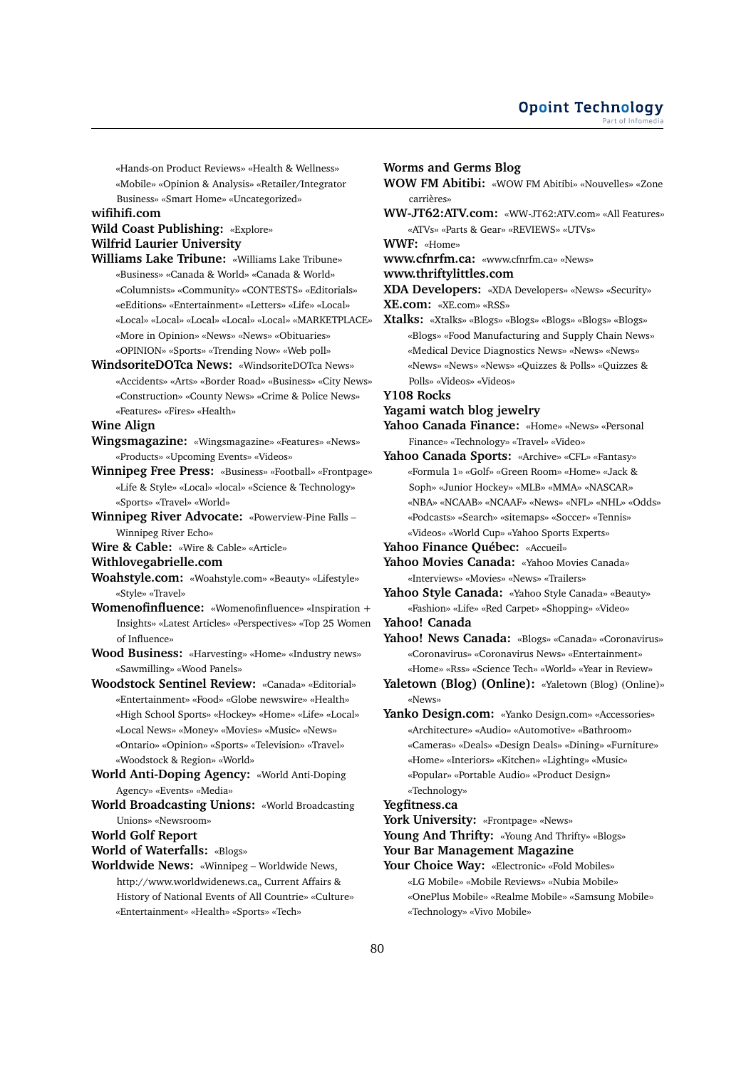«Hands-on Product Reviews» «Health & Wellness» «Mobile» «Opinion & Analysis» «Retailer/Integrator Business» «Smart Home» «Uncategorized»

#### **wifihifi.com**

# **Wild Coast Publishing:** «Explore» **Wilfrid Laurier University**

- **Williams Lake Tribune:** «Williams Lake Tribune» «Business» «Canada & World» «Canada & World» «Columnists» «Community» «CONTESTS» «Editorials» «eEditions» «Entertainment» «Letters» «Life» «Local» «Local» «Local» «Local» «Local» «Local» «MARKETPLACE» «More in Opinion» «News» «News» «Obituaries» «OPINION» «Sports» «Trending Now» «Web poll»
- **WindsoriteDOTca News:** «WindsoriteDOTca News» «Accidents» «Arts» «Border Road» «Business» «City News» «Construction» «County News» «Crime & Police News» «Features» «Fires» «Health»

**Wine Align**

- **Wingsmagazine:** «Wingsmagazine» «Features» «News» «Products» «Upcoming Events» «Videos»
- **Winnipeg Free Press:** «Business» «Football» «Frontpage» «Life & Style» «Local» «local» «Science & Technology» «Sports» «Travel» «World»
- **Winnipeg River Advocate:** «Powerview-Pine Falls Winnipeg River Echo»
- **Wire & Cable:** «Wire & Cable» «Article»
- **Withlovegabrielle.com**
- **Woahstyle.com:** «Woahstyle.com» «Beauty» «Lifestyle» «Style» «Travel»
- **Womenofinfluence:** «Womenofinfluence» «Inspiration + Insights» «Latest Articles» «Perspectives» «Top 25 Women of Influence»
- **Wood Business:** «Harvesting» «Home» «Industry news» «Sawmilling» «Wood Panels»
- **Woodstock Sentinel Review:** «Canada» «Editorial» «Entertainment» «Food» «Globe newswire» «Health» «High School Sports» «Hockey» «Home» «Life» «Local» «Local News» «Money» «Movies» «Music» «News» «Ontario» «Opinion» «Sports» «Television» «Travel» «Woodstock & Region» «World»
- **World Anti-Doping Agency:** «World Anti-Doping Agency» «Events» «Media»
- **World Broadcasting Unions:** «World Broadcasting Unions» «Newsroom»

**World Golf Report**

**World of Waterfalls:** «Blogs»

**Worldwide News:** «Winnipeg – Worldwide News, http://www.worldwidenews.ca,, Current Affairs & History of National Events of All Countrie» «Culture» «Entertainment» «Health» «Sports» «Tech»

#### **Worms and Germs Blog**

- **WOW FM Abitibi:** «WOW FM Abitibi» «Nouvelles» «Zone carrières»
- **WW-JT62:ATV.com:** «WW-JT62:ATV.com» «All Features» «ATVs» «Parts & Gear» «REVIEWS» «UTVs»

**WWF:** «Home»

**www.cfnrfm.ca:** «www.cfnrfm.ca» «News»

**www.thriftylittles.com**

**XDA Developers:** «XDA Developers» «News» «Security» **XE.com:** «XE.com» «RSS»

**Xtalks:** «Xtalks» «Blogs» «Blogs» «Blogs» «Blogs» «Blogs» «Blogs» «Food Manufacturing and Supply Chain News» «Medical Device Diagnostics News» «News» «News» «News» «News» «News» «Quizzes & Polls» «Quizzes & Polls» «Videos» «Videos»

**Y108 Rocks**

# **Yagami watch blog jewelry**

**Yahoo Canada Finance:** «Home» «News» «Personal Finance» «Technology» «Travel» «Video»

- **Yahoo Canada Sports:** «Archive» «CFL» «Fantasy» «Formula 1» «Golf» «Green Room» «Home» «Jack & Soph» «Junior Hockey» «MLB» «MMA» «NASCAR» «NBA» «NCAAB» «NCAAF» «News» «NFL» «NHL» «Odds» «Podcasts» «Search» «sitemaps» «Soccer» «Tennis» «Videos» «World Cup» «Yahoo Sports Experts»
- **Yahoo Finance Québec:** «Accueil»
- **Yahoo Movies Canada:** «Yahoo Movies Canada» «Interviews» «Movies» «News» «Trailers»
- **Yahoo Style Canada:** «Yahoo Style Canada» «Beauty» «Fashion» «Life» «Red Carpet» «Shopping» «Video»
- **Yahoo! Canada**
- **Yahoo! News Canada:** «Blogs» «Canada» «Coronavirus» «Coronavirus» «Coronavirus News» «Entertainment» «Home» «Rss» «Science Tech» «World» «Year in Review»
- Yaletown (Blog) (Online): «Yaletown (Blog) (Online)» «News»
- Yanko Design.com: «Yanko Design.com» «Accessories» «Architecture» «Audio» «Automotive» «Bathroom» «Cameras» «Deals» «Design Deals» «Dining» «Furniture» «Home» «Interiors» «Kitchen» «Lighting» «Music» «Popular» «Portable Audio» «Product Design» «Technology»

# **Yegfitness.ca**

- **York University:** «Frontpage» «News»
- Young And Thrifty: «Young And Thrifty» «Blogs»
- **Your Bar Management Magazine**
- **Your Choice Way:** «Electronic» «Fold Mobiles» «LG Mobile» «Mobile Reviews» «Nubia Mobile» «OnePlus Mobile» «Realme Mobile» «Samsung Mobile» «Technology» «Vivo Mobile»